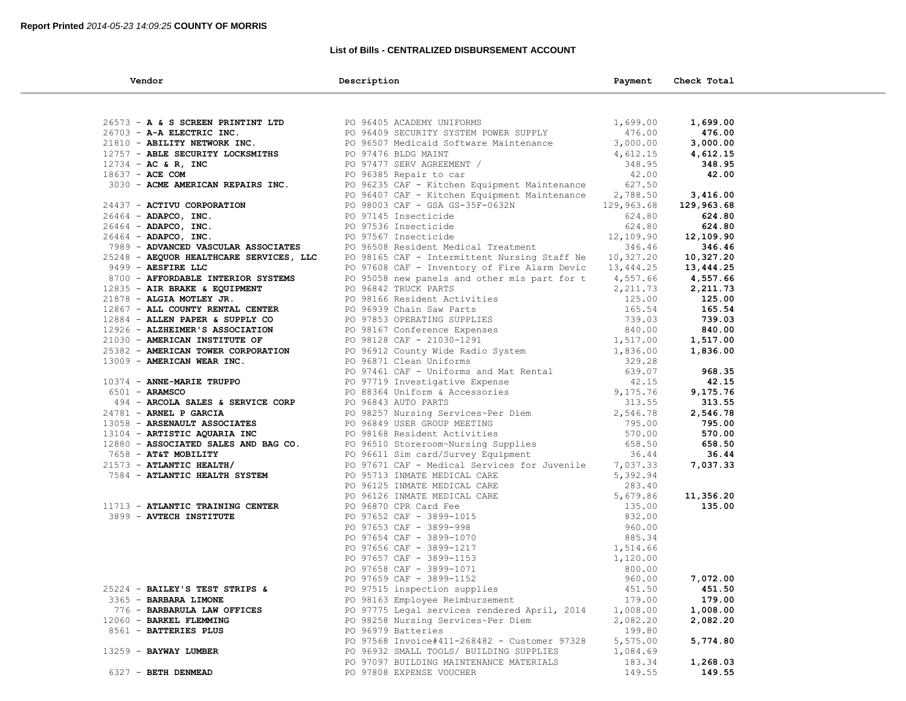### **List of Bills - CENTRALIZED DISBURSEMENT ACCOUNT**

| Vendor                                  | Description                                                                                                                                                                                                                                                                 | Payment  | Check Total |  |
|-----------------------------------------|-----------------------------------------------------------------------------------------------------------------------------------------------------------------------------------------------------------------------------------------------------------------------------|----------|-------------|--|
|                                         |                                                                                                                                                                                                                                                                             |          |             |  |
|                                         | 26573 - A & S SCREEN PRINTINT LTD<br>26703 - A-A ELECTRIC INC.<br>21810 - ABILITY NETWORK INC.<br>2737 - ABELECTRIC INC.<br>2737 - ABELECTRITY LOCKSMITHS<br>2734 - AC & R, INC<br>2837 - ACE COM<br>2837 - ACE COM<br>2837 - ACE COM<br>2030 -                             | 1,699.00 | 1,699.00    |  |
|                                         |                                                                                                                                                                                                                                                                             | 476.00   | 476.00      |  |
|                                         |                                                                                                                                                                                                                                                                             | 3,000.00 | 3,000.00    |  |
| 12757 - ABLE SECURITY LOCKSMITHS        |                                                                                                                                                                                                                                                                             | 4,612.15 | 4,612.15    |  |
| $12734 - AC & R$ , INC                  |                                                                                                                                                                                                                                                                             | 348.95   | 348.95      |  |
| 18637 - ACE COM                         |                                                                                                                                                                                                                                                                             | 42.00    | 42.00       |  |
|                                         | PO 96235 CAF - Kitchen Equipment Maintenance 627.50                                                                                                                                                                                                                         |          |             |  |
|                                         | PO 96407 CAF - Kitchen Equipment Maintenance 2,788.50                                                                                                                                                                                                                       |          | 3,416.00    |  |
| 24437 - ACTIVU CORPORATION              |                                                                                                                                                                                                                                                                             |          | 129,963.68  |  |
| 26464 - ADAPCO, INC.                    | PO 98003 CAF - GSA GS<br>PO 97145 Insecticide<br>PO 97536 Insecticide<br>PO 97567 Insecticide<br>PO 98003 CAF - GSA GS-35F-0632N<br>PO 97145 Insecticide 624.80<br>PO 97536 Insecticide 624.80<br>PO 97567 Insecticide 624.80<br>PO 96508 Resident Medical Treatment 346.46 |          | 624.80      |  |
| 26464 - ADAPCO, INC.                    |                                                                                                                                                                                                                                                                             |          | 624.80      |  |
| 26464 - ADAPCO, INC.                    |                                                                                                                                                                                                                                                                             |          | 12,109.90   |  |
| 7989 - ADVANCED VASCULAR ASSOCIATES     |                                                                                                                                                                                                                                                                             |          | 346.46      |  |
| 25248 - AEQUOR HEALTHCARE SERVICES, LLC | PO 98165 CAF - Intermittent Nursing Staff Ne 10,327.20                                                                                                                                                                                                                      |          | 10,327.20   |  |
| 9499 - AESFIRE LLC                      | PO 97608 CAF - Inventory of Fire Alarm Devic 13,444.25                                                                                                                                                                                                                      |          | 13,444.25   |  |
| 8700 - AFFORDABLE INTERIOR SYSTEMS      | PO 95058 new panels and other mis part for t 4,557.66                                                                                                                                                                                                                       |          | 4,557.66    |  |
| 12835 - AIR BRAKE & EQUIPMENT           | PO 96842 TRUCK PARTS                                                                                                                                                                                                                                                        | 2,211.73 | 2,211.73    |  |
|                                         |                                                                                                                                                                                                                                                                             |          | 125.00      |  |
|                                         |                                                                                                                                                                                                                                                                             |          | 165.54      |  |
|                                         |                                                                                                                                                                                                                                                                             |          | 739.03      |  |
|                                         |                                                                                                                                                                                                                                                                             |          | 840.00      |  |
|                                         |                                                                                                                                                                                                                                                                             |          | 1,517.00    |  |
|                                         |                                                                                                                                                                                                                                                                             |          | 1,836.00    |  |
|                                         |                                                                                                                                                                                                                                                                             |          |             |  |
|                                         |                                                                                                                                                                                                                                                                             |          | 968.35      |  |
|                                         | 1937 - ALA MARIE FROUPAMENT 1999 9816 Resident Activities<br>1985 - ALCHA MOTLEY JR.<br>19867 - ALL COUNTY RENTRAL CENTER<br>1996 - ALLEN PAPER 6 SUPPLY CONTRET 1999 08166 Resident Activities<br>1996 - ALLEN PAPER 6 SUPPLY CONTR                                        |          | 42.15       |  |
|                                         |                                                                                                                                                                                                                                                                             |          | 9,175.76    |  |
|                                         |                                                                                                                                                                                                                                                                             |          | 313.55      |  |
|                                         |                                                                                                                                                                                                                                                                             |          | 2,546.78    |  |
|                                         |                                                                                                                                                                                                                                                                             |          | 795.00      |  |
|                                         |                                                                                                                                                                                                                                                                             |          | 570.00      |  |
|                                         |                                                                                                                                                                                                                                                                             |          | 658.50      |  |
|                                         |                                                                                                                                                                                                                                                                             |          | 36.44       |  |
| $21573$ - ATLANTIC HEALTH/              | PO 97671 CAF - Medical Services for Juvenile 7,037.33                                                                                                                                                                                                                       |          | 7,037.33    |  |
| 7584 - ATLANTIC HEALTH SYSTEM           |                                                                                                                                                                                                                                                                             |          |             |  |
|                                         |                                                                                                                                                                                                                                                                             |          |             |  |
|                                         |                                                                                                                                                                                                                                                                             |          | 11,356.20   |  |
| 11713 - ATLANTIC TRAINING CENTER        |                                                                                                                                                                                                                                                                             |          | 135.00      |  |
| 3899 - AVTECH INSTITUTE                 |                                                                                                                                                                                                                                                                             |          |             |  |
|                                         |                                                                                                                                                                                                                                                                             |          |             |  |
|                                         |                                                                                                                                                                                                                                                                             |          |             |  |
|                                         |                                                                                                                                                                                                                                                                             |          |             |  |
|                                         |                                                                                                                                                                                                                                                                             |          |             |  |
|                                         |                                                                                                                                                                                                                                                                             |          |             |  |
|                                         |                                                                                                                                                                                                                                                                             |          | 7,072.00    |  |
| 25224 - BAILEY'S TEST STRIPS &          | PO 97613 INMATE MEDICAL CARE 5,392.94<br>PO 96125 INMATE MEDICAL CARE 5,392.94<br>PO 96125 INMATE MEDICAL CARE 283.40<br>PO 96126 INMATE MEDICAL CARE 283.40<br>PO 97652 CAF - 3899-1015<br>PO 97653 CAF - 3899-1015<br>PO 97654 CAF - 389<br>PO 97515 inspection supplies  | 451.50   | 451.50      |  |
| 3365 - BARBARA LIMONE                   | PO 98163 Employee Reimbursement                                                                                                                                                                                                                                             | 179.00   | 179.00      |  |
| 776 - BARBARULA LAW OFFICES             | PO 97775 Legal services rendered April, 2014                                                                                                                                                                                                                                | 1,008.00 | 1,008.00    |  |
| 12060 - BARKEL FLEMMING                 | PO 98258 Nursing Services~Per Diem                                                                                                                                                                                                                                          | 2,082.20 | 2,082.20    |  |
| 8561 - BATTERIES PLUS                   | PO 96979 Batteries                                                                                                                                                                                                                                                          | 199.80   |             |  |
|                                         | PO 97568 Invoice#411-268482 - Customer 97328                                                                                                                                                                                                                                | 5,575.00 | 5,774.80    |  |
| 13259 - BAYWAY LUMBER                   | PO 96932 SMALL TOOLS/ BUILDING SUPPLIES                                                                                                                                                                                                                                     | 1,084.69 |             |  |
|                                         | PO 97097 BUILDING MAINTENANCE MATERIALS                                                                                                                                                                                                                                     | 183.34   | 1,268.03    |  |
| 6327 - BETH DENMEAD                     | PO 97808 EXPENSE VOUCHER                                                                                                                                                                                                                                                    | 149.55   | 149.55      |  |
|                                         |                                                                                                                                                                                                                                                                             |          |             |  |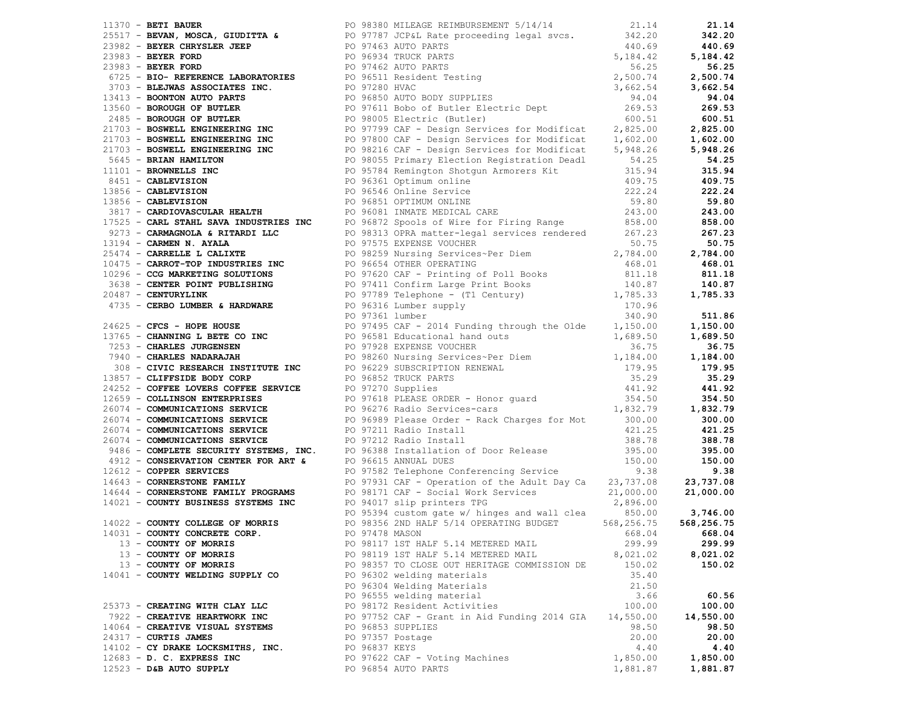|                                   |                   | 1770 - Secret Moon, organization and the probability of the second and the second and the second and the second and the second and the second and the second and the second and the second and the second and the second and |          |           |
|-----------------------------------|-------------------|------------------------------------------------------------------------------------------------------------------------------------------------------------------------------------------------------------------------------|----------|-----------|
|                                   |                   |                                                                                                                                                                                                                              |          |           |
|                                   |                   |                                                                                                                                                                                                                              |          |           |
|                                   |                   |                                                                                                                                                                                                                              |          |           |
|                                   |                   |                                                                                                                                                                                                                              |          |           |
|                                   |                   |                                                                                                                                                                                                                              |          |           |
|                                   |                   |                                                                                                                                                                                                                              |          |           |
|                                   |                   |                                                                                                                                                                                                                              |          |           |
|                                   |                   |                                                                                                                                                                                                                              |          |           |
|                                   |                   |                                                                                                                                                                                                                              |          |           |
|                                   |                   |                                                                                                                                                                                                                              |          |           |
|                                   |                   |                                                                                                                                                                                                                              |          |           |
|                                   |                   |                                                                                                                                                                                                                              |          |           |
|                                   |                   |                                                                                                                                                                                                                              |          |           |
|                                   |                   |                                                                                                                                                                                                                              |          |           |
|                                   |                   |                                                                                                                                                                                                                              |          |           |
|                                   |                   |                                                                                                                                                                                                                              |          |           |
|                                   |                   |                                                                                                                                                                                                                              |          |           |
|                                   |                   |                                                                                                                                                                                                                              |          |           |
|                                   |                   |                                                                                                                                                                                                                              |          |           |
|                                   |                   |                                                                                                                                                                                                                              |          |           |
| 13 - COUNTY OF MORRIS             |                   |                                                                                                                                                                                                                              |          | 299.99    |
| 13 - COUNTY OF MORRIS             |                   |                                                                                                                                                                                                                              |          | 8,021.02  |
| 13 - COUNTY OF MORRIS             |                   |                                                                                                                                                                                                                              |          | 150.02    |
| 14041 - COUNTY WELDING SUPPLY CO  |                   |                                                                                                                                                                                                                              |          |           |
|                                   |                   | PO 96304 Welding Materials                                                                                                                                                                                                   | 21.50    |           |
|                                   |                   | PO 96555 welding material                                                                                                                                                                                                    | 3.66     | 60.56     |
| 25373 - CREATING WITH CLAY LLC    |                   | PO 98172 Resident Activities                                                                                                                                                                                                 | 100.00   | 100.00    |
| 7922 - CREATIVE HEARTWORK INC     |                   | PO 97752 CAF - Grant in Aid Funding 2014 GIA $14,550.00$                                                                                                                                                                     |          | 14,550.00 |
| 14064 - CREATIVE VISUAL SYSTEMS   | PO 96853 SUPPLIES |                                                                                                                                                                                                                              | 98.50    | 98.50     |
| 24317 - CURTIS JAMES              | PO 97357 Postage  |                                                                                                                                                                                                                              | 20.00    | 20.00     |
| 14102 - CY DRAKE LOCKSMITHS, INC. | PO 96837 KEYS     |                                                                                                                                                                                                                              | 4.40     | 4.40      |
| $12683$ - D. C. EXPRESS INC       |                   | PO 97622 CAF - Voting Machines                                                                                                                                                                                               | 1,850.00 | 1,850.00  |
| $12523$ - D&B AUTO SUPPLY         |                   | PO 96854 AUTO PARTS                                                                                                                                                                                                          | 1,881.87 | 1,881.87  |
|                                   |                   |                                                                                                                                                                                                                              |          |           |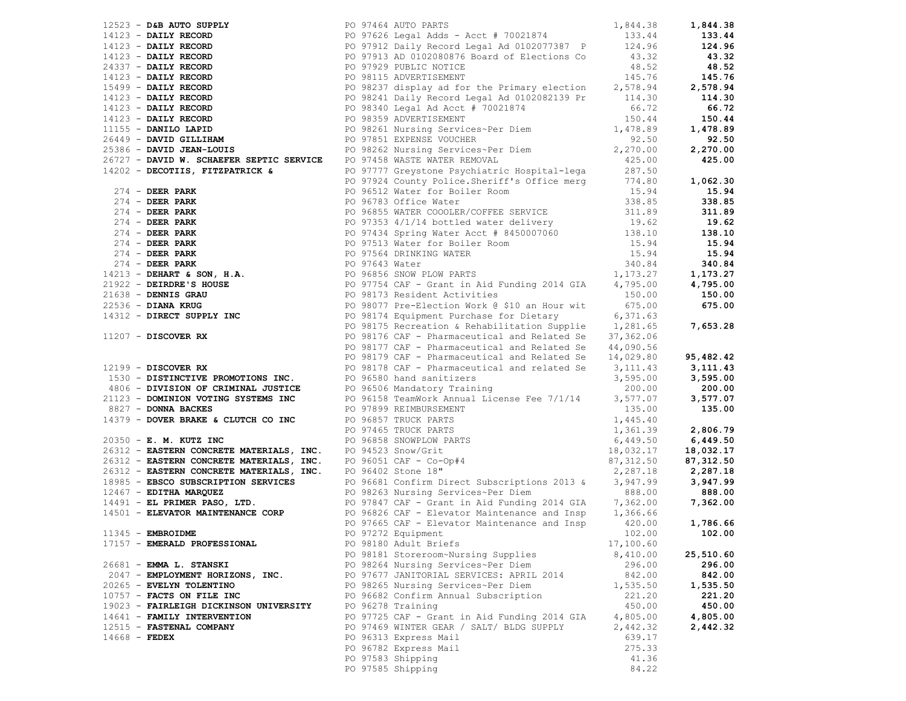|                 |                                                                                                                                                                         |                                                                                                                                                                                                                                                                                                                                                                                                                                         |           | 1,844.38  |
|-----------------|-------------------------------------------------------------------------------------------------------------------------------------------------------------------------|-----------------------------------------------------------------------------------------------------------------------------------------------------------------------------------------------------------------------------------------------------------------------------------------------------------------------------------------------------------------------------------------------------------------------------------------|-----------|-----------|
|                 |                                                                                                                                                                         | 1923 <b>- DAILY RECORD</b><br>1923 <b>- DAILY RECORD</b><br>1933.44<br>194123 <b>- DAILY RECORD</b><br>1997626 Legal Adds - Acct # 70021874<br>1997929 PUBLIC NOTICE<br>2037 <b>- DAILY RECORD</b><br>1997929 PUBLIC NOTICE<br>1997929 PUBLIC NOTICE<br>1997929 PUB                                                                                                                                                                     |           | 133.44    |
|                 |                                                                                                                                                                         |                                                                                                                                                                                                                                                                                                                                                                                                                                         |           | 124.96    |
|                 |                                                                                                                                                                         |                                                                                                                                                                                                                                                                                                                                                                                                                                         |           | 43.32     |
|                 |                                                                                                                                                                         |                                                                                                                                                                                                                                                                                                                                                                                                                                         |           | 48.52     |
|                 |                                                                                                                                                                         |                                                                                                                                                                                                                                                                                                                                                                                                                                         |           | 145.76    |
|                 |                                                                                                                                                                         |                                                                                                                                                                                                                                                                                                                                                                                                                                         |           |           |
|                 |                                                                                                                                                                         |                                                                                                                                                                                                                                                                                                                                                                                                                                         |           | 2,578.94  |
|                 |                                                                                                                                                                         |                                                                                                                                                                                                                                                                                                                                                                                                                                         |           | 114.30    |
|                 |                                                                                                                                                                         |                                                                                                                                                                                                                                                                                                                                                                                                                                         |           | 66.72     |
|                 |                                                                                                                                                                         |                                                                                                                                                                                                                                                                                                                                                                                                                                         |           | 150.44    |
|                 |                                                                                                                                                                         |                                                                                                                                                                                                                                                                                                                                                                                                                                         |           | 1,478.89  |
|                 |                                                                                                                                                                         |                                                                                                                                                                                                                                                                                                                                                                                                                                         |           | 92.50     |
|                 |                                                                                                                                                                         | PO 98262 Nursing Services~Per Diem 2,270.00                                                                                                                                                                                                                                                                                                                                                                                             |           | 2,270.00  |
|                 | 26727 - DAVID W. SCHAEFER SEPTIC SERVICE PO 97458 WASTE WATER REMOVAL                                                                                                   |                                                                                                                                                                                                                                                                                                                                                                                                                                         | 425.00    | 425.00    |
|                 | 14202 - DECOTIIS, FITZPATRICK &                                                                                                                                         |                                                                                                                                                                                                                                                                                                                                                                                                                                         |           |           |
|                 |                                                                                                                                                                         |                                                                                                                                                                                                                                                                                                                                                                                                                                         |           |           |
|                 |                                                                                                                                                                         | PO 97777 Greystone Psychiatric Hospital-lega 287.50<br>PO 97924 County Police.Sheriff's Office merg 774.80<br>PO 96512 Water for Boiler Room 15.94<br>PO 96783 Office Water 338.85                                                                                                                                                                                                                                                      |           | 1,062.30  |
|                 |                                                                                                                                                                         |                                                                                                                                                                                                                                                                                                                                                                                                                                         |           | 15.94     |
|                 |                                                                                                                                                                         |                                                                                                                                                                                                                                                                                                                                                                                                                                         |           | 338.85    |
|                 |                                                                                                                                                                         |                                                                                                                                                                                                                                                                                                                                                                                                                                         |           | 311.89    |
|                 |                                                                                                                                                                         |                                                                                                                                                                                                                                                                                                                                                                                                                                         |           | 19.62     |
|                 |                                                                                                                                                                         |                                                                                                                                                                                                                                                                                                                                                                                                                                         |           | 138.10    |
|                 |                                                                                                                                                                         |                                                                                                                                                                                                                                                                                                                                                                                                                                         |           | 15.94     |
|                 |                                                                                                                                                                         |                                                                                                                                                                                                                                                                                                                                                                                                                                         |           | 15.94     |
|                 |                                                                                                                                                                         |                                                                                                                                                                                                                                                                                                                                                                                                                                         |           | 340.84    |
|                 |                                                                                                                                                                         |                                                                                                                                                                                                                                                                                                                                                                                                                                         |           | 1,173.27  |
|                 |                                                                                                                                                                         |                                                                                                                                                                                                                                                                                                                                                                                                                                         |           |           |
|                 |                                                                                                                                                                         |                                                                                                                                                                                                                                                                                                                                                                                                                                         |           | 4,795.00  |
|                 |                                                                                                                                                                         |                                                                                                                                                                                                                                                                                                                                                                                                                                         |           | 150.00    |
|                 |                                                                                                                                                                         |                                                                                                                                                                                                                                                                                                                                                                                                                                         |           | 675.00    |
|                 |                                                                                                                                                                         |                                                                                                                                                                                                                                                                                                                                                                                                                                         |           |           |
|                 |                                                                                                                                                                         | 14202<br>274 <b>DEER PARK FORM PO 96712 Water for Boiler Room</b><br>274 <b>DEER PARK PO 96783 Office Water</b><br>274 <b>DEER PARK PO 96783 Office Water COOLER/COFFEE SERVICE 311.89<br/> 274 <b>DEER PARK PO 97353</b> 4/1/14 bottled water delivery </b><br>11207 - <b>DISCOVER RX</b> PO 98175 Recreation & Rehabilitation Supplie<br>PO 98176 CAF - Pharmaceutical and Related Se<br>PO 98177 CAF - Pharmaceutical and Related Se |           | 7,653.28  |
|                 |                                                                                                                                                                         |                                                                                                                                                                                                                                                                                                                                                                                                                                         |           |           |
|                 |                                                                                                                                                                         | PO 98177 CAF - Pharmaceutical and Related Se                                                                                                                                                                                                                                                                                                                                                                                            | 44,090.56 |           |
|                 |                                                                                                                                                                         |                                                                                                                                                                                                                                                                                                                                                                                                                                         | 14,029.80 | 95,482.42 |
|                 | 12199 - DISCOVER RX                                                                                                                                                     | PO 98178 CAF - Pharmaceutical and related Se                                                                                                                                                                                                                                                                                                                                                                                            | 3, 111.43 | 3,111.43  |
|                 | 1530 - DISTINCTIVE PROMOTIONS INC. PO 96580 hand sanitizers                                                                                                             |                                                                                                                                                                                                                                                                                                                                                                                                                                         | 3,595.00  | 3,595.00  |
|                 |                                                                                                                                                                         |                                                                                                                                                                                                                                                                                                                                                                                                                                         | 200.00    | 200.00    |
|                 |                                                                                                                                                                         | PO 96158 TeamWork Annual License Fee 7/1/14                                                                                                                                                                                                                                                                                                                                                                                             | 3,577.07  | 3,577.07  |
|                 | 21123 - DOMINION VOTING SYSTEMS INC<br>21123 - DOMINION VOTING SYSTEMS INC PO 96158 TeamWork Anders INC<br>8827 - DONNA BACKER SYSTEMS INC PO 96158 TeamWork Anders INC |                                                                                                                                                                                                                                                                                                                                                                                                                                         |           | 135.00    |
|                 |                                                                                                                                                                         |                                                                                                                                                                                                                                                                                                                                                                                                                                         |           |           |
|                 |                                                                                                                                                                         | 21123 - DOMINION VOTING SYSTEMS INC<br>8827 - DONNA BACKES<br>20350 - E. M. KUTZ INC PO 97899 REIMBURSEMENT<br>20350 - E. M. KUTZ INC PO 96857 TRUCK PARTS 1,361.39<br>20350 - E. M. KUTZ INC PO 96858 SNOWPLOW PARTS 1,361.39<br>2631                                                                                                                                                                                                  |           | 2,806.79  |
|                 |                                                                                                                                                                         |                                                                                                                                                                                                                                                                                                                                                                                                                                         |           |           |
|                 |                                                                                                                                                                         |                                                                                                                                                                                                                                                                                                                                                                                                                                         |           | 6,449.50  |
|                 |                                                                                                                                                                         |                                                                                                                                                                                                                                                                                                                                                                                                                                         |           | 18,032.17 |
|                 |                                                                                                                                                                         |                                                                                                                                                                                                                                                                                                                                                                                                                                         |           | 87,312.50 |
|                 |                                                                                                                                                                         |                                                                                                                                                                                                                                                                                                                                                                                                                                         |           | 2,287.18  |
|                 |                                                                                                                                                                         | 18985 - EBSCO SUBSCRIPTION SERVICES PO 96681 Confirm Direct Subscriptions 2013 & 3,947.99                                                                                                                                                                                                                                                                                                                                               |           | 3,947.99  |
|                 |                                                                                                                                                                         |                                                                                                                                                                                                                                                                                                                                                                                                                                         | 888.00    | 888.00    |
|                 |                                                                                                                                                                         |                                                                                                                                                                                                                                                                                                                                                                                                                                         | 7,362.00  | 7,362.00  |
|                 |                                                                                                                                                                         | 14501 - ELEVATOR MAINTENANCE CORP PO 96826 CAF - Elevator Maintenance and Insp 1,366.66                                                                                                                                                                                                                                                                                                                                                 |           |           |
|                 |                                                                                                                                                                         | PO 97665 CAF - Elevator Maintenance and Insp                                                                                                                                                                                                                                                                                                                                                                                            | 420.00    | 1,786.66  |
|                 | $11345$ - EMBROIDME                                                                                                                                                     | PO 97272 Equipment                                                                                                                                                                                                                                                                                                                                                                                                                      | 102.00    | 102.00    |
|                 | 17157 - EMERALD PROFESSIONAL                                                                                                                                            | PO 98180 Adult Briefs                                                                                                                                                                                                                                                                                                                                                                                                                   | 17,100.60 |           |
|                 |                                                                                                                                                                         | PO 98181 Storeroom~Nursing Supplies                                                                                                                                                                                                                                                                                                                                                                                                     | 8,410.00  | 25,510.60 |
|                 |                                                                                                                                                                         |                                                                                                                                                                                                                                                                                                                                                                                                                                         |           |           |
|                 | 26681 - EMMA L. STANSKI                                                                                                                                                 | PO 98264 Nursing Services~Per Diem                                                                                                                                                                                                                                                                                                                                                                                                      | 296.00    | 296.00    |
|                 | 2047 - EMPLOYMENT HORIZONS, INC.                                                                                                                                        | PO 97677 JANITORIAL SERVICES: APRIL 2014                                                                                                                                                                                                                                                                                                                                                                                                | 842.00    | 842.00    |
|                 | 20265 - EVELYN TOLENTINO                                                                                                                                                | PO 98265 Nursing Services~Per Diem                                                                                                                                                                                                                                                                                                                                                                                                      | 1,535.50  | 1,535.50  |
|                 | 10757 - FACTS ON FILE INC                                                                                                                                               | PO 96682 Confirm Annual Subscription                                                                                                                                                                                                                                                                                                                                                                                                    | 221.20    | 221.20    |
|                 | 19023 - FAIRLEIGH DICKINSON UNIVERSITY                                                                                                                                  | PO 96278 Training                                                                                                                                                                                                                                                                                                                                                                                                                       | 450.00    | 450.00    |
|                 | 14641 - FAMILY INTERVENTION                                                                                                                                             | PO 97725 CAF - Grant in Aid Funding 2014 GIA                                                                                                                                                                                                                                                                                                                                                                                            | 4,805.00  | 4,805.00  |
|                 | 12515 - FASTENAL COMPANY                                                                                                                                                | PO 97469 WINTER GEAR / SALT/ BLDG SUPPLY                                                                                                                                                                                                                                                                                                                                                                                                | 2,442.32  | 2,442.32  |
| $14668$ - FEDEX |                                                                                                                                                                         | PO 96313 Express Mail                                                                                                                                                                                                                                                                                                                                                                                                                   | 639.17    |           |
|                 |                                                                                                                                                                         | PO 96782 Express Mail                                                                                                                                                                                                                                                                                                                                                                                                                   | 275.33    |           |
|                 |                                                                                                                                                                         | PO 97583 Shipping                                                                                                                                                                                                                                                                                                                                                                                                                       | 41.36     |           |
|                 |                                                                                                                                                                         |                                                                                                                                                                                                                                                                                                                                                                                                                                         |           |           |

|                 |                                        |                                                                                                                                                                                                                                                                                                                                                                                                                                                                                           |           | $\frac{15.94}{338.95}$ |
|-----------------|----------------------------------------|-------------------------------------------------------------------------------------------------------------------------------------------------------------------------------------------------------------------------------------------------------------------------------------------------------------------------------------------------------------------------------------------------------------------------------------------------------------------------------------------|-----------|------------------------|
|                 |                                        |                                                                                                                                                                                                                                                                                                                                                                                                                                                                                           |           |                        |
|                 |                                        |                                                                                                                                                                                                                                                                                                                                                                                                                                                                                           |           |                        |
|                 |                                        |                                                                                                                                                                                                                                                                                                                                                                                                                                                                                           |           |                        |
|                 |                                        |                                                                                                                                                                                                                                                                                                                                                                                                                                                                                           |           |                        |
|                 |                                        |                                                                                                                                                                                                                                                                                                                                                                                                                                                                                           |           | 138.10<br>15.94        |
|                 |                                        |                                                                                                                                                                                                                                                                                                                                                                                                                                                                                           |           |                        |
|                 |                                        |                                                                                                                                                                                                                                                                                                                                                                                                                                                                                           |           |                        |
|                 |                                        |                                                                                                                                                                                                                                                                                                                                                                                                                                                                                           |           |                        |
|                 |                                        |                                                                                                                                                                                                                                                                                                                                                                                                                                                                                           |           |                        |
|                 |                                        |                                                                                                                                                                                                                                                                                                                                                                                                                                                                                           |           |                        |
|                 |                                        |                                                                                                                                                                                                                                                                                                                                                                                                                                                                                           |           |                        |
|                 |                                        |                                                                                                                                                                                                                                                                                                                                                                                                                                                                                           |           |                        |
|                 |                                        |                                                                                                                                                                                                                                                                                                                                                                                                                                                                                           |           |                        |
|                 |                                        |                                                                                                                                                                                                                                                                                                                                                                                                                                                                                           |           |                        |
|                 |                                        |                                                                                                                                                                                                                                                                                                                                                                                                                                                                                           |           |                        |
|                 |                                        |                                                                                                                                                                                                                                                                                                                                                                                                                                                                                           |           |                        |
|                 |                                        |                                                                                                                                                                                                                                                                                                                                                                                                                                                                                           |           |                        |
|                 |                                        |                                                                                                                                                                                                                                                                                                                                                                                                                                                                                           |           |                        |
|                 |                                        |                                                                                                                                                                                                                                                                                                                                                                                                                                                                                           |           |                        |
|                 |                                        |                                                                                                                                                                                                                                                                                                                                                                                                                                                                                           |           |                        |
|                 |                                        |                                                                                                                                                                                                                                                                                                                                                                                                                                                                                           |           |                        |
|                 |                                        |                                                                                                                                                                                                                                                                                                                                                                                                                                                                                           |           |                        |
|                 |                                        |                                                                                                                                                                                                                                                                                                                                                                                                                                                                                           |           |                        |
|                 |                                        |                                                                                                                                                                                                                                                                                                                                                                                                                                                                                           |           |                        |
|                 |                                        |                                                                                                                                                                                                                                                                                                                                                                                                                                                                                           |           |                        |
|                 |                                        |                                                                                                                                                                                                                                                                                                                                                                                                                                                                                           |           |                        |
|                 |                                        |                                                                                                                                                                                                                                                                                                                                                                                                                                                                                           |           |                        |
|                 |                                        |                                                                                                                                                                                                                                                                                                                                                                                                                                                                                           |           |                        |
|                 |                                        |                                                                                                                                                                                                                                                                                                                                                                                                                                                                                           |           |                        |
|                 |                                        |                                                                                                                                                                                                                                                                                                                                                                                                                                                                                           |           |                        |
|                 |                                        |                                                                                                                                                                                                                                                                                                                                                                                                                                                                                           |           |                        |
|                 |                                        |                                                                                                                                                                                                                                                                                                                                                                                                                                                                                           |           |                        |
|                 |                                        | 25356 <b>- DAVID JEAN FROUTS ENTRE 2018</b> PO 96250 Nursing Severics-Per Pierre (1970.000 2013.10 2020.000<br>142572 <b>- DECRY BRANK BEFRIC SERVICE POSTAGE AND CONSULTER TRIPPING (2018)<br/> 14274 <b>- DERR PARK 2019</b> 2022 02:15 (Net</b><br>18985 - EASTERN CONCRETE MATERIALS, INC. PO 96402 Stone 18"<br>18985 - EBSCO SUBSCRIPTION SERVICES PO 96681 Confirm Direct Subscriptions 2013 & 3,947.99<br>1988 - POITHA MARQUEZ PO 98263 Nursing Services~Per Diem<br>1491 - EL P |           |                        |
|                 |                                        |                                                                                                                                                                                                                                                                                                                                                                                                                                                                                           |           |                        |
|                 |                                        |                                                                                                                                                                                                                                                                                                                                                                                                                                                                                           |           |                        |
|                 |                                        |                                                                                                                                                                                                                                                                                                                                                                                                                                                                                           |           |                        |
|                 |                                        |                                                                                                                                                                                                                                                                                                                                                                                                                                                                                           |           |                        |
|                 | $11345$ - EMBROIDME                    | PO 97272 Equipment                                                                                                                                                                                                                                                                                                                                                                                                                                                                        | 102.00    | 102.00                 |
|                 | 17157 - EMERALD PROFESSIONAL           | PO 98180 Adult Briefs                                                                                                                                                                                                                                                                                                                                                                                                                                                                     | 17,100.60 |                        |
|                 |                                        |                                                                                                                                                                                                                                                                                                                                                                                                                                                                                           |           |                        |
|                 |                                        | PO 98181 Storeroom~Nursing Supplies                                                                                                                                                                                                                                                                                                                                                                                                                                                       | 8,410.00  | 25,510.60              |
|                 | 26681 - EMMA L. STANSKI                | PO 98264 Nursing Services~Per Diem                                                                                                                                                                                                                                                                                                                                                                                                                                                        | 296.00    | 296.00                 |
|                 | 2047 - EMPLOYMENT HORIZONS, INC.       | PO 97677 JANITORIAL SERVICES: APRIL 2014                                                                                                                                                                                                                                                                                                                                                                                                                                                  | 842.00    | 842.00                 |
|                 | 20265 - EVELYN TOLENTINO               | PO 98265 Nursing Services~Per Diem                                                                                                                                                                                                                                                                                                                                                                                                                                                        | 1,535.50  | 1,535.50               |
|                 | 10757 - FACTS ON FILE INC              | PO 96682 Confirm Annual Subscription                                                                                                                                                                                                                                                                                                                                                                                                                                                      | 221.20    | 221.20                 |
|                 | 19023 - FAIRLEIGH DICKINSON UNIVERSITY | PO 96278 Training                                                                                                                                                                                                                                                                                                                                                                                                                                                                         | 450.00    | 450.00                 |
|                 |                                        | PO 97725 CAF - Grant in Aid Funding 2014 GIA                                                                                                                                                                                                                                                                                                                                                                                                                                              | 4,805.00  | 4,805.00               |
|                 | 14641 - FAMILY INTERVENTION            |                                                                                                                                                                                                                                                                                                                                                                                                                                                                                           |           |                        |
|                 | 12515 - FASTENAL COMPANY               | PO 97469 WINTER GEAR / SALT/ BLDG SUPPLY                                                                                                                                                                                                                                                                                                                                                                                                                                                  | 2,442.32  | 2,442.32               |
| $14668$ - FEDEX |                                        | PO 96313 Express Mail                                                                                                                                                                                                                                                                                                                                                                                                                                                                     | 639.17    |                        |
|                 |                                        | PO 96782 Express Mail                                                                                                                                                                                                                                                                                                                                                                                                                                                                     | 275.33    |                        |
|                 |                                        | PO 97583 Shipping                                                                                                                                                                                                                                                                                                                                                                                                                                                                         | 41.36     |                        |
|                 |                                        | PO 97585 Shipping                                                                                                                                                                                                                                                                                                                                                                                                                                                                         | 84.22     |                        |
|                 |                                        |                                                                                                                                                                                                                                                                                                                                                                                                                                                                                           |           |                        |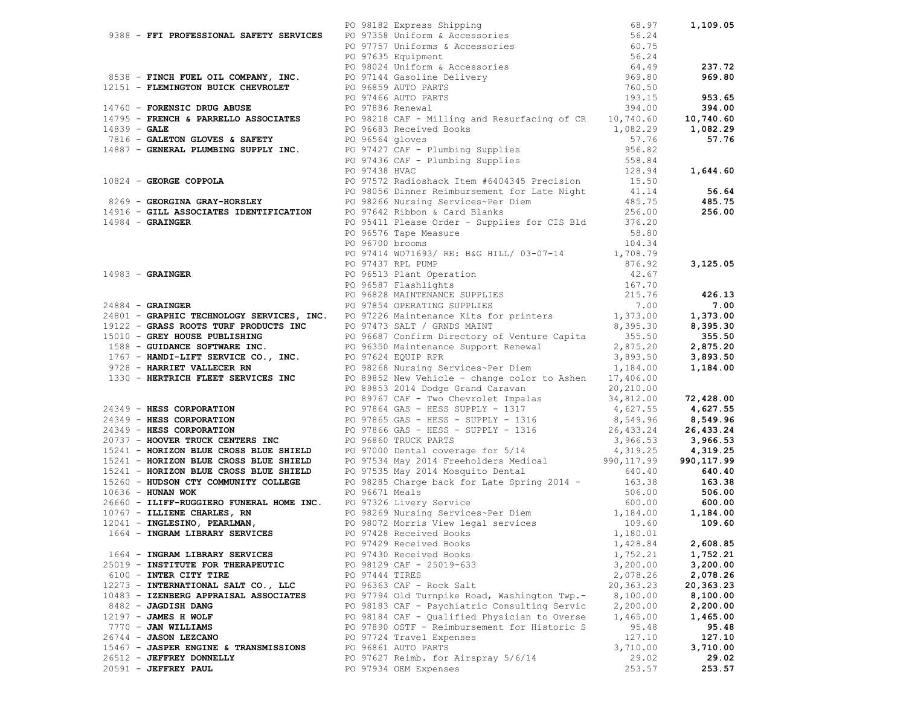| 9388 <b>- FFI PROFESSIONAL SAFETY SERVICES</b><br>PO 97138 CHICOMET PO 97135 Uniforms & Accessories<br>PO 97579 Uniforms & Accessories<br>PO 976358 - <b>FINCH FUEL OIL COMPANY, INC.</b><br>PO 976358 CHILOT PO 97646 UNIFORM Accessories<br>PO |                 |                                                                                   |           |           |
|--------------------------------------------------------------------------------------------------------------------------------------------------------------------------------------------------------------------------------------------------|-----------------|-----------------------------------------------------------------------------------|-----------|-----------|
|                                                                                                                                                                                                                                                  |                 |                                                                                   |           |           |
|                                                                                                                                                                                                                                                  |                 |                                                                                   |           |           |
|                                                                                                                                                                                                                                                  |                 |                                                                                   |           |           |
|                                                                                                                                                                                                                                                  |                 |                                                                                   |           |           |
|                                                                                                                                                                                                                                                  |                 |                                                                                   |           |           |
|                                                                                                                                                                                                                                                  |                 |                                                                                   |           |           |
|                                                                                                                                                                                                                                                  |                 |                                                                                   |           |           |
|                                                                                                                                                                                                                                                  |                 |                                                                                   |           |           |
|                                                                                                                                                                                                                                                  |                 |                                                                                   |           |           |
|                                                                                                                                                                                                                                                  |                 |                                                                                   |           |           |
|                                                                                                                                                                                                                                                  |                 |                                                                                   |           |           |
|                                                                                                                                                                                                                                                  |                 |                                                                                   |           |           |
|                                                                                                                                                                                                                                                  |                 |                                                                                   |           |           |
|                                                                                                                                                                                                                                                  |                 |                                                                                   |           |           |
| 10824 - GEORGE COPPOLA<br>PO 97572 Radioshack Item #6404345 Precision<br>PO 98056 Dinner Reimbursement for Late Night<br>PO 98056 Dinner Reimbursement for Late Night<br>PO 98266 Nursing Services~Per Diem<br>14916 - GILL ASSOCIATES I         |                 |                                                                                   |           |           |
|                                                                                                                                                                                                                                                  |                 |                                                                                   |           | 56.64     |
|                                                                                                                                                                                                                                                  |                 |                                                                                   |           | 485.75    |
|                                                                                                                                                                                                                                                  |                 |                                                                                   |           | 256.00    |
|                                                                                                                                                                                                                                                  |                 | PO 95411 Please Order - Supplies for CIS Bld 376.20                               |           |           |
|                                                                                                                                                                                                                                                  |                 | PO 96576 Tape Measure                                                             | 58.80     |           |
|                                                                                                                                                                                                                                                  | PO 96700 brooms |                                                                                   | 104.34    |           |
|                                                                                                                                                                                                                                                  |                 | PO 96700 brooms<br>PO 97414 WO71693/RE: B&G HILL/03-07-14<br>1,708.79<br>1,708.79 |           |           |
|                                                                                                                                                                                                                                                  |                 |                                                                                   |           |           |
|                                                                                                                                                                                                                                                  |                 |                                                                                   |           |           |
|                                                                                                                                                                                                                                                  |                 |                                                                                   |           |           |
|                                                                                                                                                                                                                                                  |                 |                                                                                   |           |           |
|                                                                                                                                                                                                                                                  |                 |                                                                                   |           |           |
|                                                                                                                                                                                                                                                  |                 |                                                                                   |           |           |
|                                                                                                                                                                                                                                                  |                 |                                                                                   |           |           |
|                                                                                                                                                                                                                                                  |                 |                                                                                   |           |           |
|                                                                                                                                                                                                                                                  |                 |                                                                                   |           |           |
|                                                                                                                                                                                                                                                  |                 |                                                                                   |           |           |
|                                                                                                                                                                                                                                                  |                 |                                                                                   |           |           |
|                                                                                                                                                                                                                                                  |                 |                                                                                   |           |           |
|                                                                                                                                                                                                                                                  |                 |                                                                                   |           |           |
|                                                                                                                                                                                                                                                  |                 |                                                                                   |           |           |
|                                                                                                                                                                                                                                                  |                 |                                                                                   |           |           |
|                                                                                                                                                                                                                                                  |                 |                                                                                   |           |           |
|                                                                                                                                                                                                                                                  |                 |                                                                                   |           |           |
|                                                                                                                                                                                                                                                  |                 |                                                                                   |           |           |
|                                                                                                                                                                                                                                                  |                 |                                                                                   |           |           |
|                                                                                                                                                                                                                                                  |                 |                                                                                   |           |           |
|                                                                                                                                                                                                                                                  |                 |                                                                                   |           |           |
|                                                                                                                                                                                                                                                  |                 |                                                                                   |           |           |
| 14983 - GRAINGER (2008)<br>24983 - GRAINGER (2008)<br>24983 - GRAINGER (2008)<br>24983 - GRAINGER (2008)<br>24983 - GRAINGER (2008)<br>24983 - GRAINGER (2008)<br>24983 - GRAINGER (2008)<br>24983 - GRAINGER (2008)<br>24983 - GRAINGER (200    |                 |                                                                                   |           |           |
|                                                                                                                                                                                                                                                  |                 |                                                                                   |           |           |
|                                                                                                                                                                                                                                                  |                 |                                                                                   |           |           |
| 10636 - HUNAN WOK<br>26660 - ILIFF-RUGGIERO FUNERAL HOME INC. PO 97326 Livery Service<br>10767 - ILIENE CHARLES, RN PO 98269 Nursing Services~Per Diem 1,184.00 600.00 600.00<br>109.60 - INGLESINO, PEARLMAN, PO 98072 Morris View              |                 |                                                                                   |           |           |
|                                                                                                                                                                                                                                                  |                 |                                                                                   |           |           |
|                                                                                                                                                                                                                                                  |                 |                                                                                   |           |           |
|                                                                                                                                                                                                                                                  |                 | PO 97429 Received Books                                                           | 1,428.84  | 2,608.85  |
| 1664 - INGRAM LIBRARY SERVICES                                                                                                                                                                                                                   |                 | PO 97430 Received Books                                                           | 1,752.21  | 1,752.21  |
| 25019 - INSTITUTE FOR THERAPEUTIC                                                                                                                                                                                                                |                 | PO 98129 CAF - 25019-633                                                          | 3,200.00  | 3,200.00  |
| 6100 - INTER CITY TIRE                                                                                                                                                                                                                           | PO 97444 TIRES  |                                                                                   | 2,078.26  | 2,078.26  |
| 12273 - INTERNATIONAL SALT CO., LLC                                                                                                                                                                                                              |                 | PO 96363 CAF - Rock Salt                                                          | 20,363.23 | 20,363.23 |
| 10483 - IZENBERG APPRAISAL ASSOCIATES                                                                                                                                                                                                            |                 | PO 97794 Old Turnpike Road, Washington Twp.-                                      | 8,100.00  | 8,100.00  |
| 8482 - JAGDISH DANG                                                                                                                                                                                                                              |                 | PO 98183 CAF - Psychiatric Consulting Servic                                      | 2,200.00  | 2,200.00  |
| $12197 - JAMES$ H WOLF                                                                                                                                                                                                                           |                 | PO 98184 CAF - Qualified Physician to Overse                                      | 1,465.00  | 1,465.00  |
| 7770 - JAN WILLIAMS                                                                                                                                                                                                                              |                 | PO 97890 OSTF - Reimbursement for Historic S                                      | 95.48     | 95.48     |
| 26744 - JASON LEZCANO                                                                                                                                                                                                                            |                 | PO 97724 Travel Expenses                                                          | 127.10    | 127.10    |
| 15467 - JASPER ENGINE & TRANSMISSIONS                                                                                                                                                                                                            |                 | PO 96861 AUTO PARTS                                                               | 3,710.00  | 3,710.00  |
| 26512 - JEFFREY DONNELLY                                                                                                                                                                                                                         |                 | PO 97627 Reimb. for Airspray 5/6/14                                               | 29.02     | 29.02     |
| 20591 - JEFFREY PAUL                                                                                                                                                                                                                             |                 | PO 97934 OEM Expenses                                                             | 253.57    | 253.57    |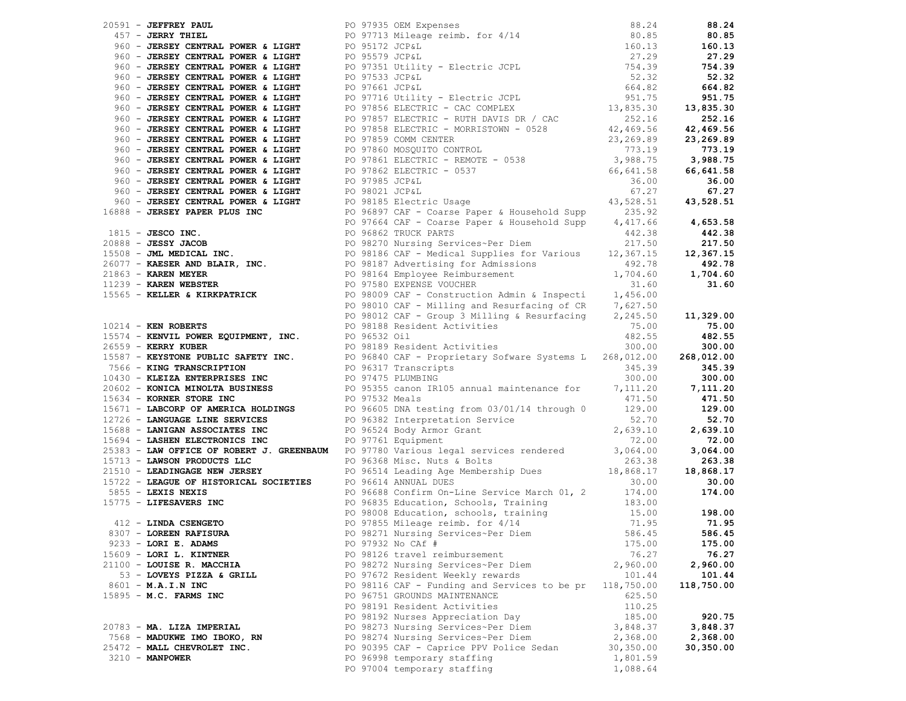| 1997 - MATPHY PART PART (1997 - 1997 - 1997 - 1997 - 1997 - 1997 - 1997 - 1997 - 1997 - 1998 - 1998 - 1998 - 1998 - 1998 - 1998 - 1998 - 1998 - 1998 - 1998 - 1998 - 1998 - 1998 - 1998 - 1998 - 1998 - 1998 - 1998 - 1998              |                                                         |                   |                     |
|-----------------------------------------------------------------------------------------------------------------------------------------------------------------------------------------------------------------------------------------|---------------------------------------------------------|-------------------|---------------------|
|                                                                                                                                                                                                                                         |                                                         |                   |                     |
|                                                                                                                                                                                                                                         |                                                         |                   |                     |
|                                                                                                                                                                                                                                         |                                                         |                   |                     |
|                                                                                                                                                                                                                                         |                                                         |                   |                     |
|                                                                                                                                                                                                                                         |                                                         |                   |                     |
|                                                                                                                                                                                                                                         |                                                         |                   |                     |
|                                                                                                                                                                                                                                         |                                                         |                   |                     |
|                                                                                                                                                                                                                                         |                                                         |                   |                     |
|                                                                                                                                                                                                                                         |                                                         |                   |                     |
|                                                                                                                                                                                                                                         |                                                         |                   |                     |
|                                                                                                                                                                                                                                         |                                                         |                   |                     |
|                                                                                                                                                                                                                                         |                                                         |                   |                     |
|                                                                                                                                                                                                                                         |                                                         |                   | 3,064.00            |
|                                                                                                                                                                                                                                         |                                                         |                   | 263.38<br>18,868.17 |
| 18, 1972 - LEAGUE OF HISTORICAL SOCIETIES<br>18, 2008 - LEXIS NEXIS<br>18, 2009 - LEXIS NEXIS<br>19 96688 Confirm On-Line Service March 01, 2<br>19 96688 Confirm On-Line Service March 01, 2<br>19 96688 Confirm On-Line Service March |                                                         |                   | 30.00               |
|                                                                                                                                                                                                                                         |                                                         |                   | 174.00              |
|                                                                                                                                                                                                                                         |                                                         |                   |                     |
|                                                                                                                                                                                                                                         |                                                         |                   |                     |
|                                                                                                                                                                                                                                         |                                                         |                   | 198.00<br>71.95     |
|                                                                                                                                                                                                                                         |                                                         |                   | 586.45              |
| $9233 -$ LORI E. ADAMS                                                                                                                                                                                                                  | PO 97932 No CAf #                                       |                   |                     |
| 15609 - LORI L. KINTNER                                                                                                                                                                                                                 |                                                         | 175.00            | 175.00              |
|                                                                                                                                                                                                                                         | PO 98126 travel reimbursement                           | 76.27<br>2,960.00 | 76.27<br>2,960.00   |
| 21100 - LOUISE R. MACCHIA                                                                                                                                                                                                               | PO 98272 Nursing Services~Per Diem                      |                   | 101.44              |
| 53 - LOVEYS PIZZA & GRILL                                                                                                                                                                                                               | PO 97672 Resident Weekly rewards                        | 101.44            |                     |
| 8601 - M.A.I.N INC                                                                                                                                                                                                                      | PO 98116 CAF - Funding and Services to be pr 118,750.00 |                   | 118,750.00          |
| 15895 - M.C. FARMS INC                                                                                                                                                                                                                  | PO 96751 GROUNDS MAINTENANCE                            | 625.50            |                     |
|                                                                                                                                                                                                                                         | PO 98191 Resident Activities                            | 110.25            |                     |
|                                                                                                                                                                                                                                         | PO 98192 Nurses Appreciation Day                        | 185.00            | 920.75              |
| 20783 - MA. LIZA IMPERIAL                                                                                                                                                                                                               | PO 98273 Nursing Services~Per Diem                      | 3,848.37          | 3,848.37            |
| 7568 - MADUKWE IMO IBOKO, RN                                                                                                                                                                                                            | PO 98274 Nursing Services~Per Diem                      | 2,368.00          | 2,368.00            |
| 25472 - MALL CHEVROLET INC.                                                                                                                                                                                                             | PO 90395 CAF - Caprice PPV Police Sedan                 | 30, 350.00        | 30,350.00           |
| $3210 - MANPOWER$                                                                                                                                                                                                                       | PO 96998 temporary staffing                             | 1,801.59          |                     |
|                                                                                                                                                                                                                                         | PO 97004 temporary staffing                             | 1,088.64          |                     |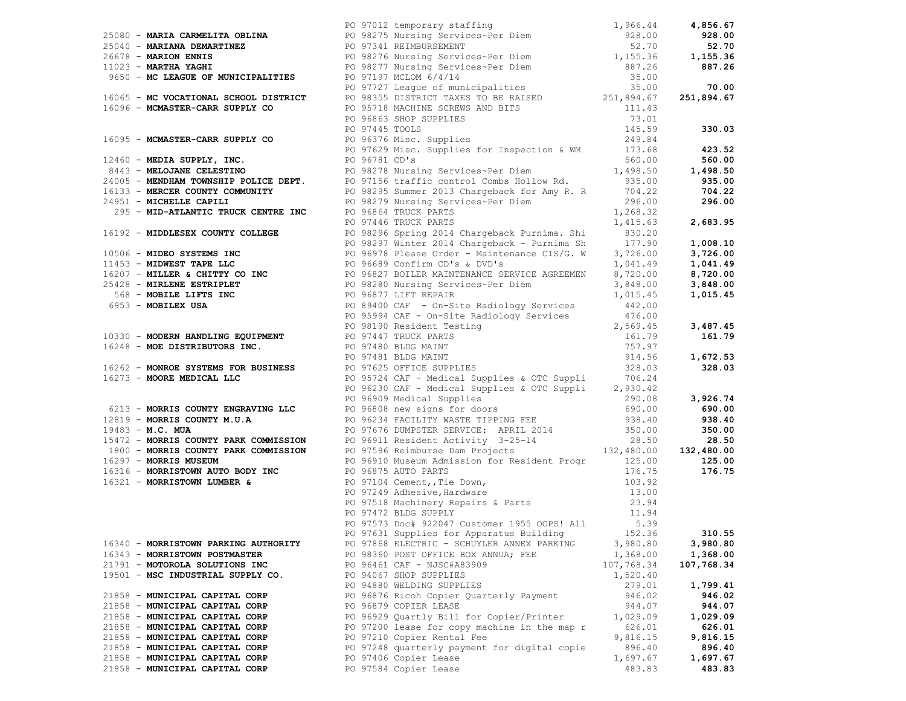|                                      | 1990 - ANDEL MARIA CONTRACT PROPERTY COMPANY PROTOCOL AND CONTRACT CONTRACT CONTRACT (1995, 2011) - 1992 - 1992 - 1992 - 1992 - 1992 - 1992 - 1992 - 1992 - 1992 - 1992 - 1992 - 1992 - 1992 - 1992 - 1992 - 1992 - 1992 - 19 |            |            |
|--------------------------------------|-------------------------------------------------------------------------------------------------------------------------------------------------------------------------------------------------------------------------------|------------|------------|
|                                      |                                                                                                                                                                                                                               |            |            |
|                                      |                                                                                                                                                                                                                               |            |            |
|                                      |                                                                                                                                                                                                                               |            |            |
|                                      |                                                                                                                                                                                                                               |            |            |
|                                      |                                                                                                                                                                                                                               |            |            |
|                                      |                                                                                                                                                                                                                               |            |            |
|                                      |                                                                                                                                                                                                                               |            |            |
|                                      |                                                                                                                                                                                                                               |            |            |
|                                      |                                                                                                                                                                                                                               |            |            |
|                                      |                                                                                                                                                                                                                               |            |            |
|                                      |                                                                                                                                                                                                                               |            |            |
|                                      |                                                                                                                                                                                                                               |            |            |
|                                      |                                                                                                                                                                                                                               |            |            |
|                                      |                                                                                                                                                                                                                               |            |            |
|                                      |                                                                                                                                                                                                                               |            |            |
|                                      |                                                                                                                                                                                                                               |            |            |
|                                      |                                                                                                                                                                                                                               |            |            |
|                                      |                                                                                                                                                                                                                               |            |            |
|                                      |                                                                                                                                                                                                                               |            |            |
|                                      |                                                                                                                                                                                                                               |            |            |
|                                      |                                                                                                                                                                                                                               |            |            |
|                                      |                                                                                                                                                                                                                               |            |            |
|                                      |                                                                                                                                                                                                                               |            |            |
|                                      |                                                                                                                                                                                                                               |            |            |
|                                      |                                                                                                                                                                                                                               |            |            |
|                                      |                                                                                                                                                                                                                               |            |            |
|                                      |                                                                                                                                                                                                                               |            |            |
|                                      |                                                                                                                                                                                                                               |            |            |
|                                      |                                                                                                                                                                                                                               |            |            |
|                                      |                                                                                                                                                                                                                               |            |            |
|                                      |                                                                                                                                                                                                                               |            |            |
|                                      |                                                                                                                                                                                                                               |            |            |
|                                      |                                                                                                                                                                                                                               |            |            |
|                                      |                                                                                                                                                                                                                               |            |            |
|                                      |                                                                                                                                                                                                                               |            |            |
|                                      |                                                                                                                                                                                                                               |            |            |
|                                      |                                                                                                                                                                                                                               |            |            |
|                                      |                                                                                                                                                                                                                               |            |            |
|                                      |                                                                                                                                                                                                                               |            |            |
|                                      |                                                                                                                                                                                                                               |            |            |
|                                      |                                                                                                                                                                                                                               |            |            |
|                                      |                                                                                                                                                                                                                               |            |            |
|                                      |                                                                                                                                                                                                                               |            |            |
|                                      |                                                                                                                                                                                                                               |            |            |
|                                      |                                                                                                                                                                                                                               |            |            |
|                                      |                                                                                                                                                                                                                               |            |            |
|                                      | PO 97573 Doc# 922047 Customer 1955 OOPS! All 5.39                                                                                                                                                                             |            |            |
|                                      | PO 97631 Supplies for Apparatus Building 152.36                                                                                                                                                                               |            | 310.55     |
| 16340 - MORRISTOWN PARKING AUTHORITY | PO 97868 ELECTRIC - SCHUYLER ANNEX PARKING                                                                                                                                                                                    | 3,980.80   | 3,980.80   |
| 16343 - MORRISTOWN POSTMASTER        | PO 98360 POST OFFICE BOX ANNUA; FEE                                                                                                                                                                                           | 1,368.00   | 1,368.00   |
| 21791 - MOTOROLA SOLUTIONS INC       | PO 96461 CAF - NJSC#A83909                                                                                                                                                                                                    | 107,768.34 | 107,768.34 |
| 19501 - MSC INDUSTRIAL SUPPLY CO.    | PO 94067 SHOP SUPPLIES                                                                                                                                                                                                        | 1,520.40   |            |
|                                      | PO 94880 WELDING SUPPLIES                                                                                                                                                                                                     | 279.01     | 1,799.41   |
| 21858 - MUNICIPAL CAPITAL CORP       | PO 96876 Ricoh Copier Quarterly Payment                                                                                                                                                                                       | 946.02     | 946.02     |
| 21858 - MUNICIPAL CAPITAL CORP       | PO 96879 COPIER LEASE                                                                                                                                                                                                         | 944.07     | 944.07     |
| 21858 - MUNICIPAL CAPITAL CORP       | PO 96929 Quartly Bill for Copier/Printer                                                                                                                                                                                      | 1,029.09   | 1,029.09   |
| 21858 - MUNICIPAL CAPITAL CORP       | PO 97200 lease for copy machine in the map r                                                                                                                                                                                  | 626.01     | 626.01     |
| 21858 - MUNICIPAL CAPITAL CORP       | PO 97210 Copier Rental Fee                                                                                                                                                                                                    | 9,816.15   | 9,816.15   |
| 21858 - MUNICIPAL CAPITAL CORP       | PO 97248 quarterly payment for digital copie                                                                                                                                                                                  | 896.40     | 896.40     |
| 21858 - MUNICIPAL CAPITAL CORP       | PO 97406 Copier Lease                                                                                                                                                                                                         | 1,697.67   | 1,697.67   |
| 21858 - MUNICIPAL CAPITAL CORP       | PO 97584 Copier Lease                                                                                                                                                                                                         | 483.83     | 483.83     |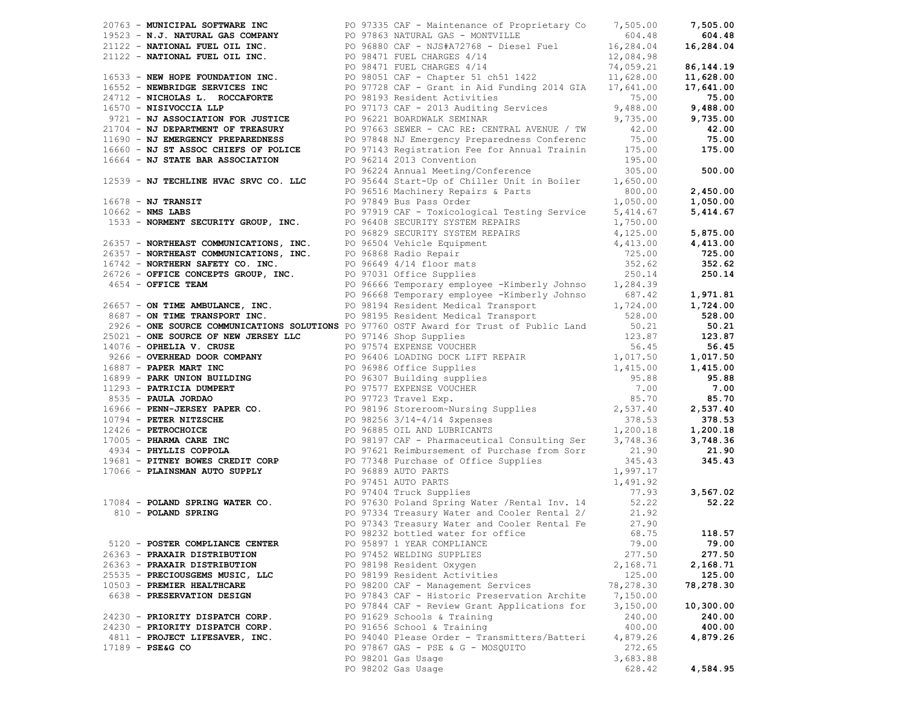|                                 |  | 20763 <b>- MUNICIPAL SOFTWARE TRY CONTROL</b> 200733 CAF - Maintenace of Proprietary Co 17,505.00<br>20122 <b>- NATURAL EUEL OIL INC.</b><br>20122 <b>- NATURAL FUEL OIL INC.</b><br>20122 <b>- NATURAL FUEL OIL INC.</b><br>20122 <b>- NATURAL FUEL OIL IN</b> |           |           |
|---------------------------------|--|-----------------------------------------------------------------------------------------------------------------------------------------------------------------------------------------------------------------------------------------------------------------|-----------|-----------|
|                                 |  |                                                                                                                                                                                                                                                                 |           |           |
|                                 |  |                                                                                                                                                                                                                                                                 |           |           |
|                                 |  |                                                                                                                                                                                                                                                                 |           |           |
|                                 |  |                                                                                                                                                                                                                                                                 |           |           |
|                                 |  |                                                                                                                                                                                                                                                                 |           |           |
|                                 |  |                                                                                                                                                                                                                                                                 |           |           |
|                                 |  |                                                                                                                                                                                                                                                                 |           |           |
|                                 |  |                                                                                                                                                                                                                                                                 |           |           |
|                                 |  |                                                                                                                                                                                                                                                                 |           |           |
|                                 |  |                                                                                                                                                                                                                                                                 |           |           |
|                                 |  |                                                                                                                                                                                                                                                                 |           |           |
|                                 |  |                                                                                                                                                                                                                                                                 |           |           |
|                                 |  |                                                                                                                                                                                                                                                                 |           |           |
|                                 |  |                                                                                                                                                                                                                                                                 |           |           |
|                                 |  |                                                                                                                                                                                                                                                                 |           |           |
|                                 |  |                                                                                                                                                                                                                                                                 |           |           |
|                                 |  |                                                                                                                                                                                                                                                                 |           |           |
|                                 |  |                                                                                                                                                                                                                                                                 |           |           |
|                                 |  |                                                                                                                                                                                                                                                                 |           |           |
|                                 |  |                                                                                                                                                                                                                                                                 |           |           |
|                                 |  |                                                                                                                                                                                                                                                                 |           |           |
|                                 |  |                                                                                                                                                                                                                                                                 |           |           |
|                                 |  |                                                                                                                                                                                                                                                                 |           |           |
|                                 |  |                                                                                                                                                                                                                                                                 |           |           |
|                                 |  |                                                                                                                                                                                                                                                                 |           |           |
|                                 |  |                                                                                                                                                                                                                                                                 |           |           |
|                                 |  |                                                                                                                                                                                                                                                                 |           |           |
|                                 |  |                                                                                                                                                                                                                                                                 |           |           |
|                                 |  |                                                                                                                                                                                                                                                                 |           |           |
|                                 |  |                                                                                                                                                                                                                                                                 |           |           |
|                                 |  |                                                                                                                                                                                                                                                                 |           |           |
|                                 |  |                                                                                                                                                                                                                                                                 |           |           |
|                                 |  |                                                                                                                                                                                                                                                                 |           |           |
|                                 |  |                                                                                                                                                                                                                                                                 |           |           |
|                                 |  |                                                                                                                                                                                                                                                                 |           |           |
|                                 |  |                                                                                                                                                                                                                                                                 |           |           |
|                                 |  |                                                                                                                                                                                                                                                                 |           |           |
|                                 |  |                                                                                                                                                                                                                                                                 |           |           |
|                                 |  |                                                                                                                                                                                                                                                                 |           |           |
|                                 |  |                                                                                                                                                                                                                                                                 |           |           |
|                                 |  | 17239 - NJ THOMAST PRODUCED TO 2022 AND 1923 - 1923 - 1923 - 1923 - 1923 - 1923 - 1923 - 1923 - 1923 - 1923 - 1923 - 1923 - 1923 - 1923 - 1923 - 1923 - 1923 - 1923 - 1923 - 1923 - 1923 - 1923 - 1923 - 1923 - 1923 - 1923 -                                   |           |           |
|                                 |  |                                                                                                                                                                                                                                                                 |           |           |
|                                 |  |                                                                                                                                                                                                                                                                 |           |           |
|                                 |  |                                                                                                                                                                                                                                                                 |           |           |
|                                 |  | PO 98232 bottled water for office 68.75 118.57                                                                                                                                                                                                                  |           |           |
| 5120 - POSTER COMPLIANCE CENTER |  | PO 95897 1 YEAR COMPLIANCE                                                                                                                                                                                                                                      | 79.00     | 79.00     |
| 26363 - PRAXAIR DISTRIBUTION    |  | PO 97452 WELDING SUPPLIES                                                                                                                                                                                                                                       | 277.50    | 277.50    |
| 26363 - PRAXAIR DISTRIBUTION    |  | PO 98198 Resident Oxygen                                                                                                                                                                                                                                        | 2,168.71  | 2,168.71  |
| 25535 - PRECIOUSGEMS MUSIC, LLC |  | PO 98199 Resident Activities                                                                                                                                                                                                                                    | 125.00    | 125.00    |
| 10503 - PREMIER HEALTHCARE      |  | PO 98200 CAF - Management Services                                                                                                                                                                                                                              | 78,278.30 | 78,278.30 |
|                                 |  |                                                                                                                                                                                                                                                                 | 7,150.00  |           |
| 6638 - PRESERVATION DESIGN      |  | PO 97843 CAF - Historic Preservation Archite                                                                                                                                                                                                                    |           |           |
|                                 |  | PO 97844 CAF - Review Grant Applications for                                                                                                                                                                                                                    | 3,150.00  | 10,300.00 |
| 24230 - PRIORITY DISPATCH CORP. |  | PO 91629 Schools & Training                                                                                                                                                                                                                                     | 240.00    | 240.00    |
| 24230 - PRIORITY DISPATCH CORP. |  | PO 91656 School & Training                                                                                                                                                                                                                                      | 400.00    | 400.00    |
| 4811 - PROJECT LIFESAVER, INC.  |  | PO 94040 Please Order - Transmitters/Batteri                                                                                                                                                                                                                    | 4,879.26  | 4,879.26  |
| $17189 - PSE & G$ CO            |  | PO 97867 GAS - PSE & G - MOSQUITO                                                                                                                                                                                                                               | 272.65    |           |
|                                 |  | PO 98201 Gas Usage                                                                                                                                                                                                                                              | 3,683.88  |           |
|                                 |  | PO 98202 Gas Usage                                                                                                                                                                                                                                              | 628.42    | 4,584.95  |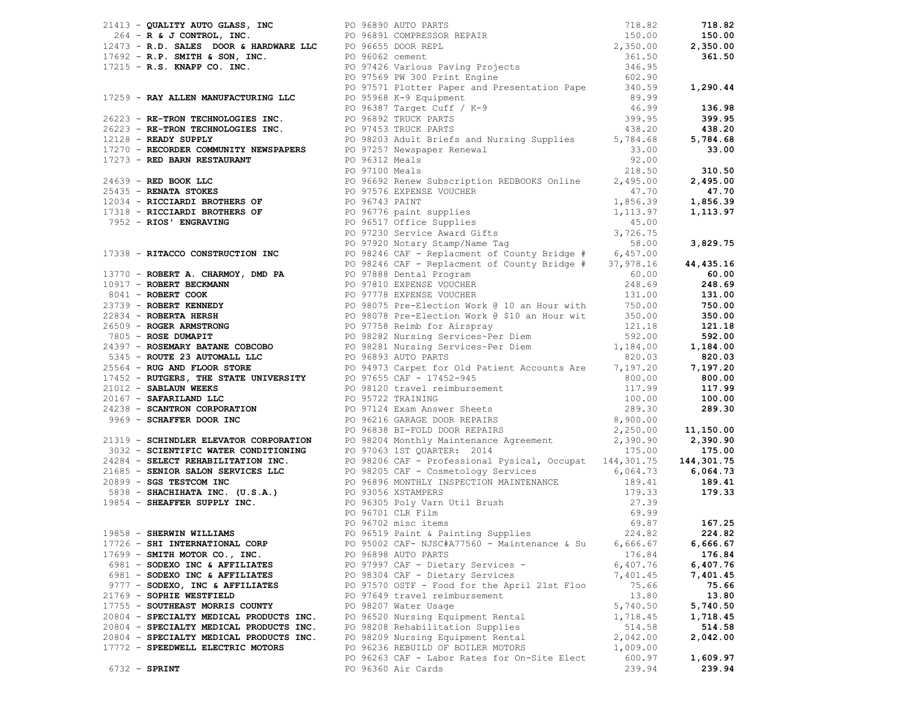|  |                                                                           | <b>2011 - Gualitar Anno Gales, Inc. (1915)</b> and the first street of the street of the street of the street of the street of the street of the street of the street of the street of the street of the street of the street of t |          |                |
|--|---------------------------------------------------------------------------|------------------------------------------------------------------------------------------------------------------------------------------------------------------------------------------------------------------------------------|----------|----------------|
|  |                                                                           |                                                                                                                                                                                                                                    |          |                |
|  |                                                                           |                                                                                                                                                                                                                                    |          |                |
|  |                                                                           |                                                                                                                                                                                                                                    |          |                |
|  |                                                                           |                                                                                                                                                                                                                                    |          |                |
|  |                                                                           |                                                                                                                                                                                                                                    |          |                |
|  | 17726 - SHI INTERNATIONAL CORP                                            | PO 95002 CAF- NJSC#A77560 - Maintenance & Su                                                                                                                                                                                       | 6,666.67 | 6,666.67       |
|  | $17699$ - SMITH MOTOR CO., INC.                                           | PO 96898 AUTO PARTS                                                                                                                                                                                                                | 176.84   | 176.84         |
|  | 6981 - SODEXO INC & AFFILIATES                                            | PO 97997 CAF - Dietary Services -                                                                                                                                                                                                  | 6,407.76 | 6,407.76       |
|  | 6981 - SODEXO INC & AFFILIATES                                            | PO 98304 CAF - Dietary Services                                                                                                                                                                                                    | 7,401.45 | 7,401.45       |
|  | 9777 - SODEXO, INC & AFFILIATES                                           | PO 97570 OSTF - Food for the April 21st Floo<br>PO 97649 travel reimbursement                                                                                                                                                      | 75.66    | 75.66<br>13.80 |
|  | 21769 - SOPHIE WESTFIELD                                                  | PO 98207 Water Usage                                                                                                                                                                                                               | 13.80    | 5,740.50       |
|  | 17755 - SOUTHEAST MORRIS COUNTY                                           |                                                                                                                                                                                                                                    | 5,740.50 |                |
|  | 20804 - SPECIALTY MEDICAL PRODUCTS INC. PO 96520 Nursing Equipment Rental |                                                                                                                                                                                                                                    | 1,718.45 | 1,718.45       |
|  | 20804 - SPECIALTY MEDICAL PRODUCTS INC.                                   | PO 98208 Rehabilitation Supplies                                                                                                                                                                                                   | 514.58   | 514.58         |
|  | 20804 - SPECIALTY MEDICAL PRODUCTS INC.                                   | PO 98209 Nursing Equipment Rental<br>PO 96236 REBUILD OF BOILER MOTORS                                                                                                                                                             | 2,042.00 | 2,042.00       |
|  | 17772 - SPEEDWELL ELECTRIC MOTORS                                         |                                                                                                                                                                                                                                    | 1,009.00 |                |
|  |                                                                           | PO 96263 CAF - Labor Rates for On-Site Elect                                                                                                                                                                                       | 600.97   | 1,609.97       |
|  | 6732 - SPRINT                                                             | PO 96360 Air Cards                                                                                                                                                                                                                 | 239.94   | 239.94         |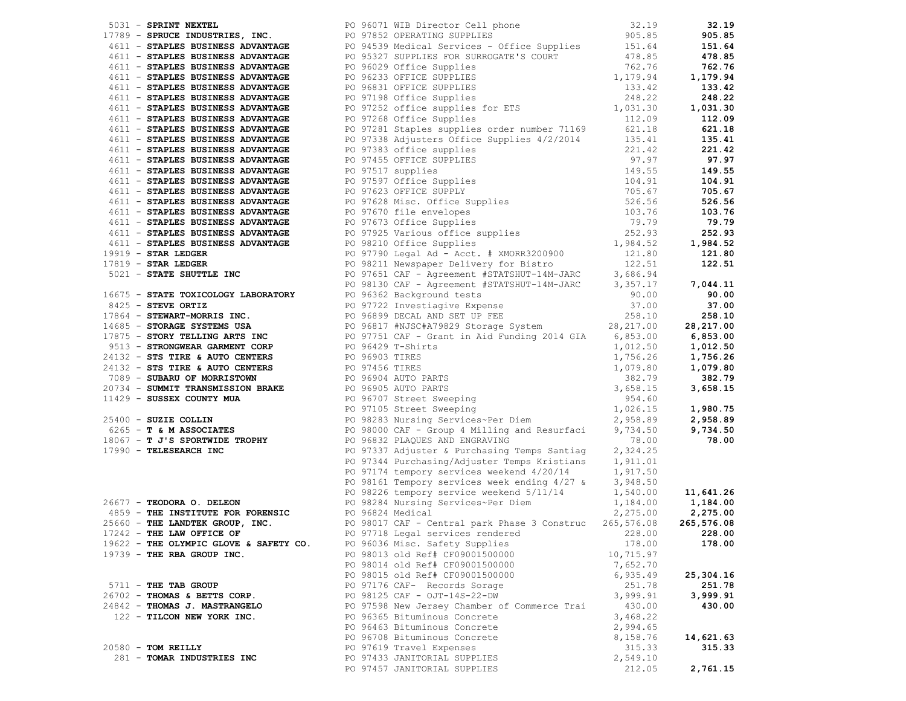|                                        | 1733 - SPRINT WEXTEL, INC. 2013 21:33 21:34 221:42<br>1739 - SPRINCE ENDERTRIES, INC. 2019 2763 2012 OPERATING SUPPLES<br>4611 - STAPLES BUSINESS ADVANTAGE 2019 2013 2014115 2016 2016 21:34 21:46<br>4611 - STAPLES BUSINESS ADVA       |           |           |
|----------------------------------------|-------------------------------------------------------------------------------------------------------------------------------------------------------------------------------------------------------------------------------------------|-----------|-----------|
|                                        |                                                                                                                                                                                                                                           |           |           |
|                                        |                                                                                                                                                                                                                                           |           |           |
|                                        |                                                                                                                                                                                                                                           |           |           |
|                                        |                                                                                                                                                                                                                                           |           |           |
|                                        |                                                                                                                                                                                                                                           |           |           |
|                                        |                                                                                                                                                                                                                                           |           |           |
|                                        |                                                                                                                                                                                                                                           |           |           |
|                                        |                                                                                                                                                                                                                                           |           |           |
|                                        |                                                                                                                                                                                                                                           |           |           |
|                                        |                                                                                                                                                                                                                                           |           |           |
|                                        |                                                                                                                                                                                                                                           |           |           |
|                                        |                                                                                                                                                                                                                                           |           |           |
|                                        |                                                                                                                                                                                                                                           |           |           |
|                                        |                                                                                                                                                                                                                                           |           |           |
|                                        |                                                                                                                                                                                                                                           |           |           |
|                                        |                                                                                                                                                                                                                                           |           |           |
|                                        |                                                                                                                                                                                                                                           |           |           |
|                                        |                                                                                                                                                                                                                                           |           |           |
|                                        |                                                                                                                                                                                                                                           |           |           |
|                                        |                                                                                                                                                                                                                                           |           |           |
|                                        |                                                                                                                                                                                                                                           |           |           |
|                                        |                                                                                                                                                                                                                                           |           |           |
|                                        |                                                                                                                                                                                                                                           |           |           |
|                                        |                                                                                                                                                                                                                                           |           |           |
|                                        |                                                                                                                                                                                                                                           |           |           |
|                                        |                                                                                                                                                                                                                                           |           |           |
|                                        |                                                                                                                                                                                                                                           |           |           |
|                                        |                                                                                                                                                                                                                                           |           |           |
|                                        |                                                                                                                                                                                                                                           |           |           |
|                                        |                                                                                                                                                                                                                                           |           |           |
|                                        |                                                                                                                                                                                                                                           |           |           |
|                                        |                                                                                                                                                                                                                                           |           |           |
|                                        |                                                                                                                                                                                                                                           |           |           |
|                                        |                                                                                                                                                                                                                                           |           |           |
|                                        |                                                                                                                                                                                                                                           |           |           |
|                                        |                                                                                                                                                                                                                                           |           |           |
|                                        |                                                                                                                                                                                                                                           |           |           |
|                                        | 16675 - STATE TOXICOLOGY LABORATORY<br>16675 - STATE TOXICOLOGY LABORATORY<br>16675 - STATE TOXICOLOGY LABORATORY<br>16675 - STATE TOXICOLOGY LABORATORY<br>16675 - STEVE ORTIZ<br>17895 - STEVE ORTIZ<br>17895 - STORIC TEREMENT-INCORPO |           |           |
|                                        |                                                                                                                                                                                                                                           |           |           |
|                                        |                                                                                                                                                                                                                                           |           |           |
|                                        |                                                                                                                                                                                                                                           |           |           |
|                                        |                                                                                                                                                                                                                                           |           |           |
|                                        |                                                                                                                                                                                                                                           |           |           |
|                                        |                                                                                                                                                                                                                                           |           |           |
|                                        |                                                                                                                                                                                                                                           |           |           |
|                                        |                                                                                                                                                                                                                                           |           |           |
|                                        | 1.0 37374 PO 97344 Puchasing Temps Santiag 2, 324.25<br>PO 97344 Puchasing Temps Kristians 1, 911.01<br>PO 97344 Empory services weekend 4/20/14<br>PO 98161 Tempory services weekend 5/11/14<br>PO 98226 tempory services weekend 5/1    |           |           |
|                                        |                                                                                                                                                                                                                                           |           |           |
|                                        | 17242 - THE LAW OFFICE OF PO 97718 Legal services rendered 228.00 228.00 228.00                                                                                                                                                           |           |           |
| 19622 - THE OLYMPIC GLOVE & SAFETY CO. | PO 96036 Misc. Safety Supplies                                                                                                                                                                                                            | 178.00    | 178.00    |
| 19739 - THE RBA GROUP INC.             | PO 98013 old Ref# CF09001500000                                                                                                                                                                                                           | 10,715.97 |           |
|                                        | PO 98014 old Ref# CF09001500000                                                                                                                                                                                                           | 7,652.70  |           |
|                                        | PO 98015 old Ref# CF09001500000                                                                                                                                                                                                           | 6,935.49  | 25,304.16 |
| 5711 - THE TAB GROUP                   | PO 97176 CAF- Records Sorage                                                                                                                                                                                                              | 251.78    | 251.78    |
| 26702 - THOMAS & BETTS CORP.           | PO 98125 CAF - OJT-14S-22-DW                                                                                                                                                                                                              | 3,999.91  | 3,999.91  |
| 24842 - THOMAS J. MASTRANGELO          | PO 97598 New Jersey Chamber of Commerce Trai                                                                                                                                                                                              | 430.00    | 430.00    |
| 122 - TILCON NEW YORK INC.             | PO 96365 Bituminous Concrete                                                                                                                                                                                                              | 3,468.22  |           |
|                                        | PO 96463 Bituminous Concrete                                                                                                                                                                                                              | 2,994.65  |           |
|                                        | PO 96708 Bituminous Concrete                                                                                                                                                                                                              | 8,158.76  | 14,621.63 |
| $20580$ - TOM REILLY                   | PO 97619 Travel Expenses                                                                                                                                                                                                                  | 315.33    | 315.33    |
| 281 - TOMAR INDUSTRIES INC             | PO 97433 JANITORIAL SUPPLIES                                                                                                                                                                                                              | 2,549.10  |           |
|                                        | PO 97457 JANITORIAL SUPPLIES                                                                                                                                                                                                              | 212.05    | 2,761.15  |
|                                        |                                                                                                                                                                                                                                           |           |           |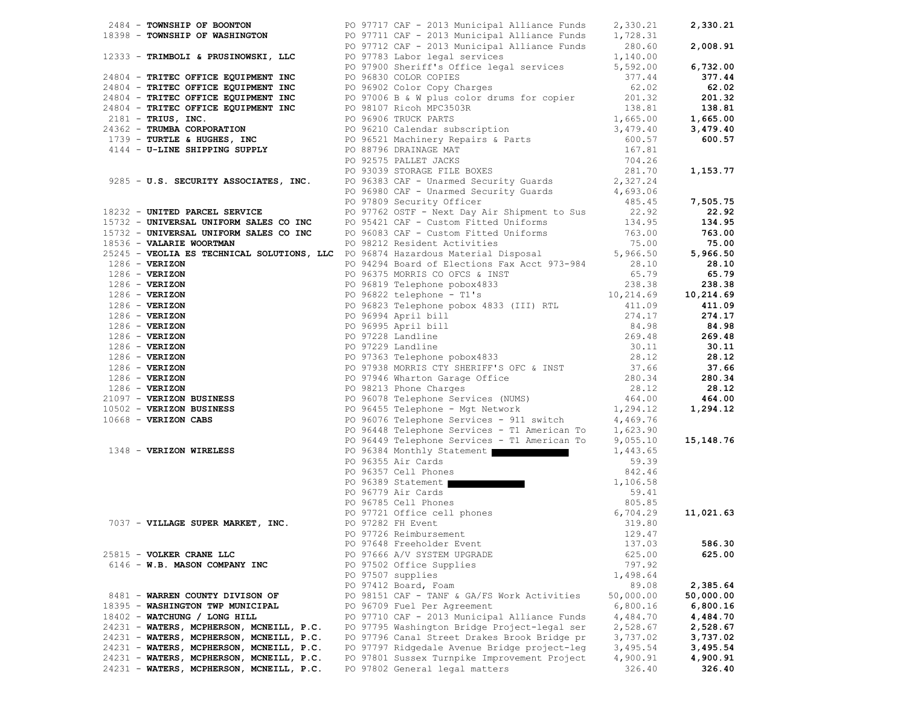|                                                                                                                                                       | 14904 <b>CONSULT ON EXCREME 2008</b><br>1939 <b>CONSULTER CONSULTS (2008)</b> 2008 2113 American Line Principal Consults (2008)<br>1933 <b>CONSULTS (2008)</b> 2008)<br>1933 <b>CONSULTS (2008)</b> 2008)<br>1933 <b>CONSULTS (2008)</b> 2008)<br>2008 <b>CONSULTS</b> |           |           |
|-------------------------------------------------------------------------------------------------------------------------------------------------------|------------------------------------------------------------------------------------------------------------------------------------------------------------------------------------------------------------------------------------------------------------------------|-----------|-----------|
|                                                                                                                                                       |                                                                                                                                                                                                                                                                        |           |           |
|                                                                                                                                                       |                                                                                                                                                                                                                                                                        |           |           |
|                                                                                                                                                       |                                                                                                                                                                                                                                                                        |           |           |
|                                                                                                                                                       |                                                                                                                                                                                                                                                                        |           |           |
|                                                                                                                                                       |                                                                                                                                                                                                                                                                        |           |           |
|                                                                                                                                                       |                                                                                                                                                                                                                                                                        |           |           |
|                                                                                                                                                       |                                                                                                                                                                                                                                                                        |           |           |
|                                                                                                                                                       |                                                                                                                                                                                                                                                                        |           |           |
|                                                                                                                                                       |                                                                                                                                                                                                                                                                        |           |           |
|                                                                                                                                                       |                                                                                                                                                                                                                                                                        |           |           |
|                                                                                                                                                       |                                                                                                                                                                                                                                                                        |           |           |
|                                                                                                                                                       |                                                                                                                                                                                                                                                                        |           |           |
|                                                                                                                                                       |                                                                                                                                                                                                                                                                        |           |           |
|                                                                                                                                                       |                                                                                                                                                                                                                                                                        |           |           |
|                                                                                                                                                       |                                                                                                                                                                                                                                                                        |           |           |
|                                                                                                                                                       |                                                                                                                                                                                                                                                                        |           |           |
|                                                                                                                                                       |                                                                                                                                                                                                                                                                        |           |           |
|                                                                                                                                                       |                                                                                                                                                                                                                                                                        |           |           |
|                                                                                                                                                       |                                                                                                                                                                                                                                                                        |           |           |
|                                                                                                                                                       |                                                                                                                                                                                                                                                                        |           |           |
|                                                                                                                                                       |                                                                                                                                                                                                                                                                        |           |           |
|                                                                                                                                                       |                                                                                                                                                                                                                                                                        |           |           |
|                                                                                                                                                       |                                                                                                                                                                                                                                                                        |           |           |
|                                                                                                                                                       |                                                                                                                                                                                                                                                                        |           |           |
|                                                                                                                                                       |                                                                                                                                                                                                                                                                        |           |           |
|                                                                                                                                                       |                                                                                                                                                                                                                                                                        |           |           |
|                                                                                                                                                       |                                                                                                                                                                                                                                                                        |           |           |
|                                                                                                                                                       |                                                                                                                                                                                                                                                                        |           |           |
|                                                                                                                                                       |                                                                                                                                                                                                                                                                        |           |           |
|                                                                                                                                                       |                                                                                                                                                                                                                                                                        |           |           |
|                                                                                                                                                       |                                                                                                                                                                                                                                                                        |           |           |
|                                                                                                                                                       |                                                                                                                                                                                                                                                                        |           |           |
|                                                                                                                                                       |                                                                                                                                                                                                                                                                        |           |           |
|                                                                                                                                                       |                                                                                                                                                                                                                                                                        |           |           |
|                                                                                                                                                       |                                                                                                                                                                                                                                                                        |           |           |
|                                                                                                                                                       |                                                                                                                                                                                                                                                                        |           |           |
|                                                                                                                                                       |                                                                                                                                                                                                                                                                        |           |           |
|                                                                                                                                                       |                                                                                                                                                                                                                                                                        |           |           |
|                                                                                                                                                       |                                                                                                                                                                                                                                                                        |           |           |
|                                                                                                                                                       |                                                                                                                                                                                                                                                                        |           |           |
|                                                                                                                                                       |                                                                                                                                                                                                                                                                        |           |           |
|                                                                                                                                                       |                                                                                                                                                                                                                                                                        |           |           |
|                                                                                                                                                       |                                                                                                                                                                                                                                                                        |           |           |
|                                                                                                                                                       |                                                                                                                                                                                                                                                                        |           |           |
|                                                                                                                                                       | PO 96355 Air Cards<br>PO 96357 Cell Phones<br>PO 96376 Cell Phones<br>PO 96389 Statement<br>PO 96779 Air Cards<br>PO 96779 Air Cards<br>PO 96779 Air Cards<br>PO 96785 Cell Phones<br>PO 97721 Office cell phones<br>PO 97282 FH Event<br>PO 97282                     |           |           |
|                                                                                                                                                       |                                                                                                                                                                                                                                                                        |           |           |
|                                                                                                                                                       |                                                                                                                                                                                                                                                                        |           | 11,021.63 |
| PO 96785 Cell Phone<br>PO 97721 Office ce.<br>PO 97282 FM Event (PO 97282 FM Event (PO 97282 FM Event (PO 97282 FM Event (PO 97282 FM Event (PO 9728) |                                                                                                                                                                                                                                                                        |           |           |
|                                                                                                                                                       | PO 97726 Reimbursement 129.47                                                                                                                                                                                                                                          |           |           |
|                                                                                                                                                       | PO 97648 Freeholder Event                                                                                                                                                                                                                                              | 137.03    | 586.30    |
| 25815 - VOLKER CRANE LLC                                                                                                                              | PO 97666 A/V SYSTEM UPGRADE                                                                                                                                                                                                                                            | 625.00    | 625.00    |
| 6146 - W.B. MASON COMPANY INC                                                                                                                         | PO 97502 Office Supplies                                                                                                                                                                                                                                               | 797.92    |           |
|                                                                                                                                                       | PO 97507 supplies                                                                                                                                                                                                                                                      | 1,498.64  |           |
|                                                                                                                                                       | PO 97412 Board, Foam                                                                                                                                                                                                                                                   | 89.08     | 2,385.64  |
| 8481 - WARREN COUNTY DIVISON OF                                                                                                                       | PO 98151 CAF - TANF & GA/FS Work Activities                                                                                                                                                                                                                            | 50,000.00 | 50,000.00 |
| 18395 - WASHINGTON TWP MUNICIPAL                                                                                                                      | PO 96709 Fuel Per Agreement                                                                                                                                                                                                                                            | 6,800.16  | 6,800.16  |
| 18402 - WATCHUNG / LONG HILL                                                                                                                          | PO 97710 CAF - 2013 Municipal Alliance Funds                                                                                                                                                                                                                           | 4,484.70  | 4,484.70  |
| 24231 - WATERS, MCPHERSON, MCNEILL, P.C.                                                                                                              | PO 97795 Washington Bridge Project-legal ser                                                                                                                                                                                                                           | 2,528.67  | 2,528.67  |
| 24231 - WATERS, MCPHERSON, MCNEILL, P.C.                                                                                                              | PO 97796 Canal Street Drakes Brook Bridge pr                                                                                                                                                                                                                           | 3,737.02  | 3,737.02  |
| 24231 - WATERS, MCPHERSON, MCNEILL, P.C.                                                                                                              | PO 97797 Ridgedale Avenue Bridge project-leg                                                                                                                                                                                                                           | 3,495.54  | 3,495.54  |
| 24231 - WATERS, MCPHERSON, MCNEILL, P.C.                                                                                                              | PO 97801 Sussex Turnpike Improvement Project                                                                                                                                                                                                                           | 4,900.91  | 4,900.91  |
| 24231 - WATERS, MCPHERSON, MCNEILL, P.C.                                                                                                              | PO 97802 General legal matters                                                                                                                                                                                                                                         | 326.40    | 326.40    |
|                                                                                                                                                       |                                                                                                                                                                                                                                                                        |           |           |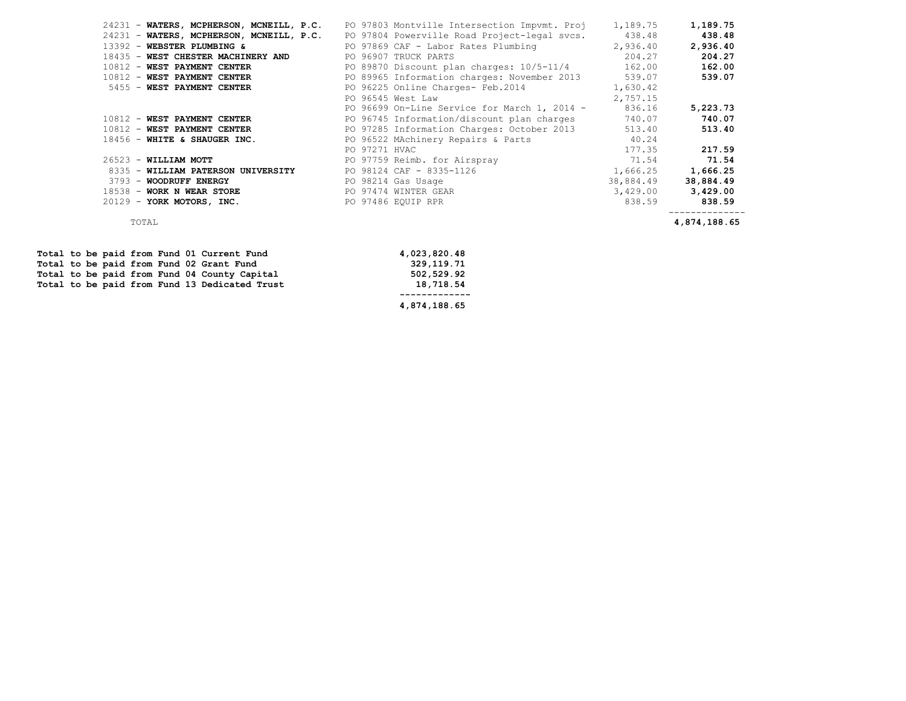| 24231 - WATERS, MCPHERSON, MCNEILL, P.C. |               | PO 97803 Montville Intersection Impymt. Proj        | 1,189.75  | 1,189.75  |
|------------------------------------------|---------------|-----------------------------------------------------|-----------|-----------|
| 24231 - WATERS, MCPHERSON, MCNEILL, P.C. |               | PO 97804 Powerville Road Project-legal svcs. 438.48 |           | 438.48    |
| 13392 - WEBSTER PLUMBING &               |               | PO 97869 CAF - Labor Rates Plumbing                 | 2,936.40  | 2,936.40  |
| 18435 - WEST CHESTER MACHINERY AND       |               | PO 96907 TRUCK PARTS                                | 204.27    | 204.27    |
| 10812 - WEST PAYMENT CENTER              |               | PO 89870 Discount plan charges: 10/5-11/4           | 162.00    | 162.00    |
| 10812 - WEST PAYMENT CENTER              |               | PO 89965 Information charges: November 2013         | 539.07    | 539.07    |
| 5455 - WEST PAYMENT CENTER               |               | PO 96225 Online Charges- Feb.2014                   | 1,630.42  |           |
|                                          |               | PO 96545 West Law                                   | 2,757.15  |           |
|                                          |               | PO 96699 On-Line Service for March 1, 2014 -        | 836.16    | 5,223.73  |
| 10812 - WEST PAYMENT CENTER              |               | PO 96745 Information/discount plan charges          | 740.07    | 740.07    |
| 10812 - WEST PAYMENT CENTER              |               | PO 97285 Information Charges: October 2013          | 513.40    | 513.40    |
| 18456 - WHITE & SHAUGER INC.             |               | PO 96522 MAchinery Repairs & Parts                  | 40.24     |           |
|                                          | PO 97271 HVAC |                                                     | 177.35    | 217.59    |
| $26523$ - WILLIAM MOTT                   |               | PO 97759 Reimb. for Airspray                        | 71.54     | 71.54     |
| 8335 - WILLIAM PATERSON UNIVERSITY       |               | PO 98124 CAF - 8335-1126                            | 1,666.25  | 1,666.25  |
| 3793 - WOODRUFF ENERGY                   |               | PO 98214 Gas Usage                                  | 38,884.49 | 38,884.49 |
| 18538 - WORK N WEAR STORE                |               | PO 97474 WINTER GEAR                                | 3,429.00  | 3,429.00  |
| 20129 - YORK MOTORS, INC.                |               | PO 97486 EQUIP RPR                                  | 838.59    | 838.59    |
|                                          |               |                                                     |           |           |

TOTAL **4,874,188.65**

|  |  |  |  |                                               | 4,874,188.65 |
|--|--|--|--|-----------------------------------------------|--------------|
|  |  |  |  | Total to be paid from Fund 13 Dedicated Trust | 18,718.54    |
|  |  |  |  | Total to be paid from Fund 04 County Capital  | 502,529.92   |
|  |  |  |  | Total to be paid from Fund 02 Grant Fund      | 329,119.71   |
|  |  |  |  | Total to be paid from Fund 01 Current Fund    | 4,023,820.48 |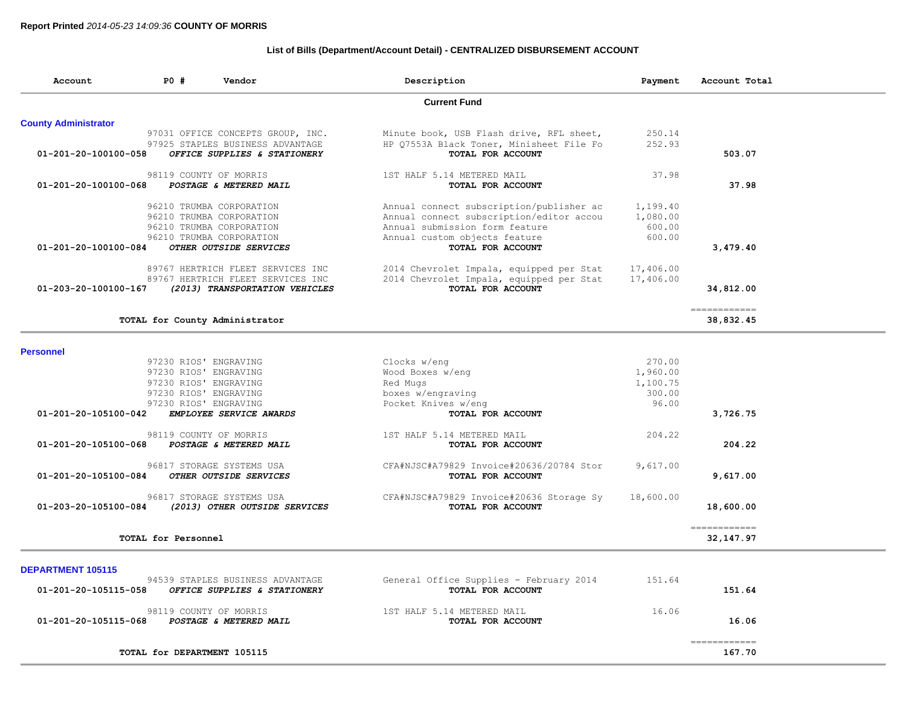# **List of Bills (Department/Account Detail) - CENTRALIZED DISBURSEMENT ACCOUNT**

| Account                     | PO #                  | Vendor                                             | Description                                                   | Payment   | Account Total             |  |
|-----------------------------|-----------------------|----------------------------------------------------|---------------------------------------------------------------|-----------|---------------------------|--|
|                             |                       |                                                    | <b>Current Fund</b>                                           |           |                           |  |
| <b>County Administrator</b> |                       |                                                    |                                                               |           |                           |  |
|                             |                       | 97031 OFFICE CONCEPTS GROUP, INC.                  | Minute book, USB Flash drive, RFL sheet,                      | 250.14    |                           |  |
|                             |                       | 97925 STAPLES BUSINESS ADVANTAGE                   | HP Q7553A Black Toner, Minisheet File Fo                      | 252.93    |                           |  |
| 01-201-20-100100-058        |                       | OFFICE SUPPLIES & STATIONERY                       | TOTAL FOR ACCOUNT                                             |           | 503.07                    |  |
|                             |                       | 98119 COUNTY OF MORRIS                             | 1ST HALF 5.14 METERED MAIL                                    | 37.98     |                           |  |
| 01-201-20-100100-068        |                       | POSTAGE & METERED MAIL                             | TOTAL FOR ACCOUNT                                             |           | 37.98                     |  |
|                             |                       | 96210 TRUMBA CORPORATION                           | Annual connect subscription/publisher ac                      | 1,199.40  |                           |  |
|                             |                       | 96210 TRUMBA CORPORATION                           | Annual connect subscription/editor accou                      | 1,080.00  |                           |  |
|                             |                       | 96210 TRUMBA CORPORATION                           | Annual submission form feature                                | 600.00    |                           |  |
|                             |                       | 96210 TRUMBA CORPORATION<br>OTHER OUTSIDE SERVICES | Annual custom objects feature<br>TOTAL FOR ACCOUNT            | 600.00    |                           |  |
| 01-201-20-100100-084        |                       |                                                    |                                                               |           | 3,479.40                  |  |
|                             |                       | 89767 HERTRICH FLEET SERVICES INC                  | 2014 Chevrolet Impala, equipped per Stat                      | 17,406.00 |                           |  |
|                             |                       | 89767 HERTRICH FLEET SERVICES INC                  | 2014 Chevrolet Impala, equipped per Stat<br>TOTAL FOR ACCOUNT | 17,406.00 |                           |  |
| 01-203-20-100100-167        |                       | (2013) TRANSPORTATION VEHICLES                     |                                                               |           | 34,812.00                 |  |
|                             |                       | TOTAL for County Administrator                     |                                                               |           | ============<br>38,832.45 |  |
|                             |                       |                                                    |                                                               |           |                           |  |
| <b>Personnel</b>            |                       |                                                    |                                                               |           |                           |  |
|                             | 97230 RIOS' ENGRAVING |                                                    | Clocks w/eng                                                  | 270.00    |                           |  |
|                             | 97230 RIOS' ENGRAVING |                                                    | Wood Boxes w/eng                                              | 1,960.00  |                           |  |
|                             | 97230 RIOS' ENGRAVING |                                                    | Red Mugs                                                      | 1,100.75  |                           |  |
|                             | 97230 RIOS' ENGRAVING |                                                    | boxes w/engraving                                             | 300.00    |                           |  |
|                             | 97230 RIOS' ENGRAVING |                                                    | Pocket Knives w/eng                                           | 96.00     |                           |  |
| 01-201-20-105100-042        |                       | EMPLOYEE SERVICE AWARDS                            | TOTAL FOR ACCOUNT                                             |           | 3,726.75                  |  |
|                             |                       | 98119 COUNTY OF MORRIS                             | 1ST HALF 5.14 METERED MAIL                                    | 204.22    |                           |  |
| 01-201-20-105100-068        |                       | POSTAGE & METERED MAIL                             | TOTAL FOR ACCOUNT                                             |           | 204.22                    |  |
|                             |                       | 96817 STORAGE SYSTEMS USA                          | CFA#NJSC#A79829 Invoice#20636/20784 Stor                      | 9,617.00  |                           |  |
| 01-201-20-105100-084        |                       | OTHER OUTSIDE SERVICES                             | TOTAL FOR ACCOUNT                                             |           | 9,617.00                  |  |
|                             |                       | 96817 STORAGE SYSTEMS USA                          | CFA#NJSC#A79829 Invoice#20636 Storage Sy                      | 18,600.00 |                           |  |
| 01-203-20-105100-084        |                       | (2013) OTHER OUTSIDE SERVICES                      | TOTAL FOR ACCOUNT                                             |           | 18,600.00                 |  |
|                             |                       |                                                    |                                                               |           | ============              |  |
|                             | TOTAL for Personnel   |                                                    |                                                               |           | 32, 147.97                |  |
|                             |                       |                                                    |                                                               |           |                           |  |
| <b>DEPARTMENT 105115</b>    |                       | 94539 STAPLES BUSINESS ADVANTAGE                   | General Office Supplies - February 2014                       | 151.64    |                           |  |
| 01-201-20-105115-058        |                       | OFFICE SUPPLIES & STATIONERY                       | TOTAL FOR ACCOUNT                                             |           | 151.64                    |  |
|                             |                       | 98119 COUNTY OF MORRIS                             | 1ST HALF 5.14 METERED MAIL                                    | 16.06     |                           |  |
| 01-201-20-105115-068        |                       | POSTAGE & METERED MAIL                             | TOTAL FOR ACCOUNT                                             |           | 16.06                     |  |
|                             |                       |                                                    |                                                               |           |                           |  |
|                             |                       |                                                    |                                                               |           | -------------             |  |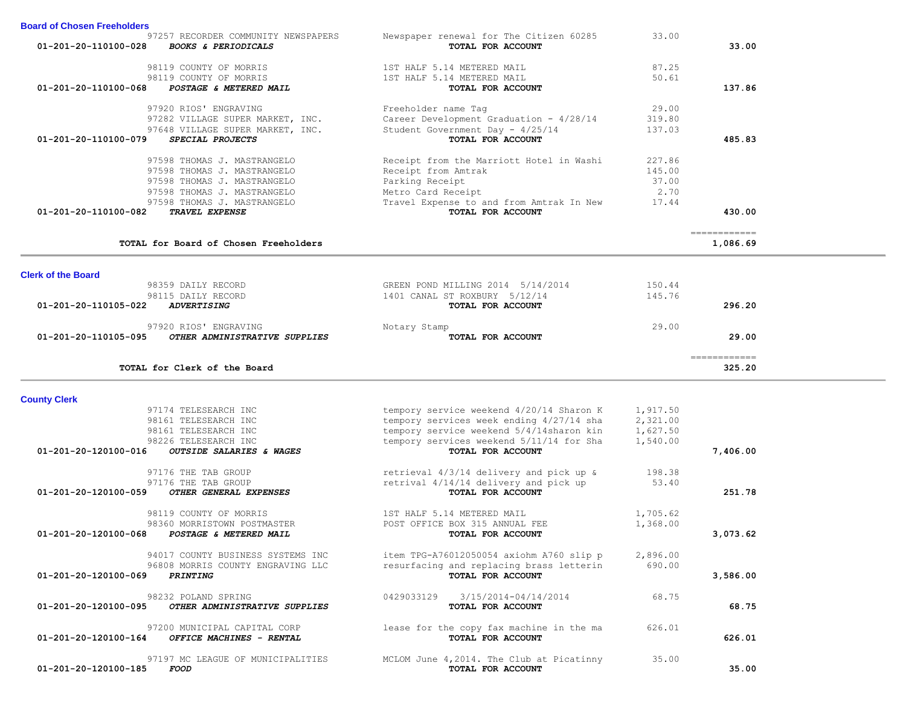| 01-201-20-110100-028      | <b>BOOKS &amp; PERIODICALS</b>        | TOTAL FOR ACCOUNT                                 |          | 33.00                                                                                                                                                                                                                                                                                                                                                                                                                                                                                  |  |
|---------------------------|---------------------------------------|---------------------------------------------------|----------|----------------------------------------------------------------------------------------------------------------------------------------------------------------------------------------------------------------------------------------------------------------------------------------------------------------------------------------------------------------------------------------------------------------------------------------------------------------------------------------|--|
|                           | 98119 COUNTY OF MORRIS                | 1ST HALF 5.14 METERED MAIL                        | 87.25    |                                                                                                                                                                                                                                                                                                                                                                                                                                                                                        |  |
|                           | 98119 COUNTY OF MORRIS                | 1ST HALF 5.14 METERED MAIL                        | 50.61    |                                                                                                                                                                                                                                                                                                                                                                                                                                                                                        |  |
| 01-201-20-110100-068      | POSTAGE & METERED MAIL                | TOTAL FOR ACCOUNT                                 |          | 137.86                                                                                                                                                                                                                                                                                                                                                                                                                                                                                 |  |
|                           |                                       |                                                   |          |                                                                                                                                                                                                                                                                                                                                                                                                                                                                                        |  |
|                           | 97920 RIOS' ENGRAVING                 | Freeholder name Tag                               | 29.00    |                                                                                                                                                                                                                                                                                                                                                                                                                                                                                        |  |
|                           | 97282 VILLAGE SUPER MARKET, INC.      | Career Development Graduation - 4/28/14           | 319.80   |                                                                                                                                                                                                                                                                                                                                                                                                                                                                                        |  |
|                           | 97648 VILLAGE SUPER MARKET, INC.      | Student Government Day - 4/25/14                  | 137.03   |                                                                                                                                                                                                                                                                                                                                                                                                                                                                                        |  |
| 01-201-20-110100-079      | SPECIAL PROJECTS                      | TOTAL FOR ACCOUNT                                 |          | 485.83                                                                                                                                                                                                                                                                                                                                                                                                                                                                                 |  |
|                           | 97598 THOMAS J. MASTRANGELO           | Receipt from the Marriott Hotel in Washi          | 227.86   |                                                                                                                                                                                                                                                                                                                                                                                                                                                                                        |  |
|                           | 97598 THOMAS J. MASTRANGELO           | Receipt from Amtrak                               | 145.00   |                                                                                                                                                                                                                                                                                                                                                                                                                                                                                        |  |
|                           | 97598 THOMAS J. MASTRANGELO           | Parking Receipt                                   | 37.00    |                                                                                                                                                                                                                                                                                                                                                                                                                                                                                        |  |
|                           | 97598 THOMAS J. MASTRANGELO           | Metro Card Receipt                                | 2.70     |                                                                                                                                                                                                                                                                                                                                                                                                                                                                                        |  |
|                           | 97598 THOMAS J. MASTRANGELO           | Travel Expense to and from Amtrak In New          | 17.44    |                                                                                                                                                                                                                                                                                                                                                                                                                                                                                        |  |
| 01-201-20-110100-082      | TRAVEL EXPENSE                        | TOTAL FOR ACCOUNT                                 |          | 430.00                                                                                                                                                                                                                                                                                                                                                                                                                                                                                 |  |
|                           |                                       |                                                   |          |                                                                                                                                                                                                                                                                                                                                                                                                                                                                                        |  |
|                           | TOTAL for Board of Chosen Freeholders |                                                   |          | ------------<br>1,086.69                                                                                                                                                                                                                                                                                                                                                                                                                                                               |  |
|                           |                                       |                                                   |          |                                                                                                                                                                                                                                                                                                                                                                                                                                                                                        |  |
| <b>Clerk of the Board</b> |                                       |                                                   |          |                                                                                                                                                                                                                                                                                                                                                                                                                                                                                        |  |
|                           | 98359 DAILY RECORD                    | GREEN POND MILLING 2014 5/14/2014                 | 150.44   |                                                                                                                                                                                                                                                                                                                                                                                                                                                                                        |  |
|                           | 98115 DAILY RECORD                    | 1401 CANAL ST ROXBURY 5/12/14                     | 145.76   |                                                                                                                                                                                                                                                                                                                                                                                                                                                                                        |  |
| 01-201-20-110105-022      | <b>ADVERTISING</b>                    | TOTAL FOR ACCOUNT                                 |          | 296.20                                                                                                                                                                                                                                                                                                                                                                                                                                                                                 |  |
|                           |                                       |                                                   |          |                                                                                                                                                                                                                                                                                                                                                                                                                                                                                        |  |
|                           | 97920 RIOS' ENGRAVING                 | Notary Stamp                                      | 29.00    |                                                                                                                                                                                                                                                                                                                                                                                                                                                                                        |  |
| 01-201-20-110105-095      | OTHER ADMINISTRATIVE SUPPLIES         | TOTAL FOR ACCOUNT                                 |          | 29.00                                                                                                                                                                                                                                                                                                                                                                                                                                                                                  |  |
|                           |                                       |                                                   |          | $\begin{array}{cccccccccc} \multicolumn{2}{c}{} & \multicolumn{2}{c}{} & \multicolumn{2}{c}{} & \multicolumn{2}{c}{} & \multicolumn{2}{c}{} & \multicolumn{2}{c}{} & \multicolumn{2}{c}{} & \multicolumn{2}{c}{} & \multicolumn{2}{c}{} & \multicolumn{2}{c}{} & \multicolumn{2}{c}{} & \multicolumn{2}{c}{} & \multicolumn{2}{c}{} & \multicolumn{2}{c}{} & \multicolumn{2}{c}{} & \multicolumn{2}{c}{} & \multicolumn{2}{c}{} & \multicolumn{2}{c}{} & \multicolumn{2}{c}{} & \mult$ |  |
|                           | TOTAL for Clerk of the Board          |                                                   |          | 325.20                                                                                                                                                                                                                                                                                                                                                                                                                                                                                 |  |
|                           |                                       |                                                   |          |                                                                                                                                                                                                                                                                                                                                                                                                                                                                                        |  |
| <b>County Clerk</b>       |                                       |                                                   |          |                                                                                                                                                                                                                                                                                                                                                                                                                                                                                        |  |
|                           | 97174 TELESEARCH INC                  | tempory service weekend 4/20/14 Sharon K          | 1,917.50 |                                                                                                                                                                                                                                                                                                                                                                                                                                                                                        |  |
|                           | 98161 TELESEARCH INC                  | tempory services week ending 4/27/14 sha          | 2,321.00 |                                                                                                                                                                                                                                                                                                                                                                                                                                                                                        |  |
|                           | 98161 TELESEARCH INC                  | tempory service weekend 5/4/14sharon kin          | 1,627.50 |                                                                                                                                                                                                                                                                                                                                                                                                                                                                                        |  |
|                           | 98226 TELESEARCH INC                  | tempory services weekend 5/11/14 for Sha          | 1,540.00 |                                                                                                                                                                                                                                                                                                                                                                                                                                                                                        |  |
| 01-201-20-120100-016      | OUTSIDE SALARIES & WAGES              | TOTAL FOR ACCOUNT                                 |          | 7,406.00                                                                                                                                                                                                                                                                                                                                                                                                                                                                               |  |
|                           |                                       |                                                   |          |                                                                                                                                                                                                                                                                                                                                                                                                                                                                                        |  |
|                           | 97176 THE TAB GROUP                   | retrieval 4/3/14 delivery and pick up &           | 198.38   |                                                                                                                                                                                                                                                                                                                                                                                                                                                                                        |  |
|                           | 97176 THE TAB GROUP                   | retrival 4/14/14 delivery and pick up             | 53.40    |                                                                                                                                                                                                                                                                                                                                                                                                                                                                                        |  |
| 01-201-20-120100-059      | OTHER GENERAL EXPENSES                | TOTAL FOR ACCOUNT                                 |          | 251.78                                                                                                                                                                                                                                                                                                                                                                                                                                                                                 |  |
|                           | 98119 COUNTY OF MORRIS                | 1ST HALF 5.14 METERED MAIL                        | 1,705.62 |                                                                                                                                                                                                                                                                                                                                                                                                                                                                                        |  |
|                           | 98360 MORRISTOWN POSTMASTER           | POST OFFICE BOX 315 ANNUAL FEE                    | 1,368.00 |                                                                                                                                                                                                                                                                                                                                                                                                                                                                                        |  |
| 01-201-20-120100-068      | POSTAGE & METERED MAIL                | TOTAL FOR ACCOUNT                                 |          | 3,073.62                                                                                                                                                                                                                                                                                                                                                                                                                                                                               |  |
|                           |                                       |                                                   |          |                                                                                                                                                                                                                                                                                                                                                                                                                                                                                        |  |
|                           | 94017 COUNTY BUSINESS SYSTEMS INC     | item TPG-A76012050054 axiohm A760 slip p 2,896.00 |          |                                                                                                                                                                                                                                                                                                                                                                                                                                                                                        |  |
|                           | 96808 MORRIS COUNTY ENGRAVING LLC     | resurfacing and replacing brass letterin          | 690.00   |                                                                                                                                                                                                                                                                                                                                                                                                                                                                                        |  |
| 01-201-20-120100-069      | <b>PRINTING</b>                       | TOTAL FOR ACCOUNT                                 |          | 3,586.00                                                                                                                                                                                                                                                                                                                                                                                                                                                                               |  |
|                           |                                       |                                                   |          |                                                                                                                                                                                                                                                                                                                                                                                                                                                                                        |  |
|                           | 98232 POLAND SPRING                   | 0429033129<br>3/15/2014-04/14/2014                | 68.75    |                                                                                                                                                                                                                                                                                                                                                                                                                                                                                        |  |
| 01-201-20-120100-095      | OTHER ADMINISTRATIVE SUPPLIES         | TOTAL FOR ACCOUNT                                 |          | 68.75                                                                                                                                                                                                                                                                                                                                                                                                                                                                                  |  |
|                           |                                       |                                                   |          |                                                                                                                                                                                                                                                                                                                                                                                                                                                                                        |  |
|                           | 97200 MUNICIPAL CAPITAL CORP          | lease for the copy fax machine in the ma          | 626.01   |                                                                                                                                                                                                                                                                                                                                                                                                                                                                                        |  |
| 01-201-20-120100-164      | OFFICE MACHINES - RENTAL              | TOTAL FOR ACCOUNT                                 |          | 626.01                                                                                                                                                                                                                                                                                                                                                                                                                                                                                 |  |
|                           |                                       |                                                   |          |                                                                                                                                                                                                                                                                                                                                                                                                                                                                                        |  |
|                           | 97197 MC LEAGUE OF MUNICIPALITIES     | MCLOM June 4,2014. The Club at Picatinny          | 35.00    |                                                                                                                                                                                                                                                                                                                                                                                                                                                                                        |  |
| 01-201-20-120100-185      | FOOD                                  | TOTAL FOR ACCOUNT                                 |          | 35.00                                                                                                                                                                                                                                                                                                                                                                                                                                                                                  |  |

Newspaper renewal for The Citizen 60285 33.00

**Board of Chosen Freeholders** 97257 RECORDER COMMUNITY NEWSPAPERS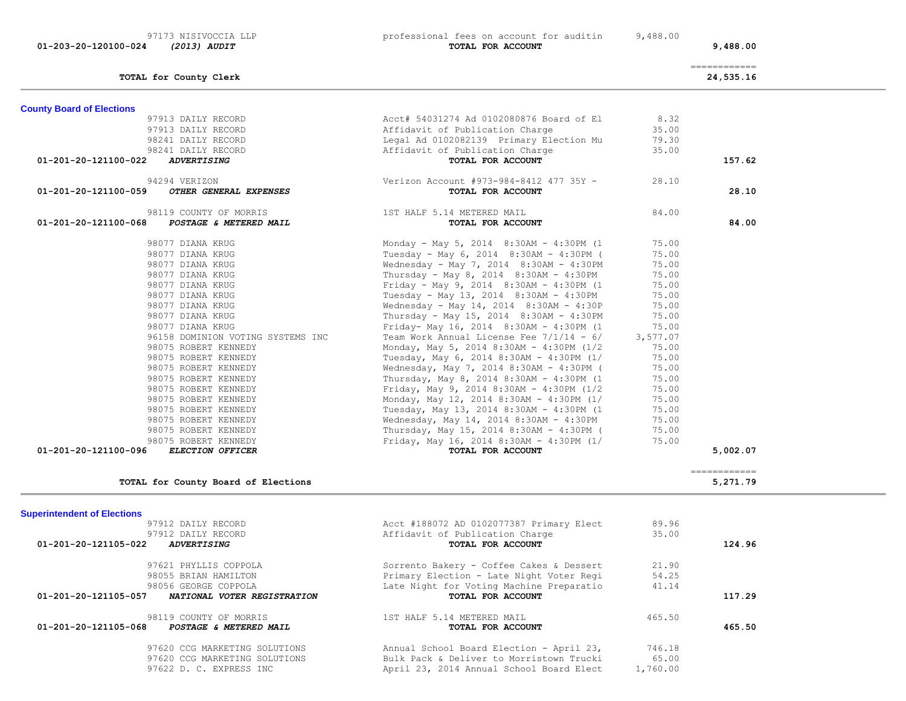**County Board of Elections**

 97173 NISIVOCCIA LLP professional fees on account for auditin 9,488.00  **01-203-20-120100-024** *(2013) AUDIT* **TOTAL FOR ACCOUNT 9,488.00**

| 98119 COUNTY OF MORRIS<br>01-201-20-121105-068 POSTAGE & METERED MAIL<br>97620 CCG MARKETING SOLUTIONS<br>97620 CCG MARKETING SOLUTIONS<br>97622 D. C. EXPRESS INC | TOTAL FOR ACCOUNT<br>Annual School Board Election - April 23,<br>Bulk Pack & Deliver to Morristown Trucki<br>April 23, 2014 Annual School Board Elect | 746.18<br>65.00<br>1,760.00 | 465.50       |
|--------------------------------------------------------------------------------------------------------------------------------------------------------------------|-------------------------------------------------------------------------------------------------------------------------------------------------------|-----------------------------|--------------|
|                                                                                                                                                                    |                                                                                                                                                       |                             |              |
|                                                                                                                                                                    |                                                                                                                                                       |                             |              |
|                                                                                                                                                                    | 1ST HALF 5.14 METERED MAIL                                                                                                                            | 465.50                      |              |
|                                                                                                                                                                    |                                                                                                                                                       |                             |              |
| 01-201-20-121105-057 NATIONAL VOTER REGISTRATION                                                                                                                   | TOTAL FOR ACCOUNT                                                                                                                                     |                             | 117.29       |
| 98056 GEORGE COPPOLA                                                                                                                                               | Late Night for Voting Machine Preparatio                                                                                                              | 41.14                       |              |
| 98055 BRIAN HAMILTON                                                                                                                                               | Primary Election - Late Night Voter Regi                                                                                                              | 54.25                       |              |
| 97621 PHYLLIS COPPOLA                                                                                                                                              | Sorrento Bakery - Coffee Cakes & Dessert                                                                                                              | 21.90                       |              |
| 01-201-20-121105-022<br><b>ADVERTISING</b>                                                                                                                         | TOTAL FOR ACCOUNT                                                                                                                                     |                             | 124.96       |
| 97912 DAILY RECORD                                                                                                                                                 | Affidavit of Publication Charge                                                                                                                       | 35.00                       |              |
| 97912 DAILY RECORD                                                                                                                                                 | Acct #188072 AD 0102077387 Primary Elect                                                                                                              | 89.96                       |              |
| <b>Superintendent of Elections</b>                                                                                                                                 |                                                                                                                                                       |                             |              |
| TOTAL for County Board of Elections                                                                                                                                |                                                                                                                                                       |                             | 5,271.79     |
|                                                                                                                                                                    |                                                                                                                                                       |                             | ------------ |
| 01-201-20-121100-096 ELECTION OFFICER                                                                                                                              | TOTAL FOR ACCOUNT                                                                                                                                     |                             | 5,002.07     |
| 98075 ROBERT KENNEDY<br>98075 ROBERT KENNEDY                                                                                                                       | Thursday, May 15, 2014 8:30AM - 4:30PM (<br>Friday, May 16, 2014 8:30AM - 4:30PM (1/                                                                  | 75.00                       |              |
| 98075 ROBERT KENNEDY                                                                                                                                               | Wednesday, May 14, 2014 8:30AM - 4:30PM                                                                                                               | 75.00<br>75.00              |              |
| 98075 ROBERT KENNEDY                                                                                                                                               | Tuesday, May 13, 2014 8:30AM - 4:30PM (1                                                                                                              | 75.00                       |              |
| 98075 ROBERT KENNEDY                                                                                                                                               | Monday, May 12, 2014 8:30AM - 4:30PM (1/                                                                                                              | 75.00                       |              |
| 98075 ROBERT KENNEDY                                                                                                                                               | Friday, May 9, 2014 8:30AM - 4:30PM (1/2                                                                                                              | 75.00                       |              |
| 98075 ROBERT KENNEDY                                                                                                                                               | Thursday, May 8, 2014 8:30AM - 4:30PM (1                                                                                                              | 75.00                       |              |
| 98075 ROBERT KENNEDY                                                                                                                                               | Wednesday, May 7, 2014 8:30AM - 4:30PM (                                                                                                              | 75.00                       |              |
| 98075 ROBERT KENNEDY                                                                                                                                               | Tuesday, May 6, 2014 8:30AM - 4:30PM (1/                                                                                                              | 75.00                       |              |
| 98075 ROBERT KENNEDY                                                                                                                                               | Monday, May 5, 2014 8:30AM - 4:30PM (1/2                                                                                                              | 75.00                       |              |
| 96158 DOMINION VOTING SYSTEMS INC                                                                                                                                  | Team Work Annual License Fee $7/1/14 - 6/$                                                                                                            | 3,577.07                    |              |
| 98077 DIANA KRUG                                                                                                                                                   | Friday- May 16, 2014 8:30AM - 4:30PM (1                                                                                                               | 75.00                       |              |
| 98077 DIANA KRUG                                                                                                                                                   | Thursday - May 15, 2014 8:30AM - 4:30PM                                                                                                               | 75.00                       |              |
| 98077 DIANA KRUG                                                                                                                                                   | Wednesday - May 14, 2014 8:30AM - 4:30P                                                                                                               | 75.00                       |              |
| 98077 DIANA KRUG                                                                                                                                                   | Tuesday - May 13, 2014 8:30AM - 4:30PM                                                                                                                | 75.00                       |              |
| 98077 DIANA KRUG                                                                                                                                                   | Friday - May 9, 2014 8:30AM - 4:30PM (1                                                                                                               | 75.00                       |              |
| 98077 DIANA KRUG                                                                                                                                                   | Thursday - May 8, 2014 8:30AM - 4:30PM                                                                                                                | 75.00                       |              |
| 98077 DIANA KRUG                                                                                                                                                   | Wednesday - May 7, 2014 8:30AM - 4:30PM                                                                                                               | 75.00                       |              |
| 98077 DIANA KRUG                                                                                                                                                   | Tuesday - May 6, 2014 8:30AM - 4:30PM (                                                                                                               | 75.00                       |              |
| 98077 DIANA KRUG                                                                                                                                                   | Monday - May 5, 2014 8:30AM - 4:30PM (1                                                                                                               | 75.00                       |              |
|                                                                                                                                                                    |                                                                                                                                                       |                             |              |
| 98119 COUNTY OF MORRIS<br>01-201-20-121100-068 POSTAGE & METERED MAIL                                                                                              | 1ST HALF 5.14 METERED MAIL<br>TOTAL FOR ACCOUNT                                                                                                       | 84.00                       | 84.00        |
|                                                                                                                                                                    |                                                                                                                                                       |                             |              |
| 94294 VERIZON<br>OTHER GENERAL EXPENSES<br>01-201-20-121100-059                                                                                                    | Verizon Account #973-984-8412 477 35Y -<br>TOTAL FOR ACCOUNT                                                                                          | 28.10                       | 28.10        |
|                                                                                                                                                                    |                                                                                                                                                       |                             |              |
| 01-201-20-121100-022 ADVERTISING                                                                                                                                   | TOTAL FOR ACCOUNT                                                                                                                                     |                             | 157.62       |
|                                                                                                                                                                    | Legal Ad 0102082139 Primary Election Mu<br>Affidavit of Publication Charge                                                                            | 79.30<br>35.00              |              |
|                                                                                                                                                                    | Affidavit of Publication Charge                                                                                                                       | 35.00                       |              |
|                                                                                                                                                                    | Acct# 54031274 Ad 0102080876 Board of El                                                                                                              | 8.32                        |              |
| 97913 DAILY RECORD<br>97913 DAILY RECORD<br>98241 DAILY RECORD<br>98241 DAILY RECORD                                                                               |                                                                                                                                                       |                             |              |

============

**TOTAL for County Clerk 24,535.16**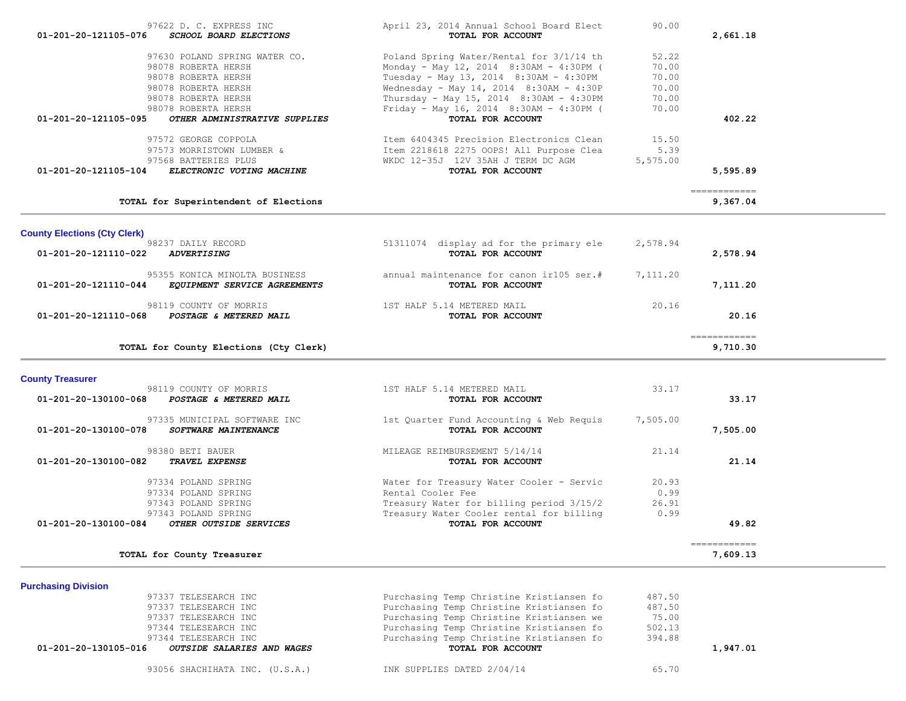| 97622 D. C. EXPRESS INC<br>SCHOOL BOARD ELECTIONS<br>01-201-20-121105-076 | April 23, 2014 Annual School Board Elect<br>TOTAL FOR ACCOUNT | 90.00    | 2,661.18                                |  |
|---------------------------------------------------------------------------|---------------------------------------------------------------|----------|-----------------------------------------|--|
|                                                                           |                                                               |          |                                         |  |
| 97630 POLAND SPRING WATER CO.                                             | Poland Spring Water/Rental for 3/1/14 th                      | 52.22    |                                         |  |
| 98078 ROBERTA HERSH                                                       | Monday - May 12, 2014 8:30AM - 4:30PM (                       | 70.00    |                                         |  |
| 98078 ROBERTA HERSH                                                       | Tuesday - May 13, 2014 8:30AM - 4:30PM                        | 70.00    |                                         |  |
| 98078 ROBERTA HERSH                                                       | Wednesday - May 14, 2014 8:30AM - 4:30P                       | 70.00    |                                         |  |
| 98078 ROBERTA HERSH                                                       | Thursday - May 15, 2014 8:30AM - 4:30PM                       | 70.00    |                                         |  |
| 98078 ROBERTA HERSH                                                       | Friday - May 16, 2014 8:30AM - 4:30PM (                       | 70.00    |                                         |  |
| OTHER ADMINISTRATIVE SUPPLIES<br>01-201-20-121105-095                     | TOTAL FOR ACCOUNT                                             |          | 402.22                                  |  |
| 97572 GEORGE COPPOLA                                                      | Item 6404345 Precision Electronics Clean                      | 15.50    |                                         |  |
| 97573 MORRISTOWN LUMBER &                                                 | Item 2218618 2275 OOPS! All Purpose Clea                      | 5.39     |                                         |  |
| 97568 BATTERIES PLUS                                                      | WKDC 12-35J 12V 35AH J TERM DC AGM                            | 5,575.00 |                                         |  |
| 01-201-20-121105-104<br>ELECTRONIC VOTING MACHINE                         | TOTAL FOR ACCOUNT                                             |          | 5,595.89                                |  |
|                                                                           |                                                               |          |                                         |  |
| TOTAL for Superintendent of Elections                                     |                                                               |          | $=$ = = = = = = = = = = = =<br>9,367.04 |  |
|                                                                           |                                                               |          |                                         |  |
| <b>County Elections (Cty Clerk)</b>                                       |                                                               |          |                                         |  |
| 98237 DAILY RECORD                                                        | 51311074 display ad for the primary ele                       | 2,578.94 |                                         |  |
| <b>ADVERTISING</b><br>01-201-20-121110-022                                | TOTAL FOR ACCOUNT                                             |          | 2,578.94                                |  |
|                                                                           | annual maintenance for canon ir105 ser.#                      |          |                                         |  |
| 95355 KONICA MINOLTA BUSINESS<br>01-201-20-121110-044                     | TOTAL FOR ACCOUNT                                             | 7,111.20 | 7,111.20                                |  |
| EQUIPMENT SERVICE AGREEMENTS                                              |                                                               |          |                                         |  |
| 98119 COUNTY OF MORRIS                                                    | 1ST HALF 5.14 METERED MAIL                                    | 20.16    |                                         |  |
| 01-201-20-121110-068<br>POSTAGE & METERED MAIL                            | TOTAL FOR ACCOUNT                                             |          | 20.16                                   |  |
|                                                                           |                                                               |          | -------------                           |  |
| TOTAL for County Elections (Cty Clerk)                                    |                                                               |          | 9,710.30                                |  |
|                                                                           |                                                               |          |                                         |  |
| <b>County Treasurer</b>                                                   |                                                               |          |                                         |  |
| 98119 COUNTY OF MORRIS                                                    | 1ST HALF 5.14 METERED MAIL                                    | 33.17    |                                         |  |
| 01-201-20-130100-068<br>POSTAGE & METERED MAIL                            | TOTAL FOR ACCOUNT                                             |          | 33.17                                   |  |
| 97335 MUNICIPAL SOFTWARE INC                                              | 1st Quarter Fund Accounting & Web Requis                      | 7,505.00 |                                         |  |
| 01-201-20-130100-078<br>SOFTWARE MAINTENANCE                              | TOTAL FOR ACCOUNT                                             |          | 7,505.00                                |  |
| 98380 BETI BAUER                                                          | MILEAGE REIMBURSEMENT 5/14/14                                 | 21.14    |                                         |  |
| 01-201-20-130100-082<br>TRAVEL EXPENSE                                    | TOTAL FOR ACCOUNT                                             |          | 21.14                                   |  |
| 97334 POLAND SPRING                                                       | Water for Treasury Water Cooler - Servic                      | 20.93    |                                         |  |
| 97334 POLAND SPRING                                                       | Rental Cooler Fee                                             | 0.99     |                                         |  |
| 97343 POLAND SPRING                                                       | Treasury Water for billing period 3/15/2                      | 26.91    |                                         |  |
| 97343 POLAND SPRING                                                       | Treasury Water Cooler rental for billing                      | 0.99     |                                         |  |
| 01-201-20-130100-084<br>OTHER OUTSIDE SERVICES                            | TOTAL FOR ACCOUNT                                             |          | 49.82                                   |  |
|                                                                           |                                                               |          |                                         |  |

 ============ **TOTAL for County Treasurer 7,609.13 TOTAL for County Treasurer**  $\sim$  7,609.13

**Purchasing Division**  97337 TELESEARCH INC Purchasing Temp Christine Kristiansen fo 487.50 97337 TELESEARCH INC **Purchasing Temp Christine Kristiansen fo**  97337 TELESEARCH INC Purchasing Temp Christine Kristiansen we 75.00 97344 TELESEARCH INC **Purchasing Temp Christine Kristiansen fo** 502.13 97344 TELESEARCH INC<br> **COUTSIDE SALARIES AND WAGES** PURCHASING TOTAL FOR ACCOUNT  **01-201-20-130105-016** *OUTSIDE SALARIES AND WAGES* **TOTAL FOR ACCOUNT 1,947.01**

93056 SHACHIHATA INC. (U.S.A.) INK SUPPLIES DATED  $2/04/14$  65.70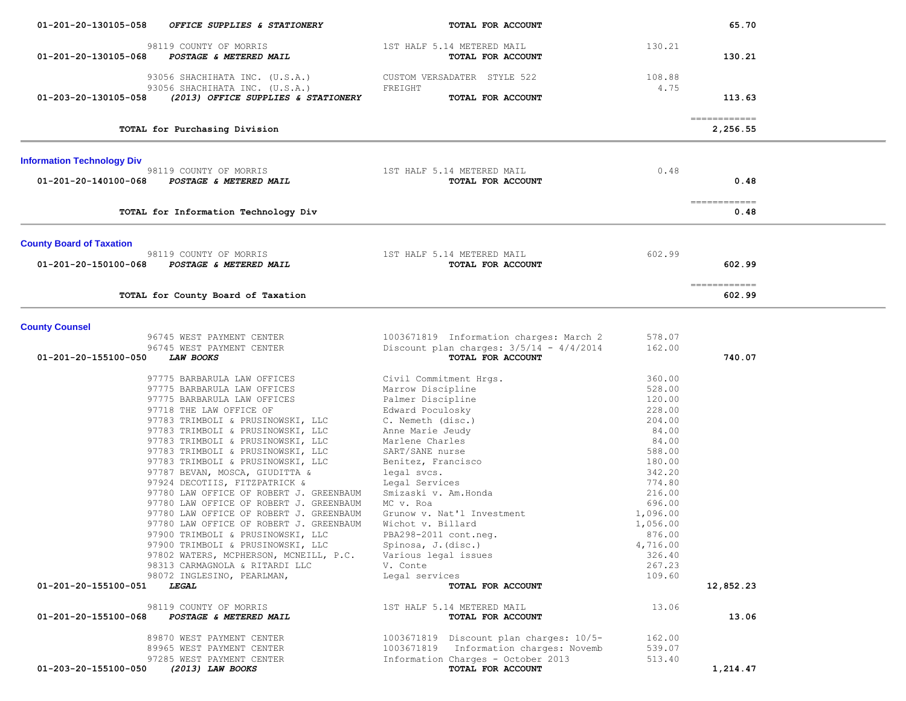| 01-201-20-130105-058              | OFFICE SUPPLIES & STATIONERY                                             | TOTAL FOR ACCOUNT                                                                 |                  | 65.70                  |  |
|-----------------------------------|--------------------------------------------------------------------------|-----------------------------------------------------------------------------------|------------------|------------------------|--|
|                                   | 98119 COUNTY OF MORRIS                                                   | 1ST HALF 5.14 METERED MAIL                                                        | 130.21           |                        |  |
| 01-201-20-130105-068              | POSTAGE & METERED MAIL                                                   | TOTAL FOR ACCOUNT                                                                 |                  | 130.21                 |  |
|                                   |                                                                          |                                                                                   |                  |                        |  |
|                                   | 93056 SHACHIHATA INC. (U.S.A.)                                           | CUSTOM VERSADATER STYLE 522                                                       | 108.88<br>4.75   |                        |  |
| 01-203-20-130105-058              | 93056 SHACHIHATA INC. (U.S.A.)<br>(2013) OFFICE SUPPLIES & STATIONERY    | FREIGHT<br>TOTAL FOR ACCOUNT                                                      |                  | 113.63                 |  |
|                                   |                                                                          |                                                                                   |                  |                        |  |
|                                   |                                                                          |                                                                                   |                  | -------------          |  |
|                                   | TOTAL for Purchasing Division                                            |                                                                                   |                  | 2,256.55               |  |
| <b>Information Technology Div</b> |                                                                          |                                                                                   |                  |                        |  |
|                                   | 98119 COUNTY OF MORRIS                                                   | 1ST HALF 5.14 METERED MAIL                                                        | 0.48             |                        |  |
| 01-201-20-140100-068              | POSTAGE & METERED MAIL                                                   | TOTAL FOR ACCOUNT                                                                 |                  | 0.48                   |  |
|                                   |                                                                          |                                                                                   |                  | ------------           |  |
|                                   | TOTAL for Information Technology Div                                     |                                                                                   |                  | 0.48                   |  |
| <b>County Board of Taxation</b>   |                                                                          |                                                                                   |                  |                        |  |
|                                   | 98119 COUNTY OF MORRIS                                                   | 1ST HALF 5.14 METERED MAIL                                                        | 602.99           |                        |  |
| 01-201-20-150100-068              | POSTAGE & METERED MAIL                                                   | TOTAL FOR ACCOUNT                                                                 |                  | 602.99                 |  |
|                                   |                                                                          |                                                                                   |                  |                        |  |
|                                   | TOTAL for County Board of Taxation                                       |                                                                                   |                  | ------------<br>602.99 |  |
|                                   |                                                                          |                                                                                   |                  |                        |  |
| <b>County Counsel</b>             |                                                                          |                                                                                   |                  |                        |  |
|                                   | 96745 WEST PAYMENT CENTER                                                | 1003671819 Information charges: March 2                                           | 578.07           |                        |  |
| 01-201-20-155100-050              | 96745 WEST PAYMENT CENTER<br><i>LAW BOOKS</i>                            | Discount plan charges: $3/5/14 - 4/4/2014$<br>TOTAL FOR ACCOUNT                   | 162.00           | 740.07                 |  |
|                                   |                                                                          |                                                                                   |                  |                        |  |
|                                   | 97775 BARBARULA LAW OFFICES                                              | Civil Commitment Hrgs.                                                            | 360.00           |                        |  |
|                                   | 97775 BARBARULA LAW OFFICES                                              | Marrow Discipline                                                                 | 528.00           |                        |  |
|                                   | 97775 BARBARULA LAW OFFICES                                              | Palmer Discipline                                                                 | 120.00           |                        |  |
|                                   | 97718 THE LAW OFFICE OF<br>97783 TRIMBOLI & PRUSINOWSKI, LLC             | Edward Poculosky<br>C. Nemeth (disc.)                                             | 228.00<br>204.00 |                        |  |
|                                   | 97783 TRIMBOLI & PRUSINOWSKI, LLC                                        | Anne Marie Jeudy                                                                  | 84.00            |                        |  |
|                                   | 97783 TRIMBOLI & PRUSINOWSKI, LLC                                        | Marlene Charles                                                                   | 84.00            |                        |  |
|                                   | 97783 TRIMBOLI & PRUSINOWSKI, LLC                                        | SART/SANE nurse                                                                   | 588.00           |                        |  |
|                                   | 97783 TRIMBOLI & PRUSINOWSKI, LLC                                        | Benitez, Francisco                                                                | 180.00           |                        |  |
|                                   | 97787 BEVAN, MOSCA, GIUDITTA &                                           | legal svcs.                                                                       | 342.20           |                        |  |
|                                   | 97924 DECOTIIS, FITZPATRICK &                                            | Legal Services                                                                    | 774.80           |                        |  |
|                                   | 97780 LAW OFFICE OF ROBERT J. GREENBAUM                                  | Smizaski v. Am. Honda                                                             | 216.00           |                        |  |
|                                   | 97780 LAW OFFICE OF ROBERT J. GREENBAUM                                  | MC v. Roa                                                                         | 696.00           |                        |  |
|                                   | 97780 LAW OFFICE OF ROBERT J. GREENBAUM                                  | Grunow v. Nat'l Investment                                                        | 1,096.00         |                        |  |
|                                   | 97780 LAW OFFICE OF ROBERT J. GREENBAUM                                  | Wichot v. Billard                                                                 | 1,056.00         |                        |  |
|                                   | 97900 TRIMBOLI & PRUSINOWSKI, LLC                                        | PBA298-2011 cont.neg.                                                             | 876.00           |                        |  |
|                                   | 97900 TRIMBOLI & PRUSINOWSKI, LLC                                        | Spinosa, J. (disc.)                                                               | 4,716.00         |                        |  |
|                                   | 97802 WATERS, MCPHERSON, MCNEILL, P.C.<br>98313 CARMAGNOLA & RITARDI LLC | Various legal issues<br>V. Conte                                                  | 326.40<br>267.23 |                        |  |
|                                   | 98072 INGLESINO, PEARLMAN,                                               | Legal services                                                                    | 109.60           |                        |  |
| 01-201-20-155100-051              | <i><b>LEGAL</b></i>                                                      | TOTAL FOR ACCOUNT                                                                 |                  | 12,852.23              |  |
|                                   |                                                                          |                                                                                   |                  |                        |  |
| 01-201-20-155100-068              | 98119 COUNTY OF MORRIS<br>POSTAGE & METERED MAIL                         | 1ST HALF 5.14 METERED MAIL<br>TOTAL FOR ACCOUNT                                   | 13.06            | 13.06                  |  |
|                                   |                                                                          |                                                                                   |                  |                        |  |
|                                   | 89870 WEST PAYMENT CENTER<br>89965 WEST PAYMENT CENTER                   | 1003671819 Discount plan charges: 10/5-<br>1003671819 Information charges: Novemb | 162.00<br>539.07 |                        |  |
|                                   | 97285 WEST PAYMENT CENTER                                                | Information Charges - October 2013                                                | 513.40           |                        |  |
| 01-203-20-155100-050              | (2013) LAW BOOKS                                                         | TOTAL FOR ACCOUNT                                                                 |                  | 1,214.47               |  |
|                                   |                                                                          |                                                                                   |                  |                        |  |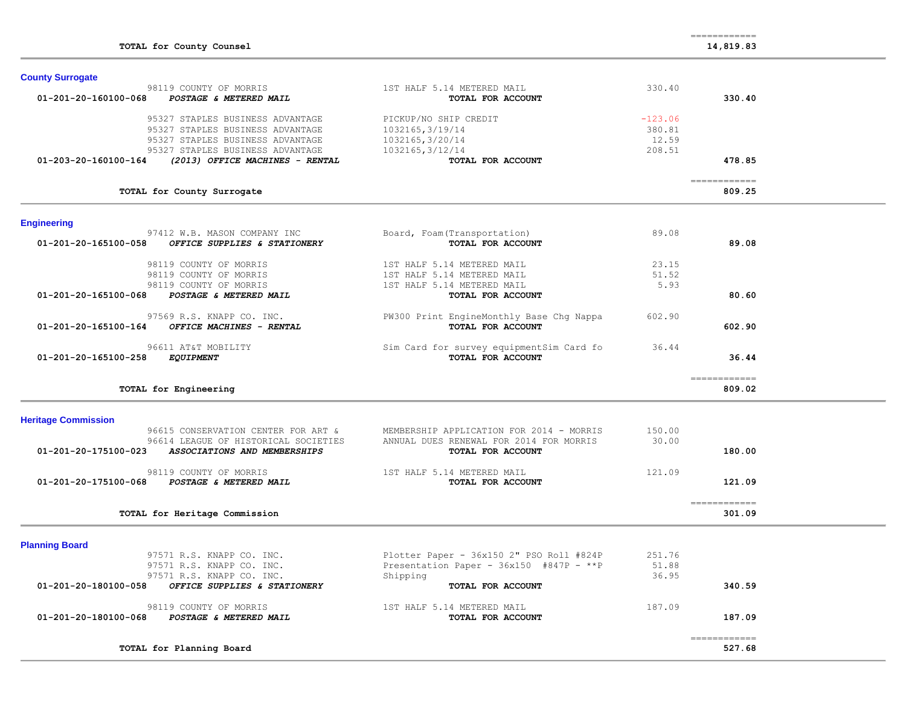| <b>County Surrogate</b>    |                                      |                                                               |           |                                       |  |
|----------------------------|--------------------------------------|---------------------------------------------------------------|-----------|---------------------------------------|--|
|                            | 98119 COUNTY OF MORRIS               | 1ST HALF 5.14 METERED MAIL                                    | 330.40    |                                       |  |
| 01-201-20-160100-068       | POSTAGE & METERED MAIL               | TOTAL FOR ACCOUNT                                             |           | 330.40                                |  |
|                            |                                      |                                                               |           |                                       |  |
|                            | 95327 STAPLES BUSINESS ADVANTAGE     | PICKUP/NO SHIP CREDIT                                         | $-123.06$ |                                       |  |
|                            | 95327 STAPLES BUSINESS ADVANTAGE     | 1032165, 3/19/14                                              | 380.81    |                                       |  |
|                            | 95327 STAPLES BUSINESS ADVANTAGE     | 1032165, 3/20/14                                              | 12.59     |                                       |  |
|                            | 95327 STAPLES BUSINESS ADVANTAGE     | 1032165, 3/12/14                                              | 208.51    |                                       |  |
| 01-203-20-160100-164       | (2013) OFFICE MACHINES - RENTAL      | TOTAL FOR ACCOUNT                                             |           | 478.85                                |  |
|                            | TOTAL for County Surrogate           |                                                               |           | $=$ = = = = = = = = = = = =<br>809.25 |  |
|                            |                                      |                                                               |           |                                       |  |
| <b>Engineering</b>         |                                      |                                                               |           |                                       |  |
|                            | 97412 W.B. MASON COMPANY INC         | Board, Foam (Transportation)                                  | 89.08     |                                       |  |
| 01-201-20-165100-058       | OFFICE SUPPLIES & STATIONERY         | TOTAL FOR ACCOUNT                                             |           | 89.08                                 |  |
|                            |                                      |                                                               |           |                                       |  |
|                            | 98119 COUNTY OF MORRIS               | 1ST HALF 5.14 METERED MAIL                                    | 23.15     |                                       |  |
|                            | 98119 COUNTY OF MORRIS               | 1ST HALF 5.14 METERED MAIL                                    | 51.52     |                                       |  |
|                            | 98119 COUNTY OF MORRIS               | 1ST HALF 5.14 METERED MAIL                                    | 5.93      |                                       |  |
| 01-201-20-165100-068       | POSTAGE & METERED MAIL               | TOTAL FOR ACCOUNT                                             |           | 80.60                                 |  |
|                            | 97569 R.S. KNAPP CO. INC.            |                                                               | 602.90    |                                       |  |
| 01-201-20-165100-164       | OFFICE MACHINES - RENTAL             | PW300 Print EngineMonthly Base Chg Nappa<br>TOTAL FOR ACCOUNT |           | 602.90                                |  |
|                            |                                      |                                                               |           |                                       |  |
|                            | 96611 AT&T MOBILITY                  | Sim Card for survey equipmentSim Card fo                      | 36.44     |                                       |  |
| 01-201-20-165100-258       | <b>EQUIPMENT</b>                     | TOTAL FOR ACCOUNT                                             |           | 36.44                                 |  |
|                            |                                      |                                                               |           |                                       |  |
|                            | TOTAL for Engineering                |                                                               |           | ------------<br>809.02                |  |
|                            |                                      |                                                               |           |                                       |  |
| <b>Heritage Commission</b> |                                      |                                                               |           |                                       |  |
|                            | 96615 CONSERVATION CENTER FOR ART &  | MEMBERSHIP APPLICATION FOR 2014 - MORRIS                      | 150.00    |                                       |  |
|                            | 96614 LEAGUE OF HISTORICAL SOCIETIES | ANNUAL DUES RENEWAL FOR 2014 FOR MORRIS                       | 30.00     |                                       |  |
| 01-201-20-175100-023       | ASSOCIATIONS AND MEMBERSHIPS         | TOTAL FOR ACCOUNT                                             |           | 180.00                                |  |
|                            |                                      |                                                               |           |                                       |  |
|                            |                                      |                                                               |           |                                       |  |
|                            | 98119 COUNTY OF MORRIS               | 1ST HALF 5.14 METERED MAIL                                    | 121.09    |                                       |  |
| 01-201-20-175100-068       | POSTAGE & METERED MAIL               | TOTAL FOR ACCOUNT                                             |           | 121.09                                |  |
|                            |                                      |                                                               |           |                                       |  |
|                            | TOTAL for Heritage Commission        |                                                               |           | -------------<br>301.09               |  |
|                            |                                      |                                                               |           |                                       |  |
| <b>Planning Board</b>      |                                      |                                                               |           |                                       |  |
|                            | 97571 R.S. KNAPP CO. INC.            | Plotter Paper - 36x150 2" PSO Roll #824P                      | 251.76    |                                       |  |
|                            | 97571 R.S. KNAPP CO. INC.            | Presentation Paper - $36x150$ #847P - **P                     | 51.88     |                                       |  |
|                            | 97571 R.S. KNAPP CO. INC.            | Shipping                                                      | 36.95     |                                       |  |
| 01-201-20-180100-058       | OFFICE SUPPLIES & STATIONERY         | TOTAL FOR ACCOUNT                                             |           | 340.59                                |  |
|                            |                                      |                                                               |           |                                       |  |
| 01-201-20-180100-068       | 98119 COUNTY OF MORRIS               | 1ST HALF 5.14 METERED MAIL                                    | 187.09    | 187.09                                |  |
|                            | POSTAGE & METERED MAIL               | TOTAL FOR ACCOUNT                                             |           |                                       |  |
|                            | TOTAL for Planning Board             |                                                               |           | ------------<br>527.68                |  |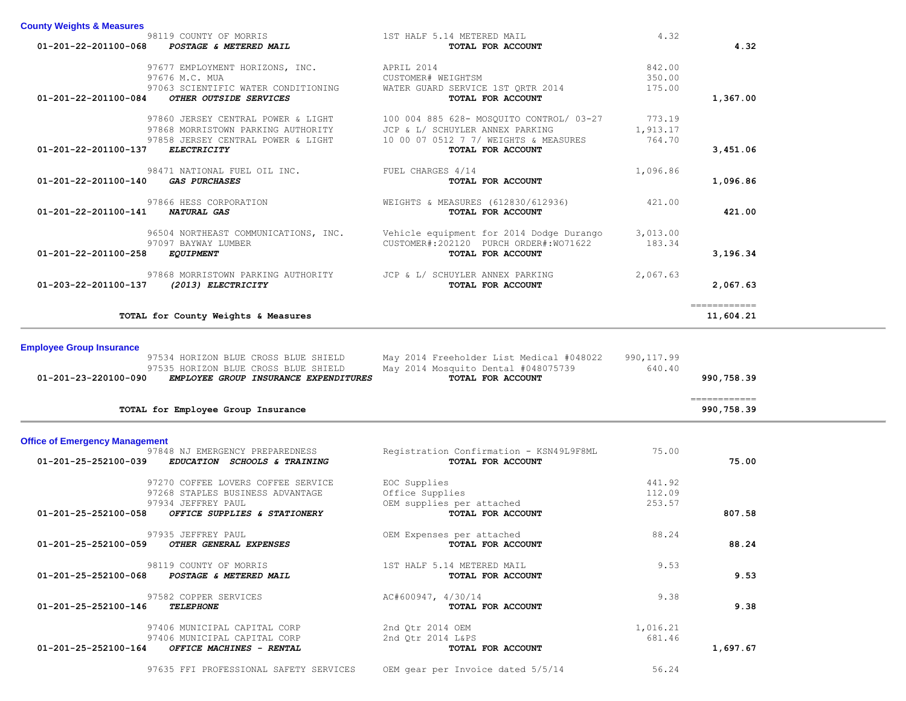| 01-201-22-201100-068                  | 98119 COUNTY OF MORRIS<br>POSTAGE & METERED MAIL                                                                      | 1ST HALF 5.14 METERED MAIL<br>TOTAL FOR ACCOUNT                                                                      | 4.32                         | 4.32                                     |
|---------------------------------------|-----------------------------------------------------------------------------------------------------------------------|----------------------------------------------------------------------------------------------------------------------|------------------------------|------------------------------------------|
|                                       | 97677 EMPLOYMENT HORIZONS, INC.<br>97676 M.C. MUA                                                                     | APRIL 2014<br>CUSTOMER# WEIGHTSM                                                                                     | 842.00<br>350.00             |                                          |
| 01-201-22-201100-084                  | 97063 SCIENTIFIC WATER CONDITIONING<br>OTHER OUTSIDE SERVICES                                                         | WATER GUARD SERVICE 1ST QRTR 2014<br>TOTAL FOR ACCOUNT                                                               | 175.00                       | 1,367.00                                 |
|                                       | 97860 JERSEY CENTRAL POWER & LIGHT<br>97868 MORRISTOWN PARKING AUTHORITY<br>97858 JERSEY CENTRAL POWER & LIGHT        | 100 004 885 628- MOSQUITO CONTROL/ 03-27<br>JCP & L/ SCHUYLER ANNEX PARKING<br>10 00 07 0512 7 7/ WEIGHTS & MEASURES | 773.19<br>1,913.17<br>764.70 |                                          |
| 01-201-22-201100-137                  | <b>ELECTRICITY</b>                                                                                                    | TOTAL FOR ACCOUNT                                                                                                    |                              | 3,451.06                                 |
| 01-201-22-201100-140                  | 98471 NATIONAL FUEL OIL INC.<br><b>GAS PURCHASES</b>                                                                  | FUEL CHARGES 4/14<br>TOTAL FOR ACCOUNT                                                                               | 1,096.86                     | 1,096.86                                 |
| 01-201-22-201100-141                  | 97866 HESS CORPORATION<br><b>NATURAL GAS</b>                                                                          | WEIGHTS & MEASURES (612830/612936)<br>TOTAL FOR ACCOUNT                                                              | 421.00                       | 421.00                                   |
| 01-201-22-201100-258                  | 96504 NORTHEAST COMMUNICATIONS, INC.<br>97097 BAYWAY LUMBER<br><i>EQUIPMENT</i>                                       | Vehicle equipment for 2014 Dodge Durango<br>CUSTOMER#:202120 PURCH ORDER#:WO71622<br>TOTAL FOR ACCOUNT               | 3,013.00<br>183.34           | 3,196.34                                 |
| 01-203-22-201100-137                  | 97868 MORRISTOWN PARKING AUTHORITY<br><i>(2013) ELECTRICITY</i>                                                       | JCP & L/ SCHUYLER ANNEX PARKING<br>TOTAL FOR ACCOUNT                                                                 | 2,067.63                     | 2,067.63                                 |
|                                       | TOTAL for County Weights & Measures                                                                                   |                                                                                                                      |                              | $=$ = = = = = = = = = = = =<br>11,604.21 |
| <b>Employee Group Insurance</b>       |                                                                                                                       |                                                                                                                      |                              |                                          |
| 01-201-23-220100-090                  | 97534 HORIZON BLUE CROSS BLUE SHIELD<br>97535 HORIZON BLUE CROSS BLUE SHIELD<br>EMPLOYEE GROUP INSURANCE EXPENDITURES | May 2014 Freeholder List Medical #048022<br>May 2014 Mosquito Dental #048075739<br>TOTAL FOR ACCOUNT                 | 990, 117.99<br>640.40        | 990,758.39                               |
|                                       | TOTAL for Employee Group Insurance                                                                                    |                                                                                                                      |                              | ============<br>990,758.39               |
| <b>Office of Emergency Management</b> |                                                                                                                       |                                                                                                                      |                              |                                          |
| 01-201-25-252100-039                  | 97848 NJ EMERGENCY PREPAREDNESS<br>EDUCATION SCHOOLS & TRAINING                                                       | Registration Confirmation - KSN49L9F8ML<br>TOTAL FOR ACCOUNT                                                         | 75.00                        | 75.00                                    |
|                                       | 97270 COFFEE LOVERS COFFEE SERVICE<br>97268 STAPLES BUSINESS ADVANTAGE<br>97934 JEFFREY PAUL                          | EOC Supplies<br>Office Supplies<br>OEM supplies per attached                                                         | 441.92<br>112.09<br>253.57   |                                          |
| 01-201-25-252100-058                  | OFFICE SUPPLIES & STATIONERY                                                                                          | TOTAL FOR ACCOUNT                                                                                                    |                              | 807.58                                   |
| 01-201-25-252100-059                  | 97935 JEFFREY PAUL<br>OTHER GENERAL EXPENSES                                                                          | OEM Expenses per attached<br>TOTAL FOR ACCOUNT                                                                       | 88.24                        | 88.24                                    |
|                                       | 98119 COUNTY OF MORRIS<br>01-201-25-252100-068 POSTAGE & METERED MAIL                                                 | 1ST HALF 5.14 METERED MAIL<br>TOTAL FOR ACCOUNT                                                                      | 9.53                         | 9.53                                     |
| 01-201-25-252100-146 TELEPHONE        | 97582 COPPER SERVICES                                                                                                 | AC#600947, 4/30/14<br>TOTAL FOR ACCOUNT                                                                              | 9.38                         | 9.38                                     |
|                                       | 97406 MUNICIPAL CAPITAL CORP<br>97406 MUNICIPAL CAPITAL CORP<br>01-201-25-252100-164 OFFICE MACHINES - RENTAL         | 2nd Qtr 2014 OEM<br>2nd Otr 2014 L&PS<br>TOTAL FOR ACCOUNT                                                           | 1,016.21<br>681.46           | 1,697.67                                 |
|                                       | 97635 FFI PROFESSIONAL SAFETY SERVICES                                                                                | OEM gear per Invoice dated 5/5/14                                                                                    | 56.24                        |                                          |

**County Weights & Measures**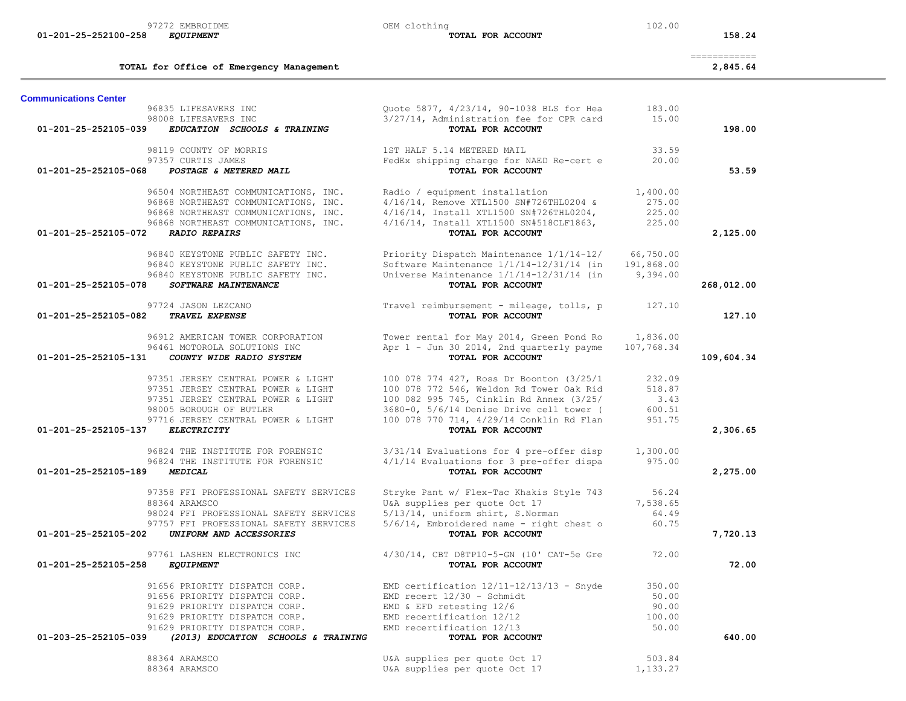|                                                                                                                                                                                                                               |                                                                                                                                                                                                                                               |                                              | ------------ |
|-------------------------------------------------------------------------------------------------------------------------------------------------------------------------------------------------------------------------------|-----------------------------------------------------------------------------------------------------------------------------------------------------------------------------------------------------------------------------------------------|----------------------------------------------|--------------|
| TOTAL for Office of Emergency Management                                                                                                                                                                                      |                                                                                                                                                                                                                                               |                                              | 2,845.64     |
| <b>Communications Center</b>                                                                                                                                                                                                  |                                                                                                                                                                                                                                               |                                              |              |
| 96835 LIFESAVERS INC<br>98008 LIFESAVERS INC<br>01-201-25-252105-039<br>EDUCATION SCHOOLS & TRAINING                                                                                                                          | Quote 5877, 4/23/14, 90-1038 BLS for Hea<br>3/27/14, Administration fee for CPR card<br>TOTAL FOR ACCOUNT                                                                                                                                     | 183.00<br>15.00                              | 198.00       |
| 98119 COUNTY OF MORRIS<br>97357 CURTIS JAMES<br>01-201-25-252105-068<br>POSTAGE & METERED MAIL                                                                                                                                | 1ST HALF 5.14 METERED MAIL<br>FedEx shipping charge for NAED Re-cert e<br>TOTAL FOR ACCOUNT                                                                                                                                                   | 33.59<br>20.00                               | 53.59        |
| 96504 NORTHEAST COMMUNICATIONS, INC.<br>96868 NORTHEAST COMMUNICATIONS, INC.<br>96868 NORTHEAST COMMUNICATIONS, INC.<br>96868 NORTHEAST COMMUNICATIONS, INC.<br>01-201-25-252105-072<br><b>RADIO REPAIRS</b>                  | Radio / equipment installation<br>4/16/14, Remove XTL1500 SN#726THL0204 &<br>4/16/14, Install XTL1500 SN#726THL0204,<br>4/16/14, Install XTL1500 SN#518CLF1863,<br>TOTAL FOR ACCOUNT                                                          | 1,400.00<br>275.00<br>225.00<br>225.00       | 2,125.00     |
| 96840 KEYSTONE PUBLIC SAFETY INC.<br>96840 KEYSTONE PUBLIC SAFETY INC.<br>96840 KEYSTONE PUBLIC SAFETY INC.<br>01-201-25-252105-078<br>SOFTWARE MAINTENANCE                                                                   | Priority Dispatch Maintenance 1/1/14-12/<br>Software Maintenance $1/1/14-12/31/14$ (in<br>Universe Maintenance $1/1/14-12/31/14$ (in<br>TOTAL FOR ACCOUNT                                                                                     | 66,750.00<br>191,868.00<br>9,394.00          | 268,012.00   |
| 97724 JASON LEZCANO<br>01-201-25-252105-082<br><b>TRAVEL EXPENSE</b>                                                                                                                                                          | Travel reimbursement - mileage, tolls, p<br>TOTAL FOR ACCOUNT                                                                                                                                                                                 | 127.10                                       | 127.10       |
| 96912 AMERICAN TOWER CORPORATION<br>96461 MOTOROLA SOLUTIONS INC<br>01-201-25-252105-131<br>COUNTY WIDE RADIO SYSTEM                                                                                                          | Tower rental for May 2014, Green Pond Ro<br>Apr 1 - Jun 30 2014, 2nd quarterly payme<br>TOTAL FOR ACCOUNT                                                                                                                                     | 1,836.00<br>107,768.34                       | 109,604.34   |
| 97351 JERSEY CENTRAL POWER & LIGHT<br>97351 JERSEY CENTRAL POWER & LIGHT<br>97351 JERSEY CENTRAL POWER & LIGHT<br>98005 BOROUGH OF BUTLER<br>97716 JERSEY CENTRAL POWER & LIGHT<br>01-201-25-252105-137<br><b>ELECTRICITY</b> | 100 078 774 427, Ross Dr Boonton (3/25/1<br>100 078 772 546, Weldon Rd Tower Oak Rid<br>100 082 995 745, Cinklin Rd Annex (3/25/<br>3680-0, 5/6/14 Denise Drive cell tower (<br>100 078 770 714, 4/29/14 Conklin Rd Flan<br>TOTAL FOR ACCOUNT | 232.09<br>518.87<br>3.43<br>600.51<br>951.75 | 2,306.65     |
| 96824 THE INSTITUTE FOR FORENSIC                                                                                                                                                                                              | 3/31/14 Evaluations for 4 pre-offer disp                                                                                                                                                                                                      | 1,300.00                                     |              |
| 96824 THE INSTITUTE FOR FORENSIC<br>01-201-25-252105-189<br><b>MEDICAL</b>                                                                                                                                                    | 4/1/14 Evaluations for 3 pre-offer dispa<br>TOTAL FOR ACCOUNT                                                                                                                                                                                 | 975.00                                       | 2,275.00     |
| 97358 FFI PROFESSIONAL SAFETY SERVICES<br>88364 ARAMSCO<br>98024 FFI PROFESSIONAL SAFETY SERVICES<br>97757 FFI PROFESSIONAL SAFETY SERVICES<br>01-201-25-252105-202<br>UNIFORM AND ACCESSORIES                                | Stryke Pant w/ Flex-Tac Khakis Style 743<br>U&A supplies per quote Oct 17<br>5/13/14, uniform shirt, S.Norman<br>$5/6/14$ , Embroidered name - right chest o<br>TOTAL FOR ACCOUNT                                                             | 56.24<br>7,538.65<br>64.49<br>60.75          | 7,720.13     |
| 97761 LASHEN ELECTRONICS INC                                                                                                                                                                                                  | 4/30/14, CBT D8TP10-5-GN (10' CAT-5e Gre                                                                                                                                                                                                      | 72.00                                        |              |
| 01-201-25-252105-258<br><b>EQUIPMENT</b>                                                                                                                                                                                      | TOTAL FOR ACCOUNT                                                                                                                                                                                                                             |                                              | 72.00        |
| 91656 PRIORITY DISPATCH CORP.<br>91656 PRIORITY DISPATCH CORP.<br>91629 PRIORITY DISPATCH CORP.<br>91629 PRIORITY DISPATCH CORP.<br>91629 PRIORITY DISPATCH CORP.                                                             | EMD certification $12/11-12/13/13$ - Snyde<br>EMD recert $12/30$ - Schmidt<br>EMD & EFD retesting 12/6<br>EMD recertification 12/12<br>EMD recertification 12/13                                                                              | 350.00<br>50.00<br>90.00<br>100.00<br>50.00  |              |
| 01-203-25-252105-039<br>(2013) EDUCATION SCHOOLS & TRAINING                                                                                                                                                                   | TOTAL FOR ACCOUNT                                                                                                                                                                                                                             |                                              | 640.00       |
| 88364 ARAMSCO<br>88364 ARAMSCO                                                                                                                                                                                                | U&A supplies per quote Oct 17<br>U&A supplies per quote Oct 17                                                                                                                                                                                | 503.84<br>1,133.27                           |              |

97272 EMBROIDME 102.00<br> **97272 EMBROIDME 102.00**<br> **EQUIPMENT** 102.00  **01-201-25-252100-258** *EQUIPMENT* **TOTAL FOR ACCOUNT 158.24**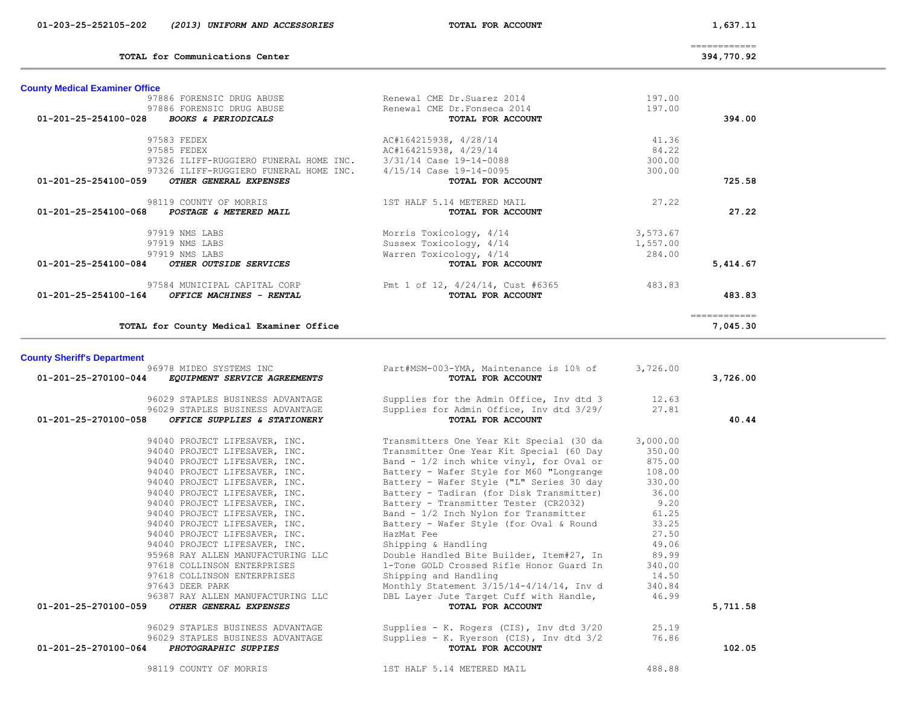| TOTAL for Communications Center                                                                                       |                                                              |          | 394,770.92    |  |
|-----------------------------------------------------------------------------------------------------------------------|--------------------------------------------------------------|----------|---------------|--|
| <b>County Medical Examiner Office</b>                                                                                 |                                                              |          |               |  |
| 97886 FORENSIC DRUG ABUSE                                                                                             | Renewal CME Dr.Suarez 2014                                   | 197.00   |               |  |
| 97886 FORENSIC DRUG ABUSE                                                                                             | Renewal CME Dr. Fonseca 2014                                 | 197.00   |               |  |
| 01-201-25-254100-028 BOOKS & PERIODICALS                                                                              | TOTAL FOR ACCOUNT                                            |          | 394.00        |  |
| 97583 FEDEX                                                                                                           | AC#164215938, 4/28/14                                        | 41.36    |               |  |
| 97585 FEDEX                                                                                                           | AC#164215938, 4/29/14                                        | 84.22    |               |  |
| 97326 ILIFF-RUGGIERO FUNERAL HOME INC.                                                                                | 3/31/14 Case 19-14-0088                                      | 300.00   |               |  |
| 97326 ILIFF-RUGGIERO FUNERAL HOME INC.                                                                                | 4/15/14 Case 19-14-0095                                      | 300.00   |               |  |
| 01-201-25-254100-059<br>OTHER GENERAL EXPENSES                                                                        | TOTAL FOR ACCOUNT                                            |          | 725.58        |  |
|                                                                                                                       |                                                              |          |               |  |
| 98119 COUNTY OF MORRIS                                                                                                | 1ST HALF 5.14 METERED MAIL                                   | 27.22    |               |  |
| POSTAGE & METERED MAIL<br>01-201-25-254100-068                                                                        | TOTAL FOR ACCOUNT                                            |          | 27.22         |  |
| 97919 NMS LABS                                                                                                        | Morris Toxicology, 4/14                                      | 3,573.67 |               |  |
| 97919 NMS LABS                                                                                                        | Sussex Toxicology, 4/14                                      | 1,557.00 |               |  |
| 97919 NMS LABS                                                                                                        | Warren Toxicology, 4/14                                      | 284.00   |               |  |
| 01-201-25-254100-084<br>OTHER OUTSIDE SERVICES                                                                        | TOTAL FOR ACCOUNT                                            |          | 5,414.67      |  |
|                                                                                                                       |                                                              |          |               |  |
| 97584 MUNICIPAL CAPITAL CORP<br>01-201-25-254100-164<br>OFFICE MACHINES - RENTAL                                      | Pmt 1 of 12, 4/24/14, Cust #6365<br>TOTAL FOR ACCOUNT        | 483.83   | 483.83        |  |
|                                                                                                                       |                                                              |          |               |  |
|                                                                                                                       |                                                              |          | ------------- |  |
| TOTAL for County Medical Examiner Office                                                                              |                                                              |          | 7,045.30      |  |
| <b>County Sheriff's Department</b><br>96978 MIDEO SYSTEMS INC<br>01-201-25-270100-044<br>EQUIPMENT SERVICE AGREEMENTS | Part#MSM-003-YMA, Maintenance is 10% of<br>TOTAL FOR ACCOUNT | 3,726.00 | 3,726.00      |  |
| 96029 STAPLES BUSINESS ADVANTAGE                                                                                      | Supplies for the Admin Office, Inv dtd 3                     | 12.63    |               |  |
| 96029 STAPLES BUSINESS ADVANTAGE                                                                                      | Supplies for Admin Office, Inv dtd 3/29/                     | 27.81    |               |  |
| 01-201-25-270100-058<br>OFFICE SUPPLIES & STATIONERY                                                                  | TOTAL FOR ACCOUNT                                            |          | 40.44         |  |
| 94040 PROJECT LIFESAVER, INC.                                                                                         | Transmitters One Year Kit Special (30 da                     | 3,000.00 |               |  |
| 94040 PROJECT LIFESAVER, INC.                                                                                         | Transmitter One Year Kit Special (60 Day                     | 350.00   |               |  |
| 94040 PROJECT LIFESAVER, INC.                                                                                         | Band - $1/2$ inch white vinyl, for Oval or                   | 875.00   |               |  |
| 94040 PROJECT LIFESAVER, INC.                                                                                         | Battery - Wafer Style for M60 "Longrange                     | 108.00   |               |  |
| 94040 PROJECT LIFESAVER, INC.                                                                                         | Battery - Wafer Style ("L" Series 30 day                     | 330.00   |               |  |
| 94040 PROJECT LIFESAVER, INC.                                                                                         | Battery - Tadiran (for Disk Transmitter)                     | 36.00    |               |  |
| 94040 PROJECT LIFESAVER, INC.                                                                                         | Battery - Transmitter Tester (CR2032)                        | 9.20     |               |  |
| 94040 PROJECT LIFESAVER, INC.                                                                                         | Band - 1/2 Inch Nylon for Transmitter                        | 61.25    |               |  |
| 94040 PROJECT LIFESAVER, INC.                                                                                         | Battery - Wafer Style (for Oval & Round                      | 33.25    |               |  |
| 94040 PROJECT LIFESAVER, INC.                                                                                         | HazMat Fee                                                   | 27.50    |               |  |
| 94040 PROJECT LIFESAVER, INC.                                                                                         | Shipping & Handling                                          | 49.06    |               |  |
| 95968 RAY ALLEN MANUFACTURING LLC                                                                                     | Double Handled Bite Builder, Item#27, In                     | 89.99    |               |  |
| 97618 COLLINSON ENTERPRISES                                                                                           | 1-Tone GOLD Crossed Rifle Honor Guard In                     | 340.00   |               |  |
| 97618 COLLINSON ENTERPRISES                                                                                           | Shipping and Handling                                        | 14.50    |               |  |
| 97643 DEER PARK                                                                                                       | Monthly Statement 3/15/14-4/14/14, Inv d                     | 340.84   |               |  |
| 96387 RAY ALLEN MANUFACTURING LLC<br>OTHER GENERAL EXPENSES<br>01-201-25-270100-059                                   | DBL Layer Jute Target Cuff with Handle,<br>TOTAL FOR ACCOUNT | 46.99    | 5,711.58      |  |
|                                                                                                                       |                                                              |          |               |  |
| 96029 STAPLES BUSINESS ADVANTAGE                                                                                      | Supplies - K. Rogers (CIS), Inv dtd $3/20$                   | 25.19    |               |  |
| 96029 STAPLES BUSINESS ADVANTAGE                                                                                      | Supplies - K. Ryerson (CIS), Inv dtd 3/2                     | 76.86    |               |  |
| 01-201-25-270100-064<br>PHOTOGRAPHIC SUPPIES                                                                          | TOTAL FOR ACCOUNT                                            |          | 102.05        |  |
| 98119 COUNTY OF MORRIS                                                                                                | 1ST HALF 5.14 METERED MAIL                                   | 488.88   |               |  |
|                                                                                                                       |                                                              |          |               |  |

============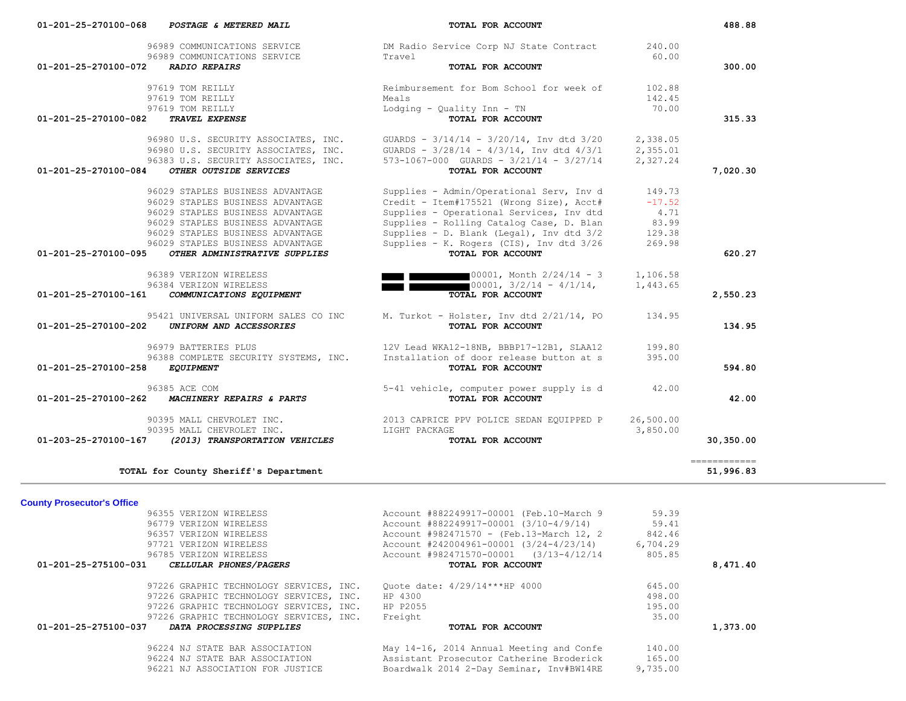| 96989 COMMUNICATIONS SERVICE<br>96989 COMMUNICATIONS SERVICE                 | DM Radio Service Corp NJ State Contract<br>Travel                                                  | 240.00<br>60.00      |                           |
|------------------------------------------------------------------------------|----------------------------------------------------------------------------------------------------|----------------------|---------------------------|
| 01-201-25-270100-072<br><b>RADIO REPAIRS</b>                                 | TOTAL FOR ACCOUNT                                                                                  |                      | 300.00                    |
|                                                                              |                                                                                                    |                      |                           |
| 97619 TOM REILLY<br>97619 TOM REILLY                                         | Reimbursement for Bom School for week of<br>Meals                                                  | 102.88<br>142.45     |                           |
| 97619 TOM REILLY                                                             | Lodging - Quality Inn - TN                                                                         | 70.00                |                           |
| 01-201-25-270100-082<br>TRAVEL EXPENSE                                       | TOTAL FOR ACCOUNT                                                                                  |                      | 315.33                    |
|                                                                              |                                                                                                    |                      |                           |
| 96980 U.S. SECURITY ASSOCIATES, INC.<br>96980 U.S. SECURITY ASSOCIATES, INC. | GUARDS - $3/14/14$ - $3/20/14$ , Inv dtd $3/20$<br>GUARDS - $3/28/14$ - $4/3/14$ , Inv dtd $4/3/1$ | 2,338.05<br>2,355.01 |                           |
| 96383 U.S. SECURITY ASSOCIATES, INC.                                         | $573-1067-000$ GUARDS - $3/21/14$ - $3/27/14$                                                      | 2,327.24             |                           |
| OTHER OUTSIDE SERVICES<br>01-201-25-270100-084                               | TOTAL FOR ACCOUNT                                                                                  |                      | 7,020.30                  |
| 96029 STAPLES BUSINESS ADVANTAGE                                             | Supplies - Admin/Operational Serv, Inv d                                                           | 149.73               |                           |
| 96029 STAPLES BUSINESS ADVANTAGE                                             | Credit - Item#175521 (Wrong Size), Acct#                                                           | $-17.52$             |                           |
| 96029 STAPLES BUSINESS ADVANTAGE                                             | Supplies - Operational Services, Inv dtd                                                           | 4.71                 |                           |
| 96029 STAPLES BUSINESS ADVANTAGE                                             | Supplies - Rolling Catalog Case, D. Blan                                                           | 83.99                |                           |
| 96029 STAPLES BUSINESS ADVANTAGE                                             | Supplies - D. Blank (Legal), Inv dtd 3/2                                                           | 129.38               |                           |
| 96029 STAPLES BUSINESS ADVANTAGE                                             | Supplies - K. Rogers (CIS), Inv dtd 3/26                                                           | 269.98               |                           |
| 01-201-25-270100-095<br>OTHER ADMINISTRATIVE SUPPLIES                        | TOTAL FOR ACCOUNT                                                                                  |                      | 620.27                    |
| 96389 VERIZON WIRELESS                                                       | 00001, Month 2/24/14 - 3                                                                           | 1,106.58             |                           |
| 96384 VERIZON WIRELESS                                                       | $\frac{1}{2}00001, \frac{3}{2}/14 - \frac{4}{1}/14,$                                               | 1,443.65             |                           |
| 01-201-25-270100-161<br>COMMUNICATIONS EQUIPMENT                             | TOTAL FOR ACCOUNT                                                                                  |                      | 2,550.23                  |
|                                                                              |                                                                                                    |                      |                           |
| 95421 UNIVERSAL UNIFORM SALES CO INC                                         | M. Turkot - Holster, Inv dtd 2/21/14, PO                                                           | 134.95               |                           |
| UNIFORM AND ACCESSORIES<br>01-201-25-270100-202                              | TOTAL FOR ACCOUNT                                                                                  |                      | 134.95                    |
| 96979 BATTERIES PLUS                                                         | 12V Lead WKA12-18NB, BBBP17-12B1, SLAA12                                                           | 199.80               |                           |
| 96388 COMPLETE SECURITY SYSTEMS, INC.                                        | Installation of door release button at s                                                           | 395.00               |                           |
| 01-201-25-270100-258 EQUIPMENT                                               | TOTAL FOR ACCOUNT                                                                                  |                      | 594.80                    |
| 96385 ACE COM                                                                | 5-41 vehicle, computer power supply is d                                                           | 42.00                |                           |
| MACHINERY REPAIRS & PARTS<br>01-201-25-270100-262                            | TOTAL FOR ACCOUNT                                                                                  |                      | 42.00                     |
| 90395 MALL CHEVROLET INC.                                                    | 2013 CAPRICE PPV POLICE SEDAN EQUIPPED P                                                           | 26,500.00            |                           |
| 90395 MALL CHEVROLET INC.                                                    | LIGHT PACKAGE                                                                                      | 3,850.00             |                           |
| (2013) TRANSPORTATION VEHICLES<br>01-203-25-270100-167                       | TOTAL FOR ACCOUNT                                                                                  |                      | 30,350.00                 |
|                                                                              |                                                                                                    |                      |                           |
| TOTAL for County Sheriff's Department                                        |                                                                                                    |                      | ============<br>51,996.83 |
|                                                                              |                                                                                                    |                      |                           |
| <b>County Prosecutor's Office</b>                                            |                                                                                                    |                      |                           |
| 96355 VERIZON WIRELESS                                                       | Account #882249917-00001 (Feb.10-March 9                                                           | 59.39                |                           |
| 96779 VERIZON WIRELESS                                                       | Account #882249917-00001 (3/10-4/9/14)                                                             | 59.41                |                           |
| 96357 VERIZON WIRELESS                                                       | Account #982471570 - (Feb.13-March 12, 2                                                           | 842.46               |                           |
| 97721 VERIZON WIRELESS                                                       | Account #242004961-00001 (3/24-4/23/14)                                                            | 6,704.29             |                           |
| 96785 VERIZON WIRELESS                                                       | Account #982471570-00001 (3/13-4/12/14                                                             | 805.85               |                           |
| CELLULAR PHONES/PAGERS<br>01-201-25-275100-031                               | TOTAL FOR ACCOUNT                                                                                  |                      | 8,471.40                  |
| 97226 GRAPHIC TECHNOLOGY SERVICES, INC.                                      | Quote date: 4/29/14***HP 4000                                                                      | 645.00               |                           |
| 97226 GRAPHIC TECHNOLOGY SERVICES, INC.                                      | HP 4300                                                                                            | 498.00               |                           |
| 97226 GRAPHIC TECHNOLOGY SERVICES, INC.                                      | HP P2055                                                                                           | 195.00               |                           |
| 97226 GRAPHIC TECHNOLOGY SERVICES, INC.                                      | Freight                                                                                            | 35.00                |                           |
| DATA PROCESSING SUPPLIES<br>01-201-25-275100-037                             | TOTAL FOR ACCOUNT                                                                                  |                      | 1,373.00                  |
| 96224 NJ STATE BAR ASSOCIATION                                               |                                                                                                    |                      |                           |
|                                                                              | May 14-16, 2014 Annual Meeting and Confe                                                           | 140.00               |                           |
| 96224 NJ STATE BAR ASSOCIATION                                               | Assistant Prosecutor Catherine Broderick                                                           | 165.00               |                           |
| 96221 NJ ASSOCIATION FOR JUSTICE                                             | Boardwalk 2014 2-Day Seminar, Inv#BW14RE                                                           | 9,735.00             |                           |

 **01-201-25-270100-068** *POSTAGE & METERED MAIL* **TOTAL FOR ACCOUNT 488.88**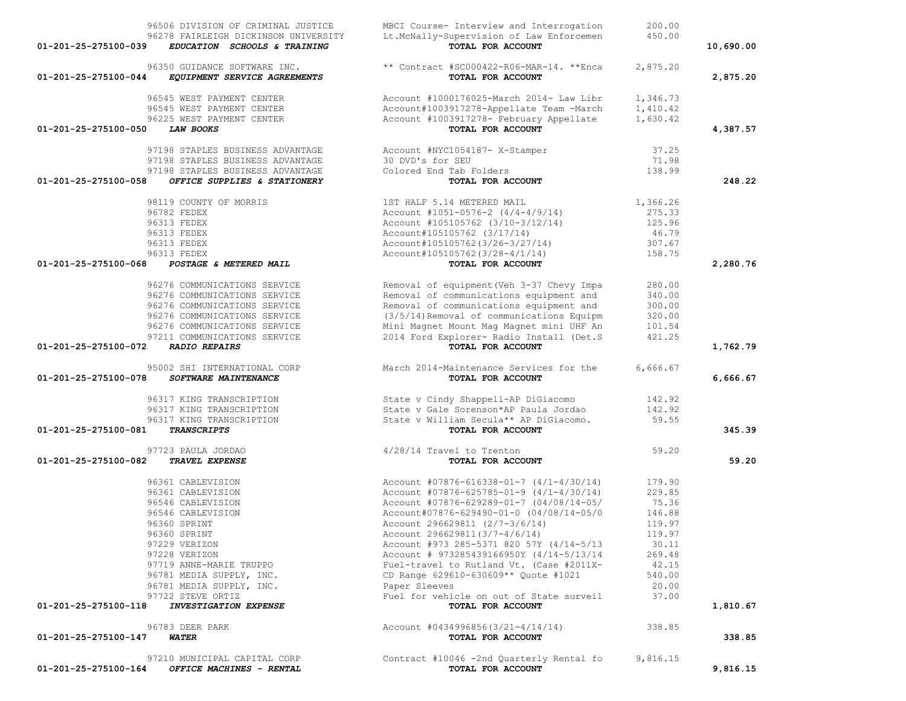|                      | 96506 DIVISION OF CRIMINAL JUSTICE                | MBCI Course- Interview and Interrogation                      | 200.00   |           |
|----------------------|---------------------------------------------------|---------------------------------------------------------------|----------|-----------|
|                      | 96278 FAIRLEIGH DICKINSON UNIVERSITY              | Lt.McNally-Supervision of Law Enforcemen                      | 450.00   |           |
| 01-201-25-275100-039 | EDUCATION SCHOOLS & TRAINING                      | TOTAL FOR ACCOUNT                                             |          | 10,690.00 |
|                      | 96350 GUIDANCE SOFTWARE INC.                      | ** Contract #SC000422-R06-MAR-14. **Enca                      | 2,875.20 |           |
| 01-201-25-275100-044 | EQUIPMENT SERVICE AGREEMENTS                      | TOTAL FOR ACCOUNT                                             |          | 2,875.20  |
|                      |                                                   |                                                               |          |           |
|                      | 96545 WEST PAYMENT CENTER                         | Account #1000176025-March 2014- Law Libr                      | 1,346.73 |           |
|                      | 96545 WEST PAYMENT CENTER                         | Account#1003917278-Appellate Team -March                      | 1,410.42 |           |
|                      | 96225 WEST PAYMENT CENTER                         | Account #1003917278- February Appellate                       | 1,630.42 |           |
| 01-201-25-275100-050 | LAW BOOKS                                         | TOTAL FOR ACCOUNT                                             |          | 4,387.57  |
|                      |                                                   |                                                               |          |           |
|                      | 97198 STAPLES BUSINESS ADVANTAGE                  | Account #NYC1054187- X-Stamper                                | 37.25    |           |
|                      | 97198 STAPLES BUSINESS ADVANTAGE                  | 30 DVD's for SEU                                              | 71.98    |           |
|                      | 97198 STAPLES BUSINESS ADVANTAGE                  | Colored End Tab Folders                                       | 138.99   |           |
| 01-201-25-275100-058 | OFFICE SUPPLIES & STATIONERY                      | TOTAL FOR ACCOUNT                                             |          | 248.22    |
|                      |                                                   |                                                               |          |           |
|                      | 98119 COUNTY OF MORRIS                            | 1ST HALF 5.14 METERED MAIL                                    | 1,366.26 |           |
|                      | 96782 FEDEX                                       | Account #1051-0576-2 $(4/4-4/9/14)$                           | 275.33   |           |
|                      | 96313 FEDEX                                       | Account #105105762 (3/10-3/12/14)                             | 125.96   |           |
|                      | 96313 FEDEX                                       | Account#105105762 (3/17/14)                                   | 46.79    |           |
|                      | 96313 FEDEX                                       | Account#105105762(3/26-3/27/14)                               | 307.67   |           |
|                      | 96313 FEDEX                                       | Account#105105762(3/28-4/1/14)                                | 158.75   |           |
| 01-201-25-275100-068 | POSTAGE & METERED MAIL                            | TOTAL FOR ACCOUNT                                             |          | 2,280.76  |
|                      |                                                   |                                                               |          |           |
|                      | 96276 COMMUNICATIONS SERVICE                      | Removal of equipment (Veh 3-37 Chevy Impa                     | 280.00   |           |
|                      | 96276 COMMUNICATIONS SERVICE                      | Removal of communications equipment and                       | 340.00   |           |
|                      | 96276 COMMUNICATIONS SERVICE                      | Removal of communications equipment and                       | 300.00   |           |
|                      | 96276 COMMUNICATIONS SERVICE                      | (3/5/14) Removal of communications Equipm                     | 320.00   |           |
|                      | 96276 COMMUNICATIONS SERVICE                      | Mini Magnet Mount Mag Magnet mini UHF An                      | 101.54   |           |
|                      | 97211 COMMUNICATIONS SERVICE                      | 2014 Ford Explorer- Radio Install (Det.S)                     | 421.25   |           |
| 01-201-25-275100-072 | <b>RADIO REPAIRS</b>                              | TOTAL FOR ACCOUNT                                             |          | 1,762.79  |
|                      | 95002 SHI INTERNATIONAL CORP                      | March 2014-Maintenance Services for the                       | 6,666.67 |           |
| 01-201-25-275100-078 | SOFTWARE MAINTENANCE                              | TOTAL FOR ACCOUNT                                             |          | 6,666.67  |
|                      |                                                   |                                                               |          |           |
|                      | 96317 KING TRANSCRIPTION                          | State v Cindy Shappell-AP DiGiacomo                           | 142.92   |           |
|                      | 96317 KING TRANSCRIPTION                          | State v Gale Sorenson*AP Paula Jordao                         | 142.92   |           |
|                      | 96317 KING TRANSCRIPTION                          | State v William Secula** AP DiGiacomo.                        | 59.55    |           |
| 01-201-25-275100-081 | <b>TRANSCRIPTS</b>                                | TOTAL FOR ACCOUNT                                             |          | 345.39    |
|                      |                                                   |                                                               |          |           |
| 01-201-25-275100-082 | 97723 PAULA JORDAO<br><b>TRAVEL EXPENSE</b>       | 4/28/14 Travel to Trenton<br>TOTAL FOR ACCOUNT                | 59.20    | 59.20     |
|                      |                                                   |                                                               |          |           |
|                      | 96361 CABLEVISION                                 | Account $#07876 - 616338 - 01 - 7$ $(4/1 - 4/30/14)$          | 179.90   |           |
|                      | 96361 CABLEVISION                                 | Account $\#07876 - 625785 - 01 - 9$ (4/1-4/30/14)             | 229.85   |           |
|                      | 96546 CABLEVISION                                 | Account #07876-629289-01-7 (04/08/14-05/                      | 75.36    |           |
|                      | 96546 CABLEVISION                                 | Account#07876-629490-01-0 (04/08/14-05/0                      | 146.88   |           |
|                      | 96360 SPRINT                                      | Account 296629811 (2/7-3/6/14)                                | 119.97   |           |
|                      | 96360 SPRINT                                      | Account 296629811(3/7-4/6/14)                                 | 119.97   |           |
|                      | 97229 VERIZON                                     | Account #973 285-5371 820 57Y (4/14-5/13                      | 30.11    |           |
|                      | 97228 VERIZON                                     | Account # 973285439166950Y (4/14-5/13/14                      | 269.48   |           |
|                      | 97719 ANNE-MARIE TRUPPO                           | Fuel-travel to Rutland Vt. (Case #2011X-                      | 42.15    |           |
|                      |                                                   |                                                               |          |           |
|                      | 96781 MEDIA SUPPLY, INC.                          | CD Range 629610-630609** Quote #1021                          | 540.00   |           |
|                      | 96781 MEDIA SUPPLY, INC.                          | Paper Sleeves                                                 | 20.00    |           |
| 01-201-25-275100-118 | 97722 STEVE ORTIZ<br><b>INVESTIGATION EXPENSE</b> | Fuel for vehicle on out of State surveil<br>TOTAL FOR ACCOUNT | 37.00    | 1,810.67  |
|                      |                                                   |                                                               |          |           |
|                      | 96783 DEER PARK                                   | Account $\#0434996856(3/21-4/14/14)$                          | 338.85   |           |
| 01-201-25-275100-147 | <b>WATER</b>                                      | TOTAL FOR ACCOUNT                                             |          | 338.85    |
|                      |                                                   |                                                               |          |           |
|                      | 97210 MUNICIPAL CAPITAL CORP                      | Contract #10046 -2nd Quarterly Rental fo                      | 9,816.15 |           |
| 01-201-25-275100-164 | OFFICE MACHINES - RENTAL                          | TOTAL FOR ACCOUNT                                             |          | 9,816.15  |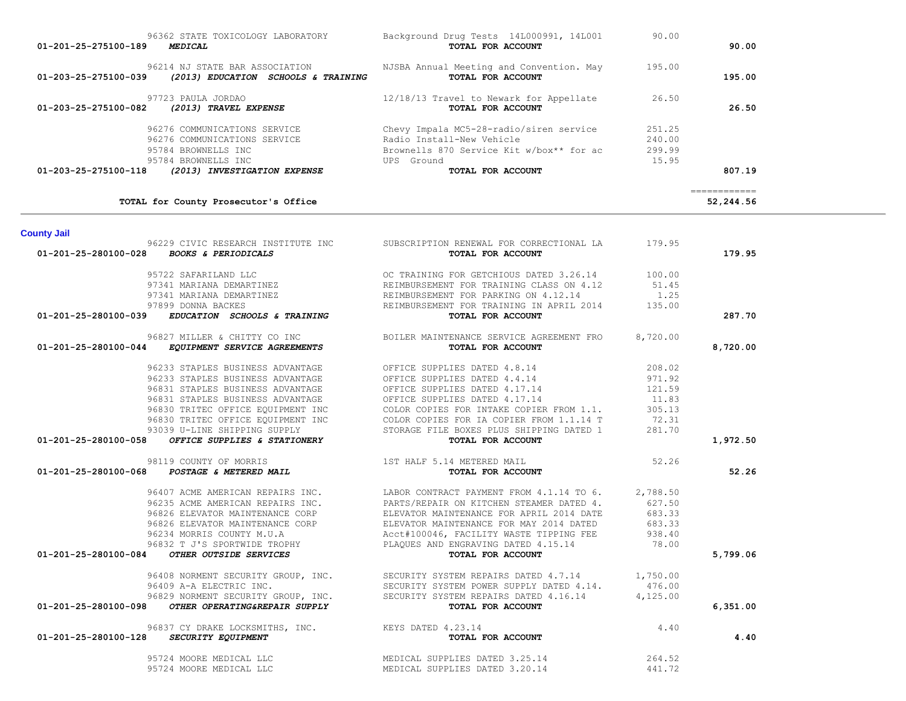|                                                                                                     |                                                                                                                                                                              |          | ------------ |
|-----------------------------------------------------------------------------------------------------|------------------------------------------------------------------------------------------------------------------------------------------------------------------------------|----------|--------------|
| TOTAL for County Prosecutor's Office                                                                |                                                                                                                                                                              |          | 52,244.56    |
| <b>County Jail</b>                                                                                  |                                                                                                                                                                              |          |              |
| 96229 CIVIC RESEARCH INSTITUTE INC                                                                  | SUBSCRIPTION RENEWAL FOR CORRECTIONAL LA                                                                                                                                     | 179.95   |              |
| 01-201-25-280100-028<br><b>BOOKS &amp; PERIODICALS</b>                                              | TOTAL FOR ACCOUNT                                                                                                                                                            |          | 179.95       |
|                                                                                                     | OC TRAINING FOR GETCHIOUS DATED 3.26.14 100.00                                                                                                                               |          |              |
|                                                                                                     | 95722 SAFARILAND LLC<br>97341 MARIANA DEMARTINEZ<br>97341 MARIANA DEMARTINEZ<br>97341 MARIANA DEMARTINEZ<br>REIMBURSEMENT FOR PARKING ON 4.12.14                             | 51.45    |              |
|                                                                                                     |                                                                                                                                                                              | 1.25     |              |
| 97899 DONNA BACKES                                                                                  | REIMBURSEMENT FOR TRAINING IN APRIL 2014                                                                                                                                     | 135.00   |              |
| EDUCATION SCHOOLS & TRAINING<br>01-201-25-280100-039                                                | TOTAL FOR ACCOUNT                                                                                                                                                            |          | 287.70       |
| 96827 MILLER & CHITTY CO INC                                                                        | BOILER MAINTENANCE SERVICE AGREEMENT FRO                                                                                                                                     | 8,720.00 |              |
| 01-201-25-280100-044 EQUIPMENT SERVICE AGREEMENTS                                                   | TOTAL FOR ACCOUNT                                                                                                                                                            |          | 8,720.00     |
| 96233 STAPLES BUSINESS ADVANTAGE                                                                    | OFFICE SUPPLIES DATED 4.8.14                                                                                                                                                 | 208.02   |              |
| 96233 STAPLES BUSINESS ADVANTAGE OFFICE SUPPLIES DATED 4.4.14                                       |                                                                                                                                                                              | 971.92   |              |
| 96831 STAPLES BUSINESS ADVANTAGE                                                                    | OFFICE SUPPLIES DATED 4.17.14                                                                                                                                                | 121.59   |              |
| 96831 STAPLES BUSINESS ADVANTAGE                                                                    | OFFICE SUPPLIES DATED 4.17.14<br>OFFICE SUPPLIES DATED 4.17.14                                                                                                               | 11.83    |              |
| 96830 TRITEC OFFICE EQUIPMENT INC                                                                   |                                                                                                                                                                              | 305.13   |              |
| 96830 TRITEC OFFICE EQUIPMENT INC                                                                   |                                                                                                                                                                              | 72.31    |              |
| 93039 U-LINE SHIPPING SUPPLY                                                                        | COLOR COPIES FOR INTAKE COPIER FROM 1.1.<br>COLOR COPIES FOR IA COPIER FROM 1.1.14 T<br>STORAGE FILE BOXES PLUS SHIPPING DATED 1<br>STORAGE FILE BOXES PLUS SHIPPING DATED 1 | 281.70   |              |
| OFFICE SUPPLIES & STATIONERY<br>01-201-25-280100-058                                                | TOTAL FOR ACCOUNT                                                                                                                                                            |          | 1,972.50     |
| 98119 COUNTY OF MORRIS                                                                              | 1ST HALF 5.14 METERED MAIL                                                                                                                                                   | 52.26    |              |
| 01-201-25-280100-068 POSTAGE & METERED MAIL                                                         | TOTAL FOR ACCOUNT                                                                                                                                                            |          | 52.26        |
|                                                                                                     |                                                                                                                                                                              |          |              |
|                                                                                                     | 96407 ACME AMERICAN REPAIRS INC.<br>96235 ACME AMERICAN REPAIRS INC. PARTS/REPAIR ON KITCHEN STEAMER DATED 4.<br>LABOR CONTRACT PAYMENT FROM 4.1.14 TO 6.                    | 2,788.50 |              |
|                                                                                                     |                                                                                                                                                                              | 627.50   |              |
| 96826 ELEVATOR MAINTENANCE CORP                                                                     | ELEVATOR MAINTENANCE FOR APRIL 2014 DATE                                                                                                                                     | 683.33   |              |
| 96826 ELEVATOR MAINTENANCE CORP                                                                     | ELEVATOR MAINTENANCE FOR MAY 2014 DATED                                                                                                                                      | 683.33   |              |
| 96234 MORRIS COUNTY M.U.A                                                                           | Acct#100046, FACILITY WASTE TIPPING FEE                                                                                                                                      | 938.40   |              |
| 96832 T J'S SPORTWIDE TROPHY                                                                        | PLAQUES AND ENGRAVING DATED 4.15.14                                                                                                                                          | 78.00    |              |
| OTHER OUTSIDE SERVICES<br>01-201-25-280100-084                                                      | TOTAL FOR ACCOUNT                                                                                                                                                            |          | 5,799.06     |
| 96408 NORMENT SECURITY GROUP, INC.<br>96409 A-A ELECTRIC INC.<br>96829 NORMENT SECURITY GROUP, INC. | SECURITY SYSTEM REPAIRS DATED 4.7.14 1,750.00                                                                                                                                |          |              |
|                                                                                                     | SECURITY SYSTEM POWER SUPPLY DATED 4.14.                                                                                                                                     | 476.00   |              |
|                                                                                                     | SECURITY SYSTEM REPAIRS DATED 4.16.14                                                                                                                                        | 4,125.00 |              |
| OTHER OPERATING&REPAIR SUPPLY<br>01-201-25-280100-098                                               | TOTAL FOR ACCOUNT                                                                                                                                                            |          | 6,351.00     |
| 96837 CY DRAKE LOCKSMITHS, INC. KEYS DATED 4.23.14                                                  |                                                                                                                                                                              | 4.40     |              |
| SECURITY EQUIPMENT<br>01-201-25-280100-128                                                          | TOTAL FOR ACCOUNT                                                                                                                                                            |          | 4.40         |
| 95724 MOORE MEDICAL LLC                                                                             | MEDICAL SUPPLIES DATED 3.25.14                                                                                                                                               | 264.52   |              |
| 95724 MOORE MEDICAL LLC                                                                             | MEDICAL SUPPLIES DATED 3.20.14                                                                                                                                               | 441.72   |              |

| 01-201-25-275100-189 | 96362 STATE TOXICOLOGY LABORATORY<br><i><b>MEDICAL</b></i>                 | Background Drug Tests 14L000991, 14L001<br>TOTAL FOR ACCOUNT                | 90.00            | 90.00        |
|----------------------|----------------------------------------------------------------------------|-----------------------------------------------------------------------------|------------------|--------------|
| 01-203-25-275100-039 | 96214 NJ STATE BAR ASSOCIATION<br>(2013) EDUCATION SCHOOLS & TRAINING      | NJSBA Annual Meeting and Convention. May<br>TOTAL FOR ACCOUNT               | 195.00           | 195.00       |
| 01-203-25-275100-082 | 97723 PAULA JORDAO<br>(2013) TRAVEL EXPENSE                                | 12/18/13 Travel to Newark for Appellate<br>TOTAL FOR ACCOUNT                | 26.50            | 26.50        |
|                      | 96276 COMMUNICATIONS SERVICE<br>96276 COMMUNICATIONS SERVICE               | Chevy Impala MC5-28-radio/siren service<br>Radio Install-New Vehicle        | 251.25<br>240.00 |              |
| 01-203-25-275100-118 | 95784 BROWNELLS INC<br>95784 BROWNELLS INC<br>(2013) INVESTIGATION EXPENSE | Brownells 870 Service Kit w/box** for ac<br>UPS Ground<br>TOTAL FOR ACCOUNT | 299.99<br>15.95  | 807.19       |
|                      |                                                                            |                                                                             |                  | ============ |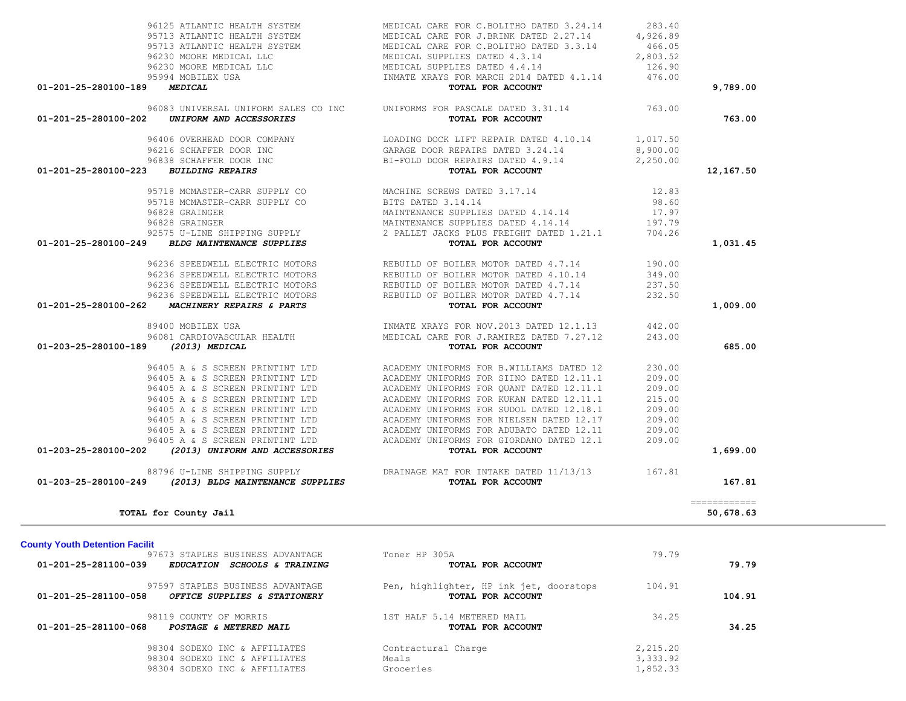| 96230 MOORE MEDICAL LLC<br>96230 MOORE MEDICAL LLC                                       | MEDICAL SUPPLIES DATED 4.3.14<br>MEDICAL SUPPLIES DATED 4.4.14                       | 2,803.52<br>126.90 |                                          |
|------------------------------------------------------------------------------------------|--------------------------------------------------------------------------------------|--------------------|------------------------------------------|
| 95994 MOBILEX USA                                                                        | INMATE XRAYS FOR MARCH 2014 DATED 4.1.14                                             | 476.00             |                                          |
| 01-201-25-280100-189<br>MEDICAL                                                          | TOTAL FOR ACCOUNT                                                                    |                    | 9,789.00                                 |
| 96083 UNIVERSAL UNIFORM SALES CO INC<br>01-201-25-280100-202<br>UNIFORM AND ACCESSORIES  | UNIFORMS FOR PASCALE DATED 3.31.14<br>TOTAL FOR ACCOUNT                              | 763.00             | 763.00                                   |
|                                                                                          | 96406 OVERHEAD DOOR COMPANY LOADING DOCK LIFT REPAIR DATED 4.10.14 1,017.50          |                    |                                          |
| 96216 SCHAFFER DOOR INC                                                                  | GARAGE DOOR REPAIRS DATED 3.24.14<br>BI-FOLD DOOR REPAIRS DATED 4.9.14               | 8,900.00           |                                          |
| 96838 SCHAFFER DOOR INC                                                                  |                                                                                      | 2,250.00           |                                          |
| 01-201-25-280100-223<br><b>BUILDING REPAIRS</b>                                          | TOTAL FOR ACCOUNT                                                                    |                    | 12,167.50                                |
| 95718 MCMASTER-CARR SUPPLY CO<br>95718 MCMASTER-CARR SUPPLY CO                           | MACHINE SCREWS DATED 3.17.14                                                         | 12.83              |                                          |
| 95718 MCMASTER-CARR SUPPLY CO                                                            | BITS DATED 3.14.14                                                                   | 98.60              |                                          |
| 96828 GRAINGER                                                                           | MAINTENANCE SUPPLIES DATED 4.14.14                                                   | 17.97              |                                          |
| 96828 GRAINGER                                                                           | MAINTENANCE SUPPLIES DATED 4.14.14                                                   | 197.79             |                                          |
| 92575 U-LINE SHIPPING SUPPLY<br>01-201-25-280100-249 BLDG MAINTENANCE SUPPLIES           | 2 PALLET JACKS PLUS FREIGHT DATED 1.21.1 704.26<br>TOTAL FOR ACCOUNT                 |                    | 1,031.45                                 |
|                                                                                          | 96236 SPEEDWELL ELECTRIC MOTORS REBUILD OF BOILER MOTOR DATED 4.7.14                 | 190.00             |                                          |
| 96236 SPEEDWELL ELECTRIC MOTORS                                                          | REBUILD OF BOILER MOTOR DATED 4.10.14                                                | 349.00             |                                          |
| 96236 SPEEDWELL ELECTRIC MOTORS                                                          | REBUILD OF BOILER MOTOR DATED 4.7.14                                                 | 237.50             |                                          |
| 96236 SPEEDWELL ELECTRIC MOTORS                                                          | REBUILD OF BOILER MOTOR DATED 4.7.14                                                 | 232.50             |                                          |
| 01-201-25-280100-262 MACHINERY REPAIRS & PARTS                                           | TOTAL FOR ACCOUNT                                                                    |                    | 1,009.00                                 |
| 89400 MOBILEX USA                                                                        | INMATE XRAYS FOR NOV.2013 DATED 12.1.13                                              | 442.00             |                                          |
| 96081 CARDIOVASCULAR HEALTH                                                              | MEDICAL CARE FOR J.RAMIREZ DATED 7.27.12                                             | 243.00             |                                          |
| 01-203-25-280100-189 (2013) MEDICAL                                                      | TOTAL FOR ACCOUNT                                                                    |                    | 685.00                                   |
| 96405 A & S SCREEN PRINTINT LTD                                                          | ACADEMY UNIFORMS FOR B.WILLIAMS DATED 12                                             | 230.00             |                                          |
| 96405 A & S SCREEN PRINTINT LTD                                                          | ACADEMY UNIFORMS FOR SIINO DATED 12.11.1                                             | 209.00             |                                          |
| 96405 A & S SCREEN PRINTINT LTD                                                          | ACADEMY UNIFORMS FOR QUANT DATED 12.11.1                                             | 209.00             |                                          |
| 96405 A & S SCREEN PRINTINT LTD                                                          | ACADEMY UNIFORMS FOR KUKAN DATED 12.11.1                                             | 215.00             |                                          |
| 96405 A & S SCREEN PRINTINT LTD                                                          | ACADEMY UNIFORMS FOR SUDOL DATED 12.18.1                                             | 209.00             |                                          |
| 96405 A & S SCREEN PRINTINT LTD<br>96405 A & S SCREEN PRINTINT LTD                       | ACADEMY UNIFORMS FOR NIELSEN DATED 12.17<br>ACADEMY UNIFORMS FOR ADUBATO DATED 12.11 | 209.00<br>209.00   |                                          |
| 96405 A & S SCREEN PRINTINT LTD                                                          | ACADEMY UNIFORMS FOR GIORDANO DATED 12.1                                             | 209.00             |                                          |
| (2013) UNIFORM AND ACCESSORIES<br>01-203-25-280100-202                                   | TOTAL FOR ACCOUNT                                                                    |                    | 1,699.00                                 |
| 88796 U-LINE SHIPPING SUPPLY<br>01-203-25-280100-249<br>(2013) BLDG MAINTENANCE SUPPLIES | DRAINAGE MAT FOR INTAKE DATED 11/13/13 167.81<br>TOTAL FOR ACCOUNT                   |                    | 167.81                                   |
|                                                                                          |                                                                                      |                    |                                          |
| TOTAL for County Jail                                                                    |                                                                                      |                    | $=$ = = = = = = = = = = = =<br>50,678.63 |
| <b>County Youth Detention Facilit</b>                                                    |                                                                                      |                    |                                          |
| 97673 STAPLES BUSINESS ADVANTAGE                                                         | Toner HP 305A                                                                        | 79.79              |                                          |
| 01-201-25-281100-039 EDUCATION SCHOOLS & TRAINING                                        | TOTAL FOR ACCOUNT                                                                    |                    | 79.79                                    |
| 97597 STAPLES BUSINESS ADVANTAGE<br>01-201-25-281100-058<br>OFFICE SUPPLIES & STATIONERY | Pen, highlighter, HP ink jet, doorstops<br>TOTAL FOR ACCOUNT                         | 104.91             | 104.91                                   |
| 98119 COUNTY OF MORRIS<br>01-201-25-281100-068 POSTAGE & METERED MAIL                    | 1ST HALF 5.14 METERED MAIL<br>TOTAL FOR ACCOUNT                                      | 34.25              | 34.25                                    |
| 98304 SODEXO INC & AFFILIATES                                                            | Contractural Charge                                                                  | 2,215.20           |                                          |
| 98304 SODEXO INC & AFFILIATES                                                            | Meals                                                                                | 3,333.92           |                                          |
| 98304 SODEXO INC & AFFILIATES                                                            | Groceries                                                                            | 1,852.33           |                                          |
|                                                                                          |                                                                                      |                    |                                          |

96125 ATLANTIC HEALTH SYSTEM MEDICAL CARE FOR C.BOLITHO DATED 3.24.14 283.40<br>95713 ATLANTIC HEALTH SYSTEM MEDICAL CARE FOR J.BRINK DATED 2.27.14 4,926.89 95713 ATLANTIC HEALTH SYSTEM MEDICAL CARE FOR J.BRINK DATED 2.27.14 4,926.89<br>95713 ATLANTIC HEALTH SYSTEM MEDICAL CARE FOR C.BOLITHO DATED 3.3.14 466.05

95713 ATLANTIC HEALTH SYSTEM MEDICAL CARE FOR C.BOLITHO DATED 3.3.14 466.05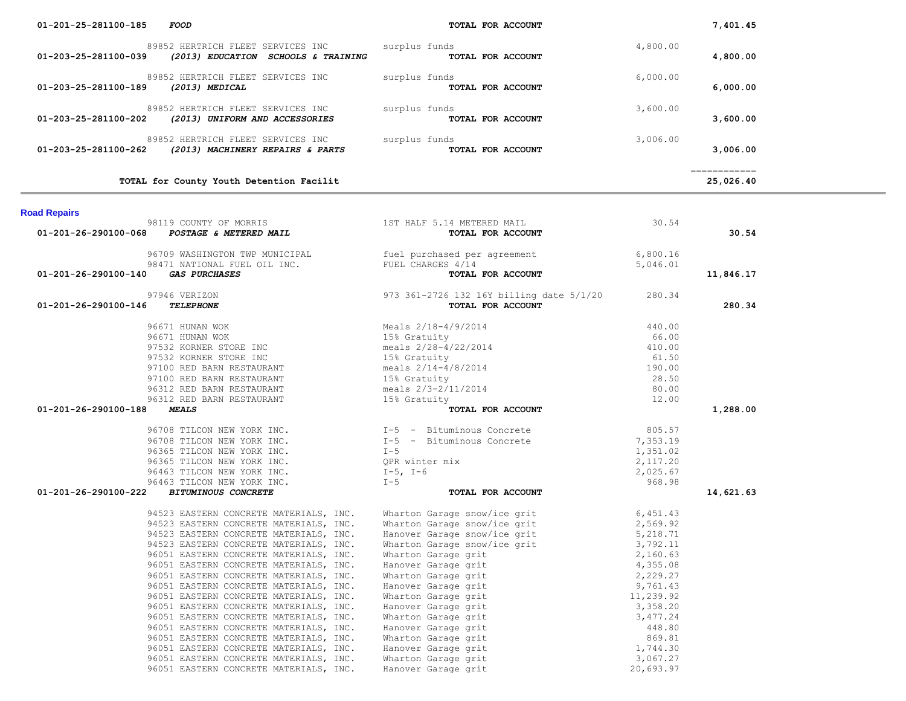| 01-203-23-201100-109<br>(2013) MEDICAL                                                                   | TOTAL FOR ACCOUNT                                                                                                                                                                                                                                                      |          | 6,000.00                                                                                                                                                                                                                                                                                                                                                                                                                                                                                            |
|----------------------------------------------------------------------------------------------------------|------------------------------------------------------------------------------------------------------------------------------------------------------------------------------------------------------------------------------------------------------------------------|----------|-----------------------------------------------------------------------------------------------------------------------------------------------------------------------------------------------------------------------------------------------------------------------------------------------------------------------------------------------------------------------------------------------------------------------------------------------------------------------------------------------------|
| 89852 HERTRICH FLEET SERVICES INC surplus funds<br>01-203-25-281100-202 (2013) UNIFORM AND ACCESSORIES   | TOTAL FOR ACCOUNT                                                                                                                                                                                                                                                      | 3,600.00 | 3,600.00                                                                                                                                                                                                                                                                                                                                                                                                                                                                                            |
| 89852 HERTRICH FLEET SERVICES INC surplus funds<br>01-203-25-281100-262 (2013) MACHINERY REPAIRS & PARTS | TOTAL FOR ACCOUNT                                                                                                                                                                                                                                                      | 3,006.00 | 3,006.00                                                                                                                                                                                                                                                                                                                                                                                                                                                                                            |
| TOTAL for County Youth Detention Facilit                                                                 |                                                                                                                                                                                                                                                                        |          | $\begin{array}{cccccccccc} \multicolumn{2}{c}{} & \multicolumn{2}{c}{} & \multicolumn{2}{c}{} & \multicolumn{2}{c}{} & \multicolumn{2}{c}{} & \multicolumn{2}{c}{} & \multicolumn{2}{c}{} & \multicolumn{2}{c}{} & \multicolumn{2}{c}{} & \multicolumn{2}{c}{} & \multicolumn{2}{c}{} & \multicolumn{2}{c}{} & \multicolumn{2}{c}{} & \multicolumn{2}{c}{} & \multicolumn{2}{c}{} & \multicolumn{2}{c}{} & \multicolumn{2}{c}{} & \multicolumn{2}{c}{} & \multicolumn{2}{c}{} & \mult$<br>25,026.40 |
| <b>Road Repairs</b>                                                                                      |                                                                                                                                                                                                                                                                        |          |                                                                                                                                                                                                                                                                                                                                                                                                                                                                                                     |
| 01-201-26-290100-068                                                                                     | 98119 COUNTY OF MORRIS<br>3 POSTAGE & METERED MAIL<br>3 POSTAGE & METERED MAIL<br>TOTAL FOR ACCOUNT                                                                                                                                                                    | 30.54    | 30.54                                                                                                                                                                                                                                                                                                                                                                                                                                                                                               |
| 01-201-26-290100-140 GAS PURCHASES                                                                       | 96709 WASHINGTON TWP MUNICIPAL fuel purchased per agreement 6,800.16<br>98471 NATIONAL FUEL OIL INC. FUEL CHARGES 4/14<br><b>TOTAL FOR ACCOUNT</b> 5,046.01                                                                                                            |          | 11,846.17                                                                                                                                                                                                                                                                                                                                                                                                                                                                                           |
| 01-201-26-290100-146                                                                                     |                                                                                                                                                                                                                                                                        |          | 280.34                                                                                                                                                                                                                                                                                                                                                                                                                                                                                              |
| 01-201-26-290100-188                                                                                     | 9679<br>9679 WERIZON<br><b>CAS PURCHASES</b><br>97946 VERIZON<br><b>CAS PURCHASES</b><br>97946 VERIZON<br>9796 VERIZON<br>9796 VERIZON<br>9796 VERIZON<br>9796 VERIZON<br>9796 VERIZON<br>9796 VERIZON<br>9796 VERIZON<br>9796 VERIZON<br>9796 VERIZON<br>9796 VERIZON |          | 1,288.00                                                                                                                                                                                                                                                                                                                                                                                                                                                                                            |
|                                                                                                          | 96708 TILCON NEW YORK INC.<br>96708 TILCON NEW YORK INC.<br>96365 TILCON NEW YORK INC.<br>96365 TILCON NEW YORK INC.<br>96365 TILCON NEW YORK INC.<br>96463 TILCON NEW YORK INC.<br>96463 TILCON NEW YORK INC.<br>96463 TILCON NEW YORK INC.                           |          |                                                                                                                                                                                                                                                                                                                                                                                                                                                                                                     |
| 01-201-26-290100-222                                                                                     | 94523 EASTERN CONCRETE MATERIALS, INC. Wharton Garage snow/ice grit $2,569.92$<br>94523 EASTERN CONCRETE MATERIALS, INC. Wharton Garage snow/ice grit $2,569.92$<br>94523 EASTERN CONCRETE MATERIALS, INC. Hanover Garage snow/ic                                      |          | 14,621.63                                                                                                                                                                                                                                                                                                                                                                                                                                                                                           |

# 89852 HERTRICH FLEET SERVICES INC surplus funds 4,800.00<br> **89852 HERTRICH FLEET SERVICES INC** surplus funds **TOTAL FOR ACCOUNT** 4,800.00  **01-203-25-281100-039** *(2013) EDUCATION SCHOOLS & TRAINING* **TOTAL FOR ACCOUNT 4,800.00** 89852 HERTRICH FLEET SERVICES INC surplus funds 6,000.00 6,000.00  **01-203-25-281100-189** *(2013) MEDICAL* **TOTAL FOR ACCOUNT 6,000.00**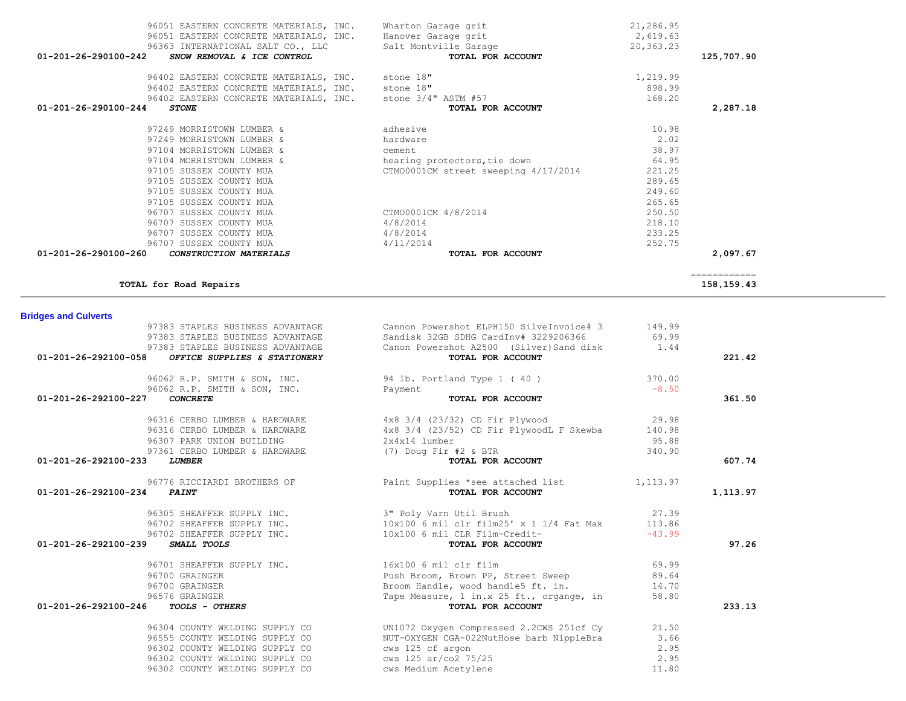| <b>Bridges and Culverts</b>                          |                                                                     |          |          |
|------------------------------------------------------|---------------------------------------------------------------------|----------|----------|
| 97383 STAPLES BUSINESS ADVANTAGE                     | Cannon Powershot ELPH150 SilveInvoice# 3 149.99                     |          |          |
| 97383 STAPLES BUSINESS ADVANTAGE                     | Sandisk 32GB SDHG CardInv# 3229206366                               | 69.99    |          |
| 97383 STAPLES BUSINESS ADVANTAGE                     | Canon Powershot A2500 (Silver) Sand disk 1.44                       |          |          |
| 01-201-26-292100-058<br>OFFICE SUPPLIES & STATIONERY | TOTAL FOR ACCOUNT                                                   |          | 221.42   |
|                                                      | 96062 R.P. SMITH & SON, INC. 94 lb. Portland Type 1 (40) 370.00     |          |          |
| 96062 R.P. SMITH & SON, INC. Payment                 |                                                                     | $-8.50$  |          |
| 01-201-26-292100-227<br><b>CONCRETE</b>              | TOTAL FOR ACCOUNT                                                   |          | 361.50   |
|                                                      | 96316 CERBO LUMBER & HARDWARE 4x8 3/4 (23/32) CD Fir Plywood 29.98  |          |          |
| 96316 CERBO LUMBER & HARDWARE                        | 4x8 3/4 (23/52) CD Fir PlywoodL F Skewba 140.98                     |          |          |
| 96307 PARK UNION BUILDING                            | 2x4x14 lumber                                                       | 95.88    |          |
| 97361 CERBO LUMBER & HARDWARE                        | (7) Doug Fir #2 & BTR                                               | 340.90   |          |
| 01-201-26-292100-233<br><b>LUMBER</b>                | TOTAL FOR ACCOUNT                                                   |          | 607.74   |
| 96776 RICCIARDI BROTHERS OF                          | Paint Supplies *see attached list 1,113.97                          |          |          |
| 01-201-26-292100-234<br><b>PAINT</b>                 | TOTAL FOR ACCOUNT                                                   |          | 1,113.97 |
| 96305 SHEAFFER SUPPLY INC. 3" Poly Varn Util Brush   |                                                                     | 27.39    |          |
|                                                      | 96702 SHEAFFER SUPPLY INC. 10x100 6 mil clr film25' x 1 1/4 Fat Max | 113.86   |          |
|                                                      | 96702 SHEAFFER SUPPLY INC. 10x100 6 mil CLR Film-Credit-            | $-43.99$ |          |
| 01-201-26-292100-239<br>SMALL TOOLS                  | TOTAL FOR ACCOUNT                                                   |          | 97.26    |
| 96701 SHEAFFER SUPPLY INC.                           | 16x100 6 mil clr film                                               | 69.99    |          |
| 96700 GRAINGER                                       | Push Broom, Brown PP, Street Sweep 89.64                            |          |          |
| 96700 GRAINGER                                       | Broom Handle, wood handle5 ft. in. 14.70                            |          |          |
| 96576 GRAINGER                                       | Tape Measure, 1 in.x 25 ft., organge, in                            | 58.80    |          |
| 01-201-26-292100-246<br><b>TOOLS - OTHERS</b>        | TOTAL FOR ACCOUNT                                                   |          | 233.13   |
| 96304 COUNTY WELDING SUPPLY CO                       | UN1072 Oxygen Compressed 2.2CWS 251cf Cy                            | 21.50    |          |
| 96555 COUNTY WELDING SUPPLY CO                       | NUT-OXYGEN CGA-022NutHose barb NippleBra                            | 3.66     |          |
| 96302 COUNTY WELDING SUPPLY CO                       | cws 125 cf argon                                                    | 2.95     |          |
| 96302 COUNTY WELDING SUPPLY CO                       | cws 125 ar/co2 75/25                                                | 2.95     |          |
| 96302 COUNTY WELDING SUPPLY CO                       | cws Medium Acetylene                                                | 11.80    |          |

| 96051 EASTERN CONCRETE MATERIALS, INC.                     | Wharton Garage grit                  | 21,286.95 |            |
|------------------------------------------------------------|--------------------------------------|-----------|------------|
| 96051 EASTERN CONCRETE MATERIALS, INC. Hanover Garage grit |                                      | 2,619.63  |            |
| 96363 INTERNATIONAL SALT CO., LLC                          | Salt Montville Garage                | 20,363.23 |            |
| 01-201-26-290100-242<br>SNOW REMOVAL & ICE CONTROL         | TOTAL FOR ACCOUNT                    |           | 125,707.90 |
| 96402 EASTERN CONCRETE MATERIALS, INC.                     | stone 18"                            | 1,219.99  |            |
| 96402 EASTERN CONCRETE MATERIALS, INC. stone 18"           |                                      | 898.99    |            |
| 96402 EASTERN CONCRETE MATERIALS, INC. stone 3/4" ASTM #57 |                                      | 168.20    |            |
| $01 - 201 - 26 - 290100 - 244$<br><b>STONE</b>             | TOTAL FOR ACCOUNT                    |           | 2,287.18   |
| 97249 MORRISTOWN LUMBER &                                  | adhesive                             | 10.98     |            |
| 97249 MORRISTOWN LUMBER &                                  | hardware                             | 2.02      |            |
| 97104 MORRISTOWN LUMBER &                                  | cement                               | 38.97     |            |
| 97104 MORRISTOWN LUMBER &                                  | hearing protectors, tie down         | 64.95     |            |
| 97105 SUSSEX COUNTY MUA                                    | CTM00001CM street sweeping 4/17/2014 | 221.25    |            |
| 97105 SUSSEX COUNTY MUA                                    |                                      | 289.65    |            |
| 97105 SUSSEX COUNTY MUA                                    |                                      | 249.60    |            |
| 97105 SUSSEX COUNTY MUA                                    |                                      | 265.65    |            |
| 96707 SUSSEX COUNTY MUA                                    | CTM00001CM 4/8/2014                  | 250.50    |            |
| 96707 SUSSEX COUNTY MUA                                    | 4/8/2014                             | 218.10    |            |
| 96707 SUSSEX COUNTY MUA                                    | 4/8/2014                             | 233.25    |            |
| 96707 SUSSEX COUNTY MUA                                    | 4/11/2014                            | 252.75    |            |
| 01-201-26-290100-260<br>CONSTRUCTION MATERIALS             | TOTAL FOR ACCOUNT                    |           | 2,097.67   |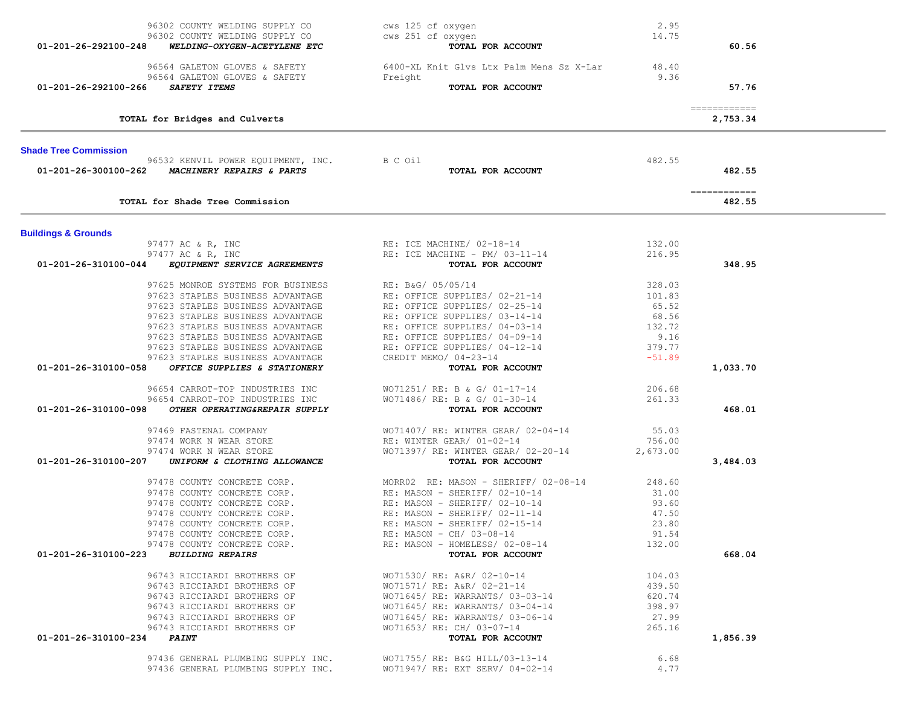| 96302 COUNTY WELDING SUPPLY CO<br>96302 COUNTY WELDING SUPPLY CO<br>01-201-26-292100-248<br>WELDING-OXYGEN-ACETYLENE ETC | cws 125 cf oxygen<br>cws 251 cf oxygen<br>TOTAL FOR ACCOUNT                                                                                                                                                                                      | 2.95<br>14.75    | 60.56                                 |  |
|--------------------------------------------------------------------------------------------------------------------------|--------------------------------------------------------------------------------------------------------------------------------------------------------------------------------------------------------------------------------------------------|------------------|---------------------------------------|--|
| 96564 GALETON GLOVES & SAFETY<br>96564 GALETON GLOVES & SAFETY<br>SAFETY ITEMS<br>01-201-26-292100-266                   | 6400-XL Knit Glvs Ltx Palm Mens Sz X-Lar 48.40<br>Freight<br>TOTAL FOR ACCOUNT                                                                                                                                                                   | 9.36             | 57.76                                 |  |
| TOTAL for Bridges and Culverts                                                                                           |                                                                                                                                                                                                                                                  |                  | ============<br>2,753.34              |  |
| <b>Shade Tree Commission</b>                                                                                             |                                                                                                                                                                                                                                                  |                  |                                       |  |
| 96532 KENVIL POWER EQUIPMENT, INC. B C Oil<br>01-201-26-300100-262 MACHINERY REPAIRS & PARTS                             | TOTAL FOR ACCOUNT                                                                                                                                                                                                                                | 482.55           | 482.55                                |  |
| TOTAL for Shade Tree Commission                                                                                          |                                                                                                                                                                                                                                                  |                  | $=$ = = = = = = = = = = = =<br>482.55 |  |
| <b>Buildings &amp; Grounds</b>                                                                                           |                                                                                                                                                                                                                                                  |                  |                                       |  |
| 97477 AC & R, INC                                                                                                        | RE: ICE MACHINE/ 02-18-14                                                                                                                                                                                                                        | 132.00           |                                       |  |
| 97477 AC & R, INC                                                                                                        | RE: ICE MACHINE - PM/ 03-11-14                                                                                                                                                                                                                   | 216.95           |                                       |  |
| 01-201-26-310100-044 EQUIPMENT SERVICE AGREEMENTS                                                                        | TOTAL FOR ACCOUNT                                                                                                                                                                                                                                |                  | 348.95                                |  |
| 97625 MONROE SYSTEMS FOR BUSINESS                                                                                        | RE: B&G/ 05/05/14<br>RE: OFFICE SUPPLIES/ 02-21-14<br>RE: OFFICE SUPPLIES/ 02-25-14<br>RE: OFFICE SUPPLIES/ 03-14-14<br>RE: OFFICE SUPPLIES/ 04-03-14<br>RE: OFFICE SUPPLIES/ 04-09-14<br>RE: OFFICE SUPPLIES/ 04-12-14<br>CREDIT MEMO/ 04-23-14 | 328.03           |                                       |  |
| 97623 STAPLES BUSINESS ADVANTAGE                                                                                         | RE: OFFICE SUPPLIES/ 02-21-14                                                                                                                                                                                                                    | 101.83           |                                       |  |
| 97623 STAPLES BUSINESS ADVANTAGE                                                                                         |                                                                                                                                                                                                                                                  | 65.52            |                                       |  |
| 97623 STAPLES BUSINESS ADVANTAGE                                                                                         |                                                                                                                                                                                                                                                  | 68.56            |                                       |  |
| 97623 STAPLES BUSINESS ADVANTAGE                                                                                         |                                                                                                                                                                                                                                                  | 132.72           |                                       |  |
| 97623 STAPLES BUSINESS ADVANTAGE                                                                                         |                                                                                                                                                                                                                                                  | 9.16             |                                       |  |
| 97623 STAPLES BUSINESS ADVANTAGE                                                                                         |                                                                                                                                                                                                                                                  | 379.77           |                                       |  |
| 97623 STAPLES BUSINESS ADVANTAGE<br>OFFICE SUPPLIES & STATIONERY<br>01-201-26-310100-058                                 | TOTAL FOR ACCOUNT                                                                                                                                                                                                                                | $-51.89$         | 1,033.70                              |  |
| 96654 CARROT-TOP INDUSTRIES INC                                                                                          | WO71251/ RE: B & G/ 01-17-14                                                                                                                                                                                                                     | 206.68           |                                       |  |
| 96654 CARROT-TOP INDUSTRIES INC<br>01-201-26-310100-098<br>OTHER OPERATING&REPAIR SUPPLY                                 | WO71486/ RE: B & G/ 01-30-14<br>TOTAL FOR ACCOUNT                                                                                                                                                                                                | 261.33           | 468.01                                |  |
|                                                                                                                          |                                                                                                                                                                                                                                                  |                  |                                       |  |
| 97469 FASTENAL COMPANY                                                                                                   | WO71407/ RE: WINTER GEAR/ 02-04-14                                                                                                                                                                                                               | 55.03            |                                       |  |
| 97474 WORK N WEAR STORE                                                                                                  | RE: WINTER GEAR/ 01-02-14                                                                                                                                                                                                                        | 756.00           |                                       |  |
| 97474 WORK N WEAR STORE                                                                                                  | WO71397/ RE: WINTER GEAR/ 02-20-14                                                                                                                                                                                                               | 2,673.00         |                                       |  |
| 01-201-26-310100-207<br>UNIFORM & CLOTHING ALLOWANCE                                                                     | TOTAL FOR ACCOUNT                                                                                                                                                                                                                                |                  | 3,484.03                              |  |
| 97478 COUNTY CONCRETE CORP.                                                                                              |                                                                                                                                                                                                                                                  | 248.60           |                                       |  |
| 97478 COUNTY CONCRETE CORP.                                                                                              | MORR02 RE: MASON - SHERIFF/ 02-08-14<br>RE: MASON - SHERIFF/ 02-10-14<br>RE: MASON - SHERIFF/ 02-10-14<br>RE: MASON - SHERIFF/ 02-11-14<br>RE: MASON - SHERIFF/ 02-11-14                                                                         | 31.00            |                                       |  |
| 97478 COUNTY CONCRETE CORP.                                                                                              |                                                                                                                                                                                                                                                  | 93.60            |                                       |  |
| 97478 COUNTY CONCRETE CORP.                                                                                              |                                                                                                                                                                                                                                                  | 47.50            |                                       |  |
| 97478 COUNTY CONCRETE CORP.                                                                                              | RE: MASON - SHERIFF/ 02-15-14                                                                                                                                                                                                                    | 23.80            |                                       |  |
| 97478 COUNTY CONCRETE CORP.                                                                                              | RE: MASON - CH/ 03-08-14                                                                                                                                                                                                                         | 91.54            |                                       |  |
| 97478 COUNTY CONCRETE CORP.<br>01-201-26-310100-223 BUILDING REPAIRS                                                     | RE: MASON - HOMELESS/ 02-08-14<br>TOTAL FOR ACCOUNT                                                                                                                                                                                              | 132.00           | 668.04                                |  |
|                                                                                                                          | WO71530/ RE: A&R/ 02-10-14                                                                                                                                                                                                                       |                  |                                       |  |
| 96743 RICCIARDI BROTHERS OF<br>96743 RICCIARDI BROTHERS OF                                                               | WO71571/ RE: A&R/ 02-21-14                                                                                                                                                                                                                       | 104.03<br>439.50 |                                       |  |
| 96743 RICCIARDI BROTHERS OF                                                                                              | WO71645/ RE: WARRANTS/ 03-03-14                                                                                                                                                                                                                  | 620.74           |                                       |  |
| 96743 RICCIARDI BROTHERS OF                                                                                              | WO71645/ RE: WARRANTS/ 03-04-14                                                                                                                                                                                                                  | 398.97           |                                       |  |
| 96743 RICCIARDI BROTHERS OF                                                                                              | W071645/ RE: WARRANTS/ 03-06-14                                                                                                                                                                                                                  | 27.99            |                                       |  |
| 96743 RICCIARDI BROTHERS OF                                                                                              | WO71653/ RE: CH/ 03-07-14                                                                                                                                                                                                                        | 265.16           |                                       |  |
| 01-201-26-310100-234 PAINT                                                                                               | TOTAL FOR ACCOUNT                                                                                                                                                                                                                                |                  | 1,856.39                              |  |
| 97436 GENERAL PLUMBING SUPPLY INC.                                                                                       | WO71755/ RE: B&G HILL/03-13-14                                                                                                                                                                                                                   | 6.68             |                                       |  |
| 97436 GENERAL PLUMBING SUPPLY INC.                                                                                       | WO71947/ RE: EXT SERV/ 04-02-14                                                                                                                                                                                                                  | 4.77             |                                       |  |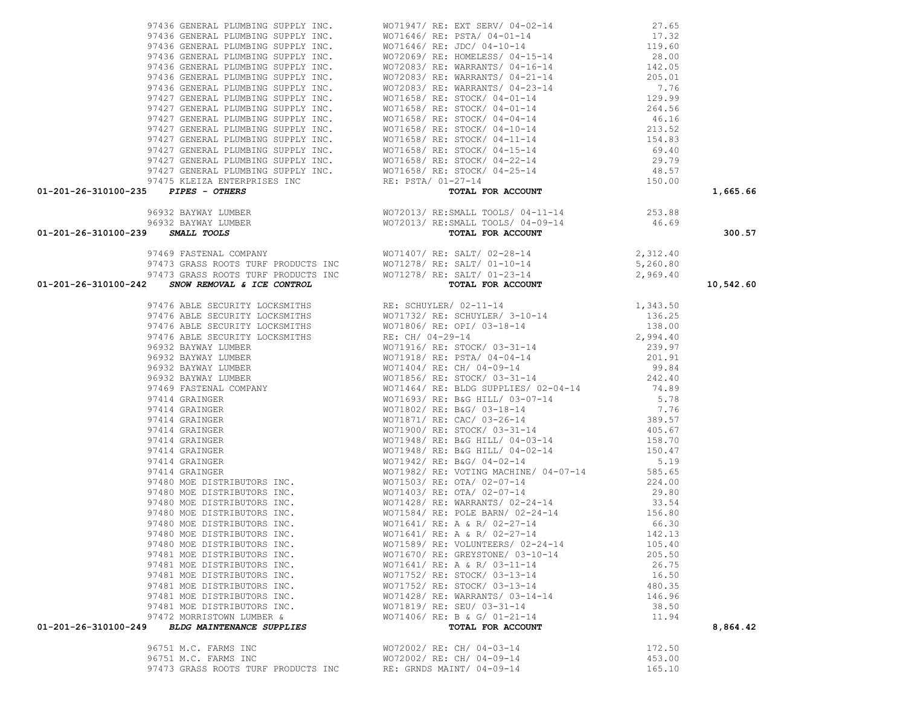| 96751 M.C. FARMS INC                | WO72002/ RE: CH/ 04-03-14 | 172.50 |
|-------------------------------------|---------------------------|--------|
| 96751 M.C. FARMS INC                | WO72002/ RE: CH/ 04-09-14 | 453.00 |
| 97473 GRASS ROOTS TURF PRODUCTS INC | RE: GRNDS MAINT/ 04-09-14 | 165.10 |

| 01-201-26-310100-242 SNOW REMOVAL & ICE CONTROL                                                                                                                                                                                     | 97473 GRASS ROOTS TURF PRODUCTS INC<br>2 SNOW REMOVAL & ICE CONTROL TOTAL FOR ACCOUNT<br>TOTAL FOR ACCOUNT | 10,542.60 |
|-------------------------------------------------------------------------------------------------------------------------------------------------------------------------------------------------------------------------------------|------------------------------------------------------------------------------------------------------------|-----------|
| 01-201-26-310100-242 SMW REWOVAL & TOP CONTROL (1970)<br>9716 MHz Security Locality (40 Control of the Security (2011)<br>9716 MHz Security Locality (40 Control of Active Control of Table 2011)<br>97176 MHz Security Locality (4 |                                                                                                            |           |
|                                                                                                                                                                                                                                     |                                                                                                            |           |
|                                                                                                                                                                                                                                     |                                                                                                            |           |
|                                                                                                                                                                                                                                     |                                                                                                            |           |
|                                                                                                                                                                                                                                     |                                                                                                            |           |
|                                                                                                                                                                                                                                     |                                                                                                            |           |
|                                                                                                                                                                                                                                     |                                                                                                            |           |
|                                                                                                                                                                                                                                     |                                                                                                            |           |
|                                                                                                                                                                                                                                     |                                                                                                            |           |
|                                                                                                                                                                                                                                     |                                                                                                            |           |
|                                                                                                                                                                                                                                     |                                                                                                            |           |
|                                                                                                                                                                                                                                     |                                                                                                            |           |
|                                                                                                                                                                                                                                     |                                                                                                            |           |
|                                                                                                                                                                                                                                     |                                                                                                            |           |
|                                                                                                                                                                                                                                     |                                                                                                            |           |
|                                                                                                                                                                                                                                     |                                                                                                            |           |
|                                                                                                                                                                                                                                     |                                                                                                            |           |
|                                                                                                                                                                                                                                     |                                                                                                            |           |
|                                                                                                                                                                                                                                     |                                                                                                            |           |
|                                                                                                                                                                                                                                     |                                                                                                            |           |
|                                                                                                                                                                                                                                     |                                                                                                            |           |
|                                                                                                                                                                                                                                     |                                                                                                            |           |
|                                                                                                                                                                                                                                     |                                                                                                            |           |
|                                                                                                                                                                                                                                     |                                                                                                            |           |
|                                                                                                                                                                                                                                     |                                                                                                            |           |
|                                                                                                                                                                                                                                     |                                                                                                            |           |
|                                                                                                                                                                                                                                     |                                                                                                            |           |
|                                                                                                                                                                                                                                     |                                                                                                            |           |
|                                                                                                                                                                                                                                     |                                                                                                            |           |
|                                                                                                                                                                                                                                     |                                                                                                            |           |
|                                                                                                                                                                                                                                     |                                                                                                            |           |
|                                                                                                                                                                                                                                     |                                                                                                            | 8,864.42  |

|   |       | 97436 GENERAL PLUMBING SUPPLY INC. |  | WΟ |
|---|-------|------------------------------------|--|----|
|   |       | 97436 GENERAL PLUMBING SUPPLY INC. |  | WΟ |
|   |       | 97436 GENERAL PLUMBING SUPPLY INC. |  | WΟ |
|   |       | 97436 GENERAL PLUMBING SUPPLY INC. |  | WО |
|   |       | 97436 GENERAL PLUMBING SUPPLY INC. |  | WО |
|   |       | 97436 GENERAL PLUMBING SUPPLY INC. |  | WΟ |
|   |       | 97436 GENERAL PLUMBING SUPPLY INC. |  | WΟ |
|   |       | 97427 GENERAL PLUMBING SUPPLY INC. |  | WΟ |
|   |       | 97427 GENERAL PLUMBING SUPPLY INC. |  | WО |
|   |       | 97427 GENERAL PLUMBING SUPPLY INC. |  | WО |
|   | 97427 | GENERAL PLUMBING SUPPLY INC.       |  | WО |
|   |       | 97427 GENERAL PLUMBING SUPPLY INC. |  | WО |
|   |       | 97427 GENERAL PLUMBING SUPPLY INC. |  | WΟ |
|   | 97427 | GENERAL PLUMBING SUPPLY INC.       |  | WО |
|   | 97427 | GENERAL PLUMBING SUPPLY INC.       |  | WΟ |
|   |       | 97475 KLEIZA ENTERPRISES INC       |  | RE |
| . |       |                                    |  |    |

| 97469 FASTENAL COMPANY WOTI407/RE: SALT/02-28-14 2,312.40<br>97473 GRASS ROOTS TURF PRODUCTS INC WOTI278/RE: SALT/01-10-14 5,260.80<br>97473 GRASS ROOTS TURF PRODUCTS INC WOTI278/RE: SALT/01-10-14 5,260.80<br><b>01-201-26-310100-242</b> | 342 SNOW REMOVAL 6 FOR CONTROL 1991 16 (1991-1114)<br>1991 ABLE SECULATIVE LOCARETIES<br>1991 AS ABLE SECULATIVE LOCARETIES<br>1991 AS ABLE SECULATIVE LOCARETIES<br>1991 AS ABLE SECULATIVE LOCARETIES<br>1991 AS ABRE SECULATIVE LOCA | 10,542.60 |
|----------------------------------------------------------------------------------------------------------------------------------------------------------------------------------------------------------------------------------------------|-----------------------------------------------------------------------------------------------------------------------------------------------------------------------------------------------------------------------------------------|-----------|
|                                                                                                                                                                                                                                              |                                                                                                                                                                                                                                         |           |
|                                                                                                                                                                                                                                              |                                                                                                                                                                                                                                         |           |
|                                                                                                                                                                                                                                              |                                                                                                                                                                                                                                         |           |
|                                                                                                                                                                                                                                              |                                                                                                                                                                                                                                         |           |
|                                                                                                                                                                                                                                              |                                                                                                                                                                                                                                         |           |
|                                                                                                                                                                                                                                              |                                                                                                                                                                                                                                         |           |
|                                                                                                                                                                                                                                              |                                                                                                                                                                                                                                         |           |
|                                                                                                                                                                                                                                              |                                                                                                                                                                                                                                         |           |
|                                                                                                                                                                                                                                              |                                                                                                                                                                                                                                         |           |
|                                                                                                                                                                                                                                              |                                                                                                                                                                                                                                         |           |
|                                                                                                                                                                                                                                              |                                                                                                                                                                                                                                         |           |
|                                                                                                                                                                                                                                              |                                                                                                                                                                                                                                         |           |
|                                                                                                                                                                                                                                              |                                                                                                                                                                                                                                         |           |
|                                                                                                                                                                                                                                              |                                                                                                                                                                                                                                         |           |
|                                                                                                                                                                                                                                              |                                                                                                                                                                                                                                         |           |
|                                                                                                                                                                                                                                              |                                                                                                                                                                                                                                         |           |
|                                                                                                                                                                                                                                              |                                                                                                                                                                                                                                         |           |
|                                                                                                                                                                                                                                              |                                                                                                                                                                                                                                         |           |
|                                                                                                                                                                                                                                              |                                                                                                                                                                                                                                         |           |
|                                                                                                                                                                                                                                              |                                                                                                                                                                                                                                         |           |
|                                                                                                                                                                                                                                              |                                                                                                                                                                                                                                         |           |
|                                                                                                                                                                                                                                              |                                                                                                                                                                                                                                         |           |
|                                                                                                                                                                                                                                              |                                                                                                                                                                                                                                         |           |
|                                                                                                                                                                                                                                              |                                                                                                                                                                                                                                         |           |
|                                                                                                                                                                                                                                              |                                                                                                                                                                                                                                         |           |
|                                                                                                                                                                                                                                              |                                                                                                                                                                                                                                         |           |
|                                                                                                                                                                                                                                              |                                                                                                                                                                                                                                         |           |
|                                                                                                                                                                                                                                              |                                                                                                                                                                                                                                         |           |
|                                                                                                                                                                                                                                              |                                                                                                                                                                                                                                         |           |
|                                                                                                                                                                                                                                              |                                                                                                                                                                                                                                         |           |
|                                                                                                                                                                                                                                              | 97472 MORRISTOWN LUMBER & $\overline{w}$ wo71406/RE: B & G/01-21-14 $\overline{w}$ 11.94                                                                                                                                                |           |
| 01-201-26-310100-249                                                                                                                                                                                                                         |                                                                                                                                                                                                                                         | 8.864.42  |

# 96932 BAYWAY LUMBER WO72013/ RE:SMALL TOOLS/ 04-11-14 253.88 96932 BAYWAY LUMBER WO72013/ RE:SMALL TOOLS/ 04-09-14 46.69  **01-201-26-310100-239** *SMALL TOOLS* **TOTAL FOR ACCOUNT 300.57**

| .                                   | the contract of the contract of the contract of the contract of the contract of the contract of the contract of |          |
|-------------------------------------|-----------------------------------------------------------------------------------------------------------------|----------|
| 01-201-26-310100-235 PIPES - OTHERS | TOTAL FOR ACCOUNT                                                                                               | 1,665.66 |
|                                     |                                                                                                                 | 150.00   |
|                                     | 97427 GENERAL PLUMBING SUPPLY INC. WO71658/RE: STOCK/04-25-14 48.57                                             |          |
|                                     | 97427 GENERAL PLUMBING SUPPLY INC. WO71658/ RE: STOCK/ 04-22-14                                                 | 29.79    |
|                                     | 97427 GENERAL PLUMBING SUPPLY INC. WO71658/RE: STOCK/04-15-14                                                   | 69.40    |
|                                     | 97427 GENERAL PLUMBING SUPPLY INC. WO71658/ RE: STOCK/ 04-11-14                                                 | 154.83   |
|                                     | 97427 GENERAL PLUMBING SUPPLY INC. WO71658/ RE: STOCK/ 04-10-14                                                 | 213.52   |
|                                     | 97427 GENERAL PLUMBING SUPPLY INC. WO71658/RE: STOCK/04-04-14 46.16                                             |          |
|                                     | 97427 GENERAL PLUMBING SUPPLY INC. WO71658/RE: STOCK/04-01-14                                                   | 264.56   |
|                                     | 97427 GENERAL PLUMBING SUPPLY INC. WO71658/RE: STOCK/04-01-14 129.99                                            |          |
|                                     | 97436 GENERAL PLUMBING SUPPLY INC. WO72083/ RE: WARRANTS/ 04-23-14 7.76                                         |          |
|                                     | 97436 GENERAL PLUMBING SUPPLY INC. WO72083/ RE: WARRANTS/ 04-21-14                                              | 205.01   |
|                                     | 97436 GENERAL PLUMBING SUPPLY INC. WO72083/RE: WARRANTS/04-16-14 142.05                                         |          |
|                                     | 97436 GENERAL PLUMBING SUPPLY INC. WO72069/RE: HOMELESS/04-15-14 28.00                                          |          |
|                                     | 97436 GENERAL PLUMBING SUPPLY INC. WO71646/RE: JDC/04-10-14 10.60                                               |          |
|                                     | 97436 GENERAL PLUMBING SUPPLY INC. WO71646/RE: PSTA/04-01-14 17.32                                              |          |
|                                     | 97436 GENERAL PLUMBING SUPPLY INC. WO71947/ RE: EXT SERV/ 04-02-14                                              | 27.65    |
|                                     |                                                                                                                 |          |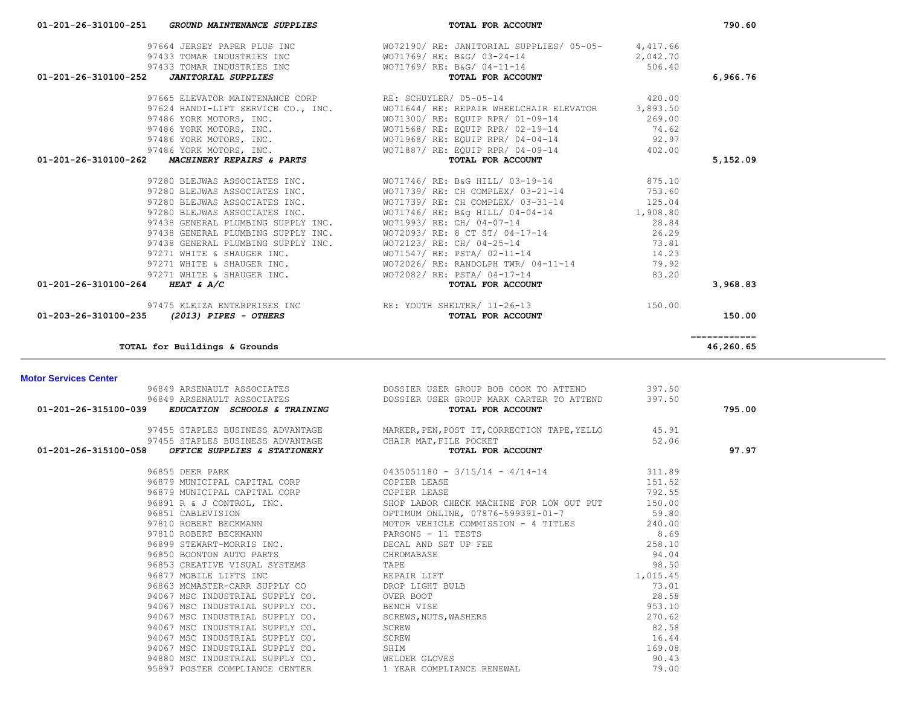| 96849 ARSENAULT ASSOCIATES DOSSIER USER GROUP BOB COOK TO ATTEND 96849 ARSENAULT ASSOCIATES DOSSIER USER GROUP MARK CARTER TO ATTEND 96849 ARSENAULT ASSOCIATES DOSSIER USER GROUP MARK CARTER TO ATTEND 397.50 |                                                                                                                                                                              |        |        |
|-----------------------------------------------------------------------------------------------------------------------------------------------------------------------------------------------------------------|------------------------------------------------------------------------------------------------------------------------------------------------------------------------------|--------|--------|
|                                                                                                                                                                                                                 | TOTAL FOR ACCOUNT                                                                                                                                                            |        | 795.00 |
|                                                                                                                                                                                                                 | 97455 STAPLES BUSINESS ADVANTAGE MARKER, PEN, POST IT, CORRECTION TAPE, YELLO 45.91                                                                                          |        |        |
|                                                                                                                                                                                                                 |                                                                                                                                                                              |        |        |
| 01-201-26-315100-058 OFFICE SUPPLIES & STATIONERY                                                                                                                                                               | 97455 STAPLES BUSINESS ADVANTAGE CHAIR MAT, FILE POCKET<br><b>B OFFICE SUPPLIES &amp; STATIONERY CHAIR MAT, FILE POCKET TOTAL FOR ACCOUNT</b>                                |        | 97.97  |
|                                                                                                                                                                                                                 | 96855 DEER PARK 311.89<br>0435051180 - 3/15/14 - 4/14-14<br>311.89                                                                                                           |        |        |
| 96879 MUNICIPAL CAPITAL CORP COPIER LEASE                                                                                                                                                                       |                                                                                                                                                                              | 151.52 |        |
|                                                                                                                                                                                                                 |                                                                                                                                                                              |        |        |
|                                                                                                                                                                                                                 |                                                                                                                                                                              |        |        |
|                                                                                                                                                                                                                 |                                                                                                                                                                              |        |        |
|                                                                                                                                                                                                                 |                                                                                                                                                                              |        |        |
|                                                                                                                                                                                                                 |                                                                                                                                                                              |        |        |
|                                                                                                                                                                                                                 |                                                                                                                                                                              |        |        |
|                                                                                                                                                                                                                 |                                                                                                                                                                              |        |        |
|                                                                                                                                                                                                                 |                                                                                                                                                                              |        |        |
|                                                                                                                                                                                                                 |                                                                                                                                                                              |        |        |
|                                                                                                                                                                                                                 |                                                                                                                                                                              |        |        |
|                                                                                                                                                                                                                 |                                                                                                                                                                              |        |        |
|                                                                                                                                                                                                                 |                                                                                                                                                                              |        |        |
|                                                                                                                                                                                                                 |                                                                                                                                                                              |        |        |
|                                                                                                                                                                                                                 |                                                                                                                                                                              |        |        |
|                                                                                                                                                                                                                 |                                                                                                                                                                              |        |        |
|                                                                                                                                                                                                                 | MILE SUPPLY CO.<br>94880 MSC INDUSTRIAL SUPPLY CO. WELDER GLOVES<br>האסטראט האפשר המשפט האמרים המשפט האמרה המשפט האמרה המשפט האמרה המשפט האמרה המשפט הוא המשפט האמרה המשפט ה |        |        |
|                                                                                                                                                                                                                 |                                                                                                                                                                              | 90.43  |        |
|                                                                                                                                                                                                                 |                                                                                                                                                                              | 79.00  |        |

| <b>Motor Services Center</b> |  |
|------------------------------|--|

| 97664 JERSEY PAPER PLUS INC<br>97433 TOMAR INDUSTRIES INC<br>WO71769/RE: B&G/03-24-14<br>4,417.66<br>2,042.70<br>97433 TOMAR INDUSTRIES INC<br>2 <b>JANITORIAL SUPPLIES</b> COMPUTES TO TRIMAGE OF THE RESOUNT<br>506.40<br>TOTAL FOR ACCOUNT<br>01-201-26-310100-252<br>97665 ELEVATOR MAINTENANCE CORP RE: SCHUYLER/ 05-05-14<br>420.00<br>97624 HANDI-LIFT SERVICE CO., INC. WO71644/ RE: REPAIR WHEELCHAIR ELEVATOR<br>3,893.50<br>97486 YORK MOTORS, INC. THE RESOLUTION OF MOTORS RESOLUTION RERAINST REPORT OF A SERVICE SERVICE SERVICE SERVICE SERVICE SERVICE SERVICE SERVICE SERVICE SERVICE SERVICE SERVICE SERVICE SERVICE SERVICE SERVICE SERVICE SERVI<br>97486 YORK MOTORS, INC. WO71887/RE: EQUIP RPR/04-09-14 402.00<br>MACHINERY REPAIRS & PARTS<br>01-201-26-310100-262<br>TOTAL FOR ACCOUNT<br>97280 BLEJWAS ASSOCIATES INC. WO71746/ RE: B&G HILL/ 03-19-14 875.10<br>97280 BLEJWAS ASSOCIATES INC. WO71746/RE: B&g HILL/ 04-04-14 1,908.80<br>97438 GENERAL PLUMBING SUPPLY INC. WO71993/ RE: CH/ 04-07-14<br>28.84<br>97438 GENERAL PLUMBING SUPPLY INC.<br>97438 GENERAL PLUMBING SUPPLY INC.<br>97271 WHITE & SHAUGER INC.<br>97271 WHITE & SHAUGER INC.<br>97271 WHITE & SHAUGER INC.<br>97271 WHITE & SHAUGER INC.<br>97271 WHITE & SHAUGER INC.<br>97271 WHITE & SHAUGER INC. WO72026/ RE: RANDOLPH TWR/ 04-11-14<br>79.92<br>97271 WHITE & SHAUGER INC. WO72082/ RE: PSTA/04-17-14<br>83.20<br>01-201-26-310100-264 HEAT & A/C<br>TOTAL FOR ACCOUNT |                               |  |           |
|-----------------------------------------------------------------------------------------------------------------------------------------------------------------------------------------------------------------------------------------------------------------------------------------------------------------------------------------------------------------------------------------------------------------------------------------------------------------------------------------------------------------------------------------------------------------------------------------------------------------------------------------------------------------------------------------------------------------------------------------------------------------------------------------------------------------------------------------------------------------------------------------------------------------------------------------------------------------------------------------------------------------------------------------------------------------------------------------------------------------------------------------------------------------------------------------------------------------------------------------------------------------------------------------------------------------------------------------------------------------------------------------------------------------------------------------------------------------------------------|-------------------------------|--|-----------|
|                                                                                                                                                                                                                                                                                                                                                                                                                                                                                                                                                                                                                                                                                                                                                                                                                                                                                                                                                                                                                                                                                                                                                                                                                                                                                                                                                                                                                                                                                   |                               |  |           |
|                                                                                                                                                                                                                                                                                                                                                                                                                                                                                                                                                                                                                                                                                                                                                                                                                                                                                                                                                                                                                                                                                                                                                                                                                                                                                                                                                                                                                                                                                   |                               |  |           |
|                                                                                                                                                                                                                                                                                                                                                                                                                                                                                                                                                                                                                                                                                                                                                                                                                                                                                                                                                                                                                                                                                                                                                                                                                                                                                                                                                                                                                                                                                   |                               |  |           |
|                                                                                                                                                                                                                                                                                                                                                                                                                                                                                                                                                                                                                                                                                                                                                                                                                                                                                                                                                                                                                                                                                                                                                                                                                                                                                                                                                                                                                                                                                   |                               |  | 6,966.76  |
|                                                                                                                                                                                                                                                                                                                                                                                                                                                                                                                                                                                                                                                                                                                                                                                                                                                                                                                                                                                                                                                                                                                                                                                                                                                                                                                                                                                                                                                                                   |                               |  |           |
|                                                                                                                                                                                                                                                                                                                                                                                                                                                                                                                                                                                                                                                                                                                                                                                                                                                                                                                                                                                                                                                                                                                                                                                                                                                                                                                                                                                                                                                                                   |                               |  |           |
|                                                                                                                                                                                                                                                                                                                                                                                                                                                                                                                                                                                                                                                                                                                                                                                                                                                                                                                                                                                                                                                                                                                                                                                                                                                                                                                                                                                                                                                                                   |                               |  |           |
|                                                                                                                                                                                                                                                                                                                                                                                                                                                                                                                                                                                                                                                                                                                                                                                                                                                                                                                                                                                                                                                                                                                                                                                                                                                                                                                                                                                                                                                                                   |                               |  |           |
|                                                                                                                                                                                                                                                                                                                                                                                                                                                                                                                                                                                                                                                                                                                                                                                                                                                                                                                                                                                                                                                                                                                                                                                                                                                                                                                                                                                                                                                                                   |                               |  |           |
|                                                                                                                                                                                                                                                                                                                                                                                                                                                                                                                                                                                                                                                                                                                                                                                                                                                                                                                                                                                                                                                                                                                                                                                                                                                                                                                                                                                                                                                                                   |                               |  |           |
|                                                                                                                                                                                                                                                                                                                                                                                                                                                                                                                                                                                                                                                                                                                                                                                                                                                                                                                                                                                                                                                                                                                                                                                                                                                                                                                                                                                                                                                                                   |                               |  | 5,152.09  |
|                                                                                                                                                                                                                                                                                                                                                                                                                                                                                                                                                                                                                                                                                                                                                                                                                                                                                                                                                                                                                                                                                                                                                                                                                                                                                                                                                                                                                                                                                   |                               |  |           |
|                                                                                                                                                                                                                                                                                                                                                                                                                                                                                                                                                                                                                                                                                                                                                                                                                                                                                                                                                                                                                                                                                                                                                                                                                                                                                                                                                                                                                                                                                   |                               |  |           |
|                                                                                                                                                                                                                                                                                                                                                                                                                                                                                                                                                                                                                                                                                                                                                                                                                                                                                                                                                                                                                                                                                                                                                                                                                                                                                                                                                                                                                                                                                   |                               |  |           |
|                                                                                                                                                                                                                                                                                                                                                                                                                                                                                                                                                                                                                                                                                                                                                                                                                                                                                                                                                                                                                                                                                                                                                                                                                                                                                                                                                                                                                                                                                   |                               |  |           |
|                                                                                                                                                                                                                                                                                                                                                                                                                                                                                                                                                                                                                                                                                                                                                                                                                                                                                                                                                                                                                                                                                                                                                                                                                                                                                                                                                                                                                                                                                   |                               |  |           |
|                                                                                                                                                                                                                                                                                                                                                                                                                                                                                                                                                                                                                                                                                                                                                                                                                                                                                                                                                                                                                                                                                                                                                                                                                                                                                                                                                                                                                                                                                   |                               |  |           |
|                                                                                                                                                                                                                                                                                                                                                                                                                                                                                                                                                                                                                                                                                                                                                                                                                                                                                                                                                                                                                                                                                                                                                                                                                                                                                                                                                                                                                                                                                   |                               |  |           |
|                                                                                                                                                                                                                                                                                                                                                                                                                                                                                                                                                                                                                                                                                                                                                                                                                                                                                                                                                                                                                                                                                                                                                                                                                                                                                                                                                                                                                                                                                   |                               |  |           |
|                                                                                                                                                                                                                                                                                                                                                                                                                                                                                                                                                                                                                                                                                                                                                                                                                                                                                                                                                                                                                                                                                                                                                                                                                                                                                                                                                                                                                                                                                   |                               |  |           |
|                                                                                                                                                                                                                                                                                                                                                                                                                                                                                                                                                                                                                                                                                                                                                                                                                                                                                                                                                                                                                                                                                                                                                                                                                                                                                                                                                                                                                                                                                   |                               |  |           |
|                                                                                                                                                                                                                                                                                                                                                                                                                                                                                                                                                                                                                                                                                                                                                                                                                                                                                                                                                                                                                                                                                                                                                                                                                                                                                                                                                                                                                                                                                   |                               |  | 3,968.83  |
| 97475 KLEIZA ENTERPRISES INC<br>RE: YOUTH SHELTER/ 11-26-13<br>150.00                                                                                                                                                                                                                                                                                                                                                                                                                                                                                                                                                                                                                                                                                                                                                                                                                                                                                                                                                                                                                                                                                                                                                                                                                                                                                                                                                                                                             |                               |  |           |
| 01-203-26-310100-235 (2013) PIPES - OTHERS<br>TOTAL FOR ACCOUNT                                                                                                                                                                                                                                                                                                                                                                                                                                                                                                                                                                                                                                                                                                                                                                                                                                                                                                                                                                                                                                                                                                                                                                                                                                                                                                                                                                                                                   |                               |  | 150.00    |
|                                                                                                                                                                                                                                                                                                                                                                                                                                                                                                                                                                                                                                                                                                                                                                                                                                                                                                                                                                                                                                                                                                                                                                                                                                                                                                                                                                                                                                                                                   | TOTAL for Buildings & Grounds |  | 46.260.65 |

 **01-201-26-310100-251** *GROUND MAINTENANCE SUPPLIES* **TOTAL FOR ACCOUNT 790.60**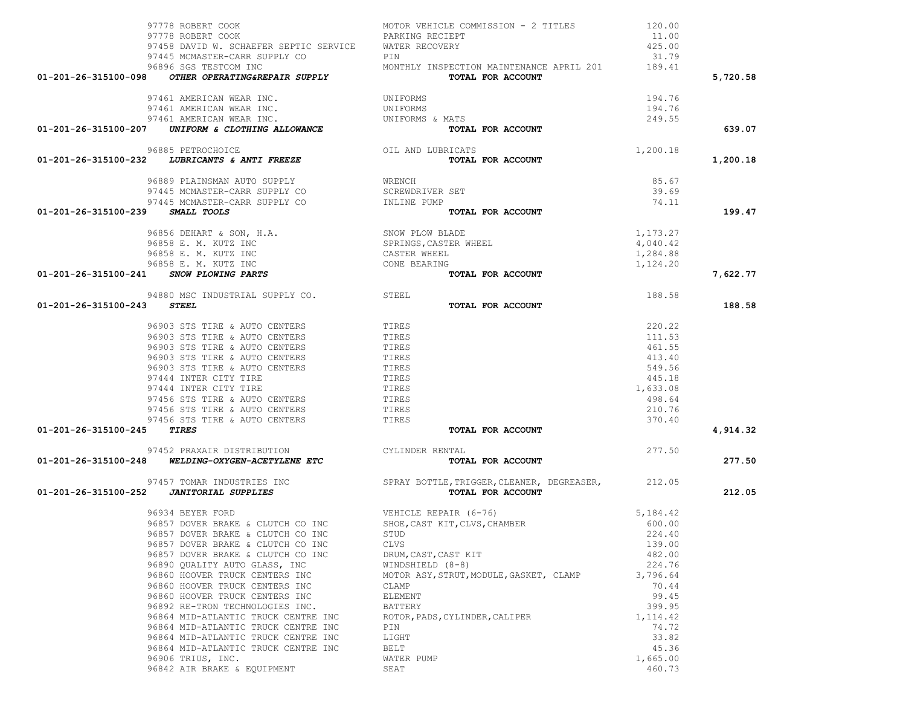|  | 96934 BEYER FORD                    |
|--|-------------------------------------|
|  | 96857 DOVER BRAKE & CLUTCH CO INC   |
|  | 96857 DOVER BRAKE & CLUTCH CO INC   |
|  | 96857 DOVER BRAKE & CLUTCH CO INC   |
|  | 96857 DOVER BRAKE & CLUTCH CO INC   |
|  | 96890 OUALITY AUTO GLASS, INC       |
|  | 96860 HOOVER TRUCK CENTERS INC      |
|  | 96860 HOOVER TRUCK CENTERS INC      |
|  | 96860 HOOVER TRUCK CENTERS INC      |
|  | 96892 RE-TRON TECHNOLOGIES INC.     |
|  | 96864 MID-ATLANTIC TRUCK CENTRE INC |
|  | 96864 MID-ATLANTIC TRUCK CENTRE INC |
|  | 96864 MID-ATLANTIC TRUCK CENTRE INC |
|  | 96864 MID-ATLANTIC TRUCK CENTRE INC |
|  | 96906 TRIUS, INC.                   |
|  | 96842 AIR BRAKE & EOUIPMENT         |

# 97457 TOMAR INDUSTRIES INC SPRAY BOTTLES

# 97452 PRAXAIR DISTRIBUTION C

# 94880 MSC INDUSTRIAL SUPPLY CO.

# $96856$  DEHART & SON, H.A. 96858 E. M. KUTZ INC 96858 E. M. KUTZ INC

# 96889 PLAINSMAN AUTO SUPPLY WR 97445 MCMASTER-CARR SUPPLY CO SC<br>97445 MCMASTER-CARR SUPPLY CO IN 97445 MCMASTER-CARR SUPPLY CO

# 96885 PETROCHOICE CONNECTED OIL

# 97461 AMERICAN WEAR INC. 97461 AMERICAN WEAR INC. UN 97461 AMERICAN WEAR INC.

| 01-201-26-315100-098 | OTHER OPERATING&REPAIR SUPPLY          | TOTAL FOR ACCOUNT                        |        |
|----------------------|----------------------------------------|------------------------------------------|--------|
|                      | 96896 SGS TESTCOM INC                  | MONTHLY INSPECTION MAINTENANCE APRIL 201 | 189.41 |
|                      | 97445 MCMASTER-CARR SUPPLY CO          | PTN                                      | 31.79  |
|                      | 97458 DAVID W. SCHAEFER SEPTIC SERVICE | WATER RECOVERY                           | 425.00 |
|                      | 97778 ROBERT COOK                      | PARKING RECIEPT                          | 11.00  |
|                      | 97778 ROBERT COOK                      | MOTOR VEHICLE COMMISSION - 2 TITLES      | 120.00 |
|                      |                                        |                                          |        |

| 97452 PRAXAIR DISTRIBUTION                                               | CYLINDER RENTAL                                                        | 277.50   |        |
|--------------------------------------------------------------------------|------------------------------------------------------------------------|----------|--------|
| $01-201-26-315100-248$ WELDING-OXYGEN-ACETYLENE ETC                      | TOTAL FOR ACCOUNT                                                      |          | 277.50 |
| 97457 TOMAR INDUSTRIES INC<br>$01-201-26-315100-252$ JANITORIAL SUPPLIES | SPRAY BOTTLE, TRIGGER, CLEANER, DEGREASER, 212.05<br>TOTAL FOR ACCOUNT |          | 212.05 |
| 96934 BEYER FORD                                                         | VEHICLE REPAIR (6-76)                                                  | 5,184.42 |        |
| 96857 DOVER BRAKE & CLUTCH CO INC                                        | SHOE, CAST KIT, CLVS, CHAMBER                                          | 600.00   |        |
| 96857 DOVER BRAKE & CLUTCH CO INC                                        | STUD                                                                   | 224.40   |        |
| 96857 DOVER BRAKE & CLUTCH CO INC                                        | CLVS                                                                   | 139.00   |        |
| 96857 DOVER BRAKE & CLUTCH CO INC                                        | DRUM, CAST, CAST KIT                                                   | 482.00   |        |
| 96890 QUALITY AUTO GLASS, INC                                            | WINDSHIELD (8-8)                                                       | 224.76   |        |
| 96860 HOOVER TRUCK CENTERS INC                                           | MOTOR ASY, STRUT, MODULE, GASKET, CLAMP                                | 3,796.64 |        |
| 96860 HOOVER TRUCK CENTERS INC                                           | CLAMP                                                                  | 70.44    |        |
| 96860 HOOVER TRUCK CENTERS INC                                           | ELEMENT                                                                | 99.45    |        |
| 96892 RE-TRON TECHNOLOGIES INC.                                          | BATTERY                                                                | 399.95   |        |
| 96864 MID-ATLANTIC TRUCK CENTRE INC                                      | ROTOR, PADS, CYLINDER, CALIPER                                         | 1,114.42 |        |
| 96864 MID-ATLANTIC TRUCK CENTRE INC                                      | PIN                                                                    | 74.72    |        |
| 96864 MID-ATLANTIC TRUCK CENTRE INC                                      | LIGHT                                                                  | 33.82    |        |
| 96864 MID-ATLANTIC TRUCK CENTRE INC                                      | BELT                                                                   | 45.36    |        |
| 96906 TRIUS, INC.                                                        | WATER PUMP                                                             | 1,665.00 |        |
| 96842 AIR BRAKE & EQUIPMENT                                              | SEAT                                                                   | 460.73   |        |

| 96856 DEHART & SON, H.A.<br>96858 E. M. KUTZ INC<br>96858 E. M. KUTZ INC | SNOW PLOW BLADE<br>SPRINGS, CASTER WHEEL<br>CASTER WHEEL | 1,173.27<br>4,040.42<br>1,284.88 |          |
|--------------------------------------------------------------------------|----------------------------------------------------------|----------------------------------|----------|
| 96858 E. M. KUTZ INC                                                     | CONE BEARING                                             | 1,124.20                         |          |
| 01-201-26-315100-241<br>SNOW PLOWING PARTS                               | TOTAL FOR ACCOUNT                                        |                                  | 7,622.77 |
| 94880 MSC INDUSTRIAL SUPPLY CO.                                          | STEEL                                                    | 188.58                           |          |
| 01-201-26-315100-243<br><i>STEEL</i>                                     | TOTAL FOR ACCOUNT                                        |                                  | 188.58   |
| 96903 STS TIRE & AUTO CENTERS                                            | TIRES                                                    | 220.22                           |          |
| 96903 STS TIRE & AUTO CENTERS                                            | TIRES                                                    | 111.53                           |          |
| 96903 STS TIRE & AUTO CENTERS                                            | TIRES                                                    | 461.55                           |          |
| 96903 STS TIRE & AUTO CENTERS                                            | TIRES                                                    | 413.40                           |          |
| 96903 STS TIRE & AUTO CENTERS                                            | TIRES                                                    | 549.56                           |          |
| 97444 INTER CITY TIRE                                                    | TIRES                                                    | 445.18                           |          |
| 97444 INTER CITY TIRE                                                    | TIRES                                                    | 1,633.08                         |          |
| 97456 STS TIRE & AUTO CENTERS                                            | TIRES                                                    | 498.64                           |          |
| 97456 STS TIRE & AUTO CENTERS                                            | TIRES                                                    | 210.76                           |          |
| 97456 STS TIRE & AUTO CENTERS                                            | TIRES                                                    | 370.40                           |          |
| 01-201-26-315100-245<br>TIRES                                            | TOTAL FOR ACCOUNT                                        |                                  | 4.914.32 |

| 97778 ROBERT COOK                                     | PARKING RECIEPT                          | 11.00    |          |
|-------------------------------------------------------|------------------------------------------|----------|----------|
| 97458 DAVID W. SCHAEFER SEPTIC SERVICE                | WATER RECOVERY                           | 425.00   |          |
| 97445 MCMASTER-CARR SUPPLY CO                         | PIN                                      | 31.79    |          |
| 96896 SGS TESTCOM INC                                 | MONTHLY INSPECTION MAINTENANCE APRIL 201 | 189.41   |          |
| 01-201-26-315100-098<br>OTHER OPERATING&REPAIR SUPPLY | TOTAL FOR ACCOUNT                        |          | 5,720.58 |
| 97461 AMERICAN WEAR INC.                              | UNIFORMS                                 | 194.76   |          |
| 97461 AMERICAN WEAR INC.                              | UNIFORMS                                 | 194.76   |          |
| 97461 AMERICAN WEAR INC.                              | UNIFORMS & MATS                          | 249.55   |          |
| 01-201-26-315100-207 UNIFORM & CLOTHING ALLOWANCE     | TOTAL FOR ACCOUNT                        |          | 639.07   |
| 96885 PETROCHOICE                                     | OIL AND LUBRICATS                        | 1,200.18 |          |
| 01-201-26-315100-232<br>LUBRICANTS & ANTI FREEZE      | TOTAL FOR ACCOUNT                        |          | 1,200.18 |
| 96889 PLAINSMAN AUTO SUPPLY                           | WRENCH                                   | 85.67    |          |
| 97445 MCMASTER-CARR SUPPLY CO                         | SCREWDRIVER SET                          | 39.69    |          |
| 97445 MCMASTER-CARR SUPPLY CO                         | INLINE PUMP                              | 74.11    |          |
| 01-201-26-315100-239<br><i>SMALL TOOLS</i>            | TOTAL FOR ACCOUNT                        |          | 199.47   |
| $0.0050$ DEUADE CONT U.A.                             | C                                        | 1 173 37 |          |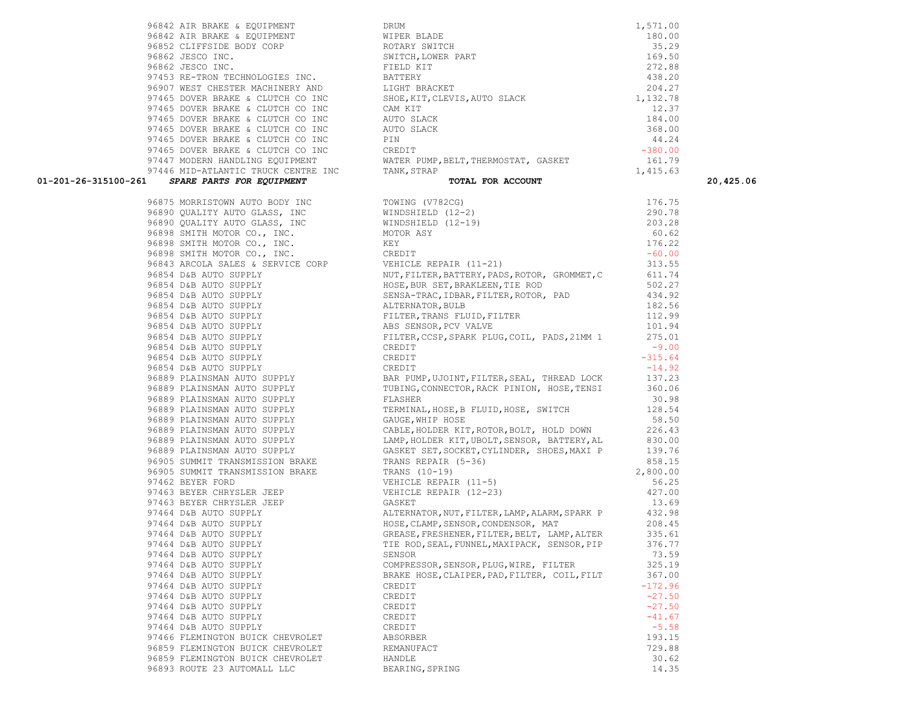96893 ROUTE 23 AUTOMALL LLC BEARING, SPRING BEARING 14.35

 97465 DOVER BRAKE & CLUTCH CO INC CAM KIT 12.37 97465 DOVER BRAKE & CLUTCH CO INC AUTO SLACK 184.00 97465 DOVER BRAKE & CLUTCH CO INC AUTO SLACK 368.00 97465 DOVER BRAKE & CLUTCH CO INC PIN PIN 24.24 97465 DOVER BRAKE & CLUTCH CO INC CREDIT -380.00 97447 MODERN HANDLING EQUIPMENT WATER PUMP, BELT, THERMOSTAT, GASKET 161.79 97446 MID-ATLANTIC TRUCK CENTRE INC TANK, STRAP 1,415.63  **01-201-26-315100-261** *SPARE PARTS FOR EQUIPMENT* **TOTAL FOR ACCOUNT 20,425.06** 96875 MORRISTOWN AUTO BODY INC TOWING (V782CG) 176.75 96890 QUALITY AUTO GLASS, INC WINDSHIELD (12-2) 290.78 96890 QUALITY AUTO GLASS, INC WINDSHIELD (12-19) 203.28 96898 SMITH MOTOR CO., INC. MOTOR ASY 60.62 96898 SMITH MOTOR CO., INC. KEY 176.22 96898 SMITH MOTOR CO., INC. CREDIT CORPORATION CREDIT AND CREDIT CONSIDERING A SAMPLE OF A SAMPLE OF A SAMPLE OF A SAMPLE OF A SAMPLE OF A SAMPLE OF A SAMPLE OF A SAMPLE OF A SAMPLE OF A SAMPLE OF A SAMPLE OF A SAMPLE OF A 96843 ARCOLA SALES & SERVICE CORP VEHICLE REPAIR (11-21) 313.55 96854 D&B AUTO SUPPLY NUT,FILTER,BATTERY,PADS,ROTOR, GROMMET,C 611.74 96854 D&B AUTO SUPPLY THE ROSE, BUR SET, BRAKLEEN, TIE ROD 502.27 96854 D&B AUTO SUPPLY SENSA-TRAC,IDBAR,FILTER,ROTOR, PAD 434.92 96854 D&B AUTO SUPPLY ALTERNATOR,BULB 182.56 96854 D&B AUTO SUPPLY FILTER, TRANS FLUID, FILTER 112.99 96854 D&B AUTO SUPPLY ABS SENSOR, PCV VALVE 101.94 96854 D&B AUTO SUPPLY FILTER,CCSP,SPARK PLUG,COIL, PADS,21MM 1 275.01 96854 D&B AUTO SUPPLY CREDIT CREDIT 96854 D&B AUTO SUPPLY CREDIT CREDIT CREDIT 96854 D&B AUTO SUPPLY CREDIT CREDIT 96889 PLAINSMAN AUTO SUPPLY BAR PUMP,UJOINT,FILTER,SEAL, THREAD LOCK 137.23 96889 PLAINSMAN AUTO SUPPLY TUBING,CONNECTOR,RACK PINION, HOSE,TENSI 360.06 96889 PLAINSMAN AUTO SUPPLY FLASHER 30.98 96889 PLAINSMAN AUTO SUPPLY TERMINAL, HOSE, B FLUID, HOSE, SWITCH 128.54 96889 PLAINSMAN AUTO SUPPLY GAUGE, WHIP HOSE 68.50 96889 PLAINSMAN AUTO SUPPLY CABLE,HOLDER KIT,ROTOR,BOLT, HOLD DOWN 226.43 96889 PLAINSMAN AUTO SUPPLY LAMP,HOLDER KIT,UBOLT,SENSOR, BATTERY,AL 830.00 96889 PLAINSMAN AUTO SUPPLY GASKET SET,SOCKET,CYLINDER, SHOES,MAXI P 139.76 96905 SUMMIT TRANSMISSION BRAKE TRANS REPAIR (5-36) 858.15 96905 SUMMIT TRANSMISSION BRAKE TRANS (10-19) TRANS (10-19) 97462 BEYER FORD VEHICLE REPAIR (11-5) 56.25 97463 BEYER CHRYSLER JEEP VEHICLE REPAIR (12-23) 427.00 er 13.69 BEYER CHRYSLER JEEP GASKET GASKET 97464 D&B AUTO SUPPLY ALTERNATOR,NUT,FILTER,LAMP,ALARM,SPARK P 432.98 97464 D&B AUTO SUPPLY HOSE,CLAMP,SENSOR,CONDENSOR, MAT 208.45 97464 D&B AUTO SUPPLY GREASE,FRESHENER,FILTER,BELT, LAMP,ALTER 335.61 97464 D&B AUTO SUPPLY TIE ROD,SEAL,FUNNEL,MAXIPACK, SENSOR,PIP 376.77 97464 D&B AUTO SUPPLY SENSOR SENSOR SENSOR 73.59 97464 D&B AUTO SUPPLY COMPRESSOR,SENSOR,PLUG,WIRE, FILTER 325.19 97464 D&B AUTO SUPPLY BRAKE HOSE, CLAIPER, PAD, FILTER, COIL, FILT 367.00 97464 D&B AUTO SUPPLY CREDIT CREDIT CREDIT  $97464$  D&B AUTO SUPPLY  $-27.50$  $97464$  D&B AUTO SUPPLY  $-27.50$  $97464$  D&B AUTO SUPPLY  $-41.67$ 97464 D&B AUTO SUPPLY CREDIT CREDIT 97466 FLEMINGTON BUICK CHEVROLET ABSORBER 193.15 96859 FLEMINGTON BUICK CHEVROLET REMANUFACT 729.88 96859 FLEMINGTON BUICK CHEVROLET HANDLE 30.62

96842 AIR BRAKE & EQUIPMENT DRUM DRUM DRUM 1,571.00 96842 AIR BRAKE & EQUIPMENT WIPER BLADE 180.00 96852 CLIFFSIDE BODY CORP ROTARY SWITCH 35.29 96862 JESCO INC. SWITCH,LOWER PART 169.50 96862 JESCO INC. FIELD KIT 272.88 97453 RE-TRON TECHNOLOGIES INC. BATTERY 438.20 96907 WEST CHESTER MACHINERY AND LIGHT BRACKET 204.27 97465 DOVER BRAKE & CLUTCH CO INC SHOE, KIT, CLEVIS, AUTO SLACK 1, 132.78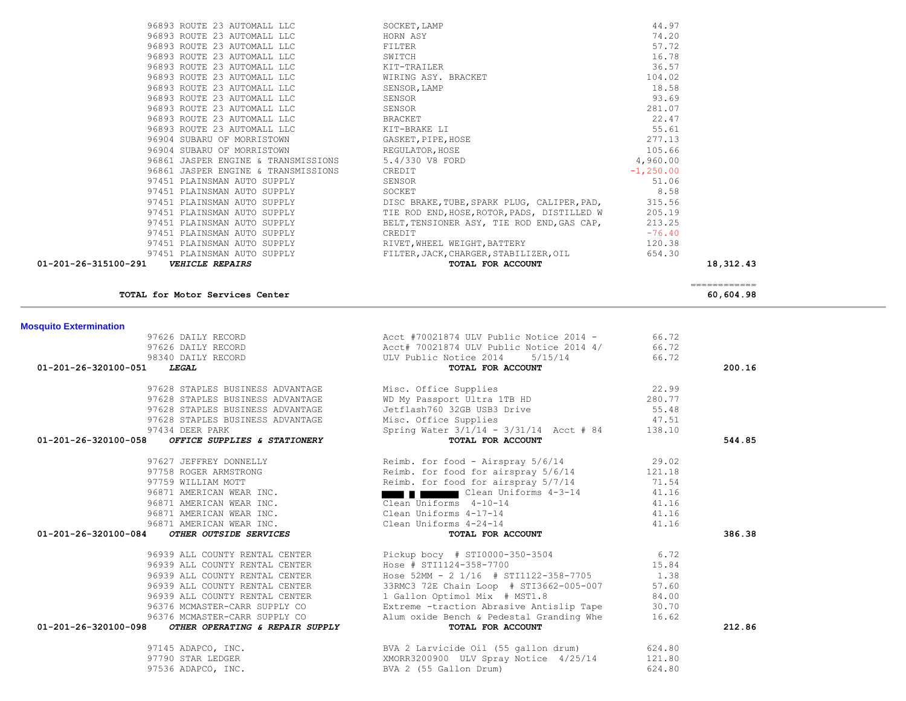| 01-201-26-320100-051<br><i>LEGAL</i>                    | TOTAL FOR ACCOUNT                        |        | 200.16 |
|---------------------------------------------------------|------------------------------------------|--------|--------|
| 97628 STAPLES BUSINESS ADVANTAGE                        | Misc. Office Supplies                    | 22.99  |        |
| 97628 STAPLES BUSINESS ADVANTAGE                        | WD My Passport Ultra 1TB HD              | 280.77 |        |
| 97628 STAPLES BUSINESS ADVANTAGE                        | Jetflash760 32GB USB3 Drive              | 55.48  |        |
| 97628 STAPLES BUSINESS ADVANTAGE                        | Misc. Office Supplies                    | 47.51  |        |
| 97434 DEER PARK                                         | Spring Water 3/1/14 - 3/31/14 Acct # 84  | 138.10 |        |
| 01-201-26-320100-058<br>OFFICE SUPPLIES & STATIONERY    | TOTAL FOR ACCOUNT                        |        | 544.85 |
| 97627 JEFFREY DONNELLY                                  | Reimb. for food - Airspray 5/6/14        | 29.02  |        |
| 97758 ROGER ARMSTRONG                                   | Reimb. for food for airspray 5/6/14      | 121.18 |        |
| 97759 WILLIAM MOTT                                      | Reimb. for food for airspray 5/7/14      | 71.54  |        |
| 96871 AMERICAN WEAR INC.                                | Clean Uniforms 4-3-14                    | 41.16  |        |
| 96871 AMERICAN WEAR INC.                                | Clean Uniforms 4-10-14                   | 41.16  |        |
| 96871 AMERICAN WEAR INC.                                | Clean Uniforms 4-17-14                   | 41.16  |        |
| 96871 AMERICAN WEAR INC.                                | Clean Uniforms 4-24-14                   | 41.16  |        |
| 01-201-26-320100-084<br>OTHER OUTSIDE SERVICES          | TOTAL FOR ACCOUNT                        |        | 386.38 |
| 96939 ALL COUNTY RENTAL CENTER                          | Pickup bocy # STI0000-350-3504 6.72      |        |        |
| 96939 ALL COUNTY RENTAL CENTER                          | Hose # STI1124-358-7700                  | 15.84  |        |
| 96939 ALL COUNTY RENTAL CENTER                          | Hose 52MM - 2 1/16 # STI1122-358-7705    | 1.38   |        |
| 96939 ALL COUNTY RENTAL CENTER                          | 33RMC3 72E Chain Loop # STI3662-005-007  | 57.60  |        |
| 96939 ALL COUNTY RENTAL CENTER                          | 1 Gallon Optimol Mix # MST1.8            | 84.00  |        |
| 96376 MCMASTER-CARR SUPPLY CO                           | Extreme -traction Abrasive Antislip Tape | 30.70  |        |
| 96376 MCMASTER-CARR SUPPLY CO                           | Alum oxide Bench & Pedestal Granding Whe | 16.62  |        |
| 01-201-26-320100-098<br>OTHER OPERATING & REPAIR SUPPLY | TOTAL FOR ACCOUNT                        |        | 212.86 |
| 97145 ADAPCO, INC.                                      | BVA 2 Larvicide Oil (55 gallon drum)     | 624.80 |        |
| 97790 STAR LEDGER                                       | XMORR3200900 ULV Spray Notice 4/25/14    | 121.80 |        |
| 97536 ADAPCO, INC.                                      | BVA 2 (55 Gallon Drum)                   | 624.80 |        |

97626 DAILY RECORD **Acct #70021874 ULV Public Notice 2014 -** 66.72 97626 DAILY RECORD **Accle** 70021874 ULV Public Notice 2014 4/ 66.72 98340 DAILY RECORD ULV Public Notice 2014 5/15/14 66.72

## **Mosquito Extermination**

**TOTAL for Motor Services Center 60,604.98**

============

| 01-201-26-315100-291 | <b>VEHICLE REPAIRS</b>                          | TOTAL FOR ACCOUNT                                                              |              | 18,312.43 |
|----------------------|-------------------------------------------------|--------------------------------------------------------------------------------|--------------|-----------|
|                      | 97451 PLAINSMAN AUTO SUPPLY                     | FILTER, JACK, CHARGER, STABILIZER, OIL                                         | 654.30       |           |
|                      |                                                 | 97451 PLAINSMAN AUTO SUPPLY RIVET, WHEEL WEIGHT, BATTERY                       | 120.38       |           |
|                      | 97451 PLAINSMAN AUTO SUPPLY                     | CREDIT                                                                         | $-76.40$     |           |
|                      | 97451 PLAINSMAN AUTO SUPPLY                     | BELT, TENSIONER ASY, TIE ROD END, GAS CAP,                                     | 213.25       |           |
|                      | 97451 PLAINSMAN AUTO SUPPLY                     | TIE ROD END, HOSE, ROTOR, PADS, DISTILLED W                                    | 205.19       |           |
|                      |                                                 | 97451 PLAINSMAN AUTO SUPPLY DISC BRAKE, TUBE, SPARK PLUG, CALIPER, PAD, 315.56 |              |           |
|                      | 97451 PLAINSMAN AUTO SUPPLY                     | SOCKET                                                                         | 8.58         |           |
|                      | 97451 PLAINSMAN AUTO SUPPLY                     | SENSOR                                                                         | 51.06        |           |
|                      | 96861 JASPER ENGINE & TRANSMISSIONS CREDIT      |                                                                                | $-1, 250.00$ |           |
|                      | 96861 JASPER ENGINE & TRANSMISSIONS             | 5.4/330 V8 FORD                                                                | 4,960.00     |           |
|                      | 96904 SUBARU OF MORRISTOWN BEGULATOR, HOSE      |                                                                                | 105.66       |           |
|                      | 96904 SUBARU OF MORRISTOWN GASKET, PIPE, HOSE   |                                                                                | 277.13       |           |
|                      | 96893 ROUTE 23 AUTOMALL LLC NE ANN THE RAKE LI  |                                                                                | 55.61        |           |
|                      | 96893 ROUTE 23 AUTOMALL LLC                     | BRACKET                                                                        | 22.47        |           |
|                      | 96893 ROUTE 23 AUTOMALL LLC                     | SENSOR                                                                         | 281.07       |           |
|                      | 96893 ROUTE 23 AUTOMALL LLC                     | SENSOR                                                                         | 93.69        |           |
|                      | 96893 ROUTE 23 AUTOMALL LLC                     | SENSOR, LAMP                                                                   | 18.58        |           |
|                      | 96893 ROUTE 23 AUTOMALL LLC WIRING ASY. BRACKET |                                                                                | 104.02       |           |
|                      | 96893 ROUTE 23 AUTOMALL LLC KIT-TRAILER         |                                                                                | 36.57        |           |
|                      | 96893 ROUTE 23 AUTOMALL LLC                     | SWITCH                                                                         | 16.78        |           |
|                      | 96893 ROUTE 23 AUTOMALL LLC                     | FILTER                                                                         | 57.72        |           |
|                      | 96893 ROUTE 23 AUTOMALL LLC                     | HORN ASY                                                                       | 74.20        |           |
|                      | 96893 ROUTE 23 AUTOMALL LLC                     | SOCKET, LAMP                                                                   | 44.97        |           |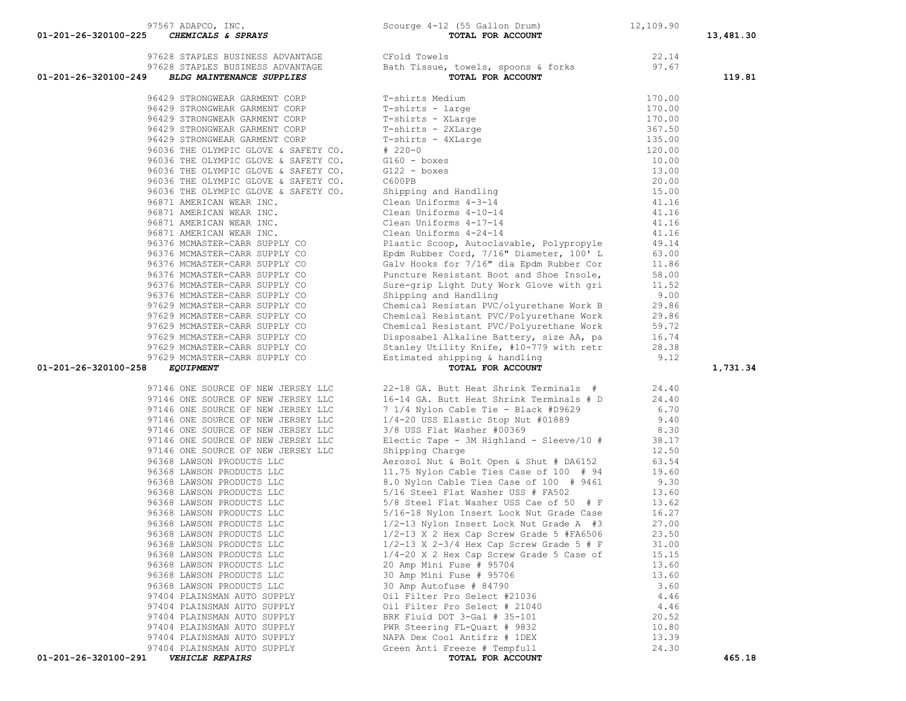| 97628 STAPLES BUSINESS ADVANTAGE<br>97628 STAPLES BUSINESS ADVANTAGE<br>01-201-26-320100-249<br><b>BLDG MAINTENANCE SUPPLIES</b> | CFold Towels<br>Croid Towels<br>Bath Tissue, towels, spoons & forks<br><b>TOTAL FOR ACCOUNT</b>                                                                                                                                                                                          | 22.14<br>97.67 | 119.81   |
|----------------------------------------------------------------------------------------------------------------------------------|------------------------------------------------------------------------------------------------------------------------------------------------------------------------------------------------------------------------------------------------------------------------------------------|----------------|----------|
| 96429 STRONGWEAR GARMENT CORP                                                                                                    | T-shirts Medium<br>T-shirts Medium<br>T-shirts - large<br>T-shirts - XLarge<br>T-shirts - 2XLarge<br>T-shirts - 4XLarge<br># 220-0<br>G160 - boxes<br>G122 - boxes<br>C600PB<br>Shipping and Handling<br>Clean Uniforms 4-3-14<br>Clean Uniforms 4-10-14<br>Clean Uniforms 4-10-14<br>Cl | 170.00         |          |
| 96429 STRONGWEAR GARMENT CORP                                                                                                    |                                                                                                                                                                                                                                                                                          | 170.00         |          |
| 96429 STRONGWEAR GARMENT CORP                                                                                                    |                                                                                                                                                                                                                                                                                          | 170.00         |          |
| 96429 STRONGWEAR GARMENT CORP                                                                                                    |                                                                                                                                                                                                                                                                                          | 367.50         |          |
| 96429 STRONGWEAR GARMENT CORP                                                                                                    |                                                                                                                                                                                                                                                                                          | 135.00         |          |
| 96036 THE OLYMPIC GLOVE & SAFETY CO.                                                                                             |                                                                                                                                                                                                                                                                                          | 120.00         |          |
| 96036 THE OLYMPIC GLOVE & SAFETY CO.                                                                                             |                                                                                                                                                                                                                                                                                          | 10.00          |          |
| 96036 THE OLYMPIC GLOVE & SAFETY CO.                                                                                             |                                                                                                                                                                                                                                                                                          | 13.00          |          |
| 96036 THE OLYMPIC GLOVE & SAFETY CO.                                                                                             |                                                                                                                                                                                                                                                                                          | 20.00          |          |
| 96036 THE OLYMPIC GLOVE & SAFETY CO.                                                                                             |                                                                                                                                                                                                                                                                                          | 15.00          |          |
| 96871 AMERICAN WEAR INC.                                                                                                         |                                                                                                                                                                                                                                                                                          | 41.16          |          |
| 96871 AMERICAN WEAR INC.                                                                                                         |                                                                                                                                                                                                                                                                                          | 41.16          |          |
| 96871 AMERICAN WEAR INC.                                                                                                         | Clean Uniforms 4-17-14                                                                                                                                                                                                                                                                   | 41.16          |          |
| 96871 AMERICAN WEAR INC.                                                                                                         | Clean Uniforms 4-24-14                                                                                                                                                                                                                                                                   | 41.16          |          |
| 96376 MCMASTER-CARR SUPPLY CO                                                                                                    | Plastic Scoop, Autoclavable, Polypropyle                                                                                                                                                                                                                                                 | 49.14          |          |
| 96376 MCMASTER-CARR SUPPLY CO                                                                                                    | Epdm Rubber Cord, 7/16" Diameter, 100' L                                                                                                                                                                                                                                                 | 63.00          |          |
| 96376 MCMASTER-CARR SUPPLY CO                                                                                                    | Galv Hooks for 7/16" dia Epdm Rubber Cor                                                                                                                                                                                                                                                 | 11.86          |          |
| 96376 MCMASTER-CARR SUPPLY CO                                                                                                    | Puncture Resistant Boot and Shoe Insole,                                                                                                                                                                                                                                                 |                |          |
|                                                                                                                                  |                                                                                                                                                                                                                                                                                          | 58.00          |          |
| 96376 MCMASTER-CARR SUPPLY CO                                                                                                    | Sure-grip Light Duty Work Glove with gri                                                                                                                                                                                                                                                 | 11.52          |          |
| 96376 MCMASTER-CARR SUPPLY CO                                                                                                    | Shipping and Handling                                                                                                                                                                                                                                                                    | 9.00           |          |
| 97629 MCMASTER-CARR SUPPLY CO                                                                                                    | Chemical Resistan PVC/olyurethane Work B                                                                                                                                                                                                                                                 | 29.86          |          |
| 97629 MCMASTER-CARR SUPPLY CO                                                                                                    | Chemical Resistant PVC/Polyurethane Work                                                                                                                                                                                                                                                 | 29.86          |          |
| 97629 MCMASTER-CARR SUPPLY CO                                                                                                    | Chemical Resistant PVC/Polyurethane Work                                                                                                                                                                                                                                                 | 59.72          |          |
| 97629 MCMASTER-CARR SUPPLY CO                                                                                                    | Disposabel Alkaline Battery, size AA, pa                                                                                                                                                                                                                                                 | 16.74          |          |
| 97629 MCMASTER-CARR SUPPLY CO                                                                                                    | Stanley Utility Knife, #10-779 with retr                                                                                                                                                                                                                                                 | 28.38          |          |
| 97629 MCMASTER-CARR SUPPLY CO<br>01-201-26-320100-258<br><i>EQUIPMENT</i>                                                        | Estimated shipping & handling<br>TOTAL FOR ACCOUNT                                                                                                                                                                                                                                       | 9.12           | 1,731.34 |
| 97146 ONE SOURCE OF NEW JERSEY LLC                                                                                               | 22-18 GA. Butt Heat Shrink Terminals #                                                                                                                                                                                                                                                   | 24.40          |          |
| 97146 ONE SOURCE OF NEW JERSEY LLC                                                                                               | 16-14 GA. Butt Heat Shrink Terminals # D                                                                                                                                                                                                                                                 | 24.40          |          |
| 97146 ONE SOURCE OF NEW JERSEY LLC                                                                                               | 7 1/4 Nylon Cable Tie - Black #D9629                                                                                                                                                                                                                                                     | 6.70           |          |
| 97146 ONE SOURCE OF NEW JERSEY LLC                                                                                               |                                                                                                                                                                                                                                                                                          | 9.40           |          |
| 97146 ONE SOURCE OF NEW JERSEY LLC                                                                                               | 1/4-20 USS Elastic Stop Nut #01889<br>3/8 USS Flat Washer #00369                                                                                                                                                                                                                         | 8.30           |          |
| 97146 ONE SOURCE OF NEW JERSEY LLC                                                                                               | Electic Tape - 3M Highland - Sleeve/10 #                                                                                                                                                                                                                                                 | 38.17          |          |
| 97146 ONE SOURCE OF NEW JERSEY LLC                                                                                               | Shipping Charge                                                                                                                                                                                                                                                                          | 12.50          |          |
| 96368 LAWSON PRODUCTS LLC                                                                                                        | Aerosol Nut & Bolt Open & Shut # DA6152                                                                                                                                                                                                                                                  | 63.54          |          |
| 96368 LAWSON PRODUCTS LLC                                                                                                        | 11.75 Nylon Cable Ties Case of 100 # 94                                                                                                                                                                                                                                                  | 19.60          |          |
| 96368 LAWSON PRODUCTS LLC                                                                                                        | 8.0 Nylon Cable Ties Case of 100 # 9461                                                                                                                                                                                                                                                  | 9.30           |          |
| 96368 LAWSON PRODUCTS LLC                                                                                                        | 5/16 Steel Flat Washer USS # FA502                                                                                                                                                                                                                                                       | 13.60          |          |
|                                                                                                                                  |                                                                                                                                                                                                                                                                                          | 13.62          |          |
| 96368 LAWSON PRODUCTS LLC<br>96368 LAWSON PRODUCTS LLC                                                                           | 5/8 Steel Flat Washer USS Cae of 50 # F<br>5/16-18 Nylon Insert Lock Nut Grade Case                                                                                                                                                                                                      | 16.27          |          |
| 96368 LAWSON PRODUCTS LLC                                                                                                        | 1/2-13 Nylon Insert Lock Nut Grade A #3                                                                                                                                                                                                                                                  | 27.00          |          |
| 96368 LAWSON PRODUCTS LLC                                                                                                        |                                                                                                                                                                                                                                                                                          |                |          |
|                                                                                                                                  | $1/2-13$ X 2 Hex Cap Screw Grade 5 #FA6506                                                                                                                                                                                                                                               | 23.50          |          |
| 96368 LAWSON PRODUCTS LLC                                                                                                        | $1/2-13$ X 2-3/4 Hex Cap Screw Grade 5 # F                                                                                                                                                                                                                                               | 31.00          |          |
| 96368 LAWSON PRODUCTS LLC                                                                                                        | 1/4-20 X 2 Hex Cap Screw Grade 5 Case of                                                                                                                                                                                                                                                 | 15.15          |          |
| 96368 LAWSON PRODUCTS LLC                                                                                                        | 20 Amp Mini Fuse # 95704                                                                                                                                                                                                                                                                 | 13.60          |          |
| 96368 LAWSON PRODUCTS LLC                                                                                                        | 30 Amp Mini Fuse # 95706                                                                                                                                                                                                                                                                 | 13.60          |          |
| 96368 LAWSON PRODUCTS LLC                                                                                                        | 30 Amp Autofuse # 84790                                                                                                                                                                                                                                                                  | 3.60           |          |
| 97404 PLAINSMAN AUTO SUPPLY                                                                                                      | Oil Filter Pro Select #21036                                                                                                                                                                                                                                                             | 4.46           |          |
| 97404 PLAINSMAN AUTO SUPPLY                                                                                                      | Oil Filter Pro Select # 21040                                                                                                                                                                                                                                                            | 4.46           |          |
| 97404 PLAINSMAN AUTO SUPPLY                                                                                                      | BRK Fluid DOT 3-Gal # 35-101                                                                                                                                                                                                                                                             | 20.52          |          |
| 97404 PLAINSMAN AUTO SUPPLY                                                                                                      | PWR Steering FL-Quart # 9832                                                                                                                                                                                                                                                             | 10.80          |          |
| 97404 PLAINSMAN AUTO SUPPLY                                                                                                      | NAPA Dex Cool Antifrz # 1DEX                                                                                                                                                                                                                                                             | 13.39          |          |
| 97404 PLAINSMAN AUTO SUPPLY<br>01-201-26-320100-291<br><b>VEHICLE REPAIRS</b>                                                    | Green Anti Freeze # Tempfull<br>TOTAL FOR ACCOUNT                                                                                                                                                                                                                                        | 24.30          | 465.18   |

97567 ADAPCO, INC. Scourge 4-12 (55 Gallon Drum) 12,109.90

 **01-201-26-320100-225** *CHEMICALS & SPRAYS* **TOTAL FOR ACCOUNT 13,481.30**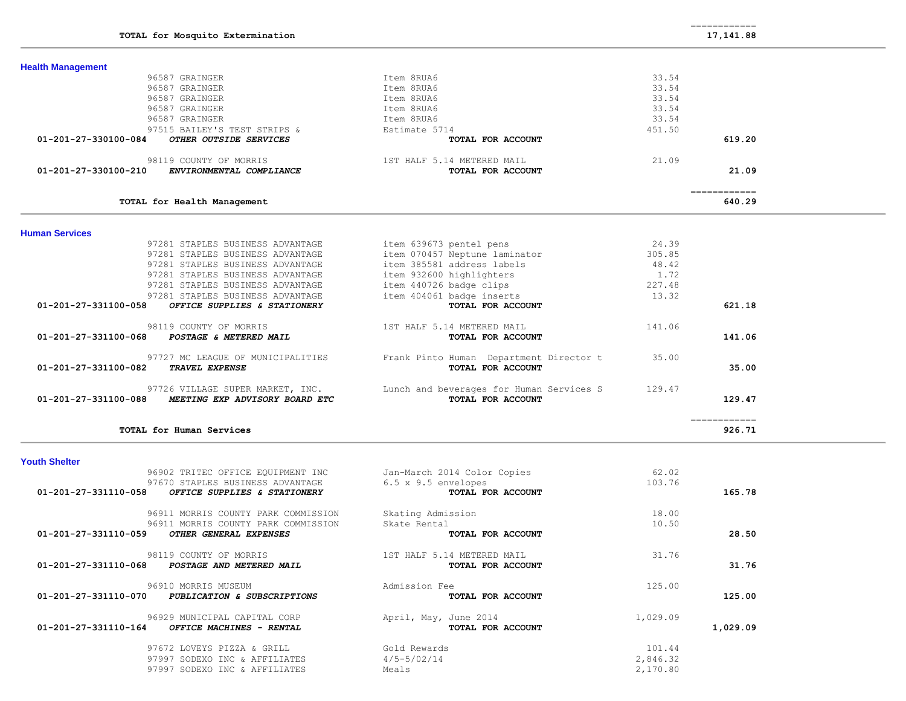| <b>Health Management</b>                             |                                                                           |        |                                                                                                                                                                                                                                                                                                                                                                                                                                                                                        |
|------------------------------------------------------|---------------------------------------------------------------------------|--------|----------------------------------------------------------------------------------------------------------------------------------------------------------------------------------------------------------------------------------------------------------------------------------------------------------------------------------------------------------------------------------------------------------------------------------------------------------------------------------------|
| 96587 GRAINGER                                       | Item 8RUA6                                                                | 33.54  |                                                                                                                                                                                                                                                                                                                                                                                                                                                                                        |
| 96587 GRAINGER                                       | Item 8RUA6                                                                | 33.54  |                                                                                                                                                                                                                                                                                                                                                                                                                                                                                        |
| 96587 GRAINGER                                       | Item 8RUA6                                                                | 33.54  |                                                                                                                                                                                                                                                                                                                                                                                                                                                                                        |
| 96587 GRAINGER                                       | Item 8RUA6                                                                | 33.54  |                                                                                                                                                                                                                                                                                                                                                                                                                                                                                        |
| 96587 GRAINGER                                       | Item 8RUA6                                                                | 33.54  |                                                                                                                                                                                                                                                                                                                                                                                                                                                                                        |
| 97515 BAILEY'S TEST STRIPS &                         | Estimate 5714                                                             | 451.50 |                                                                                                                                                                                                                                                                                                                                                                                                                                                                                        |
| OTHER OUTSIDE SERVICES<br>01-201-27-330100-084       | TOTAL FOR ACCOUNT                                                         |        | 619.20                                                                                                                                                                                                                                                                                                                                                                                                                                                                                 |
| 98119 COUNTY OF MORRIS                               | 1ST HALF 5.14 METERED MAIL                                                | 21.09  |                                                                                                                                                                                                                                                                                                                                                                                                                                                                                        |
| ENVIRONMENTAL COMPLIANCE<br>01-201-27-330100-210     | TOTAL FOR ACCOUNT                                                         |        | 21.09                                                                                                                                                                                                                                                                                                                                                                                                                                                                                  |
|                                                      |                                                                           |        | ============                                                                                                                                                                                                                                                                                                                                                                                                                                                                           |
| TOTAL for Health Management                          |                                                                           |        | 640.29                                                                                                                                                                                                                                                                                                                                                                                                                                                                                 |
| <b>Human Services</b>                                |                                                                           |        |                                                                                                                                                                                                                                                                                                                                                                                                                                                                                        |
| 97281 STAPLES BUSINESS ADVANTAGE                     | item 639673 pentel pens                                                   | 24.39  |                                                                                                                                                                                                                                                                                                                                                                                                                                                                                        |
| 97281 STAPLES BUSINESS ADVANTAGE                     | item 070457 Neptune laminator                                             | 305.85 |                                                                                                                                                                                                                                                                                                                                                                                                                                                                                        |
| 97281 STAPLES BUSINESS ADVANTAGE                     | item 385581 address labels                                                | 48.42  |                                                                                                                                                                                                                                                                                                                                                                                                                                                                                        |
| 97281 STAPLES BUSINESS ADVANTAGE                     | item 932600 highlighters                                                  | 1,72   |                                                                                                                                                                                                                                                                                                                                                                                                                                                                                        |
| 97281 STAPLES BUSINESS ADVANTAGE                     | item 440726 badge clips                                                   | 227.48 |                                                                                                                                                                                                                                                                                                                                                                                                                                                                                        |
| 97281 STAPLES BUSINESS ADVANTAGE                     | item 404061 badge inserts                                                 | 13.32  |                                                                                                                                                                                                                                                                                                                                                                                                                                                                                        |
| 01-201-27-331100-058<br>OFFICE SUPPLIES & STATIONERY | TOTAL FOR ACCOUNT                                                         |        | 621.18                                                                                                                                                                                                                                                                                                                                                                                                                                                                                 |
| 98119 COUNTY OF MORRIS                               | 1ST HALF 5.14 METERED MAIL                                                | 141.06 |                                                                                                                                                                                                                                                                                                                                                                                                                                                                                        |
| 01-201-27-331100-068<br>POSTAGE & METERED MAIL       | TOTAL FOR ACCOUNT                                                         |        | 141.06                                                                                                                                                                                                                                                                                                                                                                                                                                                                                 |
|                                                      |                                                                           |        |                                                                                                                                                                                                                                                                                                                                                                                                                                                                                        |
| 97727 MC LEAGUE OF MUNICIPALITIES                    | Frank Pinto Human Department Director t                                   | 35.00  |                                                                                                                                                                                                                                                                                                                                                                                                                                                                                        |
| 01-201-27-331100-082<br>TRAVEL EXPENSE               | TOTAL FOR ACCOUNT                                                         |        | 35.00                                                                                                                                                                                                                                                                                                                                                                                                                                                                                  |
|                                                      | 97726 VILLAGE SUPER MARKET, INC. Lunch and beverages for Human Services S | 129.47 |                                                                                                                                                                                                                                                                                                                                                                                                                                                                                        |
| 01-201-27-331100-088 MEETING EXP ADVISORY BOARD ETC  | TOTAL FOR ACCOUNT                                                         |        | 129.47                                                                                                                                                                                                                                                                                                                                                                                                                                                                                 |
|                                                      |                                                                           |        | $\begin{array}{cccccccccc} \multicolumn{2}{c}{} & \multicolumn{2}{c}{} & \multicolumn{2}{c}{} & \multicolumn{2}{c}{} & \multicolumn{2}{c}{} & \multicolumn{2}{c}{} & \multicolumn{2}{c}{} & \multicolumn{2}{c}{} & \multicolumn{2}{c}{} & \multicolumn{2}{c}{} & \multicolumn{2}{c}{} & \multicolumn{2}{c}{} & \multicolumn{2}{c}{} & \multicolumn{2}{c}{} & \multicolumn{2}{c}{} & \multicolumn{2}{c}{} & \multicolumn{2}{c}{} & \multicolumn{2}{c}{} & \multicolumn{2}{c}{} & \mult$ |
| TOTAL for Human Services                             |                                                                           |        | 926.71                                                                                                                                                                                                                                                                                                                                                                                                                                                                                 |
| <b>Youth Shelter</b>                                 |                                                                           |        |                                                                                                                                                                                                                                                                                                                                                                                                                                                                                        |
| 96902 TRITEC OFFICE EQUIPMENT INC                    | Jan-March 2014 Color Copies                                               | 62.02  |                                                                                                                                                                                                                                                                                                                                                                                                                                                                                        |
| 97670 STAPLES BUSINESS ADVANTAGE                     | 6.5 x 9.5 envelopes                                                       | 103.76 |                                                                                                                                                                                                                                                                                                                                                                                                                                                                                        |
| OFFICE SUPPLIES & STATIONERY<br>01-201-27-331110-058 | TOTAL FOR ACCOUNT                                                         |        | 165.78                                                                                                                                                                                                                                                                                                                                                                                                                                                                                 |
| 96911 MORRIS COUNTY PARK COMMISSION                  |                                                                           | 18.00  |                                                                                                                                                                                                                                                                                                                                                                                                                                                                                        |
|                                                      | Skating Admission                                                         |        |                                                                                                                                                                                                                                                                                                                                                                                                                                                                                        |

96911 MORRIS COUNTY PARK COMMISSION Skate Rental 10.50<br>SA CULTER CENTERAL EVERYCES  **01-201-27-331110-059** *OTHER GENERAL EXPENSES* **TOTAL FOR ACCOUNT 28.50** 98119 COUNTY OF MORRIS 1ST HALF 5.14 METERED MAIL 31.76<br> **8** POSTAGE AND METERED MAIL **1ST INCREASE 1999 TOTAL FOR ACCOUNT 01-201-27-331110-068** *POSTAGE AND METERED MAIL* **TOTAL FOR ACCOUNT 31.76** 96910 MORRIS MUSEUM (and admission Fee 125.00)<br>**0 PUBLICATION & SUBSCRIPTIONS (ADMISSION TOTAL FOR ACCOUNT 01-201-27-331110-070** *PUBLICATION & SUBSCRIPTIONS* **TOTAL FOR ACCOUNT 125.00** 96929 MUNICIPAL CAPITAL CORP April, May, June 2014 1,029.09  **01-201-27-331110-164** *OFFICE MACHINES - RENTAL* **TOTAL FOR ACCOUNT 1,029.09** 97672 LOVEYS PIZZA & GRILL Gold Rewards 601 Collection 101.44 97997 SODEXO INC & AFFILIATES  $4/5-5/02/14$  2,846.32

97997 SODEXO INC & AFFILIATES Meals Meals 2,170.80

============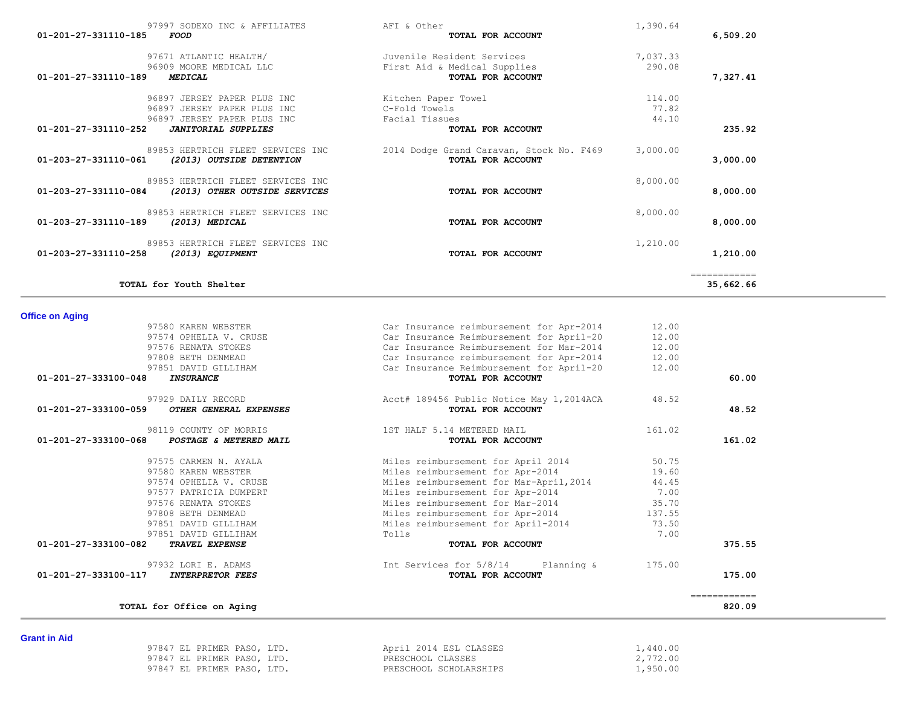| Grant in Ald |                            |                        |          |
|--------------|----------------------------|------------------------|----------|
|              | 97847 EL PRIMER PASO, LTD. | April 2014 ESL CLASSES | .440.00  |
|              | 97847 EL PRIMER PASO, LTD. | PRESCHOOL CLASSES      | 2,772.00 |
|              | 97847 EL PRIMER PASO, LTD. | PRESCHOOL SCHOLARSHIPS | .,950.00 |

| 97808 BETH DENMEAD                                                       | Car Insurance reimbursement for Apr-2014                      | 12.00  |              |
|--------------------------------------------------------------------------|---------------------------------------------------------------|--------|--------------|
| 97851 DAVID GILLIHAM                                                     | Car Insurance Reimbursement for April-20                      | 12.00  |              |
| 01-201-27-333100-048<br><b>INSURANCE</b>                                 | TOTAL FOR ACCOUNT                                             |        | 60.00        |
| 97929 DAILY RECORD<br>01-201-27-333100-059<br>OTHER GENERAL EXPENSES     | Acct# 189456 Public Notice May 1,2014ACA<br>TOTAL FOR ACCOUNT | 48.52  | 48.52        |
| 98119 COUNTY OF MORRIS<br>01-201-27-333100-068<br>POSTAGE & METERED MAIL | 1ST HALF 5.14 METERED MAIL<br>TOTAL FOR ACCOUNT               | 161.02 | 161.02       |
| 97575 CARMEN N. AYALA                                                    | Miles reimbursement for April 2014                            | 50.75  |              |
| 97580 KAREN WEBSTER                                                      | Miles reimbursement for Apr-2014                              | 19.60  |              |
| 97574 OPHELIA V. CRUSE                                                   | Miles reimbursement for Mar-April, 2014                       | 44.45  |              |
| 97577 PATRICIA DUMPERT                                                   | Miles reimbursement for Apr-2014                              | 7.00   |              |
| 97576 RENATA STOKES                                                      | Miles reimbursement for Mar-2014                              | 35.70  |              |
| 97808 BETH DENMEAD                                                       | Miles reimbursement for Apr-2014                              | 137.55 |              |
| 97851 DAVID GILLIHAM                                                     | Miles reimbursement for April-2014                            | 73.50  |              |
| 97851 DAVID GILLIHAM                                                     | Tolls                                                         | 7.00   |              |
| 01-201-27-333100-082<br><b>TRAVEL EXPENSE</b>                            | TOTAL FOR ACCOUNT                                             |        | 375.55       |
| 97932 LORI E. ADAMS                                                      | Int Services for 5/8/14 Planning &                            | 175.00 |              |
| 01-201-27-333100-117<br><b>INTERPRETOR FEES</b>                          | TOTAL FOR ACCOUNT                                             |        | 175.00       |
|                                                                          |                                                               |        | ------------ |
| TOTAL for Office on Aging                                                |                                                               |        | 820.09       |

============

# **Office on Aging**

| 97997 SODEXO INC & AFFILIATES<br>01-201-27-331110-185<br><b>FOOD</b>                       | AFI & Other<br>TOTAL FOR ACCOUNT                              | 1,390.64        | 6,509.20 |
|--------------------------------------------------------------------------------------------|---------------------------------------------------------------|-----------------|----------|
| 97671 ATLANTIC HEALTH/                                                                     | Juvenile Resident Services                                    | 7,037.33        |          |
| 96909 MOORE MEDICAL LLC<br>01-201-27-331110-189<br>MEDICAL                                 | First Aid & Medical Supplies<br>TOTAL FOR ACCOUNT             | 290.08          | 7,327.41 |
| 96897 JERSEY PAPER PLUS INC<br>96897 JERSEY PAPER PLUS INC                                 | Kitchen Paper Towel<br>C-Fold Towels                          | 114.00<br>77.82 |          |
| 96897 JERSEY PAPER PLUS INC<br>01-201-27-331110-252<br><b>JANITORIAL SUPPLIES</b>          | Facial Tissues<br>TOTAL FOR ACCOUNT                           | 44.10           | 235.92   |
| 89853 HERTRICH FLEET SERVICES INC<br>01-203-27-331110-061<br>(2013) OUTSIDE DETENTION      | 2014 Dodge Grand Caravan, Stock No. F469<br>TOTAL FOR ACCOUNT | 3,000.00        | 3,000.00 |
| 89853 HERTRICH FLEET SERVICES INC<br>01-203-27-331110-084<br>(2013) OTHER OUTSIDE SERVICES | TOTAL FOR ACCOUNT                                             | 8,000.00        | 8,000.00 |
| 89853 HERTRICH FLEET SERVICES INC<br>01-203-27-331110-189<br>(2013) MEDICAL                | TOTAL FOR ACCOUNT                                             | 8,000.00        | 8,000.00 |
| 89853 HERTRICH FLEET SERVICES INC<br>01-203-27-331110-258<br>(2013) EQUIPMENT              | TOTAL FOR ACCOUNT                                             | 1,210.00        | 1,210.00 |

**TOTAL for Youth Shelter 35,662.66**

97580 KAREN WEBSTER Car Insurance reimbursement for Apr-2014 12.00 97574 OPHELIA V. CRUSE Car Insurance Reimbursement for April-20 12.00 97576 RENATA STOKES Car Insurance Reimbursement for Mar-2014 12.00

**Grant in Aid**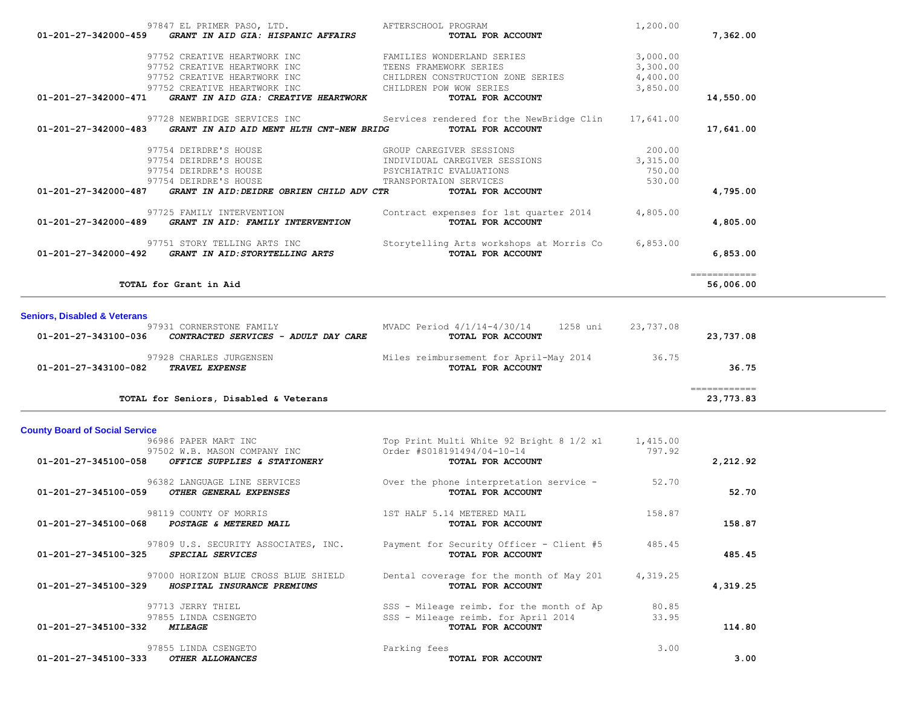|                                         | 97752 CREATIVE HEARTWORK INC<br>97752 CREATIVE HEARTWORK INC                                  | CHILDREN CONSTRUCTION ZONE SERIES<br>CHILDREN POW WOW SERIES  | 4,400.00<br>3,850.00 |                                                                                                                                                                                                                                                                                                                                                                                                                                                                                                     |
|-----------------------------------------|-----------------------------------------------------------------------------------------------|---------------------------------------------------------------|----------------------|-----------------------------------------------------------------------------------------------------------------------------------------------------------------------------------------------------------------------------------------------------------------------------------------------------------------------------------------------------------------------------------------------------------------------------------------------------------------------------------------------------|
| 01-201-27-342000-471                    | GRANT IN AID GIA: CREATIVE HEARTWORK                                                          | TOTAL FOR ACCOUNT                                             |                      | 14,550.00                                                                                                                                                                                                                                                                                                                                                                                                                                                                                           |
|                                         | 97728 NEWBRIDGE SERVICES INC<br>01-201-27-342000-483 GRANT IN AID AID MENT HLTH CNT-NEW BRIDG | Services rendered for the NewBridge Clin<br>TOTAL FOR ACCOUNT | 17,641.00            | 17,641.00                                                                                                                                                                                                                                                                                                                                                                                                                                                                                           |
|                                         | 97754 DEIRDRE'S HOUSE                                                                         | GROUP CAREGIVER SESSIONS                                      | 200.00               |                                                                                                                                                                                                                                                                                                                                                                                                                                                                                                     |
|                                         | 97754 DEIRDRE'S HOUSE                                                                         | INDIVIDUAL CAREGIVER SESSIONS                                 | 3,315.00             |                                                                                                                                                                                                                                                                                                                                                                                                                                                                                                     |
|                                         | 97754 DEIRDRE'S HOUSE                                                                         | PSYCHIATRIC EVALUATIONS                                       | 750.00               |                                                                                                                                                                                                                                                                                                                                                                                                                                                                                                     |
|                                         | 97754 DEIRDRE'S HOUSE                                                                         | TRANSPORTAION SERVICES                                        | 530.00               |                                                                                                                                                                                                                                                                                                                                                                                                                                                                                                     |
| 01-201-27-342000-487                    | GRANT IN AID: DEIDRE OBRIEN CHILD ADV CTR                                                     | TOTAL FOR ACCOUNT                                             |                      | 4,795.00                                                                                                                                                                                                                                                                                                                                                                                                                                                                                            |
| 01-201-27-342000-489                    | 97725 FAMILY INTERVENTION<br>GRANT IN AID: FAMILY INTERVENTION                                | Contract expenses for 1st quarter 2014<br>TOTAL FOR ACCOUNT   | 4,805.00             | 4,805.00                                                                                                                                                                                                                                                                                                                                                                                                                                                                                            |
|                                         | 97751 STORY TELLING ARTS INC<br>01-201-27-342000-492 GRANT IN AID: STORYTELLING ARTS          | Storytelling Arts workshops at Morris Co<br>TOTAL FOR ACCOUNT | 6,853.00             | 6,853.00                                                                                                                                                                                                                                                                                                                                                                                                                                                                                            |
|                                         | TOTAL for Grant in Aid                                                                        |                                                               |                      | -------------<br>56,006.00                                                                                                                                                                                                                                                                                                                                                                                                                                                                          |
|                                         |                                                                                               |                                                               |                      |                                                                                                                                                                                                                                                                                                                                                                                                                                                                                                     |
|                                         |                                                                                               |                                                               |                      |                                                                                                                                                                                                                                                                                                                                                                                                                                                                                                     |
| <b>Seniors, Disabled &amp; Veterans</b> |                                                                                               |                                                               |                      |                                                                                                                                                                                                                                                                                                                                                                                                                                                                                                     |
| 01-201-27-343100-036                    | 97931 CORNERSTONE FAMILY<br>CONTRACTED SERVICES - ADULT DAY CARE                              | MVADC Period 4/1/14-4/30/14<br>1258 uni<br>TOTAL FOR ACCOUNT  | 23,737.08            | 23,737.08                                                                                                                                                                                                                                                                                                                                                                                                                                                                                           |
|                                         |                                                                                               |                                                               |                      |                                                                                                                                                                                                                                                                                                                                                                                                                                                                                                     |
|                                         | 97928 CHARLES JURGENSEN                                                                       | Miles reimbursement for April-May 2014 36.75                  |                      |                                                                                                                                                                                                                                                                                                                                                                                                                                                                                                     |
| 01-201-27-343100-082                    | <b>TRAVEL EXPENSE</b>                                                                         | TOTAL FOR ACCOUNT                                             |                      | 36.75                                                                                                                                                                                                                                                                                                                                                                                                                                                                                               |
|                                         | TOTAL for Seniors, Disabled & Veterans                                                        |                                                               |                      | $\begin{array}{cccccccccc} \multicolumn{2}{c}{} & \multicolumn{2}{c}{} & \multicolumn{2}{c}{} & \multicolumn{2}{c}{} & \multicolumn{2}{c}{} & \multicolumn{2}{c}{} & \multicolumn{2}{c}{} & \multicolumn{2}{c}{} & \multicolumn{2}{c}{} & \multicolumn{2}{c}{} & \multicolumn{2}{c}{} & \multicolumn{2}{c}{} & \multicolumn{2}{c}{} & \multicolumn{2}{c}{} & \multicolumn{2}{c}{} & \multicolumn{2}{c}{} & \multicolumn{2}{c}{} & \multicolumn{2}{c}{} & \multicolumn{2}{c}{} & \mult$<br>23,773.83 |
|                                         |                                                                                               |                                                               |                      |                                                                                                                                                                                                                                                                                                                                                                                                                                                                                                     |
| <b>County Board of Social Service</b>   |                                                                                               |                                                               |                      |                                                                                                                                                                                                                                                                                                                                                                                                                                                                                                     |
|                                         | 96986 PAPER MART INC                                                                          | Top Print Multi White 92 Bright 8 1/2 x1                      | 1,415.00             |                                                                                                                                                                                                                                                                                                                                                                                                                                                                                                     |
| 01-201-27-345100-058                    | 97502 W.B. MASON COMPANY INC<br>OFFICE SUPPLIES & STATIONERY                                  | Order #S018191494/04-10-14<br>TOTAL FOR ACCOUNT               | 797.92               |                                                                                                                                                                                                                                                                                                                                                                                                                                                                                                     |
|                                         |                                                                                               |                                                               |                      | 2,212.92                                                                                                                                                                                                                                                                                                                                                                                                                                                                                            |
|                                         | 96382 LANGUAGE LINE SERVICES                                                                  | Over the phone interpretation service -                       | 52.70                |                                                                                                                                                                                                                                                                                                                                                                                                                                                                                                     |
|                                         | 01-201-27-345100-059 OTHER GENERAL EXPENSES                                                   | TOTAL FOR ACCOUNT                                             |                      | 52.70                                                                                                                                                                                                                                                                                                                                                                                                                                                                                               |
|                                         | 98119 COUNTY OF MORRIS                                                                        | 1ST HALF 5.14 METERED MAIL                                    | 158.87               |                                                                                                                                                                                                                                                                                                                                                                                                                                                                                                     |
|                                         | 01-201-27-345100-068 POSTAGE & METERED MAIL                                                   | TOTAL FOR ACCOUNT                                             |                      | 158.87                                                                                                                                                                                                                                                                                                                                                                                                                                                                                              |
|                                         |                                                                                               |                                                               |                      |                                                                                                                                                                                                                                                                                                                                                                                                                                                                                                     |
|                                         | 97809 U.S. SECURITY ASSOCIATES, INC.                                                          | Payment for Security Officer - Client #5                      | 485.45               |                                                                                                                                                                                                                                                                                                                                                                                                                                                                                                     |
| 01-201-27-345100-325 SPECIAL SERVICES   |                                                                                               | TOTAL FOR ACCOUNT                                             |                      | 485.45                                                                                                                                                                                                                                                                                                                                                                                                                                                                                              |
|                                         | 97000 HORIZON BLUE CROSS BLUE SHIELD                                                          | Dental coverage for the month of May 201 4,319.25             |                      |                                                                                                                                                                                                                                                                                                                                                                                                                                                                                                     |
| 01-201-27-345100-329                    | HOSPITAL INSURANCE PREMIUMS                                                                   | TOTAL FOR ACCOUNT                                             |                      | 4,319.25                                                                                                                                                                                                                                                                                                                                                                                                                                                                                            |
|                                         |                                                                                               |                                                               |                      |                                                                                                                                                                                                                                                                                                                                                                                                                                                                                                     |
|                                         | 97713 JERRY THIEL                                                                             | SSS - Mileage reimb. for the month of Ap                      | 80.85                |                                                                                                                                                                                                                                                                                                                                                                                                                                                                                                     |
|                                         | 97855 LINDA CSENGETO                                                                          | SSS - Mileage reimb. for April 2014                           | 33.95                |                                                                                                                                                                                                                                                                                                                                                                                                                                                                                                     |
| 01-201-27-345100-332                    | <i><b>MILEAGE</b></i>                                                                         | TOTAL FOR ACCOUNT                                             |                      | 114.80                                                                                                                                                                                                                                                                                                                                                                                                                                                                                              |
|                                         | 97855 LINDA CSENGETO                                                                          | Parking fees                                                  | 3.00                 |                                                                                                                                                                                                                                                                                                                                                                                                                                                                                                     |

 97847 EL PRIMER PASO, LTD. AFTERSCHOOL PROGRAM 1,200.00  **01-201-27-342000-459** *GRANT IN AID GIA: HISPANIC AFFAIRS* **TOTAL FOR ACCOUNT 7,362.00**

97752 CREATIVE HEARTWORK INC FAMILIES WONDERLAND SERIES 3,000.00

97752 CREATIVE HEARTWORK INC TEENS FRAMEWORK SERIES 3,300.00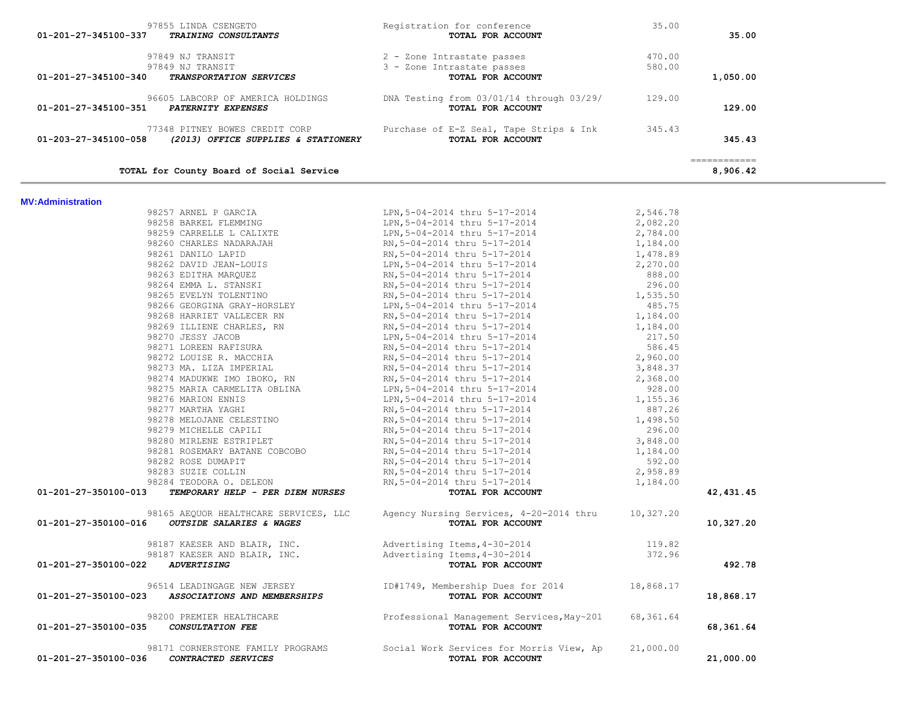| 97849 NJ TRANSIT                              |                                                             | trastate passes<br><b>TOTAL FOR ACCOUNT</b><br>3 - Zone Intrastate passes                                                                                                                                                             | 580.00    |                                         |
|-----------------------------------------------|-------------------------------------------------------------|---------------------------------------------------------------------------------------------------------------------------------------------------------------------------------------------------------------------------------------|-----------|-----------------------------------------|
| 01-201-27-345100-340                          | TRANSPORTATION SERVICES                                     |                                                                                                                                                                                                                                       |           | 1,050.00                                |
| 01-201-27-345100-351 PATERNITY EXPENSES       |                                                             | 96605 LABCORP OF AMERICA HOLDINGS DNA Testing from 03/01/14 through 03/29/ 129.00<br>TOTAL FOR ACCOUNT                                                                                                                                |           | 129.00                                  |
| 01-203-27-345100-058                          |                                                             | 77348 PITNEY BOWES CREDIT CORP<br><b>Purchase of E-Z Seal, Tape Strips &amp; Ink</b><br><b>2013) OFFICE SUPPLIES &amp; STATIONERY</b> TOTAL FOR ACCOUNT                                                                               |           | 345.43                                  |
|                                               | TOTAL for County Board of Social Service                    |                                                                                                                                                                                                                                       |           | $=$ = = = = = = = = = = = =<br>8,906.42 |
| <b>MV:Administration</b>                      |                                                             |                                                                                                                                                                                                                                       |           |                                         |
|                                               | 98257 ARNEL P GARCIA                                        | LPN, 5-04-2014 thru 5-17-2014                                                                                                                                                                                                         | 2,546.78  |                                         |
|                                               | 98258 BARKEL FLEMMING                                       | LPN, 5-04-2014 thru 5-17-2014<br>LPN, 5-04-2014 thru 5-17-2014                                                                                                                                                                        | 2,082.20  |                                         |
|                                               | 98259 CARRELLE L CALIXTE                                    |                                                                                                                                                                                                                                       | 2,784.00  |                                         |
|                                               |                                                             |                                                                                                                                                                                                                                       |           |                                         |
|                                               |                                                             |                                                                                                                                                                                                                                       |           |                                         |
|                                               |                                                             |                                                                                                                                                                                                                                       |           |                                         |
|                                               |                                                             |                                                                                                                                                                                                                                       |           |                                         |
|                                               |                                                             |                                                                                                                                                                                                                                       |           |                                         |
|                                               |                                                             |                                                                                                                                                                                                                                       |           |                                         |
|                                               |                                                             |                                                                                                                                                                                                                                       |           |                                         |
|                                               |                                                             |                                                                                                                                                                                                                                       |           |                                         |
|                                               |                                                             |                                                                                                                                                                                                                                       |           |                                         |
|                                               |                                                             |                                                                                                                                                                                                                                       |           |                                         |
|                                               |                                                             |                                                                                                                                                                                                                                       |           |                                         |
|                                               |                                                             |                                                                                                                                                                                                                                       |           |                                         |
|                                               |                                                             |                                                                                                                                                                                                                                       |           |                                         |
|                                               |                                                             |                                                                                                                                                                                                                                       |           |                                         |
|                                               |                                                             |                                                                                                                                                                                                                                       |           |                                         |
|                                               |                                                             |                                                                                                                                                                                                                                       |           |                                         |
|                                               |                                                             |                                                                                                                                                                                                                                       |           |                                         |
|                                               |                                                             |                                                                                                                                                                                                                                       |           |                                         |
|                                               |                                                             |                                                                                                                                                                                                                                       |           |                                         |
|                                               |                                                             |                                                                                                                                                                                                                                       |           |                                         |
|                                               |                                                             |                                                                                                                                                                                                                                       |           |                                         |
|                                               |                                                             |                                                                                                                                                                                                                                       |           |                                         |
|                                               |                                                             |                                                                                                                                                                                                                                       |           |                                         |
|                                               |                                                             | RN, 5-04-2014 thru 5-17-2014 1, 184.00<br><b>TOTAL FOR ACCOUNT</b>                                                                                                                                                                    |           |                                         |
| 01-201-27-350100-013                          | TEMPORARY HELP - PER DIEM NURSES                            | 98229 BARRELLE LEMENING FROM LEMEN 1982-2014 thru 5-17-2014<br>98269 CARRELLE LALIXTEE CALIXTE (EXECUTE 2014 thru 5-17-2014 1<br>98261 DANILO JAPID REM 1984-00<br>98261 DANILO JAPID REM 1984-00<br>98261 DANILO JAPID IS RM 5-04-20 |           | 42,431.45                               |
| 01-201-27-350100-016 OUTSIDE SALARIES & WAGES |                                                             | 98165 AEQUOR HEALTHCARE SERVICES, LLC Agency Nursing Services, 4-20-2014 thru 10,327.20<br>TOTAL FOR ACCOUNT                                                                                                                          |           | 10,327.20                               |
|                                               |                                                             |                                                                                                                                                                                                                                       | 119.82    |                                         |
|                                               |                                                             | 98187 KAESER AND BLAIR, INC.<br>98187 KAESER AND BLAIR, INC. Advertising Items, 4-30-2014                                                                                                                                             | 372.96    |                                         |
| 01-201-27-350100-022<br><b>ADVERTISING</b>    |                                                             | TOTAL FOR ACCOUNT                                                                                                                                                                                                                     |           | 492.78                                  |
| 01-201-27-350100-023                          | 96514 LEADINGAGE NEW JERSEY<br>ASSOCIATIONS AND MEMBERSHIPS | ID#1749, Membership Dues for 2014<br>TOTAL FOR ACCOUNT                                                                                                                                                                                | 18,868.17 | 18,868.17                               |
|                                               | 98200 PREMIER HEALTHCARE                                    |                                                                                                                                                                                                                                       |           |                                         |
| 01-201-27-350100-035                          | CONSULTATION FEE                                            | Professional Management Services, May~201<br>TOTAL FOR ACCOUNT                                                                                                                                                                        | 68,361.64 | 68,361.64                               |
| 01-201-27-350100-036                          | 98171 CORNERSTONE FAMILY PROGRAMS<br>CONTRACTED SERVICES    | Social Work Services for Morris View, Ap<br>TOTAL FOR ACCOUNT                                                                                                                                                                         | 21,000.00 | 21,000.00                               |

97855 LINDA CSENGETO<br> **PERSON STATES ASSESSED ASSESSED ASSESSED ASSESSED FOR ACCOUNT**<br> **PERSON STATES ASSESSED ASSESSED ASSESSED AND TOTAL FOR ACCOUNT 01-201-27-345100-337** *TRAINING CONSULTANTS* **TOTAL FOR ACCOUNT 35.00**

97849 NJ TRANSIT 2 - Zone Intrastate passes 470.00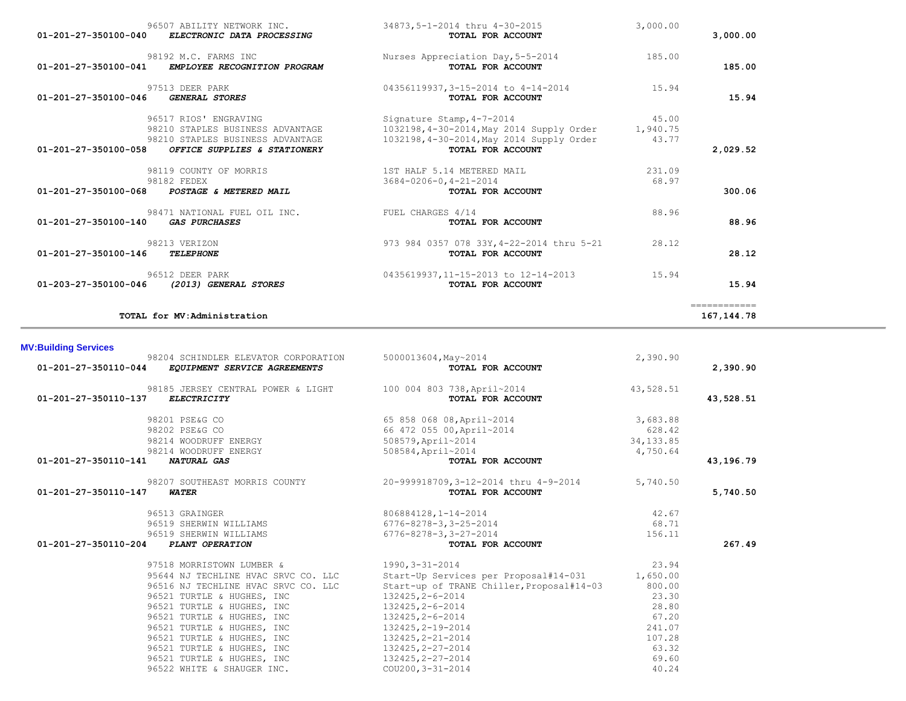| <b>BUT OF ISLAM</b>  |                                                                                           |                                                                    |            |           |
|----------------------|-------------------------------------------------------------------------------------------|--------------------------------------------------------------------|------------|-----------|
|                      | 98204 SCHINDLER ELEVATOR CORPORATION<br>01-201-27-350110-044 EQUIPMENT SERVICE AGREEMENTS | 5000013604, May~2014<br>TOTAL FOR ACCOUNT                          | 2,390.90   | 2,390.90  |
| 01-201-27-350110-137 | 98185 JERSEY CENTRAL POWER & LIGHT 100 004 803 738, April~2014<br><i>ELECTRICITY</i>      | TOTAL FOR ACCOUNT                                                  | 43,528.51  | 43,528.51 |
|                      | 98201 PSE&G CO                                                                            | 65 858 068 08, April~2014                                          | 3,683.88   |           |
|                      | 98202 PSE&G CO                                                                            | 66 472 055 00, April~2014                                          | 628.42     |           |
|                      | 98214 WOODRUFF ENERGY                                                                     | 508579, April~2014                                                 | 34, 133.85 |           |
|                      | 98214 WOODRUFF ENERGY                                                                     | 508584, April~2014                                                 | 4,750.64   |           |
| 01-201-27-350110-141 | <b>NATURAL GAS</b>                                                                        | TOTAL FOR ACCOUNT                                                  |            | 43,196.79 |
|                      |                                                                                           | 98207 SOUTHEAST MORRIS COUNTY 20-999918709,3-12-2014 thru 4-9-2014 | 5,740.50   |           |
| 01-201-27-350110-147 | <b>WATER</b>                                                                              | TOTAL FOR ACCOUNT                                                  |            | 5,740.50  |
|                      | 96513 GRAINGER                                                                            | 806884128,1-14-2014                                                | 42.67      |           |
|                      | 96519 SHERWIN WILLIAMS                                                                    | 6776-8278-3,3-25-2014                                              | 68.71      |           |
|                      | 96519 SHERWIN WILLIAMS                                                                    | 6776-8278-3,3-27-2014                                              | 156.11     |           |
| 01-201-27-350110-204 | PLANT OPERATION                                                                           | TOTAL FOR ACCOUNT                                                  |            | 267.49    |
|                      | 97518 MORRISTOWN LUMBER &                                                                 | 1990, 3-31-2014                                                    | 23.94      |           |
|                      | 95644 NJ TECHLINE HVAC SRVC CO. LLC                                                       | Start-Up Services per Proposal#14-031 1,650.00                     |            |           |
|                      | 96516 NJ TECHLINE HVAC SRVC CO. LLC                                                       | Start-up of TRANE Chiller, Proposal#14-03                          | 800.00     |           |
|                      | 96521 TURTLE & HUGHES, INC                                                                | 132425, 2-6-2014                                                   | 23.30      |           |
|                      | 96521 TURTLE & HUGHES, INC                                                                | 132425, 2-6-2014                                                   | 28.80      |           |
|                      | 96521 TURTLE & HUGHES, INC                                                                | 132425, 2-6-2014                                                   | 67.20      |           |
|                      | 96521 TURTLE & HUGHES, INC                                                                | 132425, 2-19-2014                                                  | 241.07     |           |
|                      | 96521 TURTLE & HUGHES, INC                                                                | 132425, 2-21-2014                                                  | 107.28     |           |
|                      | 96521 TURTLE & HUGHES, INC                                                                | 132425, 2-27-2014                                                  | 63.32      |           |
|                      | 96521 TURTLE & HUGHES, INC                                                                | 132425, 2-27-2014                                                  | 69.60      |           |
|                      | 96522 WHITE & SHAUGER INC.                                                                | COU200, 3-31-2014                                                  | 40.24      |           |

### **MV:Building Services**

| 01-201-27-350100-040<br>ELECTRONIC DATA PROCESSING                           | TOTAL FOR ACCOUNT                                      |          | 3,000.00     |
|------------------------------------------------------------------------------|--------------------------------------------------------|----------|--------------|
| 98192 M.C. FARMS INC<br>01-201-27-350100-041<br>EMPLOYEE RECOGNITION PROGRAM | Nurses Appreciation Day, 5-5-2014<br>TOTAL FOR ACCOUNT | 185.00   | 185.00       |
| 97513 DEER PARK                                                              | 04356119937,3-15-2014 to 4-14-2014                     | 15.94    |              |
| <b>GENERAL STORES</b><br>01-201-27-350100-046                                | TOTAL FOR ACCOUNT                                      |          | 15.94        |
| 96517 RIOS' ENGRAVING                                                        | Signature Stamp, 4-7-2014                              | 45.00    |              |
| 98210 STAPLES BUSINESS ADVANTAGE                                             | 1032198,4-30-2014, May 2014 Supply Order               | 1,940.75 |              |
| 98210 STAPLES BUSINESS ADVANTAGE                                             | 1032198, 4-30-2014, May 2014 Supply Order              | 43.77    |              |
| 01-201-27-350100-058<br>OFFICE SUPPLIES & STATIONERY                         | TOTAL FOR ACCOUNT                                      |          | 2,029.52     |
| 98119 COUNTY OF MORRIS                                                       | 1ST HALF 5.14 METERED MAIL                             | 231.09   |              |
| 98182 FEDEX                                                                  | $3684 - 0206 - 0, 4 - 21 - 2014$                       | 68.97    |              |
| 01-201-27-350100-068 POSTAGE & METERED MAIL                                  | TOTAL FOR ACCOUNT                                      |          | 300.06       |
| 98471 NATIONAL FUEL OIL INC.                                                 | FUEL CHARGES 4/14                                      | 88.96    |              |
| 01-201-27-350100-140<br><i><b>GAS PURCHASES</b></i>                          | TOTAL FOR ACCOUNT                                      |          | 88.96        |
| 98213 VERIZON                                                                | 973 984 0357 078 33Y, 4-22-2014 thru 5-21              | 28.12    |              |
| 01-201-27-350100-146<br>TELEPHONE                                            | TOTAL FOR ACCOUNT                                      |          | 28.12        |
| 96512 DEER PARK                                                              | 0435619937,11-15-2013 to 12-14-2013                    | 15.94    |              |
| 01-203-27-350100-046<br>(2013) GENERAL STORES                                | TOTAL FOR ACCOUNT                                      |          | 15.94        |
|                                                                              |                                                        |          | ============ |

**TOTAL for MV:Administration 167,144.78**

96507 ABILITY NETWORK INC. 34873,5-1-2014 thru 4-30-2015 3,000.00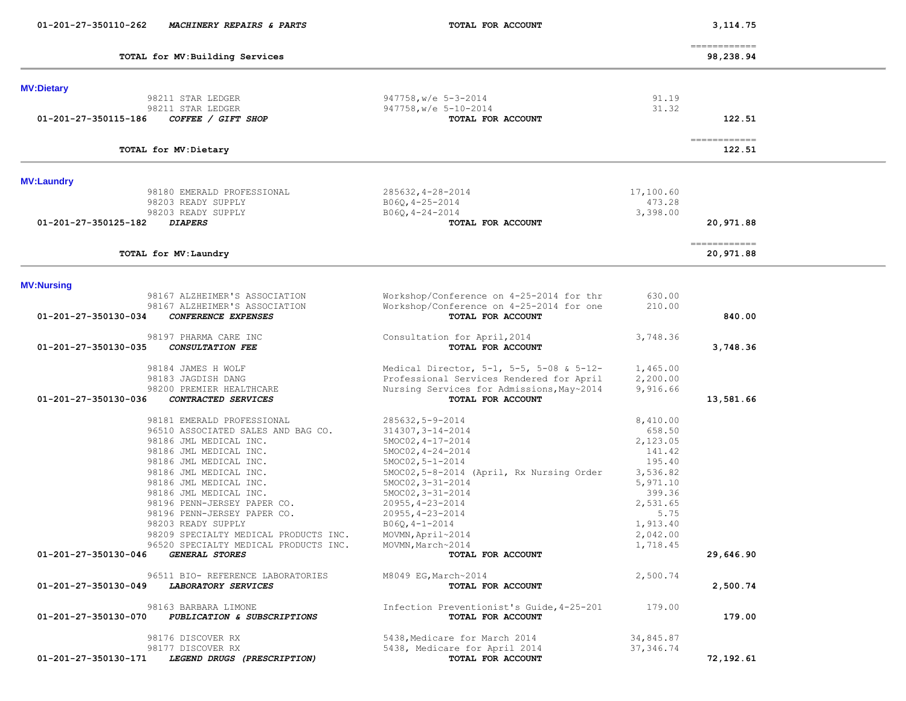| 01-201-27-350110-262 | MACHINERY REPAIRS & PARTS                           | TOTAL FOR ACCOUNT                                               |                      | 3,114.75                   |  |
|----------------------|-----------------------------------------------------|-----------------------------------------------------------------|----------------------|----------------------------|--|
|                      | TOTAL for MV: Building Services                     |                                                                 |                      | -------------<br>98,238.94 |  |
| <b>MV:Dietary</b>    |                                                     |                                                                 |                      |                            |  |
|                      | 98211 STAR LEDGER                                   | $947758$ , w/e $5-3-2014$                                       | 91.19                |                            |  |
|                      | 98211 STAR LEDGER                                   | 947758, w/e 5-10-2014                                           | 31.32                |                            |  |
| 01-201-27-350115-186 | COFFEE / GIFT SHOP                                  | TOTAL FOR ACCOUNT                                               |                      | 122.51                     |  |
|                      | TOTAL for MV: Dietary                               |                                                                 |                      | ------------<br>122.51     |  |
| <b>MV:Laundry</b>    |                                                     |                                                                 |                      |                            |  |
|                      | 98180 EMERALD PROFESSIONAL                          | 285632, 4-28-2014                                               | 17,100.60            |                            |  |
|                      | 98203 READY SUPPLY                                  | $B06Q, 4-25-2014$                                               | 473.28               |                            |  |
|                      | 98203 READY SUPPLY                                  | $B06Q, 4-24-2014$                                               | 3,398.00             |                            |  |
| 01-201-27-350125-182 | <b>DIAPERS</b>                                      | TOTAL FOR ACCOUNT                                               |                      | 20,971.88                  |  |
|                      | TOTAL for MV: Laundry                               |                                                                 |                      | ------------<br>20,971.88  |  |
| <b>MV:Nursing</b>    |                                                     |                                                                 |                      |                            |  |
|                      | 98167 ALZHEIMER'S ASSOCIATION                       | Workshop/Conference on 4-25-2014 for thr                        | 630.00               |                            |  |
|                      | 98167 ALZHEIMER'S ASSOCIATION                       | Workshop/Conference on 4-25-2014 for one                        | 210.00               |                            |  |
| 01-201-27-350130-034 | CONFERENCE EXPENSES                                 | TOTAL FOR ACCOUNT                                               |                      | 840.00                     |  |
| 01-201-27-350130-035 | 98197 PHARMA CARE INC<br>CONSULTATION FEE           | Consultation for April, 2014<br>TOTAL FOR ACCOUNT               | 3,748.36             | 3,748.36                   |  |
|                      | 98184 JAMES H WOLF                                  | Medical Director, $5-1$ , $5-5$ , $5-08$ & $5-12-$              | 1,465.00             |                            |  |
|                      | 98183 JAGDISH DANG                                  | Professional Services Rendered for April                        | 2,200.00             |                            |  |
|                      | 98200 PREMIER HEALTHCARE                            | Nursing Services for Admissions, May~2014                       | 9,916.66             |                            |  |
| 01-201-27-350130-036 | CONTRACTED SERVICES                                 | TOTAL FOR ACCOUNT                                               |                      | 13,581.66                  |  |
|                      | 98181 EMERALD PROFESSIONAL                          | $285632, 5 - 9 - 2014$                                          | 8,410.00             |                            |  |
|                      | 96510 ASSOCIATED SALES AND BAG CO.                  | $314307, 3 - 14 - 2014$                                         | 658.50               |                            |  |
|                      | 98186 JML MEDICAL INC.                              | $5MOC02, 4-17-2014$                                             | 2,123.05             |                            |  |
|                      | 98186 JML MEDICAL INC.                              | $5MOC02, 4-24-2014$                                             | 141.42               |                            |  |
|                      | 98186 JML MEDICAL INC.                              | $5MOC02, 5 - 1 - 2014$                                          | 195.40               |                            |  |
|                      | 98186 JML MEDICAL INC.<br>98186 JML MEDICAL INC.    | 5MOC02,5-8-2014 (April, Rx Nursing Order<br>$5MOC02, 3-31-2014$ | 3,536.82<br>5,971.10 |                            |  |
|                      | 98186 JML MEDICAL INC.                              | $5MOC02, 3-31-2014$                                             | 399.36               |                            |  |
|                      | 98196 PENN-JERSEY PAPER CO.                         | $20955, 4 - 23 - 2014$                                          | 2,531.65             |                            |  |
|                      | 98196 PENN-JERSEY PAPER CO.                         | $20955, 4 - 23 - 2014$                                          | 5.75                 |                            |  |
|                      | 98203 READY SUPPLY                                  | $B06Q, 4-1-2014$                                                | 1,913.40             |                            |  |
|                      | 98209 SPECIALTY MEDICAL PRODUCTS INC.               | MOVMN, April~2014                                               | 2,042.00             |                            |  |
|                      | 96520 SPECIALTY MEDICAL PRODUCTS INC.               | MOVMN, March~2014                                               | 1,718.45             |                            |  |
| 01-201-27-350130-046 | GENERAL STORES                                      | TOTAL FOR ACCOUNT                                               |                      | 29,646.90                  |  |
|                      | 96511 BIO- REFERENCE LABORATORIES                   | M8049 EG, March~2014                                            | 2,500.74             |                            |  |
| 01-201-27-350130-049 | LABORATORY SERVICES                                 | TOTAL FOR ACCOUNT                                               |                      | 2,500.74                   |  |
| 01-201-27-350130-070 | 98163 BARBARA LIMONE<br>PUBLICATION & SUBSCRIPTIONS | Infection Preventionist's Guide, 4-25-201<br>TOTAL FOR ACCOUNT  | 179.00               | 179.00                     |  |
|                      | 98176 DISCOVER RX                                   | 5438, Medicare for March 2014                                   | 34,845.87            |                            |  |
|                      | 98177 DISCOVER RX                                   | 5438, Medicare for April 2014                                   | 37, 346.74           |                            |  |
| 01-201-27-350130-171 | LEGEND DRUGS (PRESCRIPTION)                         | TOTAL FOR ACCOUNT                                               |                      | 72,192.61                  |  |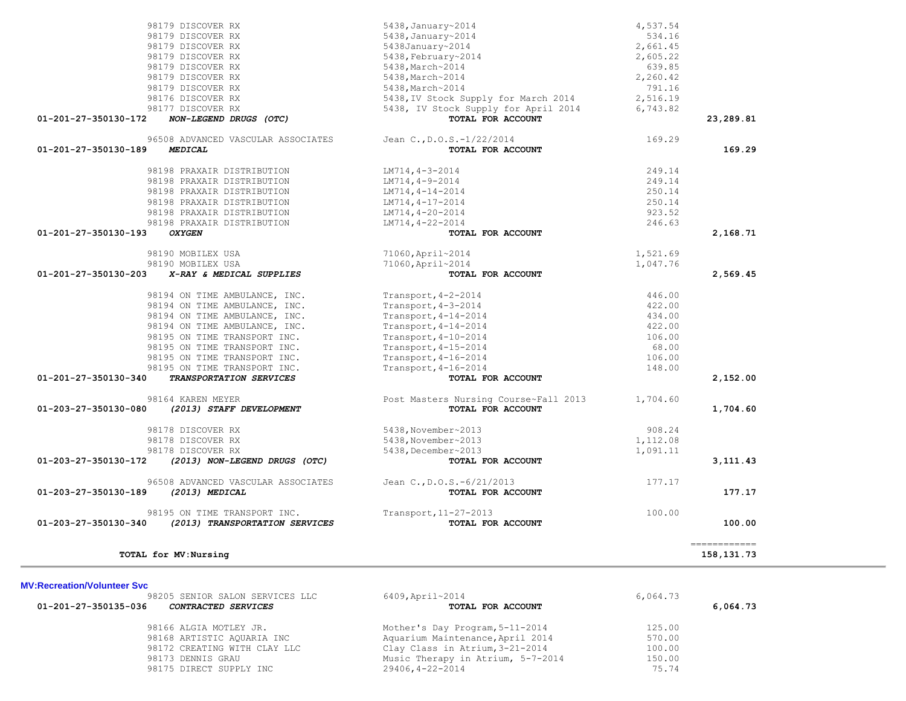|                                | 98179 DISCOVER RX                                    | $5438$ , January~2014                          | 4,537.54 |              |
|--------------------------------|------------------------------------------------------|------------------------------------------------|----------|--------------|
|                                | 98179 DISCOVER RX                                    | 5438, January~2014                             | 534.16   |              |
|                                | 98179 DISCOVER RX                                    | 5438January~2014                               | 2,661.45 |              |
|                                | 98179 DISCOVER RX                                    | $5438$ , February~2014                         | 2,605.22 |              |
|                                | 98179 DISCOVER RX                                    | 5438, March~2014                               | 639.85   |              |
|                                | 98179 DISCOVER RX                                    | 5438, March~2014                               | 2,260.42 |              |
|                                | 98179 DISCOVER RX                                    | 5438, March~2014                               | 791.16   |              |
|                                | 98176 DISCOVER RX                                    | 5438, IV Stock Supply for March 2014           | 2,516.19 |              |
|                                | 98177 DISCOVER RX                                    | 5438, IV Stock Supply for April 2014           | 6,743.82 |              |
| 01-201-27-350130-172           | NON-LEGEND DRUGS (OTC)                               | TOTAL FOR ACCOUNT                              |          | 23,289.81    |
|                                | 96508 ADVANCED VASCULAR ASSOCIATES                   | Jean C., D.O.S.-1/22/2014                      | 169.29   |              |
| 01-201-27-350130-189           | <b>MEDICAL</b>                                       | TOTAL FOR ACCOUNT                              |          | 169.29       |
|                                | 98198 PRAXAIR DISTRIBUTION                           | $LM714, 4-3-2014$                              | 249.14   |              |
|                                | 98198 PRAXAIR DISTRIBUTION                           | $LM714, 4-9-2014$                              | 249.14   |              |
|                                | 98198 PRAXAIR DISTRIBUTION                           | $LM714, 4-14-2014$                             | 250.14   |              |
|                                | 98198 PRAXAIR DISTRIBUTION                           | LM714, 4-17-2014                               | 250.14   |              |
|                                | 98198 PRAXAIR DISTRIBUTION                           | $LM714, 4-20-2014$                             | 923.52   |              |
|                                | 98198 PRAXAIR DISTRIBUTION                           | LM714, 4-22-2014                               | 246.63   |              |
| 01-201-27-350130-193           | <b>OXYGEN</b>                                        | TOTAL FOR ACCOUNT                              |          | 2,168.71     |
|                                | 98190 MOBILEX USA                                    | 71060, April~2014                              | 1,521.69 |              |
|                                | 98190 MOBILEX USA                                    | 71060, April~2014                              | 1,047.76 |              |
| $01 - 201 - 27 - 350130 - 203$ | X-RAY & MEDICAL SUPPLIES                             | TOTAL FOR ACCOUNT                              |          | 2,569.45     |
|                                | 98194 ON TIME AMBULANCE, INC.                        | Transport, 4-2-2014                            | 446.00   |              |
|                                | 98194 ON TIME AMBULANCE, INC.                        | Transport, 4-3-2014                            | 422.00   |              |
|                                | 98194 ON TIME AMBULANCE, INC.                        | Transport, 4-14-2014                           | 434.00   |              |
|                                | 98194 ON TIME AMBULANCE, INC.                        | Transport, $4-14-2014$                         | 422.00   |              |
|                                | 98195 ON TIME TRANSPORT INC.                         | Transport, 4-10-2014                           | 106.00   |              |
|                                | 98195 ON TIME TRANSPORT INC.                         | Transport, 4-15-2014                           | 68.00    |              |
|                                | 98195 ON TIME TRANSPORT INC.                         | Transport, 4-16-2014                           | 106.00   |              |
|                                | 98195 ON TIME TRANSPORT INC.                         | Transport, 4-16-2014                           | 148.00   |              |
| 01-201-27-350130-340           | TRANSPORTATION SERVICES                              | TOTAL FOR ACCOUNT                              |          | 2,152.00     |
|                                | 98164 KAREN MEYER                                    | Post Masters Nursing Course~Fall 2013          | 1,704.60 |              |
| 01-203-27-350130-080           | (2013) STAFF DEVELOPMENT                             | TOTAL FOR ACCOUNT                              |          | 1,704.60     |
|                                | 98178 DISCOVER RX                                    | 5438, November~2013                            | 908.24   |              |
|                                | 98178 DISCOVER RX                                    | 5438, November~2013                            | 1,112.08 |              |
|                                | 98178 DISCOVER RX                                    | 5438, December~2013                            | 1,091.11 |              |
| 01-203-27-350130-172           | (2013) NON-LEGEND DRUGS (OTC)                        | TOTAL FOR ACCOUNT                              |          | 3, 111, 43   |
| 01-203-27-350130-189           | 96508 ADVANCED VASCULAR ASSOCIATES<br>(2013) MEDICAL | Jean C., D.O.S.-6/21/2013<br>TOTAL FOR ACCOUNT | 177.17   | 177.17       |
|                                |                                                      |                                                |          |              |
| 01-203-27-350130-340           | 98195 ON TIME TRANSPORT INC.                         | Transport, 11-27-2013                          | 100.00   |              |
|                                | (2013) TRANSPORTATION SERVICES                       | TOTAL FOR ACCOUNT                              |          | 100.00       |
|                                |                                                      |                                                |          | ------------ |

| 6409, April~2014<br>6,064.73                |          |
|---------------------------------------------|----------|
| TOTAL FOR ACCOUNT                           | 6,064.73 |
| Mother's Day Program, 5-11-2014<br>125.00   |          |
| Aquarium Maintenance, April 2014<br>570.00  |          |
| Clay Class in Atrium, 3-21-2014<br>100.00   |          |
| Music Therapy in Atrium, 5-7-2014<br>150.00 |          |
| 29406,4-22-2014<br>75.74                    |          |
|                                             |          |

**MV:Recreation/Volunteer Svc**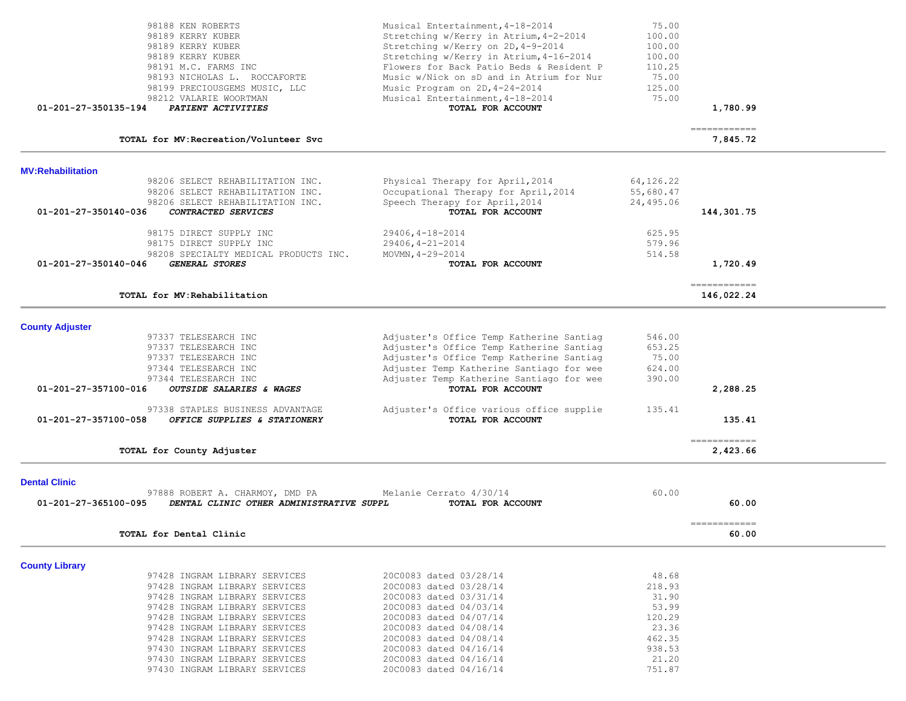| 01-201-27-350135-194     | 98188 KEN ROBERTS<br>98189 KERRY KUBER<br>98189 KERRY KUBER<br>98189 KERRY KUBER<br>98191 M.C. FARMS INC<br>98193 NICHOLAS L. ROCCAFORTE<br>98199 PRECIOUSGEMS MUSIC, LLC<br>98212 VALARIE WOORTMAN<br>PATIENT ACTIVITIES                                                                                                              | Musical Entertainment, 4-18-2014<br>Stretching w/Kerry in Atrium, 4-2-2014<br>Stretching w/Kerry on 2D, 4-9-2014<br>Stretching w/Kerry in Atrium, 4-16-2014<br>Flowers for Back Patio Beds & Resident P<br>Music w/Nick on sD and in Atrium for Nur<br>Music Program on 2D, 4-24-2014<br>Musical Entertainment, 4-18-2014<br>TOTAL FOR ACCOUNT | 75.00<br>100.00<br>100.00<br>100.00<br>110.25<br>75.00<br>125.00<br>75.00                   | 1,780.99                                |  |
|--------------------------|----------------------------------------------------------------------------------------------------------------------------------------------------------------------------------------------------------------------------------------------------------------------------------------------------------------------------------------|------------------------------------------------------------------------------------------------------------------------------------------------------------------------------------------------------------------------------------------------------------------------------------------------------------------------------------------------|---------------------------------------------------------------------------------------------|-----------------------------------------|--|
|                          | TOTAL for MV: Recreation/Volunteer Svc                                                                                                                                                                                                                                                                                                 |                                                                                                                                                                                                                                                                                                                                                |                                                                                             | -------------<br>7,845.72               |  |
| <b>MV:Rehabilitation</b> |                                                                                                                                                                                                                                                                                                                                        |                                                                                                                                                                                                                                                                                                                                                |                                                                                             |                                         |  |
| 01-201-27-350140-036     | 98206 SELECT REHABILITATION INC.<br>98206 SELECT REHABILITATION INC.<br>98206 SELECT REHABILITATION INC.<br>CONTRACTED SERVICES                                                                                                                                                                                                        | Physical Therapy for April, 2014<br>Occupational Therapy for April, 2014<br>Speech Therapy for April, 2014<br>TOTAL FOR ACCOUNT                                                                                                                                                                                                                | 64,126.22<br>55,680.47<br>24,495.06                                                         | 144,301.75                              |  |
|                          | 98175 DIRECT SUPPLY INC<br>98175 DIRECT SUPPLY INC                                                                                                                                                                                                                                                                                     | 29406, 4-18-2014<br>$29406, 4 - 21 - 2014$                                                                                                                                                                                                                                                                                                     | 625.95<br>579.96                                                                            |                                         |  |
| 01-201-27-350140-046     | 98208 SPECIALTY MEDICAL PRODUCTS INC.<br><b>GENERAL STORES</b>                                                                                                                                                                                                                                                                         | MOVMN, $4 - 29 - 2014$<br>TOTAL FOR ACCOUNT                                                                                                                                                                                                                                                                                                    | 514.58                                                                                      | 1,720.49                                |  |
|                          | TOTAL for MV: Rehabilitation                                                                                                                                                                                                                                                                                                           |                                                                                                                                                                                                                                                                                                                                                |                                                                                             | ------------<br>146,022.24              |  |
| <b>County Adjuster</b>   |                                                                                                                                                                                                                                                                                                                                        |                                                                                                                                                                                                                                                                                                                                                |                                                                                             |                                         |  |
|                          | 97337 TELESEARCH INC<br>97337 TELESEARCH INC<br>97337 TELESEARCH INC<br>97344 TELESEARCH INC<br>97344 TELESEARCH INC                                                                                                                                                                                                                   | Adjuster's Office Temp Katherine Santiag<br>Adjuster's Office Temp Katherine Santiag<br>Adjuster's Office Temp Katherine Santiag<br>Adjuster Temp Katherine Santiago for wee<br>Adjuster Temp Katherine Santiago for wee                                                                                                                       | 546.00<br>653.25<br>75.00<br>624.00<br>390.00                                               |                                         |  |
| 01-201-27-357100-016     | OUTSIDE SALARIES & WAGES                                                                                                                                                                                                                                                                                                               | TOTAL FOR ACCOUNT                                                                                                                                                                                                                                                                                                                              |                                                                                             | 2,288.25                                |  |
| 01-201-27-357100-058     | 97338 STAPLES BUSINESS ADVANTAGE<br>OFFICE SUPPLIES & STATIONERY                                                                                                                                                                                                                                                                       | Adjuster's Office various office supplie<br>TOTAL FOR ACCOUNT                                                                                                                                                                                                                                                                                  | 135.41                                                                                      | 135.41                                  |  |
|                          | TOTAL for County Adjuster                                                                                                                                                                                                                                                                                                              |                                                                                                                                                                                                                                                                                                                                                |                                                                                             | $=$ = = = = = = = = = = = =<br>2,423.66 |  |
| <b>Dental Clinic</b>     |                                                                                                                                                                                                                                                                                                                                        |                                                                                                                                                                                                                                                                                                                                                |                                                                                             |                                         |  |
| 01-201-27-365100-095     | 97888 ROBERT A. CHARMOY, DMD PA<br>DENTAL CLINIC OTHER ADMINISTRATIVE SUPPL                                                                                                                                                                                                                                                            | Melanie Cerrato 4/30/14<br>TOTAL FOR ACCOUNT                                                                                                                                                                                                                                                                                                   | 60.00                                                                                       | 60.00                                   |  |
|                          | TOTAL for Dental Clinic                                                                                                                                                                                                                                                                                                                |                                                                                                                                                                                                                                                                                                                                                |                                                                                             | ============<br>60.00                   |  |
| <b>County Library</b>    |                                                                                                                                                                                                                                                                                                                                        |                                                                                                                                                                                                                                                                                                                                                |                                                                                             |                                         |  |
|                          | 97428 INGRAM LIBRARY SERVICES<br>97428 INGRAM LIBRARY SERVICES<br>97428 INGRAM LIBRARY SERVICES<br>97428 INGRAM LIBRARY SERVICES<br>97428 INGRAM LIBRARY SERVICES<br>97428 INGRAM LIBRARY SERVICES<br>97428 INGRAM LIBRARY SERVICES<br>97430 INGRAM LIBRARY SERVICES<br>97430 INGRAM LIBRARY SERVICES<br>97430 INGRAM LIBRARY SERVICES | 20C0083 dated 03/28/14<br>20C0083 dated 03/28/14<br>20C0083 dated 03/31/14<br>20C0083 dated 04/03/14<br>20C0083 dated 04/07/14<br>20C0083 dated 04/08/14<br>20C0083 dated 04/08/14<br>20C0083 dated 04/16/14<br>20C0083 dated 04/16/14<br>20C0083 dated 04/16/14                                                                               | 48.68<br>218.93<br>31.90<br>53.99<br>120.29<br>23.36<br>462.35<br>938.53<br>21.20<br>751.87 |                                         |  |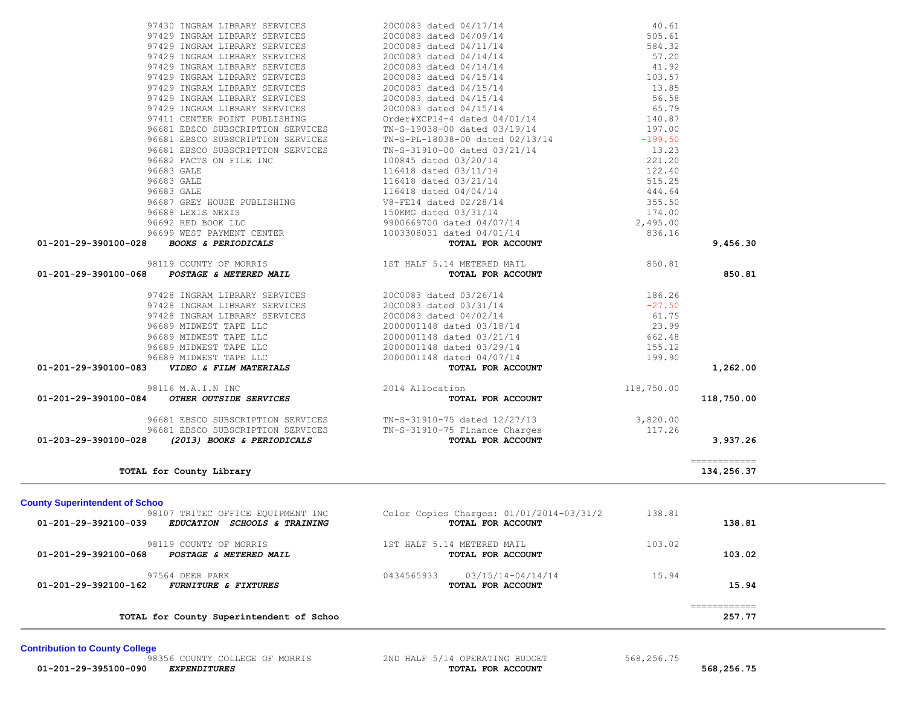| TOTAL for County Superintendent of Schoo                                                                                                                                                                                                                    |                                                                                                                                                          |                    | $=$ = = = = = = = = = = = =<br>257.77 |  |
|-------------------------------------------------------------------------------------------------------------------------------------------------------------------------------------------------------------------------------------------------------------|----------------------------------------------------------------------------------------------------------------------------------------------------------|--------------------|---------------------------------------|--|
| 97564 DEER PARK<br>01-201-29-392100-162 FURNITURE & FIXTURES                                                                                                                                                                                                | 0434565933<br>03/15/14-04/14/14<br>TOTAL FOR ACCOUNT                                                                                                     | 15.94              | 15.94                                 |  |
| 98119 COUNTY OF MORRIS<br>POSTAGE & METERED MAIL<br>01-201-29-392100-068                                                                                                                                                                                    | 1ST HALF 5.14 METERED MAIL<br>TOTAL FOR ACCOUNT                                                                                                          | 103.02             | 103.02                                |  |
| <b>County Superintendent of Schoo</b><br>98107 TRITEC OFFICE EQUIPMENT INC<br>EDUCATION SCHOOLS & TRAINING<br>01-201-29-392100-039                                                                                                                          | Color Copies Charges: 01/01/2014-03/31/2 138.81<br>TOTAL FOR ACCOUNT                                                                                     |                    | 138.81                                |  |
| TOTAL for County Library                                                                                                                                                                                                                                    |                                                                                                                                                          |                    | 134,256.37                            |  |
|                                                                                                                                                                                                                                                             |                                                                                                                                                          |                    | ============                          |  |
| 96681 EBSCO SUBSCRIPTION SERVICES<br>96681 EBSCO SUBSCRIPTION SERVICES TN-S-31910-75 Finance Charges<br>01-203-29-390100-028<br>(2013) BOOKS & PERIODICALS                                                                                                  | TN-S-31910-75 dated 12/27/13<br>TOTAL FOR ACCOUNT                                                                                                        | 3,820.00<br>117.26 | 3,937.26                              |  |
| 98116 M.A.I.N INC<br>OTHER OUTSIDE SERVICES<br>01-201-29-390100-084                                                                                                                                                                                         | 2014 Allocation<br>TOTAL FOR ACCOUNT                                                                                                                     | 118,750.00         | 118,750.00                            |  |
| 39 MIDWEST TAPE LLC<br><b>VIDEO &amp; FILM MATERIALS</b><br>01-201-29-390100-083                                                                                                                                                                            | TOTAL FOR ACCOUNT                                                                                                                                        |                    | 1,262.00                              |  |
|                                                                                                                                                                                                                                                             |                                                                                                                                                          | 155.12<br>199.90   |                                       |  |
|                                                                                                                                                                                                                                                             |                                                                                                                                                          | 662.48             |                                       |  |
|                                                                                                                                                                                                                                                             |                                                                                                                                                          | 23.99              |                                       |  |
|                                                                                                                                                                                                                                                             |                                                                                                                                                          | 61.75              |                                       |  |
| 97428 INGRAM LIBRARY SERVICES<br>97428 INGRAM LIBRARY SERVICES<br>97428 INGRAM LIBRARY SERVICES<br>97428 INGRAM LIBRARY SERVICES<br>96689 MIDWEST TAPE LLC<br>96689 MIDWEST TAPE LLC<br>96689 MIDWEST TAPE LLC<br>96689 MIDWEST TAPE LLC<br>9               |                                                                                                                                                          | 186.26<br>$-27.50$ |                                       |  |
| 01-201-29-390100-068<br>POSTAGE & METERED MAIL                                                                                                                                                                                                              | 1ST HALF 5.14 METERED MAIL<br>TOTAL FOR ACCOUNT                                                                                                          |                    | 850.81                                |  |
| 98119 COUNTY OF MORRIS                                                                                                                                                                                                                                      |                                                                                                                                                          | 850.81             |                                       |  |
| 97411 CENTER POINT PUBLISHING 0rder#XCP14-4 dated 04/01/14<br>96681 EBSCO SUBSCRIPTION SERVICES TN-S-PL-18038-00 dated 03/19/14<br>96681 EBSCO SUBSCRIPTION SERVICES TN-S-PL-18038-00 dated 02/13/14<br>96681 EBSCO SUBSCRIPTION SE<br>01-201-29-390100-028 |                                                                                                                                                          |                    | 9,456.30                              |  |
|                                                                                                                                                                                                                                                             |                                                                                                                                                          | 2,495.00<br>836.16 |                                       |  |
|                                                                                                                                                                                                                                                             |                                                                                                                                                          | 174.00             |                                       |  |
|                                                                                                                                                                                                                                                             |                                                                                                                                                          | 355.50             |                                       |  |
|                                                                                                                                                                                                                                                             |                                                                                                                                                          | 444.64             |                                       |  |
|                                                                                                                                                                                                                                                             |                                                                                                                                                          | 515.25             |                                       |  |
|                                                                                                                                                                                                                                                             |                                                                                                                                                          | 122.40             |                                       |  |
|                                                                                                                                                                                                                                                             |                                                                                                                                                          | 13.23<br>221.20    |                                       |  |
|                                                                                                                                                                                                                                                             |                                                                                                                                                          | $-199.50$          |                                       |  |
|                                                                                                                                                                                                                                                             |                                                                                                                                                          | 197.00             |                                       |  |
| 97411 CENTER POINT PUBLISHING                                                                                                                                                                                                                               | Order#XCP14-4 dated 04/01/14                                                                                                                             | 140.87             |                                       |  |
| 97429 INGRAM LIBRARY SERVICES                                                                                                                                                                                                                               | 2000083 dated 04/14/14<br>2000083 dated 04/14/14<br>2000083 dated 04/15/14<br>2000083 dated 04/15/14<br>2000083 dated 04/15/14<br>2000083 dated 04/15/14 | 65.79              |                                       |  |
| 97429 INGRAM LIBRARY SERVICES                                                                                                                                                                                                                               |                                                                                                                                                          | 56.58              |                                       |  |
| 97429 INGRAM LIBRARY SERVICES                                                                                                                                                                                                                               |                                                                                                                                                          | 103.57<br>13.85    |                                       |  |
| 97429 INGRAM LIBRARY SERVICES<br>97429 INGRAM LIBRARY SERVICES                                                                                                                                                                                              |                                                                                                                                                          | 41.92              |                                       |  |
| 97429 INGRAM LIBRARY SERVICES                                                                                                                                                                                                                               |                                                                                                                                                          | 57.20              |                                       |  |
| 97429 INGRAM LIBRARY SERVICES                                                                                                                                                                                                                               | 20C0083 dated 04/11/14                                                                                                                                   | 584.32             |                                       |  |
| 97429 INGRAM LIBRARY SERVICES                                                                                                                                                                                                                               | 20C0083 dated 04/09/14                                                                                                                                   | 505.61             |                                       |  |

97430 INGRAM LIBRARY SERVICES 2000083 dated 04/17/14 20161 40.61

# **Contribution to County College**

 98356 COUNTY COLLEGE OF MORRIS 2ND HALF 5/14 OPERATING BUDGET 568,256.75  **01-201-29-395100-090** *EXPENDITURES* **TOTAL FOR ACCOUNT 568,256.75**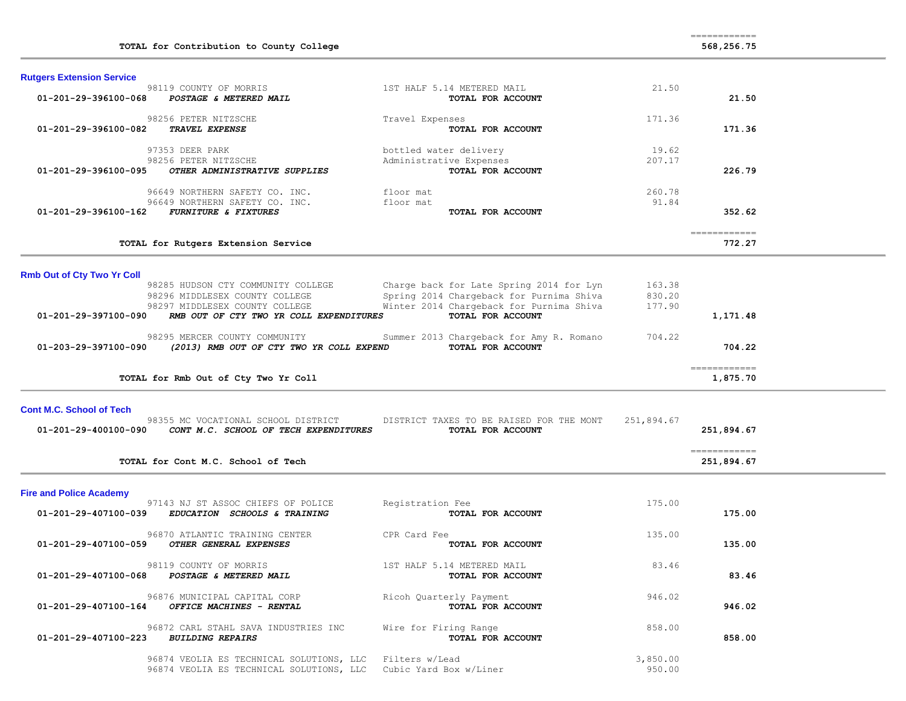| TOTAL for Contribution to County College                                                                                                                                  |                                                                                                                                                       |                            | 568,256.75                                                                                                                                                                                                                                                                                                                                                                                                                                                                                           |  |
|---------------------------------------------------------------------------------------------------------------------------------------------------------------------------|-------------------------------------------------------------------------------------------------------------------------------------------------------|----------------------------|------------------------------------------------------------------------------------------------------------------------------------------------------------------------------------------------------------------------------------------------------------------------------------------------------------------------------------------------------------------------------------------------------------------------------------------------------------------------------------------------------|--|
| <b>Rutgers Extension Service</b>                                                                                                                                          |                                                                                                                                                       |                            |                                                                                                                                                                                                                                                                                                                                                                                                                                                                                                      |  |
| 98119 COUNTY OF MORRIS<br>01-201-29-396100-068<br>POSTAGE & METERED MAIL                                                                                                  | 1ST HALF 5.14 METERED MAIL<br>TOTAL FOR ACCOUNT                                                                                                       | 21.50                      | 21.50                                                                                                                                                                                                                                                                                                                                                                                                                                                                                                |  |
| 98256 PETER NITZSCHE<br>01-201-29-396100-082<br>TRAVEL EXPENSE                                                                                                            | Travel Expenses<br>TOTAL FOR ACCOUNT                                                                                                                  | 171.36                     | 171.36                                                                                                                                                                                                                                                                                                                                                                                                                                                                                               |  |
| 97353 DEER PARK<br>98256 PETER NITZSCHE<br>01-201-29-396100-095<br>OTHER ADMINISTRATIVE SUPPLIES                                                                          | bottled water delivery<br>Administrative Expenses<br>TOTAL FOR ACCOUNT                                                                                | 19.62<br>207.17            | 226.79                                                                                                                                                                                                                                                                                                                                                                                                                                                                                               |  |
| 96649 NORTHERN SAFETY CO. INC.<br>96649 NORTHERN SAFETY CO. INC.<br>01-201-29-396100-162<br><b>FURNITURE &amp; FIXTURES</b>                                               | floor mat<br>floor mat<br>TOTAL FOR ACCOUNT                                                                                                           | 260.78<br>91.84            | 352.62                                                                                                                                                                                                                                                                                                                                                                                                                                                                                               |  |
| TOTAL for Rutgers Extension Service                                                                                                                                       |                                                                                                                                                       |                            | $\begin{array}{cccccccccc} \multicolumn{2}{c}{} & \multicolumn{2}{c}{} & \multicolumn{2}{c}{} & \multicolumn{2}{c}{} & \multicolumn{2}{c}{} & \multicolumn{2}{c}{} & \multicolumn{2}{c}{} & \multicolumn{2}{c}{} & \multicolumn{2}{c}{} & \multicolumn{2}{c}{} & \multicolumn{2}{c}{} & \multicolumn{2}{c}{} & \multicolumn{2}{c}{} & \multicolumn{2}{c}{} & \multicolumn{2}{c}{} & \multicolumn{2}{c}{} & \multicolumn{2}{c}{} & \multicolumn{2}{c}{} & \multicolumn{2}{c}{} & \mult$<br>772.27     |  |
| <b>Rmb Out of Cty Two Yr Coll</b>                                                                                                                                         |                                                                                                                                                       |                            |                                                                                                                                                                                                                                                                                                                                                                                                                                                                                                      |  |
| 98285 HUDSON CTY COMMUNITY COLLEGE<br>98296 MIDDLESEX COUNTY COLLEGE<br>98297 MIDDLESEX COUNTY COLLEGE<br>RMB OUT OF CTY TWO YR COLL EXPENDITURES<br>01-201-29-397100-090 | Charge back for Late Spring 2014 for Lyn<br>Spring 2014 Chargeback for Purnima Shiva<br>Winter 2014 Chargeback for Purnima Shiva<br>TOTAL FOR ACCOUNT | 163.38<br>830.20<br>177.90 | 1,171.48                                                                                                                                                                                                                                                                                                                                                                                                                                                                                             |  |
| 98295 MERCER COUNTY COMMUNITY<br>01-203-29-397100-090<br>(2013) RMB OUT OF CTY TWO YR COLL EXPEND                                                                         | Summer 2013 Chargeback for Amy R. Romano<br>TOTAL FOR ACCOUNT                                                                                         | 704.22                     | 704.22                                                                                                                                                                                                                                                                                                                                                                                                                                                                                               |  |
| TOTAL for Rmb Out of Cty Two Yr Coll                                                                                                                                      |                                                                                                                                                       |                            | $\begin{array}{cccccccccc} \multicolumn{2}{c}{} & \multicolumn{2}{c}{} & \multicolumn{2}{c}{} & \multicolumn{2}{c}{} & \multicolumn{2}{c}{} & \multicolumn{2}{c}{} & \multicolumn{2}{c}{} & \multicolumn{2}{c}{} & \multicolumn{2}{c}{} & \multicolumn{2}{c}{} & \multicolumn{2}{c}{} & \multicolumn{2}{c}{} & \multicolumn{2}{c}{} & \multicolumn{2}{c}{} & \multicolumn{2}{c}{} & \multicolumn{2}{c}{} & \multicolumn{2}{c}{} & \multicolumn{2}{c}{} & \multicolumn{2}{c}{} & \mult$<br>1,875.70   |  |
| <b>Cont M.C. School of Tech</b><br>98355 MC VOCATIONAL SCHOOL DISTRICT<br>01-201-29-400100-090<br>CONT M.C. SCHOOL OF TECH EXPENDITURES                                   | DISTRICT TAXES TO BE RAISED FOR THE MONT<br>TOTAL FOR ACCOUNT                                                                                         | 251,894.67                 | 251,894.67                                                                                                                                                                                                                                                                                                                                                                                                                                                                                           |  |
| TOTAL for Cont M.C. School of Tech                                                                                                                                        |                                                                                                                                                       |                            | $\begin{array}{cccccccccc} \multicolumn{2}{c}{} & \multicolumn{2}{c}{} & \multicolumn{2}{c}{} & \multicolumn{2}{c}{} & \multicolumn{2}{c}{} & \multicolumn{2}{c}{} & \multicolumn{2}{c}{} & \multicolumn{2}{c}{} & \multicolumn{2}{c}{} & \multicolumn{2}{c}{} & \multicolumn{2}{c}{} & \multicolumn{2}{c}{} & \multicolumn{2}{c}{} & \multicolumn{2}{c}{} & \multicolumn{2}{c}{} & \multicolumn{2}{c}{} & \multicolumn{2}{c}{} & \multicolumn{2}{c}{} & \multicolumn{2}{c}{} & \mult$<br>251,894.67 |  |
|                                                                                                                                                                           |                                                                                                                                                       |                            |                                                                                                                                                                                                                                                                                                                                                                                                                                                                                                      |  |
| <b>Fire and Police Academy</b><br>97143 NJ ST ASSOC CHIEFS OF POLICE<br>01-201-29-407100-039<br>EDUCATION SCHOOLS & TRAINING                                              | Registration Fee<br>TOTAL FOR ACCOUNT                                                                                                                 | 175.00                     | 175.00                                                                                                                                                                                                                                                                                                                                                                                                                                                                                               |  |
| 96870 ATLANTIC TRAINING CENTER<br>01-201-29-407100-059<br>OTHER GENERAL EXPENSES                                                                                          | CPR Card Fee<br>TOTAL FOR ACCOUNT                                                                                                                     | 135.00                     | 135.00                                                                                                                                                                                                                                                                                                                                                                                                                                                                                               |  |
| 98119 COUNTY OF MORRIS<br>01-201-29-407100-068<br>POSTAGE & METERED MAIL                                                                                                  | 1ST HALF 5.14 METERED MAIL<br>TOTAL FOR ACCOUNT                                                                                                       | 83.46                      | 83.46                                                                                                                                                                                                                                                                                                                                                                                                                                                                                                |  |
| 96876 MUNICIPAL CAPITAL CORP<br>OFFICE MACHINES - RENTAL<br>01-201-29-407100-164                                                                                          | Ricoh Quarterly Payment<br>TOTAL FOR ACCOUNT                                                                                                          | 946.02                     | 946.02                                                                                                                                                                                                                                                                                                                                                                                                                                                                                               |  |
| 96872 CARL STAHL SAVA INDUSTRIES INC<br>01-201-29-407100-223<br><i>BUILDING REPAIRS</i>                                                                                   | Wire for Firing Range<br>TOTAL FOR ACCOUNT                                                                                                            | 858.00                     | 858.00                                                                                                                                                                                                                                                                                                                                                                                                                                                                                               |  |
| 96874 VEOLIA ES TECHNICAL SOLUTIONS, LLC<br>96874 VEOLIA ES TECHNICAL SOLUTIONS, LLC                                                                                      | Filters w/Lead<br>Cubic Yard Box w/Liner                                                                                                              | 3,850.00<br>950.00         |                                                                                                                                                                                                                                                                                                                                                                                                                                                                                                      |  |

============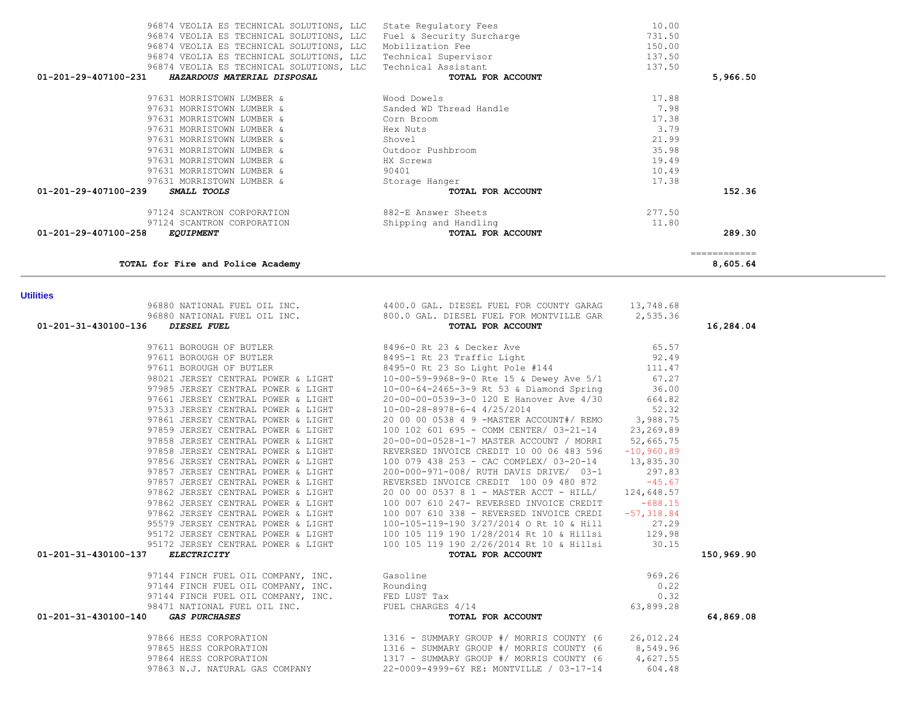| TOTAL for Fire and Police Academy                                                                                                                                                               |                                                                                                                                                                                                                                            |              | 8,605.64   |
|-------------------------------------------------------------------------------------------------------------------------------------------------------------------------------------------------|--------------------------------------------------------------------------------------------------------------------------------------------------------------------------------------------------------------------------------------------|--------------|------------|
| <b>Utilities</b>                                                                                                                                                                                |                                                                                                                                                                                                                                            |              |            |
|                                                                                                                                                                                                 | 96880 NATIONAL FUEL OIL INC.<br>96880 NATIONAL FUEL OIL INC. 800.0 GAL. DIESEL FUEL FOR MONTVILLE GAR 2,535.36                                                                                                                             |              |            |
|                                                                                                                                                                                                 |                                                                                                                                                                                                                                            |              |            |
| 01-201-31-430100-136<br>DIESEL FUEL                                                                                                                                                             | TOTAL FOR ACCOUNT                                                                                                                                                                                                                          |              | 16,284.04  |
| 97611 BOROUGH OF BUTLER 3496-0 Rt 23 & Decker Ave                                                                                                                                               |                                                                                                                                                                                                                                            | 65.57        |            |
| 97611 BOROUGH OF BUTLER                                                                                                                                                                         | 8495-1 Rt 23 Traffic Light                                                                                                                                                                                                                 | 92.49        |            |
|                                                                                                                                                                                                 |                                                                                                                                                                                                                                            |              |            |
|                                                                                                                                                                                                 | 97611 BOROUGH OF BUTLER<br>98021 JERSEY CENTRAL POWER & LIGHT<br>98021 JERSEY CENTRAL POWER & LIGHT<br>97985 JERSEY CENTRAL POWER & LIGHT<br>97661 JERSEY CENTRAL POWER & LIGHT<br>97661 JERSEY CENTRAL POWER & LIGHT<br>97661 JERSEY CENT |              |            |
|                                                                                                                                                                                                 |                                                                                                                                                                                                                                            |              |            |
|                                                                                                                                                                                                 |                                                                                                                                                                                                                                            |              |            |
| 97533 JERSEY CENTRAL POWER & LIGHT                                                                                                                                                              | 10-00-28-8978-6-4 4/25/2014                                                                                                                                                                                                                | 52.32        |            |
| 97861 JERSEY CENTRAL POWER & LIGHT                                                                                                                                                              | 20 00 00 0538 4 9 -MASTER ACCOUNT#/ REMO 3,988.75                                                                                                                                                                                          |              |            |
| 97859 JERSEY CENTRAL POWER & LIGHT                                                                                                                                                              | 100 102 601 695 - COMM CENTER/ 03-21-14                                                                                                                                                                                                    | 23,269.89    |            |
| 97858 JERSEY CENTRAL POWER & LIGHT                                                                                                                                                              | 20-00-00-0528-1-7 MASTER ACCOUNT / MORRI                                                                                                                                                                                                   | 52,665.75    |            |
| 97858 JERSEY CENTRAL POWER & LIGHT                                                                                                                                                              | REVERSED INVOICE CREDIT 10 00 06 483 596                                                                                                                                                                                                   | $-10,960.89$ |            |
| 97856 JERSEY CENTRAL POWER & LIGHT                                                                                                                                                              | 100 079 438 253 - CAC COMPLEX/ 03-20-14 13,835.30                                                                                                                                                                                          |              |            |
| 97857 JERSEY CENTRAL POWER & LIGHT                                                                                                                                                              | 200-000-971-008/ RUTH DAVIS DRIVE/ 03-1                                                                                                                                                                                                    | 297.83       |            |
| 97857 JERSEY CENTRAL POWER & LIGHT                                                                                                                                                              | REVERSED INVOICE CREDIT 100 09 480 872                                                                                                                                                                                                     | $-45.67$     |            |
| 97862 JERSEY CENTRAL POWER & LIGHT                                                                                                                                                              | 20 00 00 0537 8 1 - MASTER ACCT - HILL/                                                                                                                                                                                                    | 124,648.57   |            |
| 97862 JERSEY CENTRAL POWER & LIGHT                                                                                                                                                              | 100 007 610 247- REVERSED INVOICE CREDIT                                                                                                                                                                                                   | $-688.15$    |            |
|                                                                                                                                                                                                 | 100 007 610 338 - REVERSED INVOICE CREDI -57,318.84                                                                                                                                                                                        |              |            |
|                                                                                                                                                                                                 |                                                                                                                                                                                                                                            | 27.29        |            |
|                                                                                                                                                                                                 |                                                                                                                                                                                                                                            | 129.98       |            |
|                                                                                                                                                                                                 | 97862 JERSEY CENTRAL POWER & LIGHT<br>95579 JERSEY CENTRAL POWER & LIGHT<br>95172 JERSEY CENTRAL POWER & LIGHT<br>95172 JERSEY CENTRAL POWER & LIGHT<br>95172 JERSEY CENTRAL POWER & LIGHT<br>95172 JERSEY CENTRAL POWER & LIGHT<br>100 10 | 30.15        |            |
| 01-201-31-430100-137<br>ELECTRICITY                                                                                                                                                             | TOTAL FOR ACCOUNT                                                                                                                                                                                                                          |              | 150,969.90 |
| 97144 FINCH FUEL OIL COMPANY, INC. Gasoline<br>97144 FINCH FUEL OIL COMPANY, INC. Rounding<br>97144 FINCH FUEL OIL COMPANY, INC. FED LUST Tax<br>98471 NATIONAL FUEL OIL INC. FUEL CHARGES 4/14 |                                                                                                                                                                                                                                            | 969.26       |            |
|                                                                                                                                                                                                 |                                                                                                                                                                                                                                            | 0.22         |            |
|                                                                                                                                                                                                 |                                                                                                                                                                                                                                            | 0.32         |            |
|                                                                                                                                                                                                 |                                                                                                                                                                                                                                            | 63,899.28    |            |
| 01-201-31-430100-140<br><b>GAS PURCHASES</b>                                                                                                                                                    | TOTAL FOR ACCOUNT                                                                                                                                                                                                                          |              | 64,869.08  |
| 97866 HESS CORPORATION                                                                                                                                                                          | 1316 - SUMMARY GROUP #/ MORRIS COUNTY (6 26,012.24<br>1316 - SUMMARY GROUP #/ MORRIS COUNTY (6 8,549.96<br>1317 - SUMMARY GROUP #/ MORRIS COUNTY (6 4,627.55                                                                               |              |            |
| 97865 HESS CORPORATION                                                                                                                                                                          |                                                                                                                                                                                                                                            |              |            |
| 97864 HESS CORPORATION                                                                                                                                                                          |                                                                                                                                                                                                                                            |              |            |
| 97863 N.J. NATURAL GAS COMPANY                                                                                                                                                                  | 22-0009-4999-6Y RE: MONTVILLE / 03-17-14                                                                                                                                                                                                   | 604.48       |            |

**Utilities** 

| 96874 VEOLIA ES TECHNICAL SOLUTIONS, LLC            | Fuel & Security Surcharge | 731.50   |
|-----------------------------------------------------|---------------------------|----------|
| 96874 VEOLIA ES TECHNICAL SOLUTIONS, LLC            | Mobilization Fee          | 150.00   |
| 96874 VEOLIA ES TECHNICAL SOLUTIONS, LLC            | Technical Supervisor      | 137.50   |
| 96874 VEOLIA ES TECHNICAL SOLUTIONS, LLC            | Technical Assistant       | 137.50   |
| 01-201-29-407100-231<br>HAZARDOUS MATERIAL DISPOSAL | TOTAL FOR ACCOUNT         | 5,966.50 |
| 97631 MORRISTOWN LUMBER &                           | Wood Dowels               | 17.88    |
| 97631 MORRISTOWN LUMBER &                           | Sanded WD Thread Handle   | 7.98     |
| 97631 MORRISTOWN LUMBER &                           | Corn Broom                | 17.38    |
| 97631 MORRISTOWN LUMBER &                           | Hex Nuts                  | 3.79     |
| 97631 MORRISTOWN LUMBER &                           | Shovel                    | 21.99    |
| 97631 MORRISTOWN LUMBER &                           | Outdoor Pushbroom         | 35.98    |
| 97631 MORRISTOWN LUMBER &                           | HX Screws                 | 19.49    |
| 97631 MORRISTOWN LUMBER &                           | 90401                     | 10.49    |
| 97631 MORRISTOWN LUMBER &                           | Storage Hanger            | 17.38    |
| 01-201-29-407100-239<br>SMALL TOOLS                 | TOTAL FOR ACCOUNT         | 152.36   |
| 97124 SCANTRON CORPORATION                          | 882-E Answer Sheets       | 277.50   |
| 97124 SCANTRON CORPORATION                          | Shipping and Handling     | 11.80    |
| 01-201-29-407100-258<br><b>EQUIPMENT</b>            | TOTAL FOR ACCOUNT         | 289.30   |
|                                                     |                           |          |
| TOTAL for Fire and Police Academy                   |                           | 8,605.64 |

96874 VEOLIA ES TECHNICAL SOLUTIONS, LLC State Regulatory Fees 10.00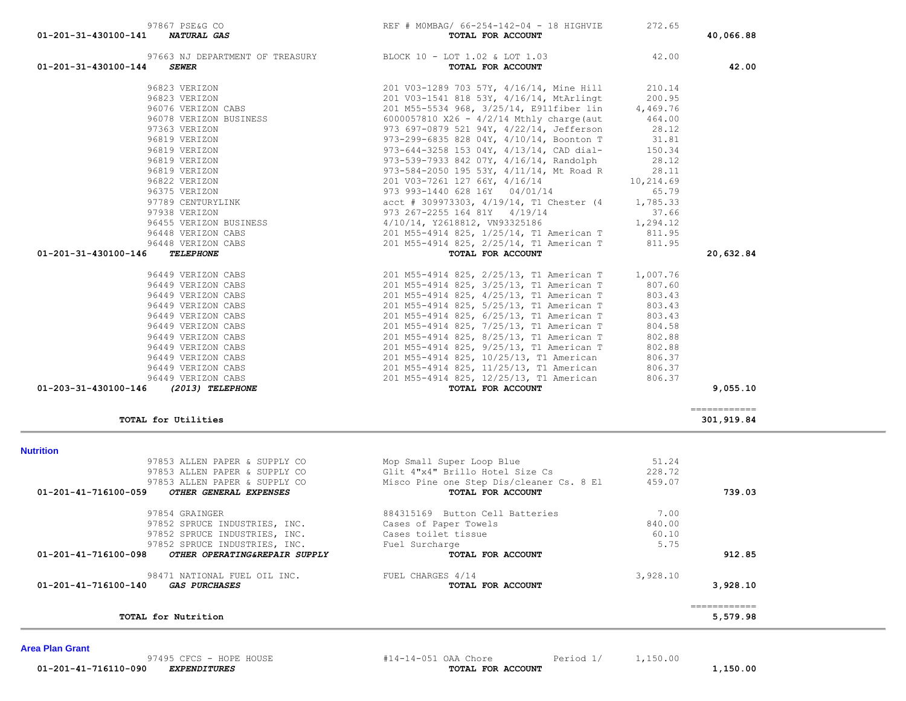| <i><b>GAS PURCHASES</b></i>   | TOTAL FOR ACCOUNT               |                                          | 3,928.10         |
|-------------------------------|---------------------------------|------------------------------------------|------------------|
| 98471 NATIONAL FUEL OIL INC.  | FUEL CHARGES 4/14               | 3,928.10                                 |                  |
| OTHER OPERATING&REPAIR SUPPLY | TOTAL FOR ACCOUNT               |                                          | 912.85           |
| 97852 SPRUCE INDUSTRIES, INC. | Fuel Surcharge                  | 5.75                                     |                  |
| 97852 SPRUCE INDUSTRIES, INC. | Cases toilet tissue             | 60.10                                    |                  |
| 97852 SPRUCE INDUSTRIES, INC. | Cases of Paper Towels           | 840.00                                   |                  |
| 97854 GRAINGER                | 884315169 Button Cell Batteries | 7.00                                     |                  |
| OTHER GENERAL EXPENSES        | TOTAL FOR ACCOUNT               |                                          | 739.03           |
| 97853 ALLEN PAPER & SUPPLY CO |                                 |                                          |                  |
| 97853 ALLEN PAPER & SUPPLY CO | Glit 4"x4" Brillo Hotel Size Cs |                                          |                  |
| 97853 ALLEN PAPER & SUPPLY CO | Mop Small Super Loop Blue       | 51.24                                    |                  |
|                               |                                 |                                          |                  |
|                               |                                 | Misco Pine one Step Dis/cleaner Cs. 8 El | 228.72<br>459.07 |

### **Nut**

| 97663 NJ DEPARTMENT OF TREASURY<br>01-201-31-430100-144<br><b>SEWER</b> | BLOCK 10 - LOT 1.02 & LOT 1.03<br>TOTAL FOR ACCOUNT | 42.00  | 42.00         |
|-------------------------------------------------------------------------|-----------------------------------------------------|--------|---------------|
| 96823 VERIZON                                                           | 201 V03-1289 703 57Y, 4/16/14, Mine Hill 210.14     |        |               |
|                                                                         |                                                     |        |               |
|                                                                         |                                                     |        |               |
|                                                                         |                                                     |        |               |
|                                                                         |                                                     |        |               |
|                                                                         |                                                     |        |               |
|                                                                         |                                                     |        |               |
|                                                                         |                                                     |        |               |
|                                                                         |                                                     |        |               |
|                                                                         |                                                     |        |               |
|                                                                         |                                                     |        |               |
|                                                                         |                                                     |        |               |
|                                                                         |                                                     |        |               |
|                                                                         |                                                     |        |               |
|                                                                         |                                                     |        |               |
|                                                                         |                                                     |        |               |
| 01-201-31-430100-146                                                    |                                                     |        | 20,632.84     |
| 96449 VERIZON CABS                                                      | 201 M55-4914 825, 2/25/13, T1 American T 1,007.76   |        |               |
| 96449 VERIZON CABS                                                      | 201 M55-4914 825, 3/25/13, T1 American T 807.60     |        |               |
| 96449 VERIZON CABS                                                      | 201 M55-4914 825, 4/25/13, T1 American T            | 803.43 |               |
| 96449 VERIZON CABS                                                      | 201 M55-4914 825, 5/25/13, T1 American T            | 803.43 |               |
| 96449 VERIZON CABS                                                      | 201 M55-4914 825, 6/25/13, T1 American T            | 803.43 |               |
| 96449 VERIZON CABS                                                      | 201 M55-4914 825, 7/25/13, T1 American T            | 804.58 |               |
| 96449 VERIZON CABS                                                      | 201 M55-4914 825, 8/25/13, T1 American T            | 802.88 |               |
| 96449 VERIZON CABS                                                      | 201 M55-4914 825, 9/25/13, T1 American T            | 802.88 |               |
| 96449 VERIZON CABS                                                      | 201 M55-4914 825, 10/25/13, T1 American             | 806.37 |               |
| 96449 VERIZON CABS                                                      | 201 M55-4914 825, 11/25/13, T1 American             | 806.37 |               |
| 96449 VERIZON CABS                                                      | 201 M55-4914 825, 12/25/13, T1 American             | 806.37 |               |
| 01-203-31-430100-146 (2013) TELEPHONE                                   | TOTAL FOR ACCOUNT                                   |        | 9,055.10      |
|                                                                         |                                                     |        | ------------- |
| TOTAL for Utilities                                                     |                                                     |        | 301,919.84    |

97867 PSE&G CO **REF** # MOMBAG/  $66-254-142-04 - 18$  HIGHVIE 272.65 **REF** & MOMBAG/  $66-254-142-04 - 18$  HIGHVIE  **01-201-31-430100-141** *NATURAL GAS* **TOTAL FOR ACCOUNT 40,066.88**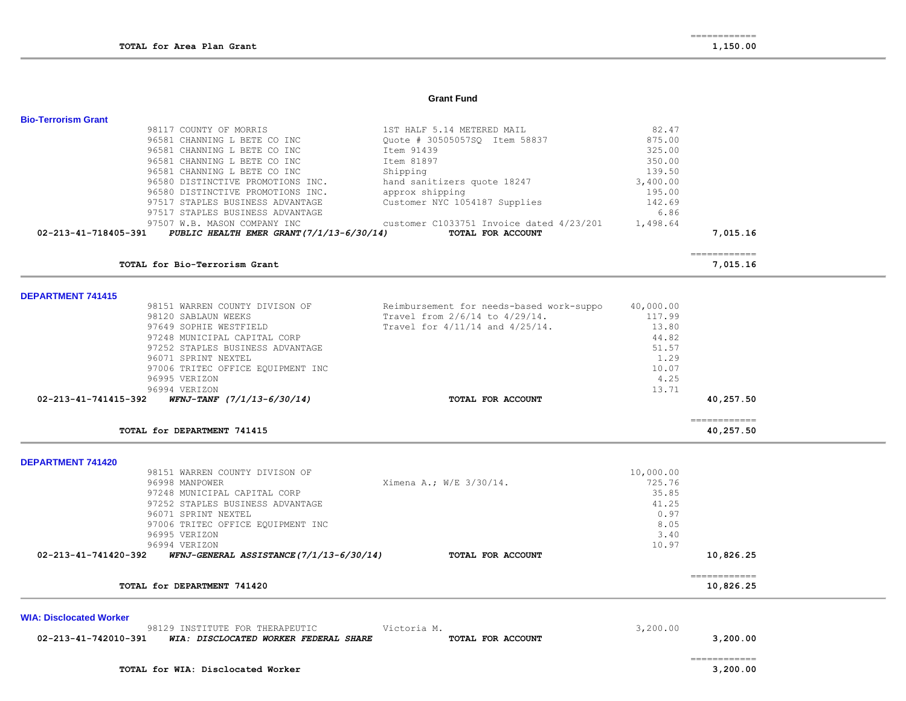### **Grant Fund**

| <b>Bio-Terrorism Grant</b>     |                                                               |                                          |           |                                                                                                                                                                                                                                                                                                                                                                                                                                                                                        |  |
|--------------------------------|---------------------------------------------------------------|------------------------------------------|-----------|----------------------------------------------------------------------------------------------------------------------------------------------------------------------------------------------------------------------------------------------------------------------------------------------------------------------------------------------------------------------------------------------------------------------------------------------------------------------------------------|--|
|                                | 98117 COUNTY OF MORRIS                                        | 1ST HALF 5.14 METERED MAIL               | 82.47     |                                                                                                                                                                                                                                                                                                                                                                                                                                                                                        |  |
|                                | 96581 CHANNING L BETE CO INC                                  | Quote # 30505057SQ Item 58837            | 875.00    |                                                                                                                                                                                                                                                                                                                                                                                                                                                                                        |  |
|                                | 96581 CHANNING L BETE CO INC                                  | Item 91439                               | 325.00    |                                                                                                                                                                                                                                                                                                                                                                                                                                                                                        |  |
|                                | 96581 CHANNING L BETE CO INC                                  | Item 81897                               | 350.00    |                                                                                                                                                                                                                                                                                                                                                                                                                                                                                        |  |
|                                | 96581 CHANNING L BETE CO INC                                  | Shipping                                 | 139.50    |                                                                                                                                                                                                                                                                                                                                                                                                                                                                                        |  |
|                                | 96580 DISTINCTIVE PROMOTIONS INC.                             |                                          |           |                                                                                                                                                                                                                                                                                                                                                                                                                                                                                        |  |
|                                |                                                               | hand sanitizers quote 18247              | 3,400.00  |                                                                                                                                                                                                                                                                                                                                                                                                                                                                                        |  |
|                                | 96580 DISTINCTIVE PROMOTIONS INC.                             | approx shipping                          | 195.00    |                                                                                                                                                                                                                                                                                                                                                                                                                                                                                        |  |
|                                | 97517 STAPLES BUSINESS ADVANTAGE                              | Customer NYC 1054187 Supplies            | 142.69    |                                                                                                                                                                                                                                                                                                                                                                                                                                                                                        |  |
|                                | 97517 STAPLES BUSINESS ADVANTAGE                              |                                          | 6.86      |                                                                                                                                                                                                                                                                                                                                                                                                                                                                                        |  |
|                                | 97507 W.B. MASON COMPANY INC                                  | customer C1033751 Invoice dated 4/23/201 | 1,498.64  |                                                                                                                                                                                                                                                                                                                                                                                                                                                                                        |  |
|                                | 02-213-41-718405-391 PUBLIC HEALTH EMER GRANT(7/1/13-6/30/14) | TOTAL FOR ACCOUNT                        |           | 7,015.16                                                                                                                                                                                                                                                                                                                                                                                                                                                                               |  |
|                                | TOTAL for Bio-Terrorism Grant                                 |                                          |           | ------------                                                                                                                                                                                                                                                                                                                                                                                                                                                                           |  |
|                                |                                                               |                                          |           | 7,015.16                                                                                                                                                                                                                                                                                                                                                                                                                                                                               |  |
| <b>DEPARTMENT 741415</b>       |                                                               |                                          |           |                                                                                                                                                                                                                                                                                                                                                                                                                                                                                        |  |
|                                | 98151 WARREN COUNTY DIVISON OF                                | Reimbursement for needs-based work-suppo | 40,000.00 |                                                                                                                                                                                                                                                                                                                                                                                                                                                                                        |  |
|                                | 98120 SABLAUN WEEKS                                           | Travel from 2/6/14 to 4/29/14.           | 117.99    |                                                                                                                                                                                                                                                                                                                                                                                                                                                                                        |  |
|                                | 97649 SOPHIE WESTFIELD                                        | Travel for 4/11/14 and 4/25/14.          | 13.80     |                                                                                                                                                                                                                                                                                                                                                                                                                                                                                        |  |
|                                | 97248 MUNICIPAL CAPITAL CORP                                  |                                          | 44.82     |                                                                                                                                                                                                                                                                                                                                                                                                                                                                                        |  |
|                                |                                                               |                                          |           |                                                                                                                                                                                                                                                                                                                                                                                                                                                                                        |  |
|                                | 97252 STAPLES BUSINESS ADVANTAGE                              |                                          | 51.57     |                                                                                                                                                                                                                                                                                                                                                                                                                                                                                        |  |
|                                | 96071 SPRINT NEXTEL                                           |                                          | 1.29      |                                                                                                                                                                                                                                                                                                                                                                                                                                                                                        |  |
|                                | 97006 TRITEC OFFICE EQUIPMENT INC                             |                                          | 10.07     |                                                                                                                                                                                                                                                                                                                                                                                                                                                                                        |  |
|                                | 96995 VERIZON                                                 |                                          | 4.25      |                                                                                                                                                                                                                                                                                                                                                                                                                                                                                        |  |
|                                | 96994 VERIZON                                                 |                                          | 13.71     |                                                                                                                                                                                                                                                                                                                                                                                                                                                                                        |  |
| 02-213-41-741415-392           | $WFNJ-TANF$ $(7/1/13-6/30/14)$                                | TOTAL FOR ACCOUNT                        |           | 40,257.50                                                                                                                                                                                                                                                                                                                                                                                                                                                                              |  |
|                                | TOTAL for DEPARTMENT 741415                                   |                                          |           | $=$ = = = = = = = = = = = =<br>40,257.50                                                                                                                                                                                                                                                                                                                                                                                                                                               |  |
|                                |                                                               |                                          |           |                                                                                                                                                                                                                                                                                                                                                                                                                                                                                        |  |
| <b>DEPARTMENT 741420</b>       |                                                               |                                          |           |                                                                                                                                                                                                                                                                                                                                                                                                                                                                                        |  |
|                                | 98151 WARREN COUNTY DIVISON OF                                |                                          | 10,000.00 |                                                                                                                                                                                                                                                                                                                                                                                                                                                                                        |  |
|                                | 96998 MANPOWER                                                | Ximena A.; W/E 3/30/14.                  | 725.76    |                                                                                                                                                                                                                                                                                                                                                                                                                                                                                        |  |
|                                | 97248 MUNICIPAL CAPITAL CORP                                  |                                          | 35.85     |                                                                                                                                                                                                                                                                                                                                                                                                                                                                                        |  |
|                                | 97252 STAPLES BUSINESS ADVANTAGE                              |                                          | 41.25     |                                                                                                                                                                                                                                                                                                                                                                                                                                                                                        |  |
|                                | 96071 SPRINT NEXTEL                                           |                                          | 0.97      |                                                                                                                                                                                                                                                                                                                                                                                                                                                                                        |  |
|                                | 97006 TRITEC OFFICE EQUIPMENT INC                             |                                          | 8.05      |                                                                                                                                                                                                                                                                                                                                                                                                                                                                                        |  |
|                                | 96995 VERIZON                                                 |                                          | 3.40      |                                                                                                                                                                                                                                                                                                                                                                                                                                                                                        |  |
|                                | 96994 VERIZON                                                 |                                          | 10.97     |                                                                                                                                                                                                                                                                                                                                                                                                                                                                                        |  |
|                                | 02-213-41-741420-392 WFNJ-GENERAL ASSISTANCE (7/1/13-6/30/14) | TOTAL FOR ACCOUNT                        |           | 10,826.25                                                                                                                                                                                                                                                                                                                                                                                                                                                                              |  |
|                                |                                                               |                                          |           | ------------                                                                                                                                                                                                                                                                                                                                                                                                                                                                           |  |
|                                | TOTAL for DEPARTMENT 741420                                   |                                          |           | 10,826.25                                                                                                                                                                                                                                                                                                                                                                                                                                                                              |  |
| <b>WIA: Disclocated Worker</b> |                                                               |                                          |           |                                                                                                                                                                                                                                                                                                                                                                                                                                                                                        |  |
|                                | 98129 INSTITUTE FOR THERAPEUTIC                               | Victoria M.                              | 3,200.00  |                                                                                                                                                                                                                                                                                                                                                                                                                                                                                        |  |
| 02-213-41-742010-391           | WIA: DISCLOCATED WORKER FEDERAL SHARE                         | <b>TOTAL FOR ACCOUNT</b>                 |           | 3,200.00                                                                                                                                                                                                                                                                                                                                                                                                                                                                               |  |
|                                |                                                               |                                          |           |                                                                                                                                                                                                                                                                                                                                                                                                                                                                                        |  |
|                                |                                                               |                                          |           | $\begin{array}{cccccccccc} \multicolumn{2}{c}{} & \multicolumn{2}{c}{} & \multicolumn{2}{c}{} & \multicolumn{2}{c}{} & \multicolumn{2}{c}{} & \multicolumn{2}{c}{} & \multicolumn{2}{c}{} & \multicolumn{2}{c}{} & \multicolumn{2}{c}{} & \multicolumn{2}{c}{} & \multicolumn{2}{c}{} & \multicolumn{2}{c}{} & \multicolumn{2}{c}{} & \multicolumn{2}{c}{} & \multicolumn{2}{c}{} & \multicolumn{2}{c}{} & \multicolumn{2}{c}{} & \multicolumn{2}{c}{} & \multicolumn{2}{c}{} & \mult$ |  |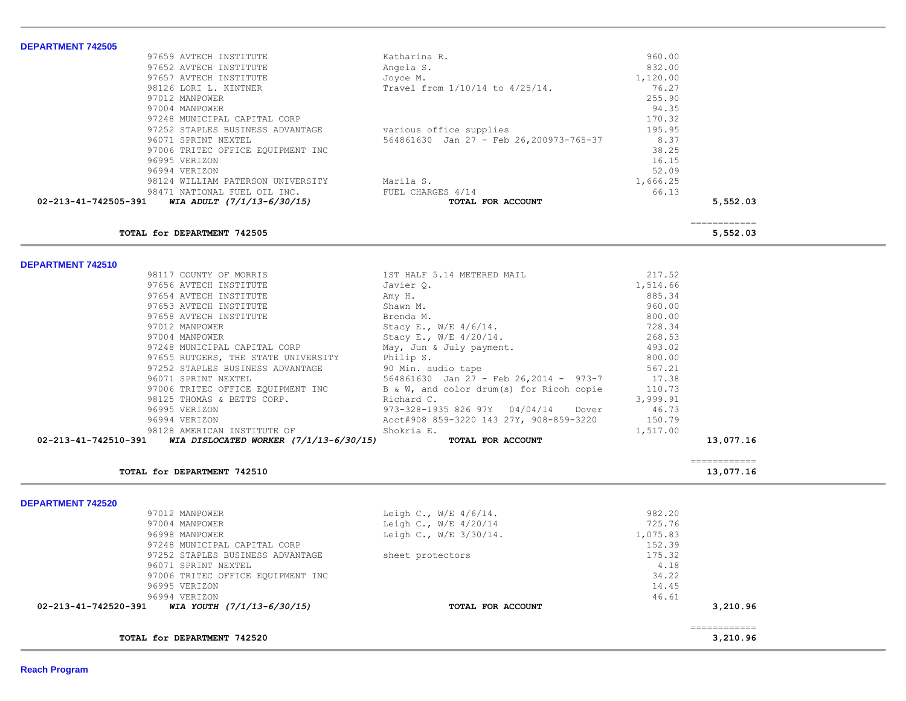|                                                |                                        | ============ |
|------------------------------------------------|----------------------------------------|--------------|
|                                                |                                        | 5,552.03     |
|                                                |                                        |              |
| 98124 WILLIAM PATERSON UNIVERSITY<br>Marila S. | 1,666.25                               |              |
|                                                | 52.09                                  |              |
|                                                | 16.15                                  |              |
| 97006 TRITEC OFFICE EQUIPMENT INC              | 38.25                                  |              |
| 564861630 Jan 27 - Feb 26,200973-765-37        | 8.37                                   |              |
| various office supplies                        | 195.95                                 |              |
|                                                | 170.32                                 |              |
|                                                | 94.35                                  |              |
|                                                | 255.90                                 |              |
| Travel from 1/10/14 to 4/25/14.                | 76.27                                  |              |
| Joyce M.                                       | 1,120.00                               |              |
| Angela S.                                      | 832.00                                 |              |
| Katharina R.                                   | 960.00                                 |              |
|                                                | FUEL CHARGES 4/14<br>TOTAL FOR ACCOUNT | 66.13        |

**DEPARTMENT 742510** 

| TOTAL for DEPARTMENT 742510                                 |                                                 |                    | 13,077.16                 |
|-------------------------------------------------------------|-------------------------------------------------|--------------------|---------------------------|
| 02-213-41-742510-391 WIA DISLOCATED WORKER (7/1/13-6/30/15) | TOTAL FOR ACCOUNT                               |                    | 13,077.16<br>------------ |
| 98128 AMERICAN INSTITUTE OF                                 | Shokria E.                                      | 1,517.00           |                           |
| 96994 VERIZON                                               | Acct#908 859-3220 143 27Y, 908-859-3220 150.79  |                    |                           |
| 96995 VERIZON                                               | 973-328-1935 826 97Y 04/04/14 Dover             | 46.73              |                           |
| 98125 THOMAS & BETTS CORP.                                  | Richard C.                                      | 3,999.91           |                           |
| 97006 TRITEC OFFICE EQUIPMENT INC                           | B & W, and color drum(s) for Ricoh copie 110.73 |                    |                           |
| 96071 SPRINT NEXTEL                                         | 564861630 Jan 27 - Feb 26,2014 - 973-7 17.38    |                    |                           |
| 97252 STAPLES BUSINESS ADVANTAGE                            | 90 Min. audio tape                              | 567.21             |                           |
| 97655 RUTGERS, THE STATE UNIVERSITY                         | Philip S.                                       | 800.00             |                           |
| 97248 MUNICIPAL CAPITAL CORP                                | May, Jun & July payment.                        | 493.02             |                           |
| 97004 MANPOWER STORES                                       | Stacy E., W/E 4/20/14.                          | 268.53             |                           |
| 97012 MANPOWER                                              | Stacy E., W/E 4/6/14.                           | 728.34             |                           |
| 97658 AVTECH INSTITUTE                                      | Brenda M.                                       | 800.00             |                           |
| 97653 AVTECH INSTITUTE                                      | Amy H.<br>Shawn M.                              | 960.00             |                           |
| 97656 AVTECH INSTITUTE<br>97654 AVTECH INSTITUTE            | Javier Q.                                       | 1,514.66<br>885.34 |                           |
| 98117 COUNTY OF MORRIS                                      | 1ST HALF 5.14 METERED MAIL                      | 217.52             |                           |

**DEPARTMENT 742520** 

 $\sim$ 

| TOTAL for DEPARTMENT 742520                        |                             |          | 3,210.96 |
|----------------------------------------------------|-----------------------------|----------|----------|
| WIA YOUTH (7/1/13-6/30/15)<br>02-213-41-742520-391 | TOTAL FOR ACCOUNT           |          | 3,210.96 |
| 96994 VERIZON                                      |                             | 46.61    |          |
| 96995 VERIZON                                      |                             | 14.45    |          |
| 97006 TRITEC OFFICE EQUIPMENT INC                  |                             | 34.22    |          |
| 96071 SPRINT NEXTEL                                |                             | 4.18     |          |
| 97252 STAPLES BUSINESS ADVANTAGE                   | sheet protectors            | 175.32   |          |
| 97248 MUNICIPAL CAPITAL CORP                       |                             | 152.39   |          |
| 96998 MANPOWER                                     | Leigh C., $W/E = 3/30/14$ . | 1,075.83 |          |
| 97004 MANPOWER                                     | Leigh C., $W/E$ 4/20/14     | 725.76   |          |
| 97012 MANPOWER                                     | Leigh C., $W/E$ 4/6/14.     | 982.20   |          |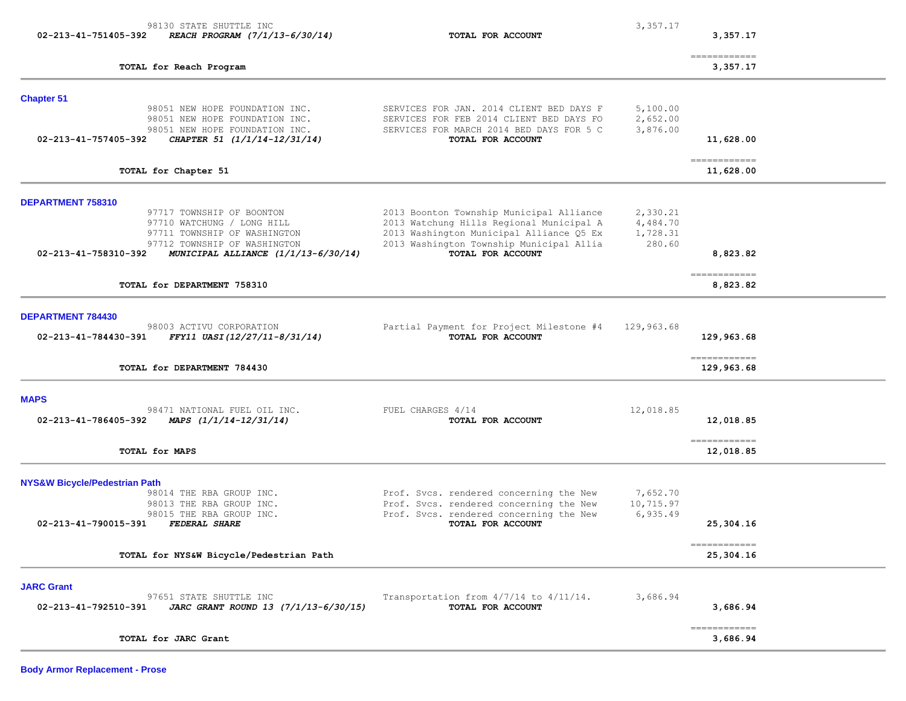| 98130 STATE SHUTTLE INC<br>02-213-41-751405-392<br>REACH PROGRAM (7/1/13-6/30/14)                                                                                     | TOTAL FOR ACCOUNT                                                                                                                                                            | 3,357.17                                   | 3,357.17                              |  |
|-----------------------------------------------------------------------------------------------------------------------------------------------------------------------|------------------------------------------------------------------------------------------------------------------------------------------------------------------------------|--------------------------------------------|---------------------------------------|--|
| TOTAL for Reach Program                                                                                                                                               |                                                                                                                                                                              |                                            | ============<br>3,357.17              |  |
| <b>Chapter 51</b><br>98051 NEW HOPE FOUNDATION INC.                                                                                                                   | SERVICES FOR JAN. 2014 CLIENT BED DAYS F                                                                                                                                     | 5,100.00                                   |                                       |  |
| 98051 NEW HOPE FOUNDATION INC.<br>98051 NEW HOPE FOUNDATION INC.<br>CHAPTER 51 (1/1/14-12/31/14)<br>02-213-41-757405-392                                              | SERVICES FOR FEB 2014 CLIENT BED DAYS FO<br>SERVICES FOR MARCH 2014 BED DAYS FOR 5 C<br>TOTAL FOR ACCOUNT                                                                    | 2,652.00<br>3,876.00                       | 11,628.00                             |  |
| TOTAL for Chapter 51                                                                                                                                                  |                                                                                                                                                                              |                                            | ------------<br>11,628.00             |  |
| DEPARTMENT 758310<br>97717 TOWNSHIP OF BOONTON<br>97710 WATCHUNG / LONG HILL<br>97711 TOWNSHIP OF WASHINGTON<br>97712 TOWNSHIP OF WASHINGTON                          | 2013 Boonton Township Municipal Alliance<br>2013 Watchung Hills Regional Municipal A<br>2013 Washington Municipal Alliance Q5 Ex<br>2013 Washington Township Municipal Allia | 2,330.21<br>4,484.70<br>1,728.31<br>280.60 |                                       |  |
| 02-213-41-758310-392<br>MUNICIPAL ALLIANCE $(1/1/13-6/30/14)$<br>TOTAL for DEPARTMENT 758310                                                                          | TOTAL FOR ACCOUNT                                                                                                                                                            |                                            | 8,823.82<br>-------------<br>8,823.82 |  |
|                                                                                                                                                                       |                                                                                                                                                                              |                                            |                                       |  |
| DEPARTMENT 784430<br>98003 ACTIVU CORPORATION<br>FFY11 UASI(12/27/11-8/31/14)<br>02-213-41-784430-391                                                                 | Partial Payment for Project Milestone #4<br>TOTAL FOR ACCOUNT                                                                                                                | 129,963.68                                 | 129,963.68                            |  |
| TOTAL for DEPARTMENT 784430                                                                                                                                           |                                                                                                                                                                              |                                            | -------------<br>129,963.68           |  |
| <b>MAPS</b><br>98471 NATIONAL FUEL OIL INC.<br>02-213-41-786405-392<br>MAPS $(1/1/14-12/31/14)$                                                                       | FUEL CHARGES 4/14<br>TOTAL FOR ACCOUNT                                                                                                                                       | 12,018.85                                  | 12,018.85                             |  |
| TOTAL for MAPS                                                                                                                                                        |                                                                                                                                                                              |                                            | ------------<br>12,018.85             |  |
| <b>NYS&amp;W Bicycle/Pedestrian Path</b><br>98014 THE RBA GROUP INC.<br>98013 THE RBA GROUP INC.<br>98015 THE RBA GROUP INC.<br>02-213-41-790015-391<br>FEDERAL SHARE | Prof. Svcs. rendered concerning the New<br>Prof. Svcs. rendered concerning the New<br>Prof. Svcs. rendered concerning the New<br>TOTAL FOR ACCOUNT                           | 7,652.70<br>10,715.97<br>6,935.49          | 25,304.16                             |  |
| TOTAL for NYS&W Bicycle/Pedestrian Path                                                                                                                               |                                                                                                                                                                              |                                            | ------------<br>25,304.16             |  |
| <b>JARC Grant</b><br>97651 STATE SHUTTLE INC<br>02-213-41-792510-391<br>JARC GRANT ROUND 13 (7/1/13-6/30/15)                                                          | Transportation from $4/7/14$ to $4/11/14$ .<br>TOTAL FOR ACCOUNT                                                                                                             | 3,686.94                                   | 3,686.94                              |  |
| TOTAL for JARC Grant                                                                                                                                                  |                                                                                                                                                                              |                                            | ------------<br>3,686.94              |  |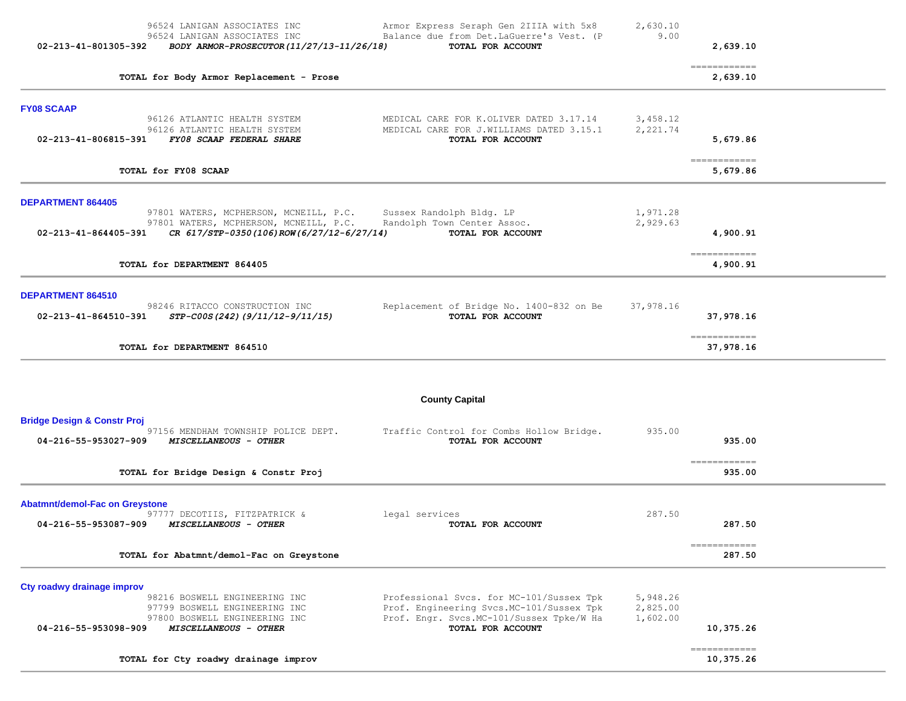| 96524 LANIGAN ASSOCIATES INC<br>96524 LANIGAN ASSOCIATES INC<br>02-213-41-801305-392<br>BODY ARMOR-PROSECUTOR (11/27/13-11/26/18)                                                | 2,630.10<br>Armor Express Seraph Gen 2IIIA with 5x8<br>9.00<br>Balance due from Det.LaGuerre's Vest. (P<br>TOTAL FOR ACCOUNT                                                               | 2,639.10                  |  |
|----------------------------------------------------------------------------------------------------------------------------------------------------------------------------------|--------------------------------------------------------------------------------------------------------------------------------------------------------------------------------------------|---------------------------|--|
| TOTAL for Body Armor Replacement - Prose                                                                                                                                         |                                                                                                                                                                                            | -------------<br>2,639.10 |  |
| <b>FY08 SCAAP</b><br>96126 ATLANTIC HEALTH SYSTEM<br>96126 ATLANTIC HEALTH SYSTEM                                                                                                | 3,458.12<br>MEDICAL CARE FOR K.OLIVER DATED 3.17.14<br>MEDICAL CARE FOR J.WILLIAMS DATED 3.15.1<br>2,221.74                                                                                |                           |  |
| 02-213-41-806815-391<br>FY08 SCAAP FEDERAL SHARE                                                                                                                                 | TOTAL FOR ACCOUNT                                                                                                                                                                          | 5,679.86<br>------------- |  |
| TOTAL for FY08 SCAAP                                                                                                                                                             |                                                                                                                                                                                            | 5,679.86                  |  |
| <b>DEPARTMENT 864405</b><br>97801 WATERS, MCPHERSON, MCNEILL, P.C.<br>97801 WATERS, MCPHERSON, MCNEILL, P.C.<br>CR 617/STP-0350(106)ROW(6/27/12-6/27/14)<br>02-213-41-864405-391 | Sussex Randolph Bldg. LP<br>1,971.28<br>2,929.63<br>Randolph Town Center Assoc.<br>TOTAL FOR ACCOUNT                                                                                       | 4,900.91                  |  |
|                                                                                                                                                                                  |                                                                                                                                                                                            | -------------             |  |
| TOTAL for DEPARTMENT 864405                                                                                                                                                      |                                                                                                                                                                                            | 4,900.91                  |  |
| DEPARTMENT 864510<br>98246 RITACCO CONSTRUCTION INC<br>02-213-41-864510-391<br><i>STP-C00S(242)(9/11/12-9/11/15)</i>                                                             | Replacement of Bridge No. 1400-832 on Be<br>37,978.16<br>TOTAL FOR ACCOUNT                                                                                                                 | 37,978.16                 |  |
| TOTAL for DEPARTMENT 864510                                                                                                                                                      |                                                                                                                                                                                            | ------------<br>37,978.16 |  |
|                                                                                                                                                                                  | <b>County Capital</b>                                                                                                                                                                      |                           |  |
| <b>Bridge Design &amp; Constr Proj</b><br>97156 MENDHAM TOWNSHIP POLICE DEPT.<br>04-216-55-953027-909<br><i>MISCELLANEOUS - OTHER</i>                                            | 935.00<br>Traffic Control for Combs Hollow Bridge.<br>TOTAL FOR ACCOUNT                                                                                                                    | 935.00                    |  |
| TOTAL for Bridge Design & Constr Proj                                                                                                                                            |                                                                                                                                                                                            | ------------<br>935.00    |  |
| <b>Abatmnt/demol-Fac on Greystone</b><br>97777 DECOTIIS, FITZPATRICK &<br>legal services<br>04-216-55-953087-909<br><i>MISCELLANEOUS - OTHER</i>                                 | 287.50<br>TOTAL FOR ACCOUNT                                                                                                                                                                | 287.50                    |  |
| TOTAL for Abatmnt/demol-Fac on Greystone                                                                                                                                         |                                                                                                                                                                                            | ------------<br>287.50    |  |
| Cty roadwy drainage improv<br>98216 BOSWELL ENGINEERING INC<br>97799 BOSWELL ENGINEERING INC<br>97800 BOSWELL ENGINEERING INC<br>MISCELLANEOUS - OTHER<br>04-216-55-953098-909   | Professional Svcs. for MC-101/Sussex Tpk<br>5,948.26<br>Prof. Engineering Svcs.MC-101/Sussex Tpk<br>2,825.00<br>Prof. Engr. Svcs. MC-101/Sussex Tpke/W Ha<br>1,602.00<br>TOTAL FOR ACCOUNT | 10,375.26                 |  |
| TOTAL for Cty roadwy drainage improv                                                                                                                                             |                                                                                                                                                                                            | ------------<br>10,375.26 |  |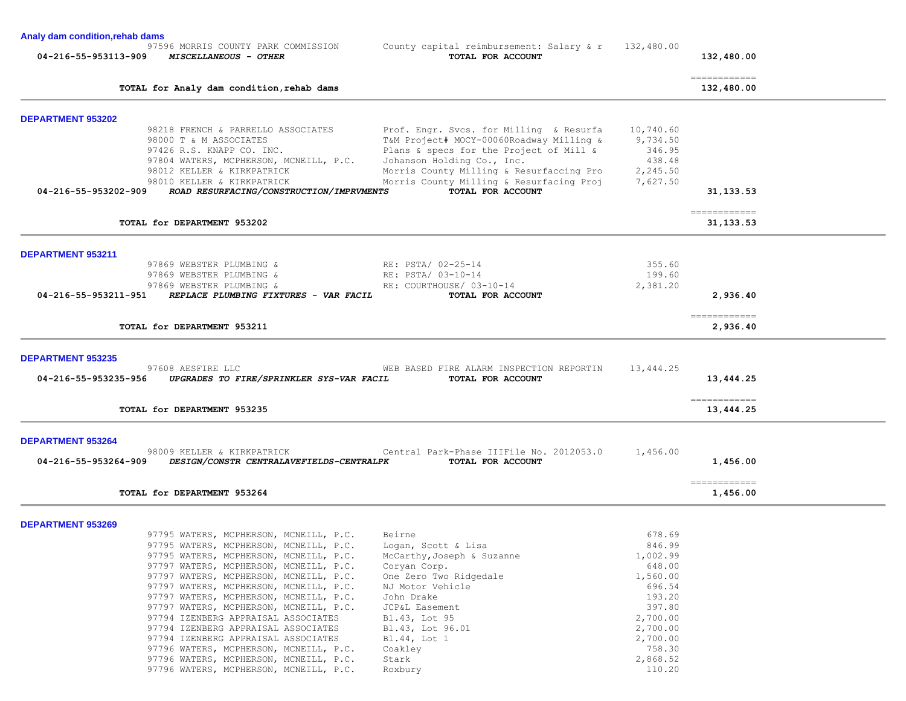**Analy dam condition,rehab dams**

97596 MORRIS COUNTY PARK COMMISSION County capital reimbursement: Salary & r 132,480.00<br> **04-216-55-953113-909** MISCELLANEOUS - OTHER TOR ROCOUNT  **04-216-55-953113-909** *MISCELLANEOUS - OTHER* **TOTAL FOR ACCOUNT 132,480.00** ============ **TOTAL for Analy dam condition,rehab dams 132,480.00**

| <b>DEPARTMENT 953202</b> | 98218 FRENCH & PARRELLO ASSOCIATES                                                                     | Prof. Engr. Svcs. for Milling & Resurfa 10,740.60                            |           |                                         |  |
|--------------------------|--------------------------------------------------------------------------------------------------------|------------------------------------------------------------------------------|-----------|-----------------------------------------|--|
|                          | 98000 T & M ASSOCIATES                                                                                 | T&M Project# MOCY-00060Roadway Milling & 9,734.50                            |           |                                         |  |
|                          | 97426 R.S. KNAPP CO. INC.                                                                              | Plans & specs for the Project of Mill &                                      | 346.95    |                                         |  |
|                          | 97804 WATERS, MCPHERSON, MCNEILL, P.C.                                                                 | Johanson Holding Co., Inc.                                                   | 438.48    |                                         |  |
|                          | 98012 KELLER & KIRKPATRICK                                                                             | Morris County Milling & Resurfaccing Pro 2,245.50                            |           |                                         |  |
|                          | 98010 KELLER & KIRKPATRICK                                                                             | Morris County Milling & Resurfacing Proj 7,627.50                            |           |                                         |  |
|                          | 04-216-55-953202-909 ROAD RESURFACING/CONSTRUCTION/IMPRVMENTS                                          | TOTAL FOR ACCOUNT                                                            |           | 31, 133, 53                             |  |
|                          |                                                                                                        |                                                                              |           | $=$ = = = = = = = = = = = =             |  |
|                          | TOTAL for DEPARTMENT 953202                                                                            |                                                                              |           | 31, 133.53                              |  |
| <b>DEPARTMENT 953211</b> |                                                                                                        |                                                                              |           |                                         |  |
|                          | 97869 WEBSTER PLUMBING &                                                                               |                                                                              | 355.60    |                                         |  |
|                          | 97869 WEBSTER PLUMBING &                                                                               | RE: PSTA/ 02-25-14<br>RE: PSTA/ 03-10-14                                     | 199.60    |                                         |  |
|                          | 97869 WEBSTER PLUMBING & RE: COURTHOUSE/ 03-10-14                                                      |                                                                              | 2,381.20  |                                         |  |
|                          | 04-216-55-953211-951 REPLACE PLUMBING FIXTURES - VAR FACIL                                             | TOTAL FOR ACCOUNT                                                            |           | 2,936.40                                |  |
|                          |                                                                                                        |                                                                              |           |                                         |  |
|                          | TOTAL for DEPARTMENT 953211                                                                            |                                                                              |           | ============<br>2,936.40                |  |
| <b>DEPARTMENT 953235</b> |                                                                                                        |                                                                              |           |                                         |  |
|                          | 97608 AESFIRE LLC                                                                                      | WEB BASED FIRE ALARM INSPECTION REPORTIN                                     | 13,444.25 |                                         |  |
|                          | 04-216-55-953235-956 UPGRADES TO FIRE/SPRINKLER SYS-VAR FACIL TOTAL FOR ACCOUNT                        |                                                                              |           | 13,444.25                               |  |
|                          |                                                                                                        |                                                                              |           | $=$ = = = = = = = = = = = =             |  |
|                          | TOTAL for DEPARTMENT 953235                                                                            |                                                                              |           | 13,444.25                               |  |
| <b>DEPARTMENT 953264</b> |                                                                                                        |                                                                              |           |                                         |  |
|                          |                                                                                                        | 98009 KELLER & KIRKPATRICK Central Park-Phase IIIFile No. 2012053.0 1,456.00 |           |                                         |  |
|                          | 04-216-55-953264-909 DESIGN/CONSTR CENTRALAVEFIELDS-CENTRALPK                                          | TOTAL FOR ACCOUNT                                                            |           | 1,456.00                                |  |
|                          | TOTAL for DEPARTMENT 953264                                                                            |                                                                              |           | $=$ = = = = = = = = = = = =<br>1,456.00 |  |
|                          |                                                                                                        |                                                                              |           |                                         |  |
| <b>DEPARTMENT 953269</b> |                                                                                                        |                                                                              |           |                                         |  |
|                          | 97795 WATERS, MCPHERSON, MCNEILL, P.C.                                                                 | Beirne                                                                       | 678.69    |                                         |  |
|                          | 97795 WATERS, MCPHERSON, MCNEILL, P.C.<br>97795 MATERS MOREFRONT MONETII D C MoCarthy Joseph & Suzanne | Logan, Scott & Lisa                                                          | 846.99    |                                         |  |
|                          |                                                                                                        |                                                                              | 1 002 99  |                                         |  |

| 97795 WATERS, MCPHERSON, MCNEILL, P.C. | Logan, Scott & Lisa        | 846.99   |
|----------------------------------------|----------------------------|----------|
| 97795 WATERS, MCPHERSON, MCNEILL, P.C. | McCarthy, Joseph & Suzanne | 1,002.99 |
| 97797 WATERS, MCPHERSON, MCNEILL, P.C. | Coryan Corp.               | 648.00   |
| 97797 WATERS, MCPHERSON, MCNEILL, P.C. | One Zero Two Ridgedale     | 1,560.00 |
| 97797 WATERS, MCPHERSON, MCNEILL, P.C. | NJ Motor Vehicle           | 696.54   |
| 97797 WATERS, MCPHERSON, MCNEILL, P.C. | John Drake                 | 193.20   |
| 97797 WATERS, MCPHERSON, MCNEILL, P.C. | JCP&L Easement             | 397.80   |
| 97794 IZENBERG APPRAISAL ASSOCIATES    | Bl.43, Lot 95              | 2,700.00 |
| 97794 IZENBERG APPRAISAL ASSOCIATES    | Bl.43, Lot 96.01           | 2,700.00 |
| 97794 IZENBERG APPRAISAL ASSOCIATES    | Bl.44, Lot 1               | 2,700.00 |
| 97796 WATERS, MCPHERSON, MCNEILL, P.C. | Coakley                    | 758.30   |
| 97796 WATERS, MCPHERSON, MCNEILL, P.C. | Stark                      | 2,868.52 |
| 97796 WATERS, MCPHERSON, MCNEILL, P.C. | Roxbury                    | 110.20   |
|                                        |                            |          |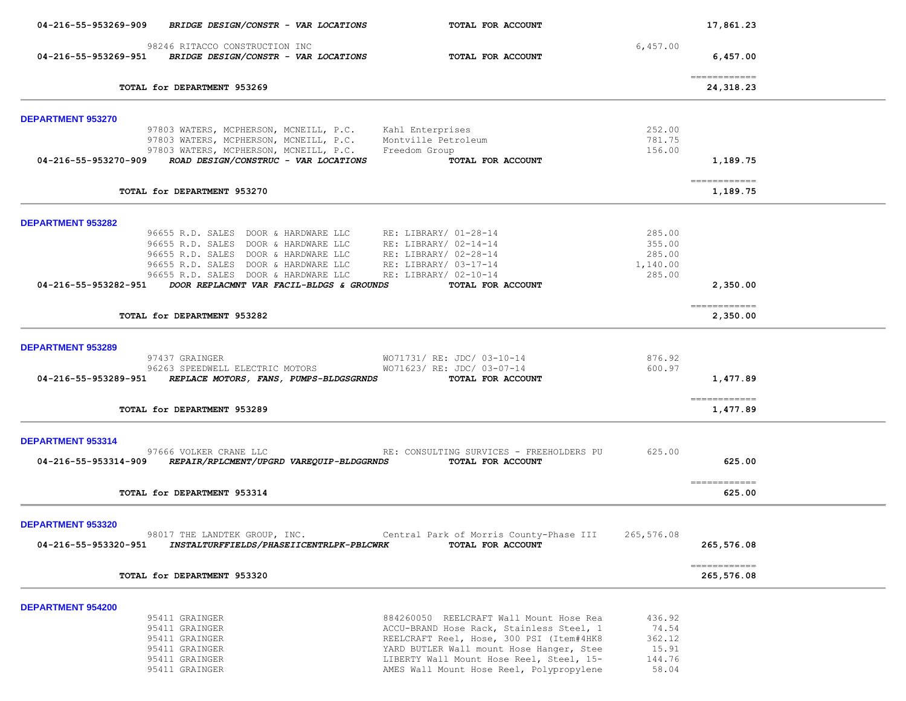| 04-216-55-953269-909        | BRIDGE DESIGN/CONSTR - VAR LOCATIONS                                                                                     | TOTAL FOR ACCOUNT                                        |                  | 17,861.23                                |  |
|-----------------------------|--------------------------------------------------------------------------------------------------------------------------|----------------------------------------------------------|------------------|------------------------------------------|--|
|                             | 98246 RITACCO CONSTRUCTION INC<br>04-216-55-953269-951 BRIDGE DESIGN/CONSTR - VAR LOCATIONS                              | TOTAL FOR ACCOUNT                                        | 6,457.00         | 6,457.00                                 |  |
| TOTAL for DEPARTMENT 953269 |                                                                                                                          |                                                          |                  | $=$ = = = = = = = = = = = =<br>24,318.23 |  |
|                             |                                                                                                                          |                                                          |                  |                                          |  |
| <b>DEPARTMENT 953270</b>    | 97803 WATERS, MCPHERSON, MCNEILL, P.C. Kahl Enterprises                                                                  |                                                          | 252.00           |                                          |  |
|                             | 97803 WATERS, MCPHERSON, MCNEILL, P.C. Montville Petroleum                                                               |                                                          | 781.75           |                                          |  |
|                             | 97803 WATERS, MCPHERSON, MCNEILL, P.C.                                                                                   | Freedom Group                                            | 156.00           |                                          |  |
| 04-216-55-953270-909        | ROAD DESIGN/CONSTRUC - VAR LOCATIONS                                                                                     | TOTAL FOR ACCOUNT                                        |                  | 1,189.75                                 |  |
|                             | TOTAL for DEPARTMENT 953270                                                                                              |                                                          |                  | -------------<br>1,189.75                |  |
|                             |                                                                                                                          |                                                          |                  |                                          |  |
| DEPARTMENT 953282           |                                                                                                                          |                                                          | 285.00           |                                          |  |
|                             | 96655 R.D. SALES DOOR & HARDWARE LLC RE: LIBRARY/ 01-28-14<br>96655 R.D. SALES DOOR & HARDWARE LLC RE: LIBRARY/ 02-14-14 |                                                          | 355.00           |                                          |  |
|                             |                                                                                                                          |                                                          | 285.00           |                                          |  |
|                             | 96655 R.D. SALES DOOR & HARDWARE LLC RE: LIBRARY/ 02-28-14<br>96655 R.D. SALES DOOR & HARDWARE LLC RE: LIBRARY/ 03-17-14 |                                                          | 1,140.00         |                                          |  |
|                             | 96655 R.D. SALES DOOR & HARDWARE LLC                                                                                     | RE: LIBRARY/ 02-10-14                                    | 285.00           |                                          |  |
|                             | 04-216-55-953282-951 DOOR REPLACMNT VAR FACIL-BLDGS & GROUNDS                                                            | TOTAL FOR ACCOUNT                                        |                  | 2,350.00                                 |  |
|                             | TOTAL for DEPARTMENT 953282                                                                                              |                                                          |                  | ============<br>2,350.00                 |  |
|                             |                                                                                                                          |                                                          |                  |                                          |  |
| <b>DEPARTMENT 953289</b>    |                                                                                                                          |                                                          |                  |                                          |  |
|                             | 97437 GRAINGER<br>96263 SPEEDWELL ELECTRIC MOTORS                                                                        | WO71731/ RE: JDC/ 03-10-14<br>WO71623/ RE: JDC/ 03-07-14 | 876.92<br>600.97 |                                          |  |
|                             | 04-216-55-953289-951 REPLACE MOTORS, FANS, PUMPS-BLDGSGRNDS                                                              | TOTAL FOR ACCOUNT                                        |                  | 1,477.89                                 |  |
|                             |                                                                                                                          |                                                          |                  |                                          |  |
|                             | TOTAL for DEPARTMENT 953289                                                                                              |                                                          |                  | -------------<br>1,477.89                |  |
| DEPARTMENT 953314           |                                                                                                                          |                                                          |                  |                                          |  |
|                             | 97666 VOLKER CRANE LLC                                                                                                   | RE: CONSULTING SURVICES - FREEHOLDERS PU                 | 625.00           |                                          |  |
|                             | 04-216-55-953314-909 REPAIR/RPLCMENT/UPGRD VAREQUIP-BLDGGRNDS                                                            | TOTAL FOR ACCOUNT                                        |                  | 625.00                                   |  |
|                             |                                                                                                                          |                                                          |                  | $=$ = = = = = = = = = = = =              |  |
|                             | TOTAL for DEPARTMENT 953314                                                                                              |                                                          |                  | 625.00                                   |  |
| DEPARTMENT 953320           |                                                                                                                          |                                                          |                  |                                          |  |
|                             | 98017 THE LANDTEK GROUP, INC.                                                                                            | Central Park of Morris County-Phase III 265,576.08       |                  |                                          |  |
| 04-216-55-953320-951        | INSTALTURFFIELDS/PHASEIICENTRLPK-PBLCWRK                                                                                 | TOTAL FOR ACCOUNT                                        |                  | 265,576.08                               |  |
|                             |                                                                                                                          |                                                          |                  | -------------                            |  |
|                             | TOTAL for DEPARTMENT 953320                                                                                              |                                                          |                  | 265,576.08                               |  |
| <b>DEPARTMENT 954200</b>    |                                                                                                                          |                                                          |                  |                                          |  |
|                             | 95411 GRAINGER                                                                                                           | 884260050 REELCRAFT Wall Mount Hose Rea                  | 436.92           |                                          |  |
|                             | 95411 GRAINGER                                                                                                           | ACCU-BRAND Hose Rack, Stainless Steel, 1                 | 74.54            |                                          |  |
|                             | 95411 GRAINGER                                                                                                           | REELCRAFT Reel, Hose, 300 PSI (Item#4HK8                 | 362.12           |                                          |  |
|                             | 95411 GRAINGER                                                                                                           | YARD BUTLER Wall mount Hose Hanger, Stee                 | 15.91            |                                          |  |
|                             | 95411 GRAINGER                                                                                                           | LIBERTY Wall Mount Hose Reel, Steel, 15-                 | 144.76           |                                          |  |
|                             | 95411 GRAINGER                                                                                                           | AMES Wall Mount Hose Reel, Polypropylene                 | 58.04            |                                          |  |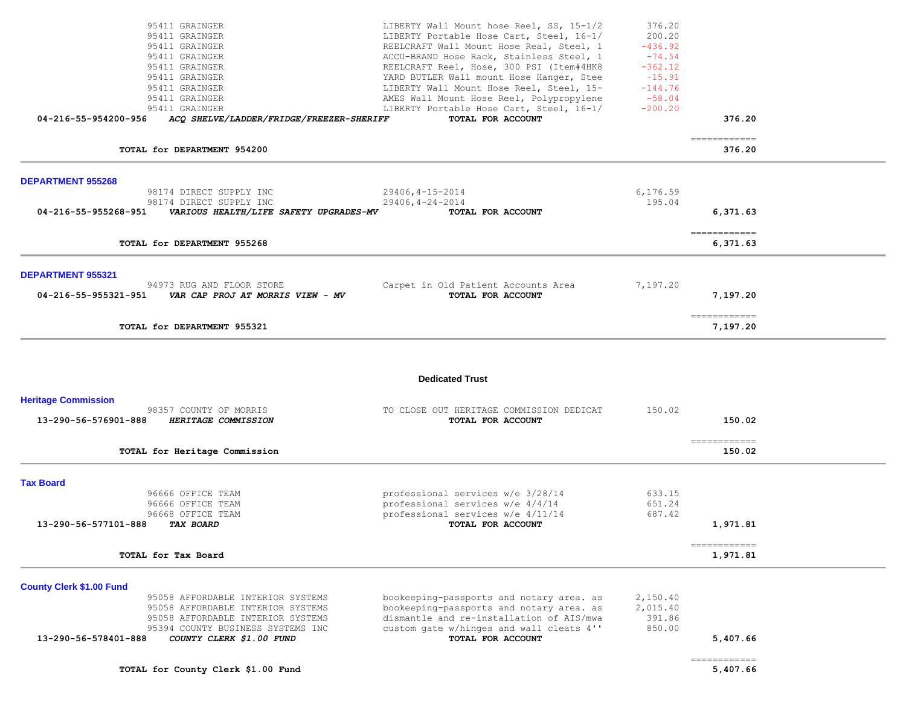| 95411 GRAINGER<br>95411 GRAINGER<br>95411 GRAINGER<br>95411 GRAINGER<br>95411 GRAINGER<br>95411 GRAINGER<br>95411 GRAINGER<br>95411 GRAINGER<br>95411 GRAINGER                      | LIBERTY Wall Mount hose Reel, SS, 15-1/2<br>LIBERTY Portable Hose Cart, Steel, 16-1/<br>REELCRAFT Wall Mount Hose Real, Steel, 1<br>ACCU-BRAND Hose Rack, Stainless Steel, 1<br>REELCRAFT Reel, Hose, 300 PSI (Item#4HK8<br>YARD BUTLER Wall mount Hose Hanger, Stee<br>LIBERTY Wall Mount Hose Reel, Steel, 15-<br>AMES Wall Mount Hose Reel, Polypropylene<br>LIBERTY Portable Hose Cart, Steel, 16-1/ | 376.20<br>200.20<br>$-436.92$<br>$-74.54$<br>$-362.12$<br>$-15.91$<br>$-144.76$<br>$-58.04$<br>$-200.20$ |                                         |  |
|-------------------------------------------------------------------------------------------------------------------------------------------------------------------------------------|----------------------------------------------------------------------------------------------------------------------------------------------------------------------------------------------------------------------------------------------------------------------------------------------------------------------------------------------------------------------------------------------------------|----------------------------------------------------------------------------------------------------------|-----------------------------------------|--|
| 04-216-55-954200-956<br>ACQ SHELVE/LADDER/FRIDGE/FREEZER-SHERIFF                                                                                                                    | TOTAL FOR ACCOUNT                                                                                                                                                                                                                                                                                                                                                                                        |                                                                                                          | 376.20                                  |  |
| TOTAL for DEPARTMENT 954200                                                                                                                                                         |                                                                                                                                                                                                                                                                                                                                                                                                          |                                                                                                          | ============<br>376.20                  |  |
| <b>DEPARTMENT 955268</b>                                                                                                                                                            |                                                                                                                                                                                                                                                                                                                                                                                                          |                                                                                                          |                                         |  |
| 98174 DIRECT SUPPLY INC<br>98174 DIRECT SUPPLY INC<br>04-216-55-955268-951<br>VARIOUS HEALTH/LIFE SAFETY UPGRADES-MV                                                                | $29406, 4 - 15 - 2014$<br>$29406, 4 - 24 - 2014$<br>TOTAL FOR ACCOUNT                                                                                                                                                                                                                                                                                                                                    | 6,176.59<br>195.04                                                                                       | 6,371.63                                |  |
| TOTAL for DEPARTMENT 955268                                                                                                                                                         |                                                                                                                                                                                                                                                                                                                                                                                                          |                                                                                                          | -------------<br>6,371.63               |  |
| <b>DEPARTMENT 955321</b>                                                                                                                                                            |                                                                                                                                                                                                                                                                                                                                                                                                          |                                                                                                          |                                         |  |
| 94973 RUG AND FLOOR STORE<br>04-216-55-955321-951<br>VAR CAP PROJ AT MORRIS VIEW - MV                                                                                               | Carpet in Old Patient Accounts Area<br>TOTAL FOR ACCOUNT                                                                                                                                                                                                                                                                                                                                                 | 7,197.20                                                                                                 | 7,197.20                                |  |
| TOTAL for DEPARTMENT 955321                                                                                                                                                         |                                                                                                                                                                                                                                                                                                                                                                                                          |                                                                                                          | ------------<br>7,197.20                |  |
|                                                                                                                                                                                     | <b>Dedicated Trust</b>                                                                                                                                                                                                                                                                                                                                                                                   |                                                                                                          |                                         |  |
| <b>Heritage Commission</b><br>98357 COUNTY OF MORRIS                                                                                                                                | TO CLOSE OUT HERITAGE COMMISSION DEDICAT                                                                                                                                                                                                                                                                                                                                                                 | 150.02                                                                                                   |                                         |  |
| 13-290-56-576901-888<br>HERITAGE COMMISSION                                                                                                                                         | TOTAL FOR ACCOUNT                                                                                                                                                                                                                                                                                                                                                                                        |                                                                                                          | 150.02                                  |  |
| TOTAL for Heritage Commission                                                                                                                                                       |                                                                                                                                                                                                                                                                                                                                                                                                          |                                                                                                          | $=$ = = = = = = = = = = = =<br>150.02   |  |
| <b>Tax Board</b>                                                                                                                                                                    |                                                                                                                                                                                                                                                                                                                                                                                                          |                                                                                                          |                                         |  |
| 96666 OFFICE TEAM<br>96666 OFFICE TEAM                                                                                                                                              | professional services w/e 3/28/14<br>professional services w/e 4/4/14                                                                                                                                                                                                                                                                                                                                    | 633.15<br>651.24                                                                                         |                                         |  |
| 96668 OFFICE TEAM<br>13-290-56-577101-888<br><b>TAX BOARD</b>                                                                                                                       | professional services w/e 4/11/14<br>TOTAL FOR ACCOUNT                                                                                                                                                                                                                                                                                                                                                   | 687.42                                                                                                   | 1,971.81                                |  |
| TOTAL for Tax Board                                                                                                                                                                 |                                                                                                                                                                                                                                                                                                                                                                                                          |                                                                                                          | $=$ = = = = = = = = = = = =<br>1,971.81 |  |
| <b>County Clerk \$1.00 Fund</b><br>95058 AFFORDABLE INTERIOR SYSTEMS<br>95058 AFFORDABLE INTERIOR SYSTEMS<br>95058 AFFORDABLE INTERIOR SYSTEMS<br>95394 COUNTY BUSINESS SYSTEMS INC | bookeeping-passports and notary area. as<br>bookeeping-passports and notary area. as<br>dismantle and re-installation of AIS/mwa<br>custom gate w/hinges and wall cleats 4''                                                                                                                                                                                                                             | 2,150.40<br>2,015.40<br>391.86<br>850.00                                                                 |                                         |  |
| COUNTY CLERK \$1.00 FUND<br>13-290-56-578401-888<br>TOTAL for County Clerk \$1.00 Fund                                                                                              | TOTAL FOR ACCOUNT                                                                                                                                                                                                                                                                                                                                                                                        |                                                                                                          | 5,407.66<br>============<br>5,407.66    |  |